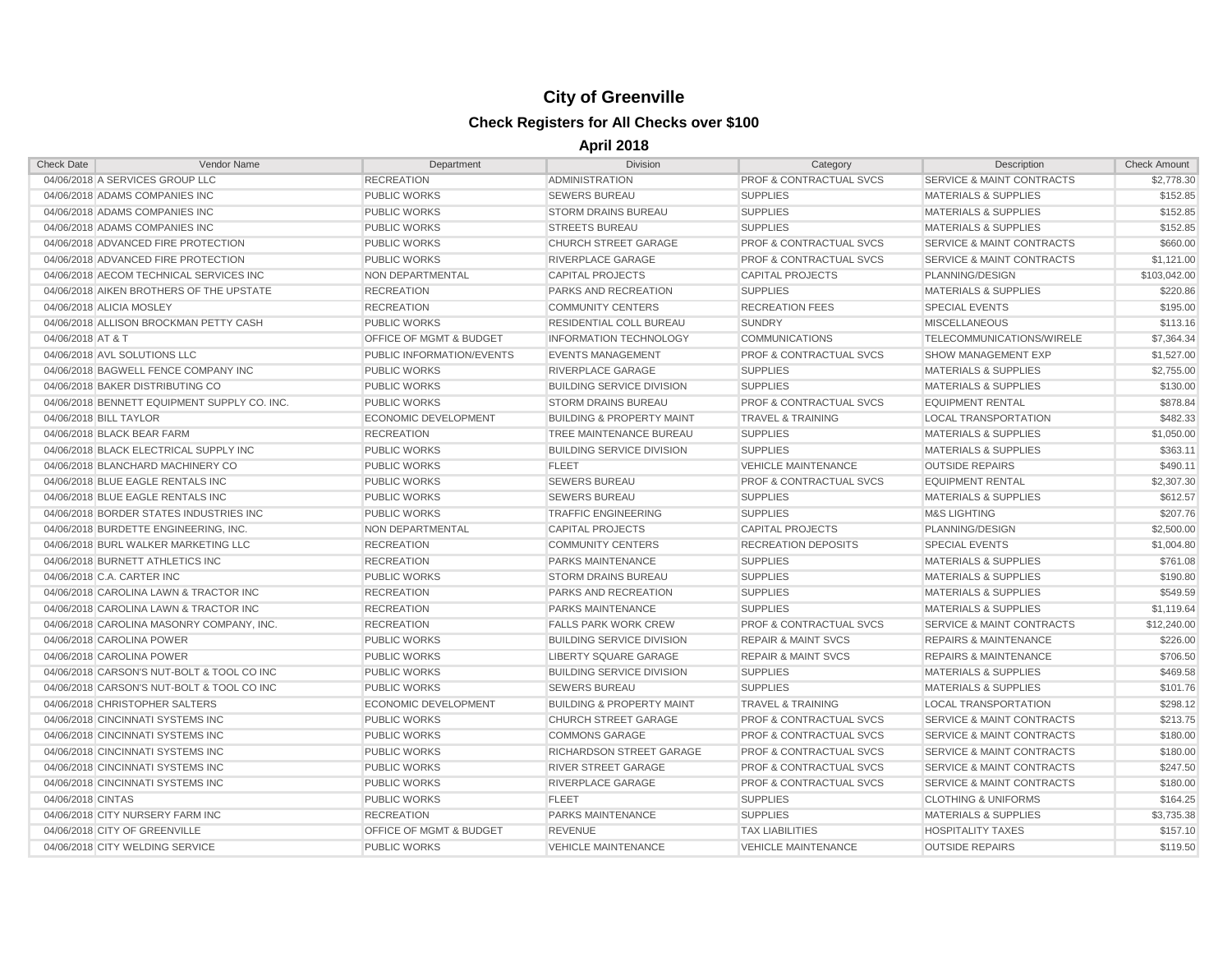## **City of Greenville Check Registers for All Checks over \$100**

**April 2018**

| <b>Check Date</b>                            | Vendor Name | Department                         | <b>Division</b>                      | Category                           | Description                          | <b>Check Amount</b> |
|----------------------------------------------|-------------|------------------------------------|--------------------------------------|------------------------------------|--------------------------------------|---------------------|
| 04/06/2018 A SERVICES GROUP LLC              |             | <b>RECREATION</b>                  | <b>ADMINISTRATION</b>                | PROF & CONTRACTUAL SVCS            | <b>SERVICE &amp; MAINT CONTRACTS</b> | \$2,778.30          |
| 04/06/2018 ADAMS COMPANIES INC               |             | PUBLIC WORKS                       | <b>SEWERS BUREAU</b>                 | <b>SUPPLIES</b>                    | <b>MATERIALS &amp; SUPPLIES</b>      | \$152.85            |
| 04/06/2018 ADAMS COMPANIES INC               |             | <b>PUBLIC WORKS</b>                | <b>STORM DRAINS BUREAU</b>           | <b>SUPPLIES</b>                    | <b>MATERIALS &amp; SUPPLIES</b>      | \$152.85            |
| 04/06/2018 ADAMS COMPANIES INC               |             | <b>PUBLIC WORKS</b>                | <b>STREETS BUREAU</b>                | <b>SUPPLIES</b>                    | <b>MATERIALS &amp; SUPPLIES</b>      | \$152.85            |
| 04/06/2018 ADVANCED FIRE PROTECTION          |             | <b>PUBLIC WORKS</b>                | <b>CHURCH STREET GARAGE</b>          | PROF & CONTRACTUAL SVCS            | SERVICE & MAINT CONTRACTS            | \$660.00            |
| 04/06/2018 ADVANCED FIRE PROTECTION          |             | <b>PUBLIC WORKS</b>                | RIVERPLACE GARAGE                    | <b>PROF &amp; CONTRACTUAL SVCS</b> | SERVICE & MAINT CONTRACTS            | \$1,121.00          |
| 04/06/2018 AECOM TECHNICAL SERVICES INC      |             | NON DEPARTMENTAL                   | <b>CAPITAL PROJECTS</b>              | <b>CAPITAL PROJECTS</b>            | PLANNING/DESIGN                      | \$103,042.00        |
| 04/06/2018 AIKEN BROTHERS OF THE UPSTATE     |             | <b>RECREATION</b>                  | PARKS AND RECREATION                 | <b>SUPPLIES</b>                    | <b>MATERIALS &amp; SUPPLIES</b>      | \$220.86            |
| 04/06/2018 ALICIA MOSLEY                     |             | <b>RECREATION</b>                  | <b>COMMUNITY CENTERS</b>             | <b>RECREATION FEES</b>             | <b>SPECIAL EVENTS</b>                | \$195.00            |
| 04/06/2018 ALLISON BROCKMAN PETTY CASH       |             | <b>PUBLIC WORKS</b>                | <b>RESIDENTIAL COLL BUREAU</b>       | <b>SUNDRY</b>                      | <b>MISCELLANEOUS</b>                 | \$113.16            |
| 04/06/2018 AT & T                            |             | <b>OFFICE OF MGMT &amp; BUDGET</b> | <b>INFORMATION TECHNOLOGY</b>        | <b>COMMUNICATIONS</b>              | TELECOMMUNICATIONS/WIRELE            | \$7,364.34          |
| 04/06/2018 AVL SOLUTIONS LLC                 |             | PUBLIC INFORMATION/EVENTS          | <b>EVENTS MANAGEMENT</b>             | <b>PROF &amp; CONTRACTUAL SVCS</b> | <b>SHOW MANAGEMENT EXP</b>           | \$1,527.00          |
| 04/06/2018 BAGWELL FENCE COMPANY INC         |             | <b>PUBLIC WORKS</b>                | RIVERPLACE GARAGE                    | <b>SUPPLIES</b>                    | <b>MATERIALS &amp; SUPPLIES</b>      | \$2,755.00          |
| 04/06/2018 BAKER DISTRIBUTING CO             |             | <b>PUBLIC WORKS</b>                | <b>BUILDING SERVICE DIVISION</b>     | <b>SUPPLIES</b>                    | <b>MATERIALS &amp; SUPPLIES</b>      | \$130.00            |
| 04/06/2018 BENNETT EQUIPMENT SUPPLY CO. INC. |             | <b>PUBLIC WORKS</b>                | <b>STORM DRAINS BUREAU</b>           | <b>PROF &amp; CONTRACTUAL SVCS</b> | <b>EQUIPMENT RENTAL</b>              | \$878.84            |
| 04/06/2018 BILL TAYLOR                       |             | <b>ECONOMIC DEVELOPMENT</b>        | <b>BUILDING &amp; PROPERTY MAINT</b> | TRAVEL & TRAINING                  | <b>LOCAL TRANSPORTATION</b>          | \$482.33            |
| 04/06/2018 BLACK BEAR FARM                   |             | <b>RECREATION</b>                  | <b>TREE MAINTENANCE BUREAU</b>       | <b>SUPPLIES</b>                    | <b>MATERIALS &amp; SUPPLIES</b>      | \$1,050.00          |
| 04/06/2018 BLACK ELECTRICAL SUPPLY INC       |             | <b>PUBLIC WORKS</b>                | <b>BUILDING SERVICE DIVISION</b>     | <b>SUPPLIES</b>                    | <b>MATERIALS &amp; SUPPLIES</b>      | \$363.11            |
| 04/06/2018 BLANCHARD MACHINERY CO            |             | <b>PUBLIC WORKS</b>                | <b>FLEET</b>                         | <b>VEHICLE MAINTENANCE</b>         | <b>OUTSIDE REPAIRS</b>               | \$490.11            |
| 04/06/2018 BLUE EAGLE RENTALS INC            |             | <b>PUBLIC WORKS</b>                | <b>SEWERS BUREAU</b>                 | <b>PROF &amp; CONTRACTUAL SVCS</b> | <b>EQUIPMENT RENTAL</b>              | \$2,307.30          |
| 04/06/2018 BLUE EAGLE RENTALS INC            |             | <b>PUBLIC WORKS</b>                | <b>SEWERS BUREAU</b>                 | <b>SUPPLIES</b>                    | <b>MATERIALS &amp; SUPPLIES</b>      | \$612.57            |
| 04/06/2018 BORDER STATES INDUSTRIES INC      |             | <b>PUBLIC WORKS</b>                | <b>TRAFFIC ENGINEERING</b>           | <b>SUPPLIES</b>                    | <b>M&amp;S LIGHTING</b>              | \$207.76            |
| 04/06/2018 BURDETTE ENGINEERING, INC.        |             | NON DEPARTMENTAL                   | <b>CAPITAL PROJECTS</b>              | <b>CAPITAL PROJECTS</b>            | PLANNING/DESIGN                      | \$2,500.00          |
| 04/06/2018 BURL WALKER MARKETING LLC         |             | <b>RECREATION</b>                  | <b>COMMUNITY CENTERS</b>             | <b>RECREATION DEPOSITS</b>         | <b>SPECIAL EVENTS</b>                | \$1,004.80          |
| 04/06/2018 BURNETT ATHLETICS INC             |             | <b>RECREATION</b>                  | PARKS MAINTENANCE                    | <b>SUPPLIES</b>                    | <b>MATERIALS &amp; SUPPLIES</b>      | \$761.08            |
| 04/06/2018 C.A. CARTER INC                   |             | <b>PUBLIC WORKS</b>                | <b>STORM DRAINS BUREAU</b>           | <b>SUPPLIES</b>                    | <b>MATERIALS &amp; SUPPLIES</b>      | \$190.80            |
| 04/06/2018 CAROLINA LAWN & TRACTOR INC       |             | <b>RECREATION</b>                  | <b>PARKS AND RECREATION</b>          | <b>SUPPLIES</b>                    | <b>MATERIALS &amp; SUPPLIES</b>      | \$549.59            |
| 04/06/2018 CAROLINA LAWN & TRACTOR INC       |             | <b>RECREATION</b>                  | PARKS MAINTENANCE                    | <b>SUPPLIES</b>                    | <b>MATERIALS &amp; SUPPLIES</b>      | \$1,119.64          |
| 04/06/2018 CAROLINA MASONRY COMPANY, INC.    |             | <b>RECREATION</b>                  | <b>FALLS PARK WORK CREW</b>          | <b>PROF &amp; CONTRACTUAL SVCS</b> | <b>SERVICE &amp; MAINT CONTRACTS</b> | \$12,240.00         |
| 04/06/2018 CAROLINA POWER                    |             | <b>PUBLIC WORKS</b>                | <b>BUILDING SERVICE DIVISION</b>     | <b>REPAIR &amp; MAINT SVCS</b>     | <b>REPAIRS &amp; MAINTENANCE</b>     | \$226.00            |
| 04/06/2018 CAROLINA POWER                    |             | <b>PUBLIC WORKS</b>                | <b>LIBERTY SQUARE GARAGE</b>         | <b>REPAIR &amp; MAINT SVCS</b>     | <b>REPAIRS &amp; MAINTENANCE</b>     | \$706.50            |
| 04/06/2018 CARSON'S NUT-BOLT & TOOL CO INC   |             | <b>PUBLIC WORKS</b>                | <b>BUILDING SERVICE DIVISION</b>     | <b>SUPPLIES</b>                    | <b>MATERIALS &amp; SUPPLIES</b>      | \$469.58            |
| 04/06/2018 CARSON'S NUT-BOLT & TOOL CO INC   |             | <b>PUBLIC WORKS</b>                | <b>SEWERS BUREAU</b>                 | <b>SUPPLIES</b>                    | <b>MATERIALS &amp; SUPPLIES</b>      | \$101.76            |
| 04/06/2018 CHRISTOPHER SALTERS               |             | <b>ECONOMIC DEVELOPMENT</b>        | <b>BUILDING &amp; PROPERTY MAINT</b> | <b>TRAVEL &amp; TRAINING</b>       | <b>LOCAL TRANSPORTATION</b>          | \$298.12            |
| 04/06/2018 CINCINNATI SYSTEMS INC            |             | <b>PUBLIC WORKS</b>                | <b>CHURCH STREET GARAGE</b>          | <b>PROF &amp; CONTRACTUAL SVCS</b> | <b>SERVICE &amp; MAINT CONTRACTS</b> | \$213.75            |
| 04/06/2018 CINCINNATI SYSTEMS INC            |             | <b>PUBLIC WORKS</b>                | <b>COMMONS GARAGE</b>                | <b>PROF &amp; CONTRACTUAL SVCS</b> | SERVICE & MAINT CONTRACTS            | \$180.00            |
| 04/06/2018 CINCINNATI SYSTEMS INC            |             | <b>PUBLIC WORKS</b>                | <b>RICHARDSON STREET GARAGE</b>      | <b>PROF &amp; CONTRACTUAL SVCS</b> | SERVICE & MAINT CONTRACTS            | \$180.00            |
| 04/06/2018 CINCINNATI SYSTEMS INC            |             | <b>PUBLIC WORKS</b>                | <b>RIVER STREET GARAGE</b>           | <b>PROF &amp; CONTRACTUAL SVCS</b> | <b>SERVICE &amp; MAINT CONTRACTS</b> | \$247.50            |
| 04/06/2018 CINCINNATI SYSTEMS INC            |             | <b>PUBLIC WORKS</b>                | RIVERPLACE GARAGE                    | PROF & CONTRACTUAL SVCS            | <b>SERVICE &amp; MAINT CONTRACTS</b> | \$180.00            |
| 04/06/2018 CINTAS                            |             | <b>PUBLIC WORKS</b>                | <b>FLEET</b>                         | <b>SUPPLIES</b>                    | <b>CLOTHING &amp; UNIFORMS</b>       | \$164.25            |
| 04/06/2018 CITY NURSERY FARM INC             |             | <b>RECREATION</b>                  | PARKS MAINTENANCE                    | <b>SUPPLIES</b>                    | <b>MATERIALS &amp; SUPPLIES</b>      | \$3,735.38          |
| 04/06/2018 CITY OF GREENVILLE                |             | OFFICE OF MGMT & BUDGET            | <b>REVENUE</b>                       | <b>TAX LIABILITIES</b>             | <b>HOSPITALITY TAXES</b>             | \$157.10            |
| 04/06/2018 CITY WELDING SERVICE              |             | <b>PUBLIC WORKS</b>                | <b>VEHICLE MAINTENANCE</b>           | <b>VEHICLE MAINTENANCE</b>         | <b>OUTSIDE REPAIRS</b>               | \$119.50            |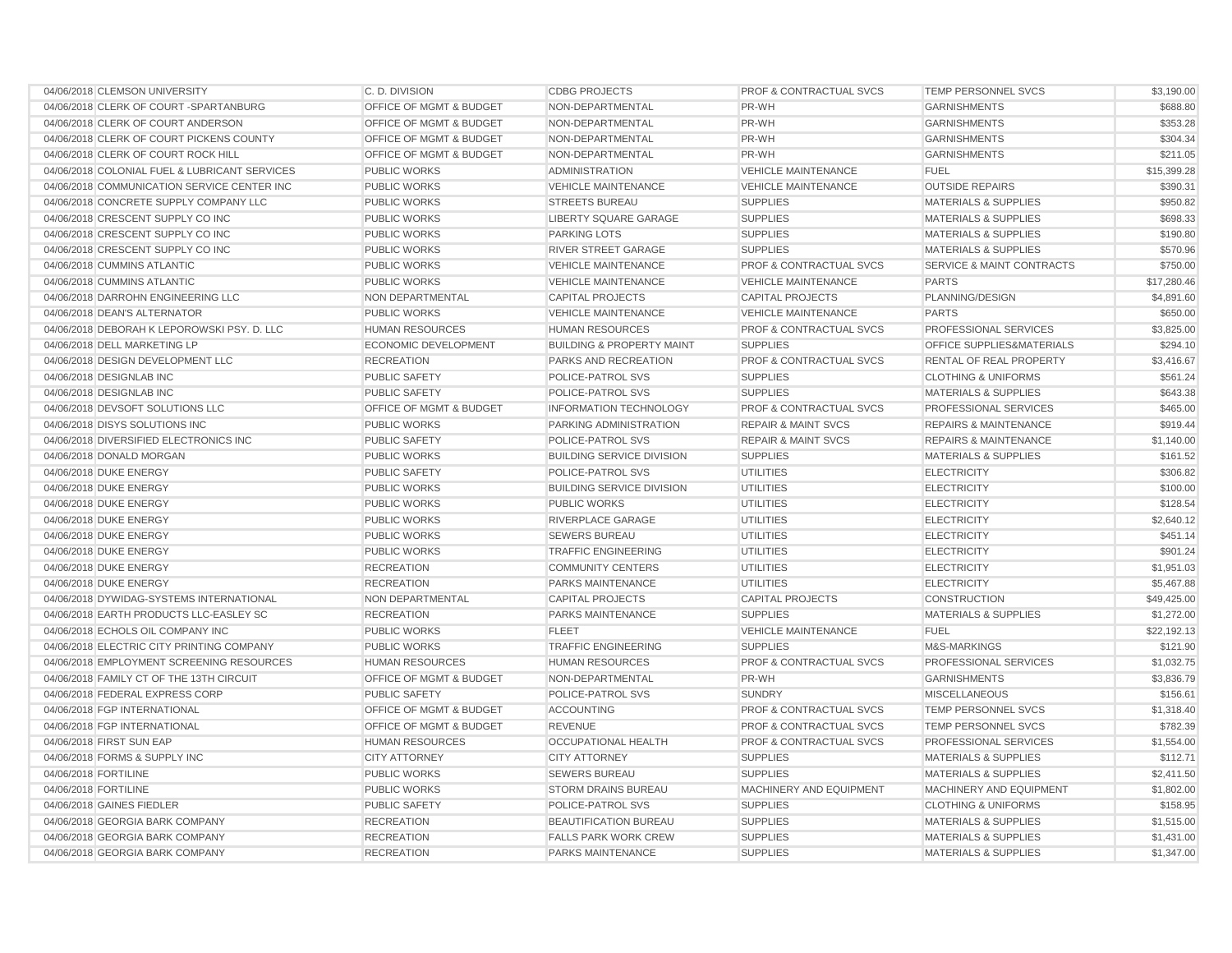| 04/06/2018 CLEMSON UNIVERSITY                 | C. D. DIVISION                     | <b>CDBG PROJECTS</b>                 | <b>PROF &amp; CONTRACTUAL SVCS</b> | TEMP PERSONNEL SVCS                  | \$3,190.00  |
|-----------------------------------------------|------------------------------------|--------------------------------------|------------------------------------|--------------------------------------|-------------|
| 04/06/2018 CLERK OF COURT -SPARTANBURG        | OFFICE OF MGMT & BUDGET            | NON-DEPARTMENTAL                     | PR-WH                              | <b>GARNISHMENTS</b>                  | \$688.80    |
| 04/06/2018 CLERK OF COURT ANDERSON            | OFFICE OF MGMT & BUDGET            | NON-DEPARTMENTAL                     | PR-WH                              | <b>GARNISHMENTS</b>                  | \$353.28    |
| 04/06/2018 CLERK OF COURT PICKENS COUNTY      | <b>OFFICE OF MGMT &amp; BUDGET</b> | NON-DEPARTMENTAL                     | PR-WH                              | <b>GARNISHMENTS</b>                  | \$304.34    |
| 04/06/2018 CLERK OF COURT ROCK HILL           | OFFICE OF MGMT & BUDGET            | NON-DEPARTMENTAL                     | PR-WH                              | <b>GARNISHMENTS</b>                  | \$211.05    |
| 04/06/2018 COLONIAL FUEL & LUBRICANT SERVICES | <b>PUBLIC WORKS</b>                | <b>ADMINISTRATION</b>                | <b>VEHICLE MAINTENANCE</b>         | FUEL                                 | \$15,399.28 |
| 04/06/2018 COMMUNICATION SERVICE CENTER INC   | <b>PUBLIC WORKS</b>                | <b>VEHICLE MAINTENANCE</b>           | <b>VEHICLE MAINTENANCE</b>         | <b>OUTSIDE REPAIRS</b>               | \$390.31    |
| 04/06/2018 CONCRETE SUPPLY COMPANY LLC        | <b>PUBLIC WORKS</b>                | <b>STREETS BUREAU</b>                | <b>SUPPLIES</b>                    | <b>MATERIALS &amp; SUPPLIES</b>      | \$950.82    |
| 04/06/2018 CRESCENT SUPPLY CO INC             | <b>PUBLIC WORKS</b>                | <b>LIBERTY SQUARE GARAGE</b>         | <b>SUPPLIES</b>                    | <b>MATERIALS &amp; SUPPLIES</b>      | \$698.33    |
| 04/06/2018 CRESCENT SUPPLY CO INC             | <b>PUBLIC WORKS</b>                | <b>PARKING LOTS</b>                  | <b>SUPPLIES</b>                    | <b>MATERIALS &amp; SUPPLIES</b>      | \$190.80    |
| 04/06/2018 CRESCENT SUPPLY CO INC             | <b>PUBLIC WORKS</b>                | RIVER STREET GARAGE                  | <b>SUPPLIES</b>                    | <b>MATERIALS &amp; SUPPLIES</b>      | \$570.96    |
| 04/06/2018 CUMMINS ATLANTIC                   | <b>PUBLIC WORKS</b>                | VEHICLE MAINTENANCE                  | PROF & CONTRACTUAL SVCS            | SERVICE & MAINT CONTRACTS            | \$750.00    |
| 04/06/2018 CUMMINS ATLANTIC                   | <b>PUBLIC WORKS</b>                | <b>VEHICLE MAINTENANCE</b>           | <b>VEHICLE MAINTENANCE</b>         | <b>PARTS</b>                         | \$17,280.46 |
| 04/06/2018 DARROHN ENGINEERING LLC            | NON DEPARTMENTAL                   | <b>CAPITAL PROJECTS</b>              | <b>CAPITAL PROJECTS</b>            | PLANNING/DESIGN                      | \$4,891.60  |
| 04/06/2018 DEAN'S ALTERNATOR                  | <b>PUBLIC WORKS</b>                | <b>VEHICLE MAINTENANCE</b>           | <b>VEHICLE MAINTENANCE</b>         | <b>PARTS</b>                         | \$650.00    |
| 04/06/2018 DEBORAH K LEPOROWSKI PSY, D. LLC   | <b>HUMAN RESOURCES</b>             | <b>HUMAN RESOURCES</b>               | <b>PROF &amp; CONTRACTUAL SVCS</b> | PROFESSIONAL SERVICES                | \$3,825.00  |
| 04/06/2018 DELL MARKETING LP                  | <b>ECONOMIC DEVELOPMENT</b>        | <b>BUILDING &amp; PROPERTY MAINT</b> | <b>SUPPLIES</b>                    | <b>OFFICE SUPPLIES&amp;MATERIALS</b> | \$294.10    |
| 04/06/2018 DESIGN DEVELOPMENT LLC             | <b>RECREATION</b>                  | PARKS AND RECREATION                 | PROF & CONTRACTUAL SVCS            | RENTAL OF REAL PROPERTY              | \$3,416.67  |
| 04/06/2018 DESIGNLAB INC                      | <b>PUBLIC SAFETY</b>               | POLICE-PATROL SVS                    | <b>SUPPLIES</b>                    | <b>CLOTHING &amp; UNIFORMS</b>       | \$561.24    |
| 04/06/2018 DESIGNLAB INC                      | PUBLIC SAFETY                      | POLICE-PATROL SVS                    | <b>SUPPLIES</b>                    | <b>MATERIALS &amp; SUPPLIES</b>      | \$643.38    |
| 04/06/2018 DEVSOFT SOLUTIONS LLC              | <b>OFFICE OF MGMT &amp; BUDGET</b> | <b>INFORMATION TECHNOLOGY</b>        | PROF & CONTRACTUAL SVCS            | PROFESSIONAL SERVICES                | \$465.00    |
| 04/06/2018 DISYS SOLUTIONS INC                | <b>PUBLIC WORKS</b>                | PARKING ADMINISTRATION               | <b>REPAIR &amp; MAINT SVCS</b>     | <b>REPAIRS &amp; MAINTENANCE</b>     | \$919.44    |
| 04/06/2018 DIVERSIFIED ELECTRONICS INC        | <b>PUBLIC SAFETY</b>               | <b>POLICE-PATROL SVS</b>             | <b>REPAIR &amp; MAINT SVCS</b>     | <b>REPAIRS &amp; MAINTENANCE</b>     | \$1,140.00  |
| 04/06/2018 DONALD MORGAN                      | <b>PUBLIC WORKS</b>                | <b>BUILDING SERVICE DIVISION</b>     | <b>SUPPLIES</b>                    | <b>MATERIALS &amp; SUPPLIES</b>      | \$161.52    |
| 04/06/2018 DUKE ENERGY                        | <b>PUBLIC SAFETY</b>               | POLICE-PATROL SVS                    | <b>UTILITIES</b>                   | <b>ELECTRICITY</b>                   | \$306.82    |
| 04/06/2018 DUKE ENERGY                        | <b>PUBLIC WORKS</b>                | <b>BUILDING SERVICE DIVISION</b>     | <b>UTILITIES</b>                   | <b>ELECTRICITY</b>                   | \$100.00    |
| 04/06/2018 DUKE ENERGY                        | <b>PUBLIC WORKS</b>                | <b>PUBLIC WORKS</b>                  | <b>UTILITIES</b>                   | <b>ELECTRICITY</b>                   | \$128.54    |
| 04/06/2018 DUKE ENERGY                        | <b>PUBLIC WORKS</b>                | RIVERPLACE GARAGE                    | <b>UTILITIES</b>                   | <b>ELECTRICITY</b>                   | \$2,640.12  |
| 04/06/2018 DUKE ENERGY                        | <b>PUBLIC WORKS</b>                | <b>SEWERS BUREAU</b>                 | <b>UTILITIES</b>                   | <b>ELECTRICITY</b>                   | \$451.14    |
| 04/06/2018 DUKE ENERGY                        | <b>PUBLIC WORKS</b>                | <b>TRAFFIC ENGINEERING</b>           | <b>UTILITIES</b>                   | <b>ELECTRICITY</b>                   | \$901.24    |
| 04/06/2018 DUKE ENERGY                        | <b>RECREATION</b>                  | <b>COMMUNITY CENTERS</b>             | <b>UTILITIES</b>                   | <b>ELECTRICITY</b>                   | \$1,951.03  |
| 04/06/2018 DUKE ENERGY                        | <b>RECREATION</b>                  | PARKS MAINTENANCE                    | <b>UTILITIES</b>                   | <b>ELECTRICITY</b>                   | \$5,467.88  |
| 04/06/2018 DYWIDAG-SYSTEMS INTERNATIONAL      | NON DEPARTMENTAL                   | <b>CAPITAL PROJECTS</b>              | <b>CAPITAL PROJECTS</b>            | <b>CONSTRUCTION</b>                  | \$49,425.00 |
| 04/06/2018 EARTH PRODUCTS LLC-EASLEY SC       | <b>RECREATION</b>                  | <b>PARKS MAINTENANCE</b>             | <b>SUPPLIES</b>                    | <b>MATERIALS &amp; SUPPLIES</b>      | \$1,272.00  |
| 04/06/2018 ECHOLS OIL COMPANY INC             | <b>PUBLIC WORKS</b>                | <b>FLEET</b>                         | <b>VEHICLE MAINTENANCE</b>         | <b>FUEL</b>                          | \$22,192.13 |
| 04/06/2018 ELECTRIC CITY PRINTING COMPANY     | <b>PUBLIC WORKS</b>                | TRAFFIC ENGINEERING                  | <b>SUPPLIES</b>                    | M&S-MARKINGS                         | \$121.90    |
| 04/06/2018 EMPLOYMENT SCREENING RESOURCES     | <b>HUMAN RESOURCES</b>             | <b>HUMAN RESOURCES</b>               | <b>PROF &amp; CONTRACTUAL SVCS</b> | PROFESSIONAL SERVICES                | \$1,032.75  |
| 04/06/2018 FAMILY CT OF THE 13TH CIRCUIT      | OFFICE OF MGMT & BUDGET            | NON-DEPARTMENTAL                     | PR-WH                              | <b>GARNISHMENTS</b>                  | \$3,836.79  |
| 04/06/2018 FEDERAL EXPRESS CORP               | <b>PUBLIC SAFETY</b>               | POLICE-PATROL SVS                    | <b>SUNDRY</b>                      | <b>MISCELLANEOUS</b>                 | \$156.61    |
| 04/06/2018 FGP INTERNATIONAL                  | OFFICE OF MGMT & BUDGET            | ACCOUNTING                           | PROF & CONTRACTUAL SVCS            | <b>TEMP PERSONNEL SVCS</b>           | \$1,318.40  |
| 04/06/2018 FGP INTERNATIONAL                  | <b>OFFICE OF MGMT &amp; BUDGET</b> | <b>REVENUE</b>                       | <b>PROF &amp; CONTRACTUAL SVCS</b> | <b>TEMP PERSONNEL SVCS</b>           | \$782.39    |
| 04/06/2018 FIRST SUN EAP                      | <b>HUMAN RESOURCES</b>             | OCCUPATIONAL HEALTH                  | <b>PROF &amp; CONTRACTUAL SVCS</b> | <b>PROFESSIONAL SERVICES</b>         | \$1,554.00  |
| 04/06/2018 FORMS & SUPPLY INC                 | <b>CITY ATTORNEY</b>               | <b>CITY ATTORNEY</b>                 | <b>SUPPLIES</b>                    | <b>MATERIALS &amp; SUPPLIES</b>      | \$112.71    |
| 04/06/2018 FORTILINE                          | <b>PUBLIC WORKS</b>                | <b>SEWERS BUREAU</b>                 | <b>SUPPLIES</b>                    | <b>MATERIALS &amp; SUPPLIES</b>      | \$2.411.50  |
| 04/06/2018 FORTILINE                          | <b>PUBLIC WORKS</b>                | <b>STORM DRAINS BUREAU</b>           | MACHINERY AND EQUIPMENT            | MACHINERY AND EQUIPMENT              | \$1,802.00  |
| 04/06/2018 GAINES FIEDLER                     | PUBLIC SAFETY                      | POLICE-PATROL SVS                    | <b>SUPPLIES</b>                    | <b>CLOTHING &amp; UNIFORMS</b>       | \$158.95    |
| 04/06/2018 GEORGIA BARK COMPANY               | <b>RECREATION</b>                  | <b>BEAUTIFICATION BUREAU</b>         | <b>SUPPLIES</b>                    | <b>MATERIALS &amp; SUPPLIES</b>      | \$1,515.00  |
| 04/06/2018 GEORGIA BARK COMPANY               | <b>RECREATION</b>                  | <b>FALLS PARK WORK CREW</b>          | <b>SUPPLIES</b>                    | <b>MATERIALS &amp; SUPPLIES</b>      | \$1,431.00  |
| 04/06/2018 GEORGIA BARK COMPANY               | <b>RECREATION</b>                  | PARKS MAINTENANCE                    | <b>SUPPLIES</b>                    | <b>MATERIALS &amp; SUPPLIES</b>      | \$1,347.00  |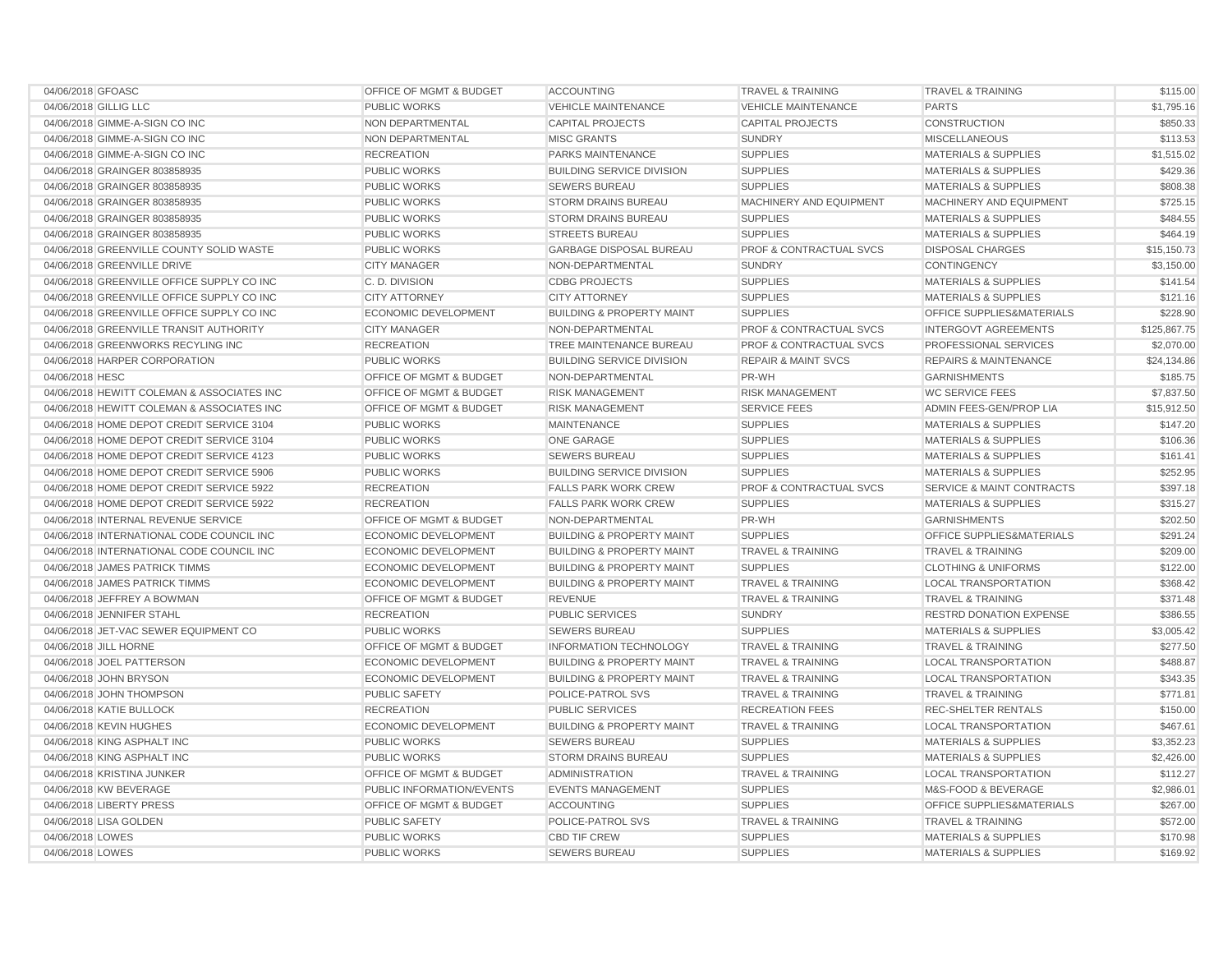| 04/06/2018 GFOASC                          | OFFICE OF MGMT & BUDGET            | <b>ACCOUNTING</b>                    | <b>TRAVEL &amp; TRAINING</b>       | <b>TRAVEL &amp; TRAINING</b>         | \$115.00     |
|--------------------------------------------|------------------------------------|--------------------------------------|------------------------------------|--------------------------------------|--------------|
| 04/06/2018 GILLIG LLC                      | PUBLIC WORKS                       | <b>VEHICLE MAINTENANCE</b>           | <b>VEHICLE MAINTENANCE</b>         | <b>PARTS</b>                         | \$1,795.16   |
| 04/06/2018 GIMME-A-SIGN CO INC             | NON DEPARTMENTAL                   | <b>CAPITAL PROJECTS</b>              | <b>CAPITAL PROJECTS</b>            | <b>CONSTRUCTION</b>                  | \$850.33     |
| 04/06/2018 GIMME-A-SIGN CO INC             | NON DEPARTMENTAL                   | <b>MISC GRANTS</b>                   | <b>SUNDRY</b>                      | <b>MISCELLANEOUS</b>                 | \$113.53     |
| 04/06/2018 GIMME-A-SIGN CO INC             | <b>RECREATION</b>                  | PARKS MAINTENANCE                    | <b>SUPPLIES</b>                    | MATERIALS & SUPPLIES                 | \$1,515.02   |
| 04/06/2018 GRAINGER 803858935              | PUBLIC WORKS                       | <b>BUILDING SERVICE DIVISION</b>     | <b>SUPPLIES</b>                    | <b>MATERIALS &amp; SUPPLIES</b>      | \$429.36     |
| 04/06/2018 GRAINGER 803858935              | <b>PUBLIC WORKS</b>                | <b>SEWERS BUREAU</b>                 | <b>SUPPLIES</b>                    | <b>MATERIALS &amp; SUPPLIES</b>      | \$808.38     |
| 04/06/2018 GRAINGER 803858935              | <b>PUBLIC WORKS</b>                | <b>STORM DRAINS BUREAU</b>           | MACHINERY AND EQUIPMENT            | MACHINERY AND EQUIPMENT              | \$725.15     |
| 04/06/2018 GRAINGER 803858935              | PUBLIC WORKS                       | STORM DRAINS BUREAU                  | <b>SUPPLIES</b>                    | <b>MATERIALS &amp; SUPPLIES</b>      | \$484.55     |
| 04/06/2018 GRAINGER 803858935              | <b>PUBLIC WORKS</b>                | <b>STREETS BUREAU</b>                | <b>SUPPLIES</b>                    | <b>MATERIALS &amp; SUPPLIES</b>      | \$464.19     |
| 04/06/2018 GREENVILLE COUNTY SOLID WASTE   | <b>PUBLIC WORKS</b>                | <b>GARBAGE DISPOSAL BUREAU</b>       | PROF & CONTRACTUAL SVCS            | <b>DISPOSAL CHARGES</b>              | \$15,150.73  |
| 04/06/2018 GREENVILLE DRIVE                | <b>CITY MANAGER</b>                | NON-DEPARTMENTAL                     | <b>SUNDRY</b>                      | <b>CONTINGENCY</b>                   | \$3,150.00   |
| 04/06/2018 GREENVILLE OFFICE SUPPLY CO INC | C. D. DIVISION                     | <b>CDBG PROJECTS</b>                 | <b>SUPPLIES</b>                    | <b>MATERIALS &amp; SUPPLIES</b>      | \$141.54     |
| 04/06/2018 GREENVILLE OFFICE SUPPLY CO INC | <b>CITY ATTORNEY</b>               | <b>CITY ATTORNEY</b>                 | <b>SUPPLIES</b>                    | <b>MATERIALS &amp; SUPPLIES</b>      | \$121.16     |
| 04/06/2018 GREENVILLE OFFICE SUPPLY CO INC | ECONOMIC DEVELOPMENT               | <b>BUILDING &amp; PROPERTY MAINT</b> | <b>SUPPLIES</b>                    | <b>OFFICE SUPPLIES&amp;MATERIALS</b> | \$228.90     |
| 04/06/2018 GREENVILLE TRANSIT AUTHORITY    | <b>CITY MANAGER</b>                | NON-DEPARTMENTAL                     | <b>PROF &amp; CONTRACTUAL SVCS</b> | <b>INTERGOVT AGREEMENTS</b>          | \$125,867.75 |
| 04/06/2018 GREENWORKS RECYLING INC         | <b>RECREATION</b>                  | TREE MAINTENANCE BUREAU              | PROF & CONTRACTUAL SVCS            | PROFESSIONAL SERVICES                | \$2,070.00   |
| 04/06/2018 HARPER CORPORATION              | <b>PUBLIC WORKS</b>                | <b>BUILDING SERVICE DIVISION</b>     | <b>REPAIR &amp; MAINT SVCS</b>     | <b>REPAIRS &amp; MAINTENANCE</b>     | \$24,134.86  |
| 04/06/2018 HESC                            | OFFICE OF MGMT & BUDGET            | NON-DEPARTMENTAL                     | PR-WH                              | <b>GARNISHMENTS</b>                  | \$185.75     |
| 04/06/2018 HEWITT COLEMAN & ASSOCIATES INC | OFFICE OF MGMT & BUDGET            | <b>RISK MANAGEMENT</b>               | <b>RISK MANAGEMENT</b>             | <b>WC SERVICE FEES</b>               | \$7,837.50   |
| 04/06/2018 HEWITT COLEMAN & ASSOCIATES INC | OFFICE OF MGMT & BUDGET            | <b>RISK MANAGEMENT</b>               | <b>SERVICE FEES</b>                | ADMIN FEES-GEN/PROP LIA              | \$15,912.50  |
| 04/06/2018 HOME DEPOT CREDIT SERVICE 3104  | <b>PUBLIC WORKS</b>                | <b>MAINTENANCE</b>                   | <b>SUPPLIES</b>                    | <b>MATERIALS &amp; SUPPLIES</b>      | \$147.20     |
| 04/06/2018 HOME DEPOT CREDIT SERVICE 3104  | <b>PUBLIC WORKS</b>                | <b>ONE GARAGE</b>                    | <b>SUPPLIES</b>                    | <b>MATERIALS &amp; SUPPLIES</b>      | \$106.36     |
| 04/06/2018 HOME DEPOT CREDIT SERVICE 4123  | <b>PUBLIC WORKS</b>                | <b>SEWERS BUREAU</b>                 | <b>SUPPLIES</b>                    | <b>MATERIALS &amp; SUPPLIES</b>      | \$161.41     |
| 04/06/2018 HOME DEPOT CREDIT SERVICE 5906  | <b>PUBLIC WORKS</b>                | <b>BUILDING SERVICE DIVISION</b>     | <b>SUPPLIES</b>                    | <b>MATERIALS &amp; SUPPLIES</b>      | \$252.95     |
| 04/06/2018 HOME DEPOT CREDIT SERVICE 5922  | <b>RECREATION</b>                  | <b>FALLS PARK WORK CREW</b>          | PROF & CONTRACTUAL SVCS            | SERVICE & MAINT CONTRACTS            | \$397.18     |
| 04/06/2018 HOME DEPOT CREDIT SERVICE 5922  | <b>RECREATION</b>                  | <b>FALLS PARK WORK CREW</b>          | <b>SUPPLIES</b>                    | <b>MATERIALS &amp; SUPPLIES</b>      | \$315.27     |
| 04/06/2018 INTERNAL REVENUE SERVICE        | OFFICE OF MGMT & BUDGET            | NON-DEPARTMENTAL                     | PR-WH                              | <b>GARNISHMENTS</b>                  | \$202.50     |
| 04/06/2018 INTERNATIONAL CODE COUNCIL INC  | <b>ECONOMIC DEVELOPMENT</b>        | <b>BUILDING &amp; PROPERTY MAINT</b> | <b>SUPPLIES</b>                    | OFFICE SUPPLIES&MATERIALS            | \$291.24     |
| 04/06/2018 INTERNATIONAL CODE COUNCIL INC  | ECONOMIC DEVELOPMENT               | <b>BUILDING &amp; PROPERTY MAINT</b> | <b>TRAVEL &amp; TRAINING</b>       | <b>TRAVEL &amp; TRAINING</b>         | \$209.00     |
| 04/06/2018 JAMES PATRICK TIMMS             | <b>ECONOMIC DEVELOPMENT</b>        | <b>BUILDING &amp; PROPERTY MAINT</b> | <b>SUPPLIES</b>                    | <b>CLOTHING &amp; UNIFORMS</b>       | \$122.00     |
| 04/06/2018 JAMES PATRICK TIMMS             | ECONOMIC DEVELOPMENT               | <b>BUILDING &amp; PROPERTY MAINT</b> | <b>TRAVEL &amp; TRAINING</b>       | <b>LOCAL TRANSPORTATION</b>          | \$368.42     |
| 04/06/2018 JEFFREY A BOWMAN                | <b>OFFICE OF MGMT &amp; BUDGET</b> | <b>REVENUE</b>                       | <b>TRAVEL &amp; TRAINING</b>       | <b>TRAVEL &amp; TRAINING</b>         | \$371.48     |
| 04/06/2018 JENNIFER STAHL                  | <b>RECREATION</b>                  | <b>PUBLIC SERVICES</b>               | <b>SUNDRY</b>                      | <b>RESTRD DONATION EXPENSE</b>       | \$386.55     |
| 04/06/2018 JET-VAC SEWER EQUIPMENT CO      | <b>PUBLIC WORKS</b>                | <b>SEWERS BUREAU</b>                 | <b>SUPPLIES</b>                    | <b>MATERIALS &amp; SUPPLIES</b>      | \$3,005.42   |
| 04/06/2018 JILL HORNE                      | OFFICE OF MGMT & BUDGET            | <b>INFORMATION TECHNOLOGY</b>        | <b>TRAVEL &amp; TRAINING</b>       | <b>TRAVEL &amp; TRAINING</b>         | \$277.50     |
| 04/06/2018 JOEL PATTERSON                  | <b>ECONOMIC DEVELOPMENT</b>        | <b>BUILDING &amp; PROPERTY MAINT</b> | <b>TRAVEL &amp; TRAINING</b>       | <b>LOCAL TRANSPORTATION</b>          | \$488.87     |
| 04/06/2018 JOHN BRYSON                     | ECONOMIC DEVELOPMENT               | <b>BUILDING &amp; PROPERTY MAINT</b> | <b>TRAVEL &amp; TRAINING</b>       | <b>LOCAL TRANSPORTATION</b>          | \$343.35     |
| 04/06/2018 JOHN THOMPSON                   | PUBLIC SAFETY                      | POLICE-PATROL SVS                    | <b>TRAVEL &amp; TRAINING</b>       | <b>TRAVEL &amp; TRAINING</b>         | \$771.81     |
| 04/06/2018 KATIE BULLOCK                   | <b>RECREATION</b>                  | <b>PUBLIC SERVICES</b>               | <b>RECREATION FEES</b>             | <b>REC-SHELTER RENTALS</b>           | \$150.00     |
| 04/06/2018 KEVIN HUGHES                    | <b>ECONOMIC DEVELOPMENT</b>        | <b>BUILDING &amp; PROPERTY MAINT</b> | <b>TRAVEL &amp; TRAINING</b>       | <b>LOCAL TRANSPORTATION</b>          | \$467.61     |
| 04/06/2018 KING ASPHALT INC                | PUBLIC WORKS                       | <b>SEWERS BUREAU</b>                 | <b>SUPPLIES</b>                    | <b>MATERIALS &amp; SUPPLIES</b>      | \$3,352.23   |
| 04/06/2018 KING ASPHALT INC                | PUBLIC WORKS                       | <b>STORM DRAINS BUREAU</b>           | <b>SUPPLIES</b>                    | <b>MATERIALS &amp; SUPPLIES</b>      | \$2,426.00   |
| 04/06/2018 KRISTINA JUNKER                 | OFFICE OF MGMT & BUDGET            | <b>ADMINISTRATION</b>                | <b>TRAVEL &amp; TRAINING</b>       | <b>LOCAL TRANSPORTATION</b>          | \$112.27     |
| 04/06/2018 KW BEVERAGE                     | PUBLIC INFORMATION/EVENTS          | <b>EVENTS MANAGEMENT</b>             | <b>SUPPLIES</b>                    | M&S-FOOD & BEVERAGE                  | \$2,986.01   |
| 04/06/2018 LIBERTY PRESS                   | OFFICE OF MGMT & BUDGET            | <b>ACCOUNTING</b>                    | <b>SUPPLIES</b>                    | OFFICE SUPPLIES&MATERIALS            | \$267.00     |
| 04/06/2018 LISA GOLDEN                     | <b>PUBLIC SAFETY</b>               | POLICE-PATROL SVS                    | <b>TRAVEL &amp; TRAINING</b>       | <b>TRAVEL &amp; TRAINING</b>         | \$572.00     |
| 04/06/2018 LOWES                           | PUBLIC WORKS                       | <b>CBD TIF CREW</b>                  | <b>SUPPLIES</b>                    | <b>MATERIALS &amp; SUPPLIES</b>      | \$170.98     |
| 04/06/2018 LOWES                           | <b>PUBLIC WORKS</b>                | <b>SEWERS BUREAU</b>                 | <b>SUPPLIES</b>                    | <b>MATERIALS &amp; SUPPLIES</b>      | \$169.92     |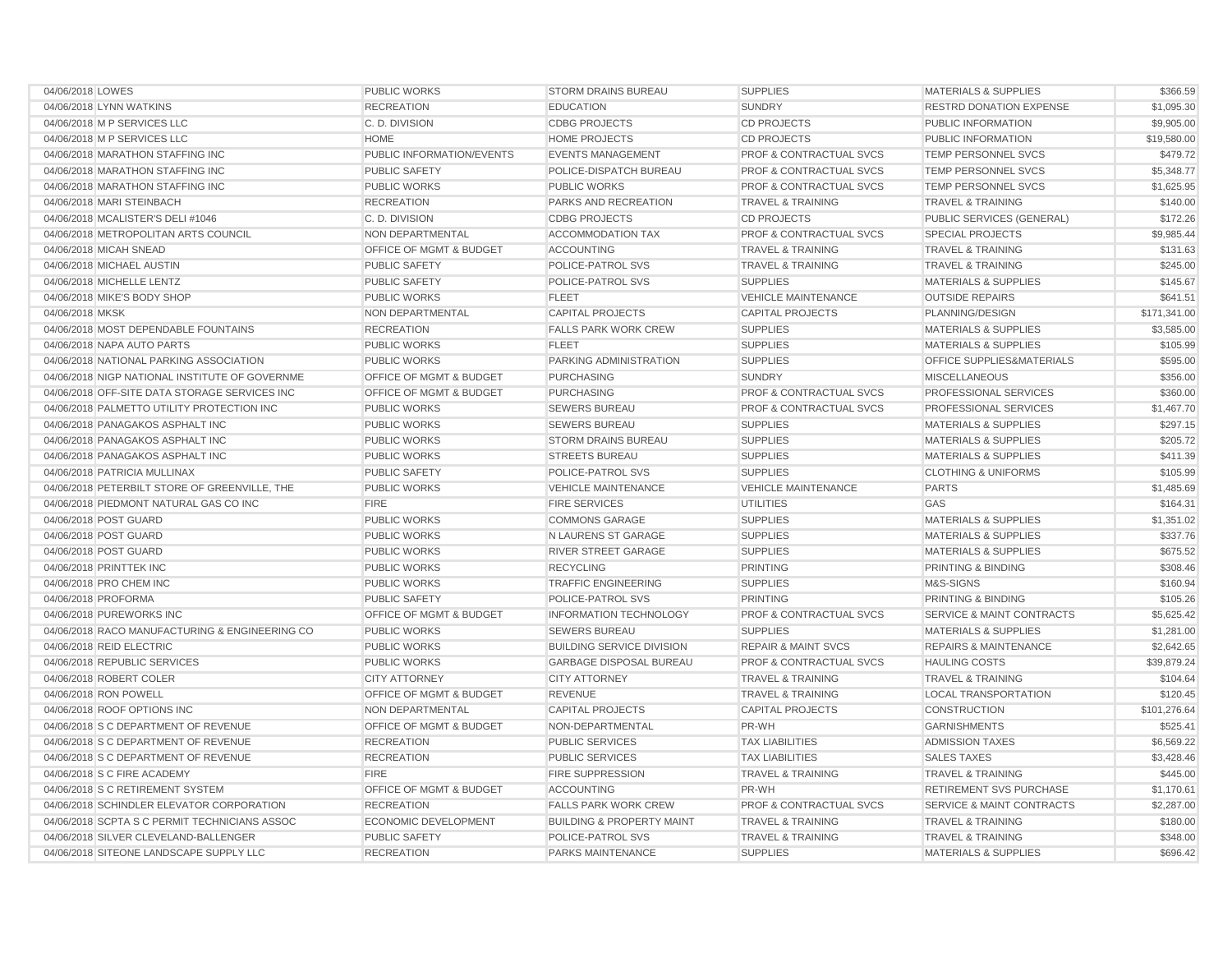| 04/06/2018 LOWES                               | <b>PUBLIC WORKS</b>                | <b>STORM DRAINS BUREAU</b>           | <b>SUPPLIES</b>                    | MATERIALS & SUPPLIES                 | \$366.59     |
|------------------------------------------------|------------------------------------|--------------------------------------|------------------------------------|--------------------------------------|--------------|
| 04/06/2018 LYNN WATKINS                        | <b>RECREATION</b>                  | <b>EDUCATION</b>                     | <b>SUNDRY</b>                      | <b>RESTRD DONATION EXPENSE</b>       | \$1,095.30   |
| 04/06/2018 M P SERVICES LLC                    | C. D. DIVISION                     | <b>CDBG PROJECTS</b>                 | <b>CD PROJECTS</b>                 | PUBLIC INFORMATION                   | \$9,905.00   |
| 04/06/2018 M P SERVICES LLC                    | <b>HOME</b>                        | <b>HOME PROJECTS</b>                 | <b>CD PROJECTS</b>                 | PUBLIC INFORMATION                   | \$19,580.00  |
| 04/06/2018 MARATHON STAFFING INC               | PUBLIC INFORMATION/EVENTS          | <b>EVENTS MANAGEMENT</b>             | PROF & CONTRACTUAL SVCS            | TEMP PERSONNEL SVCS                  | \$479.72     |
| 04/06/2018 MARATHON STAFFING INC               | <b>PUBLIC SAFETY</b>               | POLICE-DISPATCH BUREAU               | PROF & CONTRACTUAL SVCS            | TEMP PERSONNEL SVCS                  | \$5,348.77   |
| 04/06/2018 MARATHON STAFFING INC               | <b>PUBLIC WORKS</b>                | <b>PUBLIC WORKS</b>                  | <b>PROF &amp; CONTRACTUAL SVCS</b> | <b>TEMP PERSONNEL SVCS</b>           | \$1,625.95   |
| 04/06/2018 MARI STEINBACH                      | <b>RECREATION</b>                  | PARKS AND RECREATION                 | <b>TRAVEL &amp; TRAINING</b>       | <b>TRAVEL &amp; TRAINING</b>         | \$140.00     |
| 04/06/2018 MCALISTER'S DELI #1046              | C. D. DIVISION                     | <b>CDBG PROJECTS</b>                 | <b>CD PROJECTS</b>                 | PUBLIC SERVICES (GENERAL)            | \$172.26     |
| 04/06/2018 METROPOLITAN ARTS COUNCIL           | NON DEPARTMENTAL                   | <b>ACCOMMODATION TAX</b>             | PROF & CONTRACTUAL SVCS            | <b>SPECIAL PROJECTS</b>              | \$9,985.44   |
| 04/06/2018 MICAH SNEAD                         | <b>OFFICE OF MGMT &amp; BUDGET</b> | <b>ACCOUNTING</b>                    | <b>TRAVEL &amp; TRAINING</b>       | <b>TRAVEL &amp; TRAINING</b>         | \$131.63     |
| 04/06/2018 MICHAEL AUSTIN                      | <b>PUBLIC SAFETY</b>               | POLICE-PATROL SVS                    | <b>TRAVEL &amp; TRAINING</b>       | <b>TRAVEL &amp; TRAINING</b>         | \$245.00     |
| 04/06/2018 MICHELLE LENTZ                      | PUBLIC SAFETY                      | POLICE-PATROL SVS                    | <b>SUPPLIES</b>                    | <b>MATERIALS &amp; SUPPLIES</b>      | \$145.67     |
| 04/06/2018 MIKE'S BODY SHOP                    | <b>PUBLIC WORKS</b>                | <b>FLEET</b>                         | <b>VEHICLE MAINTENANCE</b>         | <b>OUTSIDE REPAIRS</b>               | \$641.51     |
| 04/06/2018 MKSK                                | NON DEPARTMENTAL                   | <b>CAPITAL PROJECTS</b>              | <b>CAPITAL PROJECTS</b>            | PLANNING/DESIGN                      | \$171,341.00 |
| 04/06/2018 MOST DEPENDABLE FOUNTAINS           | <b>RECREATION</b>                  | <b>FALLS PARK WORK CREW</b>          | <b>SUPPLIES</b>                    | <b>MATERIALS &amp; SUPPLIES</b>      | \$3,585.00   |
| 04/06/2018 NAPA AUTO PARTS                     | <b>PUBLIC WORKS</b>                | <b>FLEET</b>                         | <b>SUPPLIES</b>                    | <b>MATERIALS &amp; SUPPLIES</b>      | \$105.99     |
| 04/06/2018 NATIONAL PARKING ASSOCIATION        | <b>PUBLIC WORKS</b>                | PARKING ADMINISTRATION               | <b>SUPPLIES</b>                    | <b>OFFICE SUPPLIES&amp;MATERIALS</b> | \$595.00     |
| 04/06/2018 NIGP NATIONAL INSTITUTE OF GOVERNME | OFFICE OF MGMT & BUDGET            | <b>PURCHASING</b>                    | <b>SUNDRY</b>                      | <b>MISCELLANEOUS</b>                 | \$356.00     |
| 04/06/2018 OFF-SITE DATA STORAGE SERVICES INC  | <b>OFFICE OF MGMT &amp; BUDGET</b> | <b>PURCHASING</b>                    | <b>PROF &amp; CONTRACTUAL SVCS</b> | PROFESSIONAL SERVICES                | \$360.00     |
| 04/06/2018 PALMETTO UTILITY PROTECTION INC     | <b>PUBLIC WORKS</b>                | <b>SEWERS BUREAU</b>                 | PROF & CONTRACTUAL SVCS            | PROFESSIONAL SERVICES                | \$1,467.70   |
| 04/06/2018 PANAGAKOS ASPHALT INC               | <b>PUBLIC WORKS</b>                | <b>SEWERS BUREAU</b>                 | <b>SUPPLIES</b>                    | <b>MATERIALS &amp; SUPPLIES</b>      | \$297.15     |
| 04/06/2018 PANAGAKOS ASPHALT INC               | <b>PUBLIC WORKS</b>                | STORM DRAINS BUREAU                  | <b>SUPPLIES</b>                    | <b>MATERIALS &amp; SUPPLIES</b>      | \$205.72     |
| 04/06/2018 PANAGAKOS ASPHALT INC               | <b>PUBLIC WORKS</b>                | <b>STREETS BUREAU</b>                | <b>SUPPLIES</b>                    | <b>MATERIALS &amp; SUPPLIES</b>      | \$411.39     |
| 04/06/2018 PATRICIA MULLINAX                   | <b>PUBLIC SAFETY</b>               | POLICE-PATROL SVS                    | <b>SUPPLIES</b>                    | <b>CLOTHING &amp; UNIFORMS</b>       | \$105.99     |
| 04/06/2018 PETERBILT STORE OF GREENVILLE, THE  | <b>PUBLIC WORKS</b>                | <b>VEHICLE MAINTENANCE</b>           | <b>VEHICLE MAINTENANCE</b>         | <b>PARTS</b>                         | \$1,485.69   |
| 04/06/2018 PIEDMONT NATURAL GAS CO INC         | <b>FIRE</b>                        | <b>FIRE SERVICES</b>                 | <b>UTILITIES</b>                   | GAS                                  | \$164.31     |
| 04/06/2018 POST GUARD                          | <b>PUBLIC WORKS</b>                | <b>COMMONS GARAGE</b>                | <b>SUPPLIES</b>                    | <b>MATERIALS &amp; SUPPLIES</b>      | \$1,351.02   |
| 04/06/2018 POST GUARD                          | <b>PUBLIC WORKS</b>                | N LAURENS ST GARAGE                  | <b>SUPPLIES</b>                    | <b>MATERIALS &amp; SUPPLIES</b>      | \$337.76     |
| 04/06/2018 POST GUARD                          | PUBLIC WORKS                       | RIVER STREET GARAGE                  | <b>SUPPLIES</b>                    | <b>MATERIALS &amp; SUPPLIES</b>      | \$675.52     |
| 04/06/2018 PRINTTEK INC                        | <b>PUBLIC WORKS</b>                | <b>RECYCLING</b>                     | PRINTING                           | PRINTING & BINDING                   | \$308.46     |
| 04/06/2018 PRO CHEM INC                        | <b>PUBLIC WORKS</b>                | <b>TRAFFIC ENGINEERING</b>           | <b>SUPPLIES</b>                    | M&S-SIGNS                            | \$160.94     |
| 04/06/2018 PROFORMA                            | <b>PUBLIC SAFETY</b>               | POLICE-PATROL SVS                    | <b>PRINTING</b>                    | PRINTING & BINDING                   | \$105.26     |
| 04/06/2018 PUREWORKS INC                       | <b>OFFICE OF MGMT &amp; BUDGET</b> | <b>INFORMATION TECHNOLOGY</b>        | <b>PROF &amp; CONTRACTUAL SVCS</b> | SERVICE & MAINT CONTRACTS            | \$5.625.42   |
| 04/06/2018 RACO MANUFACTURING & ENGINEERING CO | <b>PUBLIC WORKS</b>                | <b>SEWERS BUREAU</b>                 | <b>SUPPLIES</b>                    | <b>MATERIALS &amp; SUPPLIES</b>      | \$1,281.00   |
| 04/06/2018 REID ELECTRIC                       | <b>PUBLIC WORKS</b>                | <b>BUILDING SERVICE DIVISION</b>     | <b>REPAIR &amp; MAINT SVCS</b>     | <b>REPAIRS &amp; MAINTENANCE</b>     | \$2,642.65   |
| 04/06/2018 REPUBLIC SERVICES                   | <b>PUBLIC WORKS</b>                | <b>GARBAGE DISPOSAL BUREAU</b>       | <b>PROF &amp; CONTRACTUAL SVCS</b> | <b>HAULING COSTS</b>                 | \$39,879.24  |
| 04/06/2018 ROBERT COLER                        | <b>CITY ATTORNEY</b>               | <b>CITY ATTORNEY</b>                 | <b>TRAVEL &amp; TRAINING</b>       | <b>TRAVEL &amp; TRAINING</b>         | \$104.64     |
| 04/06/2018 RON POWELL                          | OFFICE OF MGMT & BUDGET            | <b>REVENUE</b>                       | <b>TRAVEL &amp; TRAINING</b>       | <b>LOCAL TRANSPORTATION</b>          | \$120.45     |
| 04/06/2018 ROOF OPTIONS INC                    | NON DEPARTMENTAL                   | <b>CAPITAL PROJECTS</b>              | <b>CAPITAL PROJECTS</b>            | CONSTRUCTION                         | \$101,276.64 |
| 04/06/2018 S C DEPARTMENT OF REVENUE           | OFFICE OF MGMT & BUDGET            | NON-DEPARTMENTAL                     | PR-WH                              | <b>GARNISHMENTS</b>                  | \$525.41     |
| 04/06/2018 S C DEPARTMENT OF REVENUE           | <b>RECREATION</b>                  | <b>PUBLIC SERVICES</b>               | <b>TAX LIABILITIES</b>             | <b>ADMISSION TAXES</b>               | \$6,569.22   |
| 04/06/2018 S C DEPARTMENT OF REVENUE           | <b>RECREATION</b>                  | <b>PUBLIC SERVICES</b>               | <b>TAX LIABILITIES</b>             | <b>SALES TAXES</b>                   | \$3,428.46   |
| 04/06/2018 S C FIRE ACADEMY                    | <b>FIRE</b>                        | <b>FIRE SUPPRESSION</b>              | <b>TRAVEL &amp; TRAINING</b>       | <b>TRAVEL &amp; TRAINING</b>         | \$445.00     |
| 04/06/2018 S C RETIREMENT SYSTEM               | <b>OFFICE OF MGMT &amp; BUDGET</b> | <b>ACCOUNTING</b>                    | PR-WH                              | <b>RETIREMENT SVS PURCHASE</b>       | \$1,170.61   |
| 04/06/2018 SCHINDLER ELEVATOR CORPORATION      | <b>RECREATION</b>                  | <b>FALLS PARK WORK CREW</b>          | <b>PROF &amp; CONTRACTUAL SVCS</b> | <b>SERVICE &amp; MAINT CONTRACTS</b> | \$2,287.00   |
| 04/06/2018 SCPTA S C PERMIT TECHNICIANS ASSOC  | <b>ECONOMIC DEVELOPMENT</b>        | <b>BUILDING &amp; PROPERTY MAINT</b> | <b>TRAVEL &amp; TRAINING</b>       | <b>TRAVEL &amp; TRAINING</b>         | \$180.00     |
| 04/06/2018 SILVER CLEVELAND-BALLENGER          | PUBLIC SAFETY                      | POLICE-PATROL SVS                    | <b>TRAVEL &amp; TRAINING</b>       | <b>TRAVEL &amp; TRAINING</b>         | \$348.00     |
| 04/06/2018 SITEONE LANDSCAPE SUPPLY LLC        | <b>RECREATION</b>                  | PARKS MAINTENANCE                    | <b>SUPPLIES</b>                    | <b>MATERIALS &amp; SUPPLIES</b>      | \$696.42     |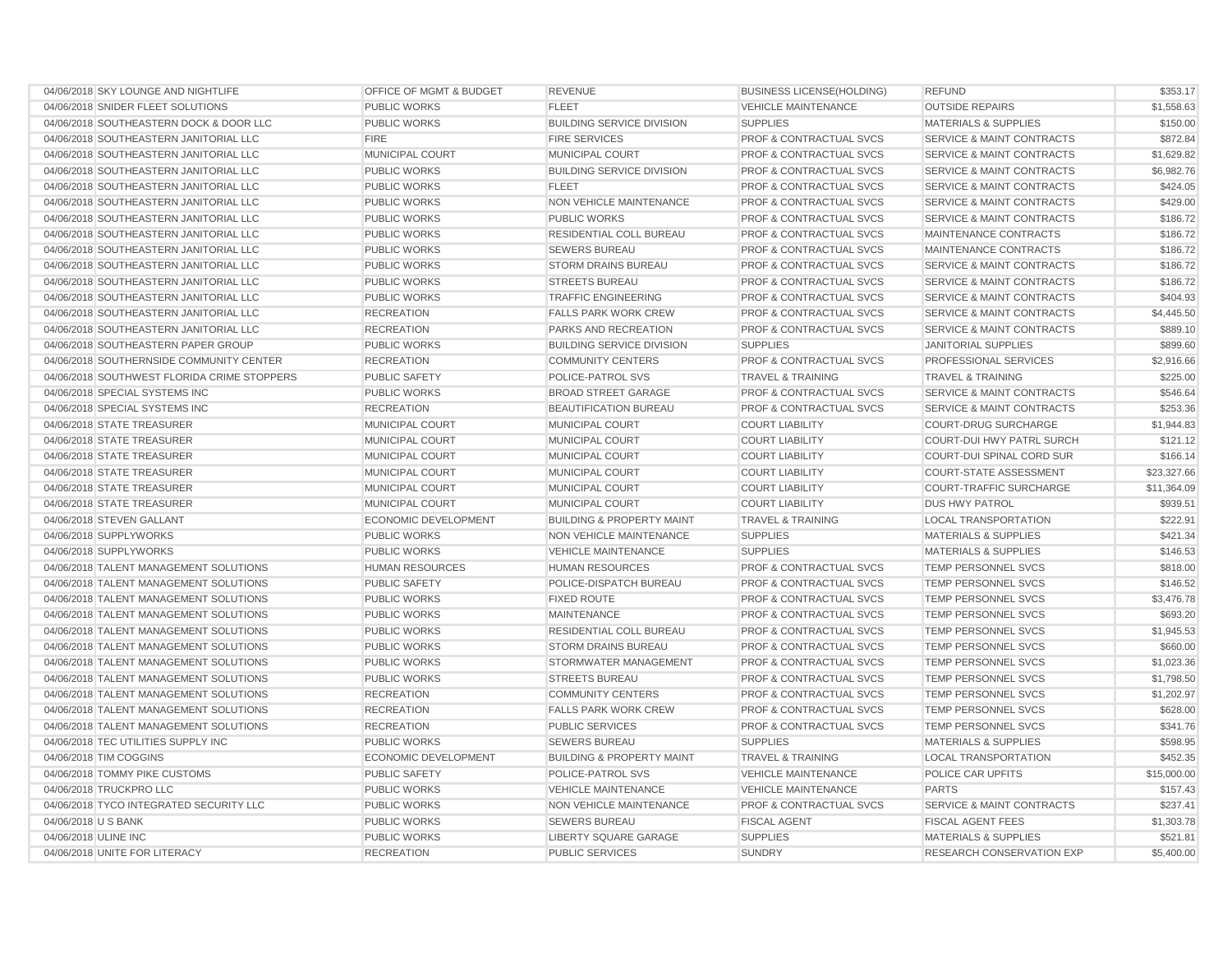| 04/06/2018 SKY LOUNGE AND NIGHTLIFE         | <b>OFFICE OF MGMT &amp; BUDGET</b> | <b>REVENUE</b>                       | <b>BUSINESS LICENSE(HOLDING)</b>   | <b>REFUND</b>                        | \$353.17    |
|---------------------------------------------|------------------------------------|--------------------------------------|------------------------------------|--------------------------------------|-------------|
| 04/06/2018 SNIDER FLEET SOLUTIONS           | <b>PUBLIC WORKS</b>                | <b>FLEET</b>                         | <b>VEHICLE MAINTENANCE</b>         | <b>OUTSIDE REPAIRS</b>               | \$1,558.63  |
| 04/06/2018 SOUTHEASTERN DOCK & DOOR LLC     | <b>PUBLIC WORKS</b>                | <b>BUILDING SERVICE DIVISION</b>     | <b>SUPPLIES</b>                    | <b>MATERIALS &amp; SUPPLIES</b>      | \$150.00    |
| 04/06/2018 SOUTHEASTERN JANITORIAL LLC      | <b>FIRE</b>                        | <b>FIRE SERVICES</b>                 | PROF & CONTRACTUAL SVCS            | <b>SERVICE &amp; MAINT CONTRACTS</b> | \$872.84    |
| 04/06/2018 SOUTHEASTERN JANITORIAL LLC      | MUNICIPAL COURT                    | <b>MUNICIPAL COURT</b>               | PROF & CONTRACTUAL SVCS            | <b>SERVICE &amp; MAINT CONTRACTS</b> | \$1,629.82  |
| 04/06/2018 SOUTHEASTERN JANITORIAL LLC      | <b>PUBLIC WORKS</b>                | <b>BUILDING SERVICE DIVISION</b>     | PROF & CONTRACTUAL SVCS            | <b>SERVICE &amp; MAINT CONTRACTS</b> | \$6,982.76  |
| 04/06/2018 SOUTHEASTERN JANITORIAL LLC      | <b>PUBLIC WORKS</b>                | <b>FLEET</b>                         | PROF & CONTRACTUAL SVCS            | <b>SERVICE &amp; MAINT CONTRACTS</b> | \$424.05    |
| 04/06/2018 SOUTHEASTERN JANITORIAL LLC      | <b>PUBLIC WORKS</b>                | NON VEHICLE MAINTENANCE              | PROF & CONTRACTUAL SVCS            | <b>SERVICE &amp; MAINT CONTRACTS</b> | \$429.00    |
| 04/06/2018 SOUTHEASTERN JANITORIAL LLC      | <b>PUBLIC WORKS</b>                | <b>PUBLIC WORKS</b>                  | PROF & CONTRACTUAL SVCS            | <b>SERVICE &amp; MAINT CONTRACTS</b> | \$186.72    |
| 04/06/2018 SOUTHEASTERN JANITORIAL LLC      | <b>PUBLIC WORKS</b>                | RESIDENTIAL COLL BUREAU              | PROF & CONTRACTUAL SVCS            | MAINTENANCE CONTRACTS                | \$186.72    |
| 04/06/2018 SOUTHEASTERN JANITORIAL LLC      | <b>PUBLIC WORKS</b>                | <b>SEWERS BUREAU</b>                 | <b>PROF &amp; CONTRACTUAL SVCS</b> | MAINTENANCE CONTRACTS                | \$186.72    |
| 04/06/2018 SOUTHEASTERN JANITORIAL LLC      | <b>PUBLIC WORKS</b>                | <b>STORM DRAINS BUREAU</b>           | <b>PROF &amp; CONTRACTUAL SVCS</b> | <b>SERVICE &amp; MAINT CONTRACTS</b> | \$186.72    |
| 04/06/2018 SOUTHEASTERN JANITORIAL LLC      | <b>PUBLIC WORKS</b>                | <b>STREETS BUREAU</b>                | <b>PROF &amp; CONTRACTUAL SVCS</b> | <b>SERVICE &amp; MAINT CONTRACTS</b> | \$186.72    |
| 04/06/2018 SOUTHEASTERN JANITORIAL LLC      | <b>PUBLIC WORKS</b>                | <b>TRAFFIC ENGINEERING</b>           | <b>PROF &amp; CONTRACTUAL SVCS</b> | <b>SERVICE &amp; MAINT CONTRACTS</b> | \$404.93    |
| 04/06/2018 SOUTHEASTERN JANITORIAL LLC      | <b>RECREATION</b>                  | <b>FALLS PARK WORK CREW</b>          | <b>PROF &amp; CONTRACTUAL SVCS</b> | <b>SERVICE &amp; MAINT CONTRACTS</b> | \$4,445.50  |
| 04/06/2018 SOUTHEASTERN JANITORIAL LLC      | <b>RECREATION</b>                  | PARKS AND RECREATION                 | PROF & CONTRACTUAL SVCS            | <b>SERVICE &amp; MAINT CONTRACTS</b> | \$889.10    |
| 04/06/2018 SOUTHEASTERN PAPER GROUP         | <b>PUBLIC WORKS</b>                | <b>BUILDING SERVICE DIVISION</b>     | <b>SUPPLIES</b>                    | <b>JANITORIAL SUPPLIES</b>           | \$899.60    |
| 04/06/2018 SOUTHERNSIDE COMMUNITY CENTER    | <b>RECREATION</b>                  | <b>COMMUNITY CENTERS</b>             | PROF & CONTRACTUAL SVCS            | PROFESSIONAL SERVICES                | \$2,916.66  |
| 04/06/2018 SOUTHWEST FLORIDA CRIME STOPPERS | PUBLIC SAFETY                      | POLICE-PATROL SVS                    | <b>TRAVEL &amp; TRAINING</b>       | <b>TRAVEL &amp; TRAINING</b>         | \$225.00    |
| 04/06/2018 SPECIAL SYSTEMS INC              | <b>PUBLIC WORKS</b>                | <b>BROAD STREET GARAGE</b>           | PROF & CONTRACTUAL SVCS            | <b>SERVICE &amp; MAINT CONTRACTS</b> | \$546.64    |
| 04/06/2018 SPECIAL SYSTEMS INC              | <b>RECREATION</b>                  | BEAUTIFICATION BUREAU                | PROF & CONTRACTUAL SVCS            | SERVICE & MAINT CONTRACTS            | \$253.36    |
| 04/06/2018 STATE TREASURER                  | MUNICIPAL COURT                    | MUNICIPAL COURT                      | <b>COURT LIABILITY</b>             | <b>COURT-DRUG SURCHARGE</b>          | \$1,944.83  |
| 04/06/2018 STATE TREASURER                  | MUNICIPAL COURT                    | MUNICIPAL COURT                      | <b>COURT LIABILITY</b>             | COURT-DUI HWY PATRL SURCH            | \$121.12    |
| 04/06/2018 STATE TREASURER                  | <b>MUNICIPAL COURT</b>             | MUNICIPAL COURT                      | <b>COURT LIABILITY</b>             | COURT-DUI SPINAL CORD SUR            | \$166.14    |
| 04/06/2018 STATE TREASURER                  | <b>MUNICIPAL COURT</b>             | MUNICIPAL COURT                      | <b>COURT LIABILITY</b>             | <b>COURT-STATE ASSESSMENT</b>        | \$23,327.66 |
| 04/06/2018 STATE TREASURER                  | <b>MUNICIPAL COURT</b>             | MUNICIPAL COURT                      | <b>COURT LIABILITY</b>             | <b>COURT-TRAFFIC SURCHARGE</b>       | \$11,364.09 |
| 04/06/2018 STATE TREASURER                  | MUNICIPAL COURT                    | <b>MUNICIPAL COURT</b>               | <b>COURT LIABILITY</b>             | <b>DUS HWY PATROL</b>                | \$939.51    |
| 04/06/2018 STEVEN GALLANT                   | <b>ECONOMIC DEVELOPMENT</b>        | <b>BUILDING &amp; PROPERTY MAINT</b> | <b>TRAVEL &amp; TRAINING</b>       | <b>LOCAL TRANSPORTATION</b>          | \$222.91    |
| 04/06/2018 SUPPLYWORKS                      | <b>PUBLIC WORKS</b>                | NON VEHICLE MAINTENANCE              | <b>SUPPLIES</b>                    | <b>MATERIALS &amp; SUPPLIES</b>      | \$421.34    |
| 04/06/2018 SUPPLYWORKS                      | <b>PUBLIC WORKS</b>                | <b>VEHICLE MAINTENANCE</b>           | <b>SUPPLIES</b>                    | <b>MATERIALS &amp; SUPPLIES</b>      | \$146.53    |
| 04/06/2018 TALENT MANAGEMENT SOLUTIONS      | <b>HUMAN RESOURCES</b>             | <b>HUMAN RESOURCES</b>               | PROF & CONTRACTUAL SVCS            | TEMP PERSONNEL SVCS                  | \$818.00    |
| 04/06/2018 TALENT MANAGEMENT SOLUTIONS      | PUBLIC SAFETY                      | POLICE-DISPATCH BUREAU               | <b>PROF &amp; CONTRACTUAL SVCS</b> | TEMP PERSONNEL SVCS                  | \$146.52    |
| 04/06/2018 TALENT MANAGEMENT SOLUTIONS      | <b>PUBLIC WORKS</b>                | <b>FIXED ROUTE</b>                   | <b>PROF &amp; CONTRACTUAL SVCS</b> | TEMP PERSONNEL SVCS                  | \$3,476.78  |
| 04/06/2018 TALENT MANAGEMENT SOLUTIONS      | PUBLIC WORKS                       | <b>MAINTENANCE</b>                   | <b>PROF &amp; CONTRACTUAL SVCS</b> | <b>TEMP PERSONNEL SVCS</b>           | \$693.20    |
| 04/06/2018 TALENT MANAGEMENT SOLUTIONS      | <b>PUBLIC WORKS</b>                | RESIDENTIAL COLL BUREAU              | <b>PROF &amp; CONTRACTUAL SVCS</b> | <b>TEMP PERSONNEL SVCS</b>           | \$1,945.53  |
| 04/06/2018 TALENT MANAGEMENT SOLUTIONS      | <b>PUBLIC WORKS</b>                | <b>STORM DRAINS BUREAU</b>           | <b>PROF &amp; CONTRACTUAL SVCS</b> | <b>TEMP PERSONNEL SVCS</b>           | \$660.00    |
| 04/06/2018 TALENT MANAGEMENT SOLUTIONS      | <b>PUBLIC WORKS</b>                | STORMWATER MANAGEMENT                | <b>PROF &amp; CONTRACTUAL SVCS</b> | <b>TEMP PERSONNEL SVCS</b>           | \$1,023.36  |
| 04/06/2018 TALENT MANAGEMENT SOLUTIONS      | <b>PUBLIC WORKS</b>                | <b>STREETS BUREAU</b>                | <b>PROF &amp; CONTRACTUAL SVCS</b> | TEMP PERSONNEL SVCS                  | \$1,798.50  |
| 04/06/2018 TALENT MANAGEMENT SOLUTIONS      | <b>RECREATION</b>                  | <b>COMMUNITY CENTERS</b>             | <b>PROF &amp; CONTRACTUAL SVCS</b> | TEMP PERSONNEL SVCS                  | \$1,202.97  |
| 04/06/2018 TALENT MANAGEMENT SOLUTIONS      | <b>RECREATION</b>                  | <b>FALLS PARK WORK CREW</b>          | PROF & CONTRACTUAL SVCS            | TEMP PERSONNEL SVCS                  | \$628.00    |
| 04/06/2018 TALENT MANAGEMENT SOLUTIONS      | <b>RECREATION</b>                  | <b>PUBLIC SERVICES</b>               | <b>PROF &amp; CONTRACTUAL SVCS</b> | <b>TEMP PERSONNEL SVCS</b>           | \$341.76    |
| 04/06/2018 TEC UTILITIES SUPPLY INC         | <b>PUBLIC WORKS</b>                | <b>SEWERS BUREAU</b>                 | <b>SUPPLIES</b>                    | <b>MATERIALS &amp; SUPPLIES</b>      | \$598.95    |
| 04/06/2018 TIM COGGINS                      | <b>ECONOMIC DEVELOPMENT</b>        | <b>BUILDING &amp; PROPERTY MAINT</b> | <b>TRAVEL &amp; TRAINING</b>       | <b>LOCAL TRANSPORTATION</b>          | \$452.35    |
| 04/06/2018 TOMMY PIKE CUSTOMS               | <b>PUBLIC SAFETY</b>               | POLICE-PATROL SVS                    | <b>VEHICLE MAINTENANCE</b>         | POLICE CAR UPFITS                    | \$15,000.00 |
| 04/06/2018 TRUCKPRO LLC                     | <b>PUBLIC WORKS</b>                | <b>VEHICLE MAINTENANCE</b>           | <b>VEHICLE MAINTENANCE</b>         | <b>PARTS</b>                         | \$157.43    |
| 04/06/2018 TYCO INTEGRATED SECURITY LLC     | <b>PUBLIC WORKS</b>                | NON VEHICLE MAINTENANCE              | PROF & CONTRACTUAL SVCS            | SERVICE & MAINT CONTRACTS            | \$237.41    |
| 04/06/2018 U S BANK                         | <b>PUBLIC WORKS</b>                | <b>SEWERS BUREAU</b>                 | <b>FISCAL AGENT</b>                | <b>FISCAL AGENT FEES</b>             | \$1,303.78  |
| 04/06/2018 ULINE INC                        | <b>PUBLIC WORKS</b>                | LIBERTY SQUARE GARAGE                | <b>SUPPLIES</b>                    | <b>MATERIALS &amp; SUPPLIES</b>      | \$521.81    |
| 04/06/2018 UNITE FOR LITERACY               | <b>RECREATION</b>                  | <b>PUBLIC SERVICES</b>               | <b>SUNDRY</b>                      | <b>RESEARCH CONSERVATION EXP</b>     | \$5,400.00  |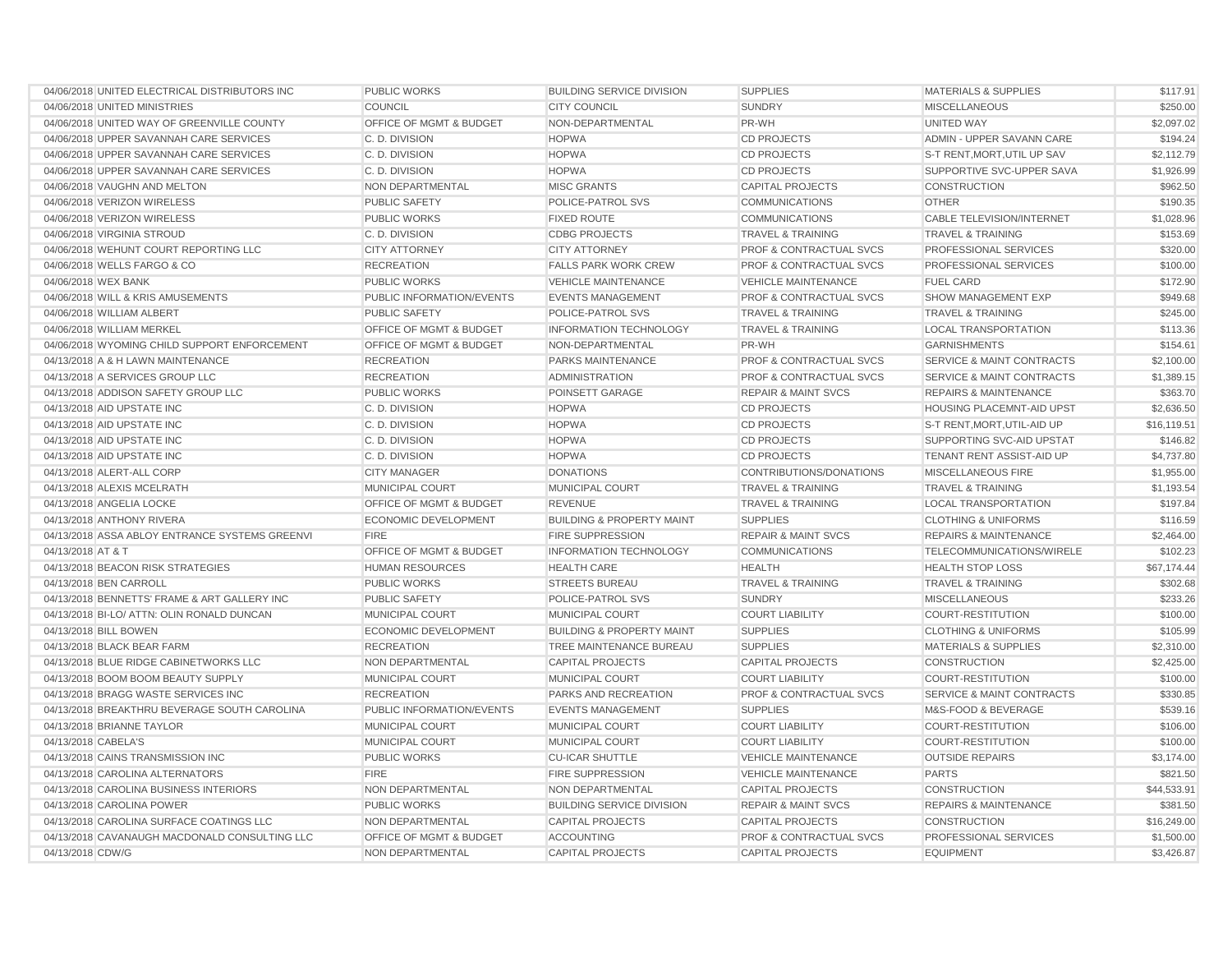| 04/06/2018 UNITED ELECTRICAL DISTRIBUTORS INC  | <b>PUBLIC WORKS</b>                | <b>BUILDING SERVICE DIVISION</b>     | <b>SUPPLIES</b>                    | <b>MATERIALS &amp; SUPPLIES</b>      | \$117.91    |
|------------------------------------------------|------------------------------------|--------------------------------------|------------------------------------|--------------------------------------|-------------|
| 04/06/2018 UNITED MINISTRIES                   | <b>COUNCIL</b>                     | <b>CITY COUNCIL</b>                  | <b>SUNDRY</b>                      | <b>MISCELLANEOUS</b>                 | \$250.00    |
| 04/06/2018 UNITED WAY OF GREENVILLE COUNTY     | OFFICE OF MGMT & BUDGET            | NON-DEPARTMENTAL                     | PR-WH                              | <b>UNITED WAY</b>                    | \$2,097.02  |
| 04/06/2018 UPPER SAVANNAH CARE SERVICES        | C. D. DIVISION                     | <b>HOPWA</b>                         | <b>CD PROJECTS</b>                 | ADMIN - UPPER SAVANN CARE            | \$194.24    |
| 04/06/2018 UPPER SAVANNAH CARE SERVICES        | C. D. DIVISION                     | <b>HOPWA</b>                         | <b>CD PROJECTS</b>                 | S-T RENT, MORT, UTIL UP SAV          | \$2,112.79  |
| 04/06/2018 UPPER SAVANNAH CARE SERVICES        | C. D. DIVISION                     | <b>HOPWA</b>                         | <b>CD PROJECTS</b>                 | SUPPORTIVE SVC-UPPER SAVA            | \$1,926.99  |
| 04/06/2018 VAUGHN AND MELTON                   | NON DEPARTMENTAL                   | <b>MISC GRANTS</b>                   | <b>CAPITAL PROJECTS</b>            | <b>CONSTRUCTION</b>                  | \$962.50    |
| 04/06/2018 VERIZON WIRELESS                    | <b>PUBLIC SAFETY</b>               | POLICE-PATROL SVS                    | <b>COMMUNICATIONS</b>              | <b>OTHER</b>                         | \$190.35    |
| 04/06/2018 VERIZON WIRELESS                    | <b>PUBLIC WORKS</b>                | <b>FIXED ROUTE</b>                   | <b>COMMUNICATIONS</b>              | <b>CABLE TELEVISION/INTERNET</b>     | \$1,028.96  |
| 04/06/2018 VIRGINIA STROUD                     | C.D. DIVISION                      | <b>CDBG PROJECTS</b>                 | <b>TRAVEL &amp; TRAINING</b>       | <b>TRAVEL &amp; TRAINING</b>         | \$153.69    |
| 04/06/2018 WEHUNT COURT REPORTING LLC          | <b>CITY ATTORNEY</b>               | <b>CITY ATTORNEY</b>                 | PROF & CONTRACTUAL SVCS            | PROFESSIONAL SERVICES                | \$320.00    |
| 04/06/2018 WELLS FARGO & CO                    | <b>RECREATION</b>                  | <b>FALLS PARK WORK CREW</b>          | PROF & CONTRACTUAL SVCS            | PROFESSIONAL SERVICES                | \$100.00    |
| 04/06/2018 WEX BANK                            | <b>PUBLIC WORKS</b>                | <b>VEHICLE MAINTENANCE</b>           | <b>VEHICLE MAINTENANCE</b>         | <b>FUEL CARD</b>                     | \$172.90    |
| 04/06/2018 WILL & KRIS AMUSEMENTS              | PUBLIC INFORMATION/EVENTS          | <b>EVENTS MANAGEMENT</b>             | PROF & CONTRACTUAL SVCS            | SHOW MANAGEMENT EXP                  | \$949.68    |
| 04/06/2018 WILLIAM ALBERT                      | PUBLIC SAFETY                      | POLICE-PATROL SVS                    | <b>TRAVEL &amp; TRAINING</b>       | <b>TRAVEL &amp; TRAINING</b>         | \$245.00    |
| 04/06/2018 WILLIAM MERKEL                      | OFFICE OF MGMT & BUDGET            | <b>INFORMATION TECHNOLOGY</b>        | <b>TRAVEL &amp; TRAINING</b>       | <b>LOCAL TRANSPORTATION</b>          | \$113.36    |
| 04/06/2018 WYOMING CHILD SUPPORT ENFORCEMENT   | OFFICE OF MGMT & BUDGET            | NON-DEPARTMENTAL                     | PR-WH                              | <b>GARNISHMENTS</b>                  | \$154.61    |
| 04/13/2018 A & H LAWN MAINTENANCE              | <b>RECREATION</b>                  | PARKS MAINTENANCE                    | <b>PROF &amp; CONTRACTUAL SVCS</b> | SERVICE & MAINT CONTRACTS            | \$2,100.00  |
| 04/13/2018 A SERVICES GROUP LLC                | <b>RECREATION</b>                  | <b>ADMINISTRATION</b>                | <b>PROF &amp; CONTRACTUAL SVCS</b> | <b>SERVICE &amp; MAINT CONTRACTS</b> | \$1,389.15  |
| 04/13/2018 ADDISON SAFETY GROUP LLC            | <b>PUBLIC WORKS</b>                | POINSETT GARAGE                      | <b>REPAIR &amp; MAINT SVCS</b>     | <b>REPAIRS &amp; MAINTENANCE</b>     | \$363.70    |
| 04/13/2018 AID UPSTATE INC                     | C. D. DIVISION                     | <b>HOPWA</b>                         | <b>CD PROJECTS</b>                 | HOUSING PLACEMNT-AID UPST            | \$2,636.50  |
| 04/13/2018 AID UPSTATE INC                     | C. D. DIVISION                     | <b>HOPWA</b>                         | <b>CD PROJECTS</b>                 | S-T RENT, MORT, UTIL-AID UP          | \$16,119.51 |
| 04/13/2018 AID UPSTATE INC                     | C. D. DIVISION                     | <b>HOPWA</b>                         | <b>CD PROJECTS</b>                 | SUPPORTING SVC-AID UPSTAT            | \$146.82    |
| 04/13/2018 AID UPSTATE INC                     | C. D. DIVISION                     | <b>HOPWA</b>                         | <b>CD PROJECTS</b>                 | <b>TENANT RENT ASSIST-AID UP</b>     | \$4,737.80  |
| 04/13/2018 ALERT-ALL CORP                      | <b>CITY MANAGER</b>                | <b>DONATIONS</b>                     | CONTRIBUTIONS/DONATIONS            | MISCELLANEOUS FIRE                   | \$1,955.00  |
| 04/13/2018 ALEXIS MCELRATH                     | MUNICIPAL COURT                    | MUNICIPAL COURT                      | <b>TRAVEL &amp; TRAINING</b>       | <b>TRAVEL &amp; TRAINING</b>         | \$1,193.54  |
| 04/13/2018 ANGELIA LOCKE                       | <b>OFFICE OF MGMT &amp; BUDGET</b> | <b>REVENUE</b>                       | <b>TRAVEL &amp; TRAINING</b>       | LOCAL TRANSPORTATION                 | \$197.84    |
| 04/13/2018 ANTHONY RIVERA                      | ECONOMIC DEVELOPMENT               | <b>BUILDING &amp; PROPERTY MAINT</b> | <b>SUPPLIES</b>                    | <b>CLOTHING &amp; UNIFORMS</b>       | \$116.59    |
| 04/13/2018 ASSA ABLOY ENTRANCE SYSTEMS GREENVI | <b>FIRE</b>                        | <b>FIRE SUPPRESSION</b>              | <b>REPAIR &amp; MAINT SVCS</b>     | <b>REPAIRS &amp; MAINTENANCE</b>     | \$2,464.00  |
| 04/13/2018 AT & T                              | OFFICE OF MGMT & BUDGET            | <b>INFORMATION TECHNOLOGY</b>        | <b>COMMUNICATIONS</b>              | TELECOMMUNICATIONS/WIRELE            | \$102.23    |
| 04/13/2018 BEACON RISK STRATEGIES              | HUMAN RESOURCES                    | <b>HEALTH CARE</b>                   | <b>HEALTH</b>                      | <b>HEALTH STOP LOSS</b>              | \$67,174.44 |
| 04/13/2018 BEN CARROLL                         | <b>PUBLIC WORKS</b>                | <b>STREETS BUREAU</b>                | <b>TRAVEL &amp; TRAINING</b>       | <b>TRAVEL &amp; TRAINING</b>         | \$302.68    |
| 04/13/2018 BENNETTS' FRAME & ART GALLERY INC   | PUBLIC SAFETY                      | POLICE-PATROL SVS                    | <b>SUNDRY</b>                      | <b>MISCELLANEOUS</b>                 | \$233.26    |
| 04/13/2018 BI-LO/ ATTN: OLIN RONALD DUNCAN     | MUNICIPAL COURT                    | MUNICIPAL COURT                      | <b>COURT LIABILITY</b>             | <b>COURT-RESTITUTION</b>             | \$100.00    |
| 04/13/2018 BILL BOWEN                          | ECONOMIC DEVELOPMENT               | <b>BUILDING &amp; PROPERTY MAINT</b> | <b>SUPPLIES</b>                    | <b>CLOTHING &amp; UNIFORMS</b>       | \$105.99    |
| 04/13/2018 BLACK BEAR FARM                     | <b>RECREATION</b>                  | TREE MAINTENANCE BUREAU              | <b>SUPPLIES</b>                    | <b>MATERIALS &amp; SUPPLIES</b>      | \$2,310.00  |
| 04/13/2018 BLUE RIDGE CABINETWORKS LLC         | NON DEPARTMENTAL                   | <b>CAPITAL PROJECTS</b>              | <b>CAPITAL PROJECTS</b>            | <b>CONSTRUCTION</b>                  | \$2,425.00  |
| 04/13/2018 BOOM BOOM BEAUTY SUPPLY             | MUNICIPAL COURT                    | MUNICIPAL COURT                      | <b>COURT LIABILITY</b>             | <b>COURT-RESTITUTION</b>             | \$100.00    |
| 04/13/2018 BRAGG WASTE SERVICES INC            | <b>RECREATION</b>                  | PARKS AND RECREATION                 | PROF & CONTRACTUAL SVCS            | <b>SERVICE &amp; MAINT CONTRACTS</b> | \$330.85    |
| 04/13/2018 BREAKTHRU BEVERAGE SOUTH CAROLINA   | PUBLIC INFORMATION/EVENTS          | <b>EVENTS MANAGEMENT</b>             | <b>SUPPLIES</b>                    | M&S-FOOD & BEVERAGE                  | \$539.16    |
| 04/13/2018 BRIANNE TAYLOR                      | MUNICIPAL COURT                    | MUNICIPAL COURT                      | <b>COURT LIABILITY</b>             | <b>COURT-RESTITUTION</b>             | \$106.00    |
| 04/13/2018 CABELA'S                            | MUNICIPAL COURT                    | MUNICIPAL COURT                      | <b>COURT LIABILITY</b>             | <b>COURT-RESTITUTION</b>             | \$100.00    |
| 04/13/2018 CAINS TRANSMISSION INC              | PUBLIC WORKS                       | <b>CU-ICAR SHUTTLE</b>               | VEHICLE MAINTENANCE                | <b>OUTSIDE REPAIRS</b>               | \$3,174.00  |
| 04/13/2018 CAROLINA ALTERNATORS                | <b>FIRE</b>                        | <b>FIRE SUPPRESSION</b>              | <b>VEHICLE MAINTENANCE</b>         | <b>PARTS</b>                         | \$821.50    |
| 04/13/2018 CAROLINA BUSINESS INTERIORS         | NON DEPARTMENTAL                   | NON DEPARTMENTAL                     | <b>CAPITAL PROJECTS</b>            | <b>CONSTRUCTION</b>                  | \$44,533.91 |
| 04/13/2018 CAROLINA POWER                      | <b>PUBLIC WORKS</b>                | <b>BUILDING SERVICE DIVISION</b>     | <b>REPAIR &amp; MAINT SVCS</b>     | <b>REPAIRS &amp; MAINTENANCE</b>     | \$381.50    |
| 04/13/2018 CAROLINA SURFACE COATINGS LLC       | NON DEPARTMENTAL                   | <b>CAPITAL PROJECTS</b>              | <b>CAPITAL PROJECTS</b>            | <b>CONSTRUCTION</b>                  | \$16,249.00 |
| 04/13/2018 CAVANAUGH MACDONALD CONSULTING LLC  | OFFICE OF MGMT & BUDGET            | ACCOUNTING                           | PROF & CONTRACTUAL SVCS            | PROFESSIONAL SERVICES                | \$1,500.00  |
| 04/13/2018 CDW/G                               | NON DEPARTMENTAL                   | <b>CAPITAL PROJECTS</b>              | <b>CAPITAL PROJECTS</b>            | <b>EQUIPMENT</b>                     | \$3,426.87  |
|                                                |                                    |                                      |                                    |                                      |             |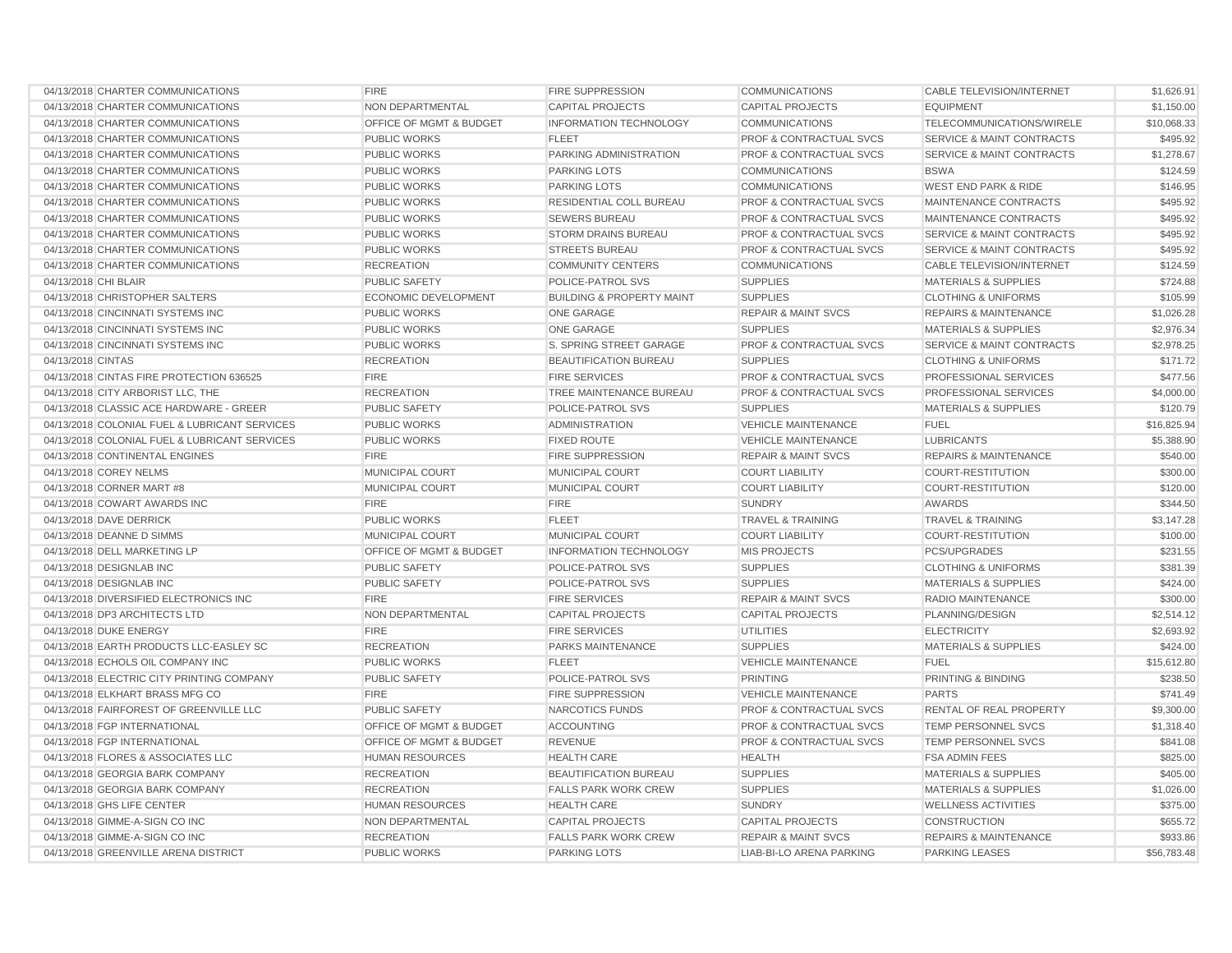| 04/13/2018 CHARTER COMMUNICATIONS             | <b>FIRE</b>                 | <b>FIRE SUPPRESSION</b>              | <b>COMMUNICATIONS</b>              | CABLE TELEVISION/INTERNET            | \$1,626.91  |
|-----------------------------------------------|-----------------------------|--------------------------------------|------------------------------------|--------------------------------------|-------------|
| 04/13/2018 CHARTER COMMUNICATIONS             | NON DEPARTMENTAL            | <b>CAPITAL PROJECTS</b>              | <b>CAPITAL PROJECTS</b>            | <b>EQUIPMENT</b>                     | \$1,150.00  |
| 04/13/2018 CHARTER COMMUNICATIONS             | OFFICE OF MGMT & BUDGET     | <b>INFORMATION TECHNOLOGY</b>        | <b>COMMUNICATIONS</b>              | TELECOMMUNICATIONS/WIRELE            | \$10,068.33 |
| 04/13/2018 CHARTER COMMUNICATIONS             | <b>PUBLIC WORKS</b>         | <b>FLEET</b>                         | PROF & CONTRACTUAL SVCS            | SERVICE & MAINT CONTRACTS            | \$495.92    |
| 04/13/2018 CHARTER COMMUNICATIONS             | <b>PUBLIC WORKS</b>         | PARKING ADMINISTRATION               | PROF & CONTRACTUAL SVCS            | SERVICE & MAINT CONTRACTS            | \$1,278.67  |
| 04/13/2018 CHARTER COMMUNICATIONS             | <b>PUBLIC WORKS</b>         | <b>PARKING LOTS</b>                  | <b>COMMUNICATIONS</b>              | <b>BSWA</b>                          | \$124.59    |
| 04/13/2018 CHARTER COMMUNICATIONS             | PUBLIC WORKS                | <b>PARKING LOTS</b>                  | <b>COMMUNICATIONS</b>              | <b>WEST END PARK &amp; RIDE</b>      | \$146.95    |
| 04/13/2018 CHARTER COMMUNICATIONS             | <b>PUBLIC WORKS</b>         | RESIDENTIAL COLL BUREAU              | PROF & CONTRACTUAL SVCS            | MAINTENANCE CONTRACTS                | \$495.92    |
| 04/13/2018 CHARTER COMMUNICATIONS             | <b>PUBLIC WORKS</b>         | <b>SEWERS BUREAU</b>                 | PROF & CONTRACTUAL SVCS            | MAINTENANCE CONTRACTS                | \$495.92    |
| 04/13/2018 CHARTER COMMUNICATIONS             | PUBLIC WORKS                | STORM DRAINS BUREAU                  | PROF & CONTRACTUAL SVCS            | SERVICE & MAINT CONTRACTS            | \$495.92    |
| 04/13/2018 CHARTER COMMUNICATIONS             | <b>PUBLIC WORKS</b>         | <b>STREETS BUREAU</b>                | <b>PROF &amp; CONTRACTUAL SVCS</b> | <b>SERVICE &amp; MAINT CONTRACTS</b> | \$495.92    |
| 04/13/2018 CHARTER COMMUNICATIONS             | <b>RECREATION</b>           | <b>COMMUNITY CENTERS</b>             | <b>COMMUNICATIONS</b>              | CABLE TELEVISION/INTERNET            | \$124.59    |
| 04/13/2018 CHI BLAIR                          | <b>PUBLIC SAFETY</b>        | POLICE-PATROL SVS                    | <b>SUPPLIES</b>                    | <b>MATERIALS &amp; SUPPLIES</b>      | \$724.88    |
| 04/13/2018 CHRISTOPHER SALTERS                | <b>ECONOMIC DEVELOPMENT</b> | <b>BUILDING &amp; PROPERTY MAINT</b> | <b>SUPPLIES</b>                    | <b>CLOTHING &amp; UNIFORMS</b>       | \$105.99    |
| 04/13/2018 CINCINNATI SYSTEMS INC             | <b>PUBLIC WORKS</b>         | <b>ONE GARAGE</b>                    | <b>REPAIR &amp; MAINT SVCS</b>     | <b>REPAIRS &amp; MAINTENANCE</b>     | \$1,026.28  |
| 04/13/2018 CINCINNATI SYSTEMS INC             | PUBLIC WORKS                | ONE GARAGE                           | <b>SUPPLIES</b>                    | <b>MATERIALS &amp; SUPPLIES</b>      | \$2,976.34  |
| 04/13/2018 CINCINNATI SYSTEMS INC             | PUBLIC WORKS                | S. SPRING STREET GARAGE              | <b>PROF &amp; CONTRACTUAL SVCS</b> | <b>SERVICE &amp; MAINT CONTRACTS</b> | \$2,978.25  |
| 04/13/2018 CINTAS                             | <b>RECREATION</b>           | BEAUTIFICATION BUREAU                | <b>SUPPLIES</b>                    | <b>CLOTHING &amp; UNIFORMS</b>       | \$171.72    |
| 04/13/2018 CINTAS FIRE PROTECTION 636525      | <b>FIRE</b>                 | <b>FIRE SERVICES</b>                 | <b>PROF &amp; CONTRACTUAL SVCS</b> | PROFESSIONAL SERVICES                | \$477.56    |
| 04/13/2018 CITY ARBORIST LLC, THE             | <b>RECREATION</b>           | TREE MAINTENANCE BUREAU              | PROF & CONTRACTUAL SVCS            | PROFESSIONAL SERVICES                | \$4,000.00  |
| 04/13/2018 CLASSIC ACE HARDWARE - GREER       | <b>PUBLIC SAFETY</b>        | POLICE-PATROL SVS                    | <b>SUPPLIES</b>                    | <b>MATERIALS &amp; SUPPLIES</b>      | \$120.79    |
| 04/13/2018 COLONIAL FUEL & LUBRICANT SERVICES | <b>PUBLIC WORKS</b>         | <b>ADMINISTRATION</b>                | <b>VEHICLE MAINTENANCE</b>         | <b>FUEL</b>                          | \$16,825.94 |
| 04/13/2018 COLONIAL FUEL & LUBRICANT SERVICES | <b>PUBLIC WORKS</b>         | <b>FIXED ROUTE</b>                   | <b>VEHICLE MAINTENANCE</b>         | <b>LUBRICANTS</b>                    | \$5,388.90  |
| 04/13/2018 CONTINENTAL ENGINES                | <b>FIRE</b>                 | <b>FIRE SUPPRESSION</b>              | <b>REPAIR &amp; MAINT SVCS</b>     | <b>REPAIRS &amp; MAINTENANCE</b>     | \$540.00    |
| 04/13/2018 COREY NELMS                        | <b>MUNICIPAL COURT</b>      | MUNICIPAL COURT                      | <b>COURT LIABILITY</b>             | <b>COURT-RESTITUTION</b>             | \$300.00    |
| 04/13/2018 CORNER MART #8                     | <b>MUNICIPAL COURT</b>      | MUNICIPAL COURT                      | <b>COURT LIABILITY</b>             | COURT-RESTITUTION                    | \$120.00    |
| 04/13/2018 COWART AWARDS INC                  | <b>FIRE</b>                 | <b>FIRE</b>                          | <b>SUNDRY</b>                      | <b>AWARDS</b>                        | \$344.50    |
| 04/13/2018 DAVE DERRICK                       | PUBLIC WORKS                | FLEET                                | <b>TRAVEL &amp; TRAINING</b>       | <b>TRAVEL &amp; TRAINING</b>         | \$3,147.28  |
| 04/13/2018 DEANNE D SIMMS                     | <b>MUNICIPAL COURT</b>      | <b>MUNICIPAL COURT</b>               | <b>COURT LIABILITY</b>             | <b>COURT-RESTITUTION</b>             | \$100.00    |
| 04/13/2018 DELL MARKETING LP                  | OFFICE OF MGMT & BUDGET     | <b>INFORMATION TECHNOLOGY</b>        | <b>MIS PROJECTS</b>                | PCS/UPGRADES                         | \$231.55    |
| 04/13/2018 DESIGNLAB INC                      | PUBLIC SAFETY               | POLICE-PATROL SVS                    | <b>SUPPLIES</b>                    | <b>CLOTHING &amp; UNIFORMS</b>       | \$381.39    |
| 04/13/2018 DESIGNLAB INC                      | <b>PUBLIC SAFETY</b>        | POLICE-PATROL SVS                    | <b>SUPPLIES</b>                    | <b>MATERIALS &amp; SUPPLIES</b>      | \$424.00    |
| 04/13/2018 DIVERSIFIED ELECTRONICS INC        | <b>FIRE</b>                 | <b>FIRE SERVICES</b>                 | <b>REPAIR &amp; MAINT SVCS</b>     | RADIO MAINTENANCE                    | \$300.00    |
| 04/13/2018 DP3 ARCHITECTS LTD                 | NON DEPARTMENTAL            | <b>CAPITAL PROJECTS</b>              | <b>CAPITAL PROJECTS</b>            | PLANNING/DESIGN                      | \$2,514.12  |
| 04/13/2018 DUKE ENERGY                        | <b>FIRE</b>                 | <b>FIRE SERVICES</b>                 | <b>UTILITIES</b>                   | <b>ELECTRICITY</b>                   | \$2,693.92  |
| 04/13/2018 EARTH PRODUCTS LLC-EASLEY SC       | <b>RECREATION</b>           | PARKS MAINTENANCE                    | <b>SUPPLIES</b>                    | <b>MATERIALS &amp; SUPPLIES</b>      | \$424.00    |
| 04/13/2018 ECHOLS OIL COMPANY INC             | PUBLIC WORKS                | <b>FLEET</b>                         | <b>VEHICLE MAINTENANCE</b>         | <b>FUEL</b>                          | \$15,612.80 |
| 04/13/2018 ELECTRIC CITY PRINTING COMPANY     | PUBLIC SAFETY               | POLICE-PATROL SVS                    | <b>PRINTING</b>                    | PRINTING & BINDING                   | \$238.50    |
| 04/13/2018 ELKHART BRASS MFG CO               | <b>FIRE</b>                 | FIRE SUPPRESSION                     | <b>VEHICLE MAINTENANCE</b>         | <b>PARTS</b>                         | \$741.49    |
| 04/13/2018 FAIRFOREST OF GREENVILLE LLC       | <b>PUBLIC SAFETY</b>        | NARCOTICS FUNDS                      | PROF & CONTRACTUAL SVCS            | RENTAL OF REAL PROPERTY              | \$9,300.00  |
| 04/13/2018 FGP INTERNATIONAL                  | OFFICE OF MGMT & BUDGET     | <b>ACCOUNTING</b>                    | <b>PROF &amp; CONTRACTUAL SVCS</b> | <b>TEMP PERSONNEL SVCS</b>           | \$1,318.40  |
| 04/13/2018 FGP INTERNATIONAL                  | OFFICE OF MGMT & BUDGET     | <b>REVENUE</b>                       | <b>PROF &amp; CONTRACTUAL SVCS</b> | TEMP PERSONNEL SVCS                  | \$841.08    |
| 04/13/2018 FLORES & ASSOCIATES LLC            | <b>HUMAN RESOURCES</b>      | <b>HEALTH CARE</b>                   | <b>HEALTH</b>                      | <b>FSA ADMIN FEES</b>                | \$825.00    |
| 04/13/2018 GEORGIA BARK COMPANY               | <b>RECREATION</b>           | BEAUTIFICATION BUREAU                | <b>SUPPLIES</b>                    | <b>MATERIALS &amp; SUPPLIES</b>      | \$405.00    |
| 04/13/2018 GEORGIA BARK COMPANY               | <b>RECREATION</b>           | <b>FALLS PARK WORK CREW</b>          | <b>SUPPLIES</b>                    | <b>MATERIALS &amp; SUPPLIES</b>      | \$1,026.00  |
| 04/13/2018 GHS LIFE CENTER                    | <b>HUMAN RESOURCES</b>      | <b>HEALTH CARE</b>                   | <b>SUNDRY</b>                      | <b>WELLNESS ACTIVITIES</b>           | \$375.00    |
| 04/13/2018 GIMME-A-SIGN CO INC                | <b>NON DEPARTMENTAL</b>     | <b>CAPITAL PROJECTS</b>              | <b>CAPITAL PROJECTS</b>            | <b>CONSTRUCTION</b>                  | \$655.72    |
| 04/13/2018 GIMME-A-SIGN CO INC                | <b>RECREATION</b>           | <b>FALLS PARK WORK CREW</b>          | <b>REPAIR &amp; MAINT SVCS</b>     | <b>REPAIRS &amp; MAINTENANCE</b>     | \$933.86    |
| 04/13/2018 GREENVILLE ARENA DISTRICT          | <b>PUBLIC WORKS</b>         | <b>PARKING LOTS</b>                  | LIAB-BI-LO ARENA PARKING           | <b>PARKING LEASES</b>                | \$56,783.48 |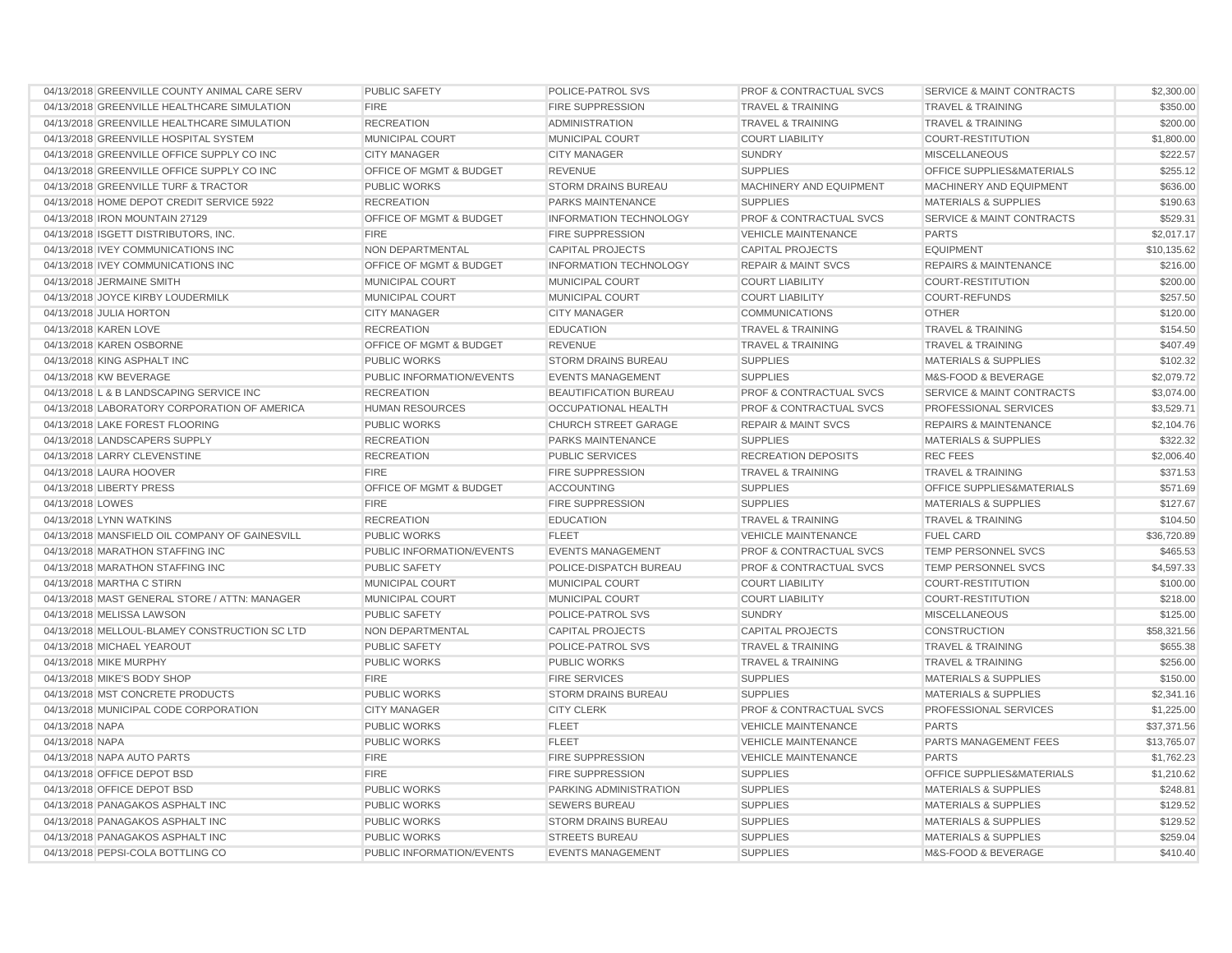| \$350.00<br>04/13/2018 GREENVILLE HEALTHCARE SIMULATION<br><b>FIRE</b><br>FIRE SUPPRESSION<br><b>TRAVEL &amp; TRAINING</b><br><b>TRAVEL &amp; TRAINING</b><br>04/13/2018 GREENVILLE HEALTHCARE SIMULATION<br><b>RECREATION</b><br><b>ADMINISTRATION</b><br><b>TRAVEL &amp; TRAINING</b><br><b>TRAVEL &amp; TRAINING</b><br>\$200.00<br>04/13/2018 GREENVILLE HOSPITAL SYSTEM<br><b>MUNICIPAL COURT</b><br><b>MUNICIPAL COURT</b><br><b>COURT LIABILITY</b><br><b>COURT-RESTITUTION</b><br>\$1,800.00<br>04/13/2018 GREENVILLE OFFICE SUPPLY CO INC<br><b>SUNDRY</b><br><b>MISCELLANEOUS</b><br>\$222.57<br><b>CITY MANAGER</b><br><b>CITY MANAGER</b><br>\$255.12<br>04/13/2018 GREENVILLE OFFICE SUPPLY CO INC<br><b>OFFICE OF MGMT &amp; BUDGET</b><br><b>REVENUE</b><br><b>SUPPLIES</b><br><b>OFFICE SUPPLIES&amp;MATERIALS</b><br>04/13/2018 GREENVILLE TURF & TRACTOR<br><b>PUBLIC WORKS</b><br>STORM DRAINS BUREAU<br>MACHINERY AND EQUIPMENT<br>MACHINERY AND EQUIPMENT<br>\$636.00<br>04/13/2018 HOME DEPOT CREDIT SERVICE 5922<br><b>RECREATION</b><br><b>PARKS MAINTENANCE</b><br><b>SUPPLIES</b><br><b>MATERIALS &amp; SUPPLIES</b><br>\$190.63<br>04/13/2018 IRON MOUNTAIN 27129<br>OFFICE OF MGMT & BUDGET<br><b>PROF &amp; CONTRACTUAL SVCS</b><br>\$529.31<br><b>INFORMATION TECHNOLOGY</b><br><b>SERVICE &amp; MAINT CONTRACTS</b><br>04/13/2018 ISGETT DISTRIBUTORS, INC.<br><b>FIRE</b><br>FIRE SUPPRESSION<br><b>VEHICLE MAINTENANCE</b><br><b>PARTS</b><br>\$2,017.17<br>04/13/2018 IVEY COMMUNICATIONS INC<br>NON DEPARTMENTAL<br><b>CAPITAL PROJECTS</b><br><b>CAPITAL PROJECTS</b><br><b>EQUIPMENT</b><br>\$10,135.62<br>\$216.00<br>04/13/2018 IVEY COMMUNICATIONS INC<br>OFFICE OF MGMT & BUDGET<br><b>INFORMATION TECHNOLOGY</b><br><b>REPAIR &amp; MAINT SVCS</b><br><b>REPAIRS &amp; MAINTENANCE</b><br>04/13/2018 JERMAINE SMITH<br>MUNICIPAL COURT<br>MUNICIPAL COURT<br><b>COURT LIABILITY</b><br><b>COURT-RESTITUTION</b><br>\$200.00<br>04/13/2018 JOYCE KIRBY LOUDERMILK<br>MUNICIPAL COURT<br><b>COURT LIABILITY</b><br><b>COURT-REFUNDS</b><br>\$257.50<br><b>MUNICIPAL COURT</b><br><b>CITY MANAGER</b><br><b>OTHER</b><br>\$120.00<br>04/13/2018 JULIA HORTON<br><b>CITY MANAGER</b><br><b>COMMUNICATIONS</b><br>\$154.50<br>04/13/2018 KAREN LOVE<br><b>RECREATION</b><br><b>EDUCATION</b><br><b>TRAVEL &amp; TRAINING</b><br><b>TRAVEL &amp; TRAINING</b><br>04/13/2018 KAREN OSBORNE<br>OFFICE OF MGMT & BUDGET<br><b>REVENUE</b><br>TRAVEL & TRAINING<br><b>TRAVEL &amp; TRAINING</b><br>\$407.49<br>04/13/2018 KING ASPHALT INC<br><b>PUBLIC WORKS</b><br><b>STORM DRAINS BUREAU</b><br><b>SUPPLIES</b><br><b>MATERIALS &amp; SUPPLIES</b><br>\$102.32<br>PUBLIC INFORMATION/EVENTS<br><b>SUPPLIES</b><br>M&S-FOOD & BEVERAGE<br>\$2,079.72<br>04/13/2018 KW BEVERAGE<br><b>EVENTS MANAGEMENT</b><br>PROF & CONTRACTUAL SVCS<br>\$3,074.00<br>04/13/2018 L & B LANDSCAPING SERVICE INC<br><b>RECREATION</b><br><b>BEAUTIFICATION BUREAU</b><br><b>SERVICE &amp; MAINT CONTRACTS</b><br>04/13/2018 LABORATORY CORPORATION OF AMERICA<br><b>HUMAN RESOURCES</b><br><b>OCCUPATIONAL HEALTH</b><br><b>PROF &amp; CONTRACTUAL SVCS</b><br>PROFESSIONAL SERVICES<br>\$3,529.71<br><b>PUBLIC WORKS</b><br>\$2,104.76<br>04/13/2018 LAKE FOREST FLOORING<br><b>CHURCH STREET GARAGE</b><br><b>REPAIR &amp; MAINT SVCS</b><br><b>REPAIRS &amp; MAINTENANCE</b><br>\$322.32<br>04/13/2018 LANDSCAPERS SUPPLY<br><b>RECREATION</b><br><b>PARKS MAINTENANCE</b><br><b>SUPPLIES</b><br><b>MATERIALS &amp; SUPPLIES</b><br>04/13/2018 LARRY CLEVENSTINE<br><b>RECREATION</b><br><b>PUBLIC SERVICES</b><br><b>RECREATION DEPOSITS</b><br><b>REC FEES</b><br>\$2,006.40<br>04/13/2018 LAURA HOOVER<br><b>FIRE</b><br><b>FIRE SUPPRESSION</b><br><b>TRAVEL &amp; TRAINING</b><br><b>TRAVEL &amp; TRAINING</b><br>\$371.53<br>04/13/2018 LIBERTY PRESS<br>OFFICE OF MGMT & BUDGET<br>ACCOUNTING<br><b>SUPPLIES</b><br>OFFICE SUPPLIES&MATERIALS<br>\$571.69<br>\$127.67<br>04/13/2018 LOWES<br><b>FIRE</b><br>FIRE SUPPRESSION<br><b>SUPPLIES</b><br><b>MATERIALS &amp; SUPPLIES</b><br>\$104.50<br>04/13/2018 LYNN WATKINS<br><b>RECREATION</b><br><b>EDUCATION</b><br><b>TRAVEL &amp; TRAINING</b><br><b>TRAVEL &amp; TRAINING</b><br>04/13/2018 MANSFIELD OIL COMPANY OF GAINESVILL<br><b>FLEET</b><br><b>VEHICLE MAINTENANCE</b><br><b>FUEL CARD</b><br>\$36,720.89<br><b>PUBLIC WORKS</b><br><b>TEMP PERSONNEL SVCS</b><br>\$465.53<br>04/13/2018 MARATHON STAFFING INC<br>PUBLIC INFORMATION/EVENTS<br><b>EVENTS MANAGEMENT</b><br><b>PROF &amp; CONTRACTUAL SVCS</b><br>04/13/2018 MARATHON STAFFING INC<br><b>PUBLIC SAFETY</b><br>POLICE-DISPATCH BUREAU<br>PROF & CONTRACTUAL SVCS<br><b>TEMP PERSONNEL SVCS</b><br>\$4,597.33<br>04/13/2018 MARTHA C STIRN<br><b>MUNICIPAL COURT</b><br><b>MUNICIPAL COURT</b><br><b>COURT LIABILITY</b><br><b>COURT-RESTITUTION</b><br>\$100.00<br>04/13/2018 MAST GENERAL STORE / ATTN: MANAGER<br>MUNICIPAL COURT<br>MUNICIPAL COURT<br><b>COURT LIABILITY</b><br><b>COURT-RESTITUTION</b><br>\$218.00<br>04/13/2018 MELISSA LAWSON<br><b>PUBLIC SAFETY</b><br>POLICE-PATROL SVS<br><b>SUNDRY</b><br><b>MISCELLANEOUS</b><br>\$125.00<br>04/13/2018 MELLOUL-BLAMEY CONSTRUCTION SC LTD<br>NON DEPARTMENTAL<br><b>CAPITAL PROJECTS</b><br><b>CAPITAL PROJECTS</b><br>CONSTRUCTION<br>\$58,321.56<br><b>PUBLIC SAFETY</b><br>POLICE-PATROL SVS<br>\$655.38<br>04/13/2018 MICHAEL YEAROUT<br><b>TRAVEL &amp; TRAINING</b><br><b>TRAVEL &amp; TRAINING</b><br><b>PUBLIC WORKS</b><br>04/13/2018 MIKE MURPHY<br><b>PUBLIC WORKS</b><br><b>TRAVEL &amp; TRAINING</b><br><b>TRAVEL &amp; TRAINING</b><br>\$256.00<br>04/13/2018 MIKE'S BODY SHOP<br><b>FIRE</b><br><b>FIRE SERVICES</b><br><b>SUPPLIES</b><br><b>MATERIALS &amp; SUPPLIES</b><br>\$150.00<br><b>SUPPLIES</b><br>\$2,341.16<br>04/13/2018 MST CONCRETE PRODUCTS<br><b>PUBLIC WORKS</b><br><b>STORM DRAINS BUREAU</b><br><b>MATERIALS &amp; SUPPLIES</b><br><b>PROF &amp; CONTRACTUAL SVCS</b><br>\$1,225.00<br>04/13/2018 MUNICIPAL CODE CORPORATION<br><b>CITY MANAGER</b><br><b>CITY CLERK</b><br><b>PROFESSIONAL SERVICES</b><br><b>PUBLIC WORKS</b><br><b>FLEET</b><br>04/13/2018 NAPA<br><b>VEHICLE MAINTENANCE</b><br><b>PARTS</b><br>\$37,371.56<br>04/13/2018 NAPA<br><b>PUBLIC WORKS</b><br><b>FLEET</b><br><b>VEHICLE MAINTENANCE</b><br>PARTS MANAGEMENT FEES<br>\$13,765.07<br>04/13/2018 NAPA AUTO PARTS<br><b>FIRE</b><br><b>FIRE SUPPRESSION</b><br><b>VEHICLE MAINTENANCE</b><br><b>PARTS</b><br>\$1,762.23<br>04/13/2018 OFFICE DEPOT BSD<br><b>FIRE SUPPRESSION</b><br><b>SUPPLIES</b><br>OFFICE SUPPLIES&MATERIALS<br>\$1,210.62<br><b>FIRE</b><br>04/13/2018 OFFICE DEPOT BSD<br><b>PUBLIC WORKS</b><br>PARKING ADMINISTRATION<br><b>SUPPLIES</b><br><b>MATERIALS &amp; SUPPLIES</b><br>\$248.81<br><b>PUBLIC WORKS</b><br><b>SEWERS BUREAU</b><br><b>SUPPLIES</b><br>\$129.52<br>04/13/2018 PANAGAKOS ASPHALT INC<br><b>MATERIALS &amp; SUPPLIES</b><br><b>SUPPLIES</b><br>\$129.52<br>04/13/2018 PANAGAKOS ASPHALT INC<br><b>PUBLIC WORKS</b><br><b>STORM DRAINS BUREAU</b><br><b>MATERIALS &amp; SUPPLIES</b><br>04/13/2018 PANAGAKOS ASPHALT INC<br><b>PUBLIC WORKS</b><br><b>STREETS BUREAU</b><br><b>SUPPLIES</b><br><b>MATERIALS &amp; SUPPLIES</b><br>\$259.04<br><b>SUPPLIES</b><br>04/13/2018 PEPSI-COLA BOTTLING CO<br>PUBLIC INFORMATION/EVENTS<br><b>EVENTS MANAGEMENT</b><br>M&S-FOOD & BEVERAGE<br>\$410.40 | 04/13/2018 GREENVILLE COUNTY ANIMAL CARE SERV | <b>PUBLIC SAFETY</b> | POLICE-PATROL SVS | <b>PROF &amp; CONTRACTUAL SVCS</b> | <b>SERVICE &amp; MAINT CONTRACTS</b> | \$2,300.00 |
|-------------------------------------------------------------------------------------------------------------------------------------------------------------------------------------------------------------------------------------------------------------------------------------------------------------------------------------------------------------------------------------------------------------------------------------------------------------------------------------------------------------------------------------------------------------------------------------------------------------------------------------------------------------------------------------------------------------------------------------------------------------------------------------------------------------------------------------------------------------------------------------------------------------------------------------------------------------------------------------------------------------------------------------------------------------------------------------------------------------------------------------------------------------------------------------------------------------------------------------------------------------------------------------------------------------------------------------------------------------------------------------------------------------------------------------------------------------------------------------------------------------------------------------------------------------------------------------------------------------------------------------------------------------------------------------------------------------------------------------------------------------------------------------------------------------------------------------------------------------------------------------------------------------------------------------------------------------------------------------------------------------------------------------------------------------------------------------------------------------------------------------------------------------------------------------------------------------------------------------------------------------------------------------------------------------------------------------------------------------------------------------------------------------------------------------------------------------------------------------------------------------------------------------------------------------------------------------------------------------------------------------------------------------------------------------------------------------------------------------------------------------------------------------------------------------------------------------------------------------------------------------------------------------------------------------------------------------------------------------------------------------------------------------------------------------------------------------------------------------------------------------------------------------------------------------------------------------------------------------------------------------------------------------------------------------------------------------------------------------------------------------------------------------------------------------------------------------------------------------------------------------------------------------------------------------------------------------------------------------------------------------------------------------------------------------------------------------------------------------------------------------------------------------------------------------------------------------------------------------------------------------------------------------------------------------------------------------------------------------------------------------------------------------------------------------------------------------------------------------------------------------------------------------------------------------------------------------------------------------------------------------------------------------------------------------------------------------------------------------------------------------------------------------------------------------------------------------------------------------------------------------------------------------------------------------------------------------------------------------------------------------------------------------------------------------------------------------------------------------------------------------------------------------------------------------------------------------------------------------------------------------------------------------------------------------------------------------------------------------------------------------------------------------------------------------------------------------------------------------------------------------------------------------------------------------------------------------------------------------------------------------------------------------------------------------------------------------------------------------------------------------------------------------------------------------------------------------------------------------------------------------------------------------------------------------------------------------------------------------------------------------------------------------------------------------------------------------------------------------------------------------------------------------------------------------------------------------------------------------------------------------------------------------------------------------------------------------------------------------------------------------------------------------------------------------------------------------------------------------------------------------------------------------------------------------------------------------------------------------------------------------------------------------------------------------------------------------------------------------------------------------------------------------------------------------------------------------------------------------------------------------------------------------------------------------------------------------------------------------------------------------------------------------------------------------------------------------------------------------------------------------------------------------------------------------------------------------------------------------------------------------------------------------------------------------------------------------------------------------------------------------------------------------------------------------------------------------------------------------------------------------------------------------------------------------------------------------------------------------------------------------------------------------------------------------------------------------------------------------------------------------------------------------------------------------------------------------------------------|-----------------------------------------------|----------------------|-------------------|------------------------------------|--------------------------------------|------------|
|                                                                                                                                                                                                                                                                                                                                                                                                                                                                                                                                                                                                                                                                                                                                                                                                                                                                                                                                                                                                                                                                                                                                                                                                                                                                                                                                                                                                                                                                                                                                                                                                                                                                                                                                                                                                                                                                                                                                                                                                                                                                                                                                                                                                                                                                                                                                                                                                                                                                                                                                                                                                                                                                                                                                                                                                                                                                                                                                                                                                                                                                                                                                                                                                                                                                                                                                                                                                                                                                                                                                                                                                                                                                                                                                                                                                                                                                                                                                                                                                                                                                                                                                                                                                                                                                                                                                                                                                                                                                                                                                                                                                                                                                                                                                                                                                                                                                                                                                                                                                                                                                                                                                                                                                                                                                                                                                                                                                                                                                                                                                                                                                                                                                                                                                                                                                                                                                                                                                                                                                                                                                                                                                                                                                                                                                                                                                                                                                                                                                                                                                                                                                                                                                                                                                                                                                                                                                                                                                                                                                                                                                                                                                                                                                                                                                                                                                                                                                                                                                               |                                               |                      |                   |                                    |                                      |            |
|                                                                                                                                                                                                                                                                                                                                                                                                                                                                                                                                                                                                                                                                                                                                                                                                                                                                                                                                                                                                                                                                                                                                                                                                                                                                                                                                                                                                                                                                                                                                                                                                                                                                                                                                                                                                                                                                                                                                                                                                                                                                                                                                                                                                                                                                                                                                                                                                                                                                                                                                                                                                                                                                                                                                                                                                                                                                                                                                                                                                                                                                                                                                                                                                                                                                                                                                                                                                                                                                                                                                                                                                                                                                                                                                                                                                                                                                                                                                                                                                                                                                                                                                                                                                                                                                                                                                                                                                                                                                                                                                                                                                                                                                                                                                                                                                                                                                                                                                                                                                                                                                                                                                                                                                                                                                                                                                                                                                                                                                                                                                                                                                                                                                                                                                                                                                                                                                                                                                                                                                                                                                                                                                                                                                                                                                                                                                                                                                                                                                                                                                                                                                                                                                                                                                                                                                                                                                                                                                                                                                                                                                                                                                                                                                                                                                                                                                                                                                                                                                               |                                               |                      |                   |                                    |                                      |            |
|                                                                                                                                                                                                                                                                                                                                                                                                                                                                                                                                                                                                                                                                                                                                                                                                                                                                                                                                                                                                                                                                                                                                                                                                                                                                                                                                                                                                                                                                                                                                                                                                                                                                                                                                                                                                                                                                                                                                                                                                                                                                                                                                                                                                                                                                                                                                                                                                                                                                                                                                                                                                                                                                                                                                                                                                                                                                                                                                                                                                                                                                                                                                                                                                                                                                                                                                                                                                                                                                                                                                                                                                                                                                                                                                                                                                                                                                                                                                                                                                                                                                                                                                                                                                                                                                                                                                                                                                                                                                                                                                                                                                                                                                                                                                                                                                                                                                                                                                                                                                                                                                                                                                                                                                                                                                                                                                                                                                                                                                                                                                                                                                                                                                                                                                                                                                                                                                                                                                                                                                                                                                                                                                                                                                                                                                                                                                                                                                                                                                                                                                                                                                                                                                                                                                                                                                                                                                                                                                                                                                                                                                                                                                                                                                                                                                                                                                                                                                                                                                               |                                               |                      |                   |                                    |                                      |            |
|                                                                                                                                                                                                                                                                                                                                                                                                                                                                                                                                                                                                                                                                                                                                                                                                                                                                                                                                                                                                                                                                                                                                                                                                                                                                                                                                                                                                                                                                                                                                                                                                                                                                                                                                                                                                                                                                                                                                                                                                                                                                                                                                                                                                                                                                                                                                                                                                                                                                                                                                                                                                                                                                                                                                                                                                                                                                                                                                                                                                                                                                                                                                                                                                                                                                                                                                                                                                                                                                                                                                                                                                                                                                                                                                                                                                                                                                                                                                                                                                                                                                                                                                                                                                                                                                                                                                                                                                                                                                                                                                                                                                                                                                                                                                                                                                                                                                                                                                                                                                                                                                                                                                                                                                                                                                                                                                                                                                                                                                                                                                                                                                                                                                                                                                                                                                                                                                                                                                                                                                                                                                                                                                                                                                                                                                                                                                                                                                                                                                                                                                                                                                                                                                                                                                                                                                                                                                                                                                                                                                                                                                                                                                                                                                                                                                                                                                                                                                                                                                               |                                               |                      |                   |                                    |                                      |            |
|                                                                                                                                                                                                                                                                                                                                                                                                                                                                                                                                                                                                                                                                                                                                                                                                                                                                                                                                                                                                                                                                                                                                                                                                                                                                                                                                                                                                                                                                                                                                                                                                                                                                                                                                                                                                                                                                                                                                                                                                                                                                                                                                                                                                                                                                                                                                                                                                                                                                                                                                                                                                                                                                                                                                                                                                                                                                                                                                                                                                                                                                                                                                                                                                                                                                                                                                                                                                                                                                                                                                                                                                                                                                                                                                                                                                                                                                                                                                                                                                                                                                                                                                                                                                                                                                                                                                                                                                                                                                                                                                                                                                                                                                                                                                                                                                                                                                                                                                                                                                                                                                                                                                                                                                                                                                                                                                                                                                                                                                                                                                                                                                                                                                                                                                                                                                                                                                                                                                                                                                                                                                                                                                                                                                                                                                                                                                                                                                                                                                                                                                                                                                                                                                                                                                                                                                                                                                                                                                                                                                                                                                                                                                                                                                                                                                                                                                                                                                                                                                               |                                               |                      |                   |                                    |                                      |            |
|                                                                                                                                                                                                                                                                                                                                                                                                                                                                                                                                                                                                                                                                                                                                                                                                                                                                                                                                                                                                                                                                                                                                                                                                                                                                                                                                                                                                                                                                                                                                                                                                                                                                                                                                                                                                                                                                                                                                                                                                                                                                                                                                                                                                                                                                                                                                                                                                                                                                                                                                                                                                                                                                                                                                                                                                                                                                                                                                                                                                                                                                                                                                                                                                                                                                                                                                                                                                                                                                                                                                                                                                                                                                                                                                                                                                                                                                                                                                                                                                                                                                                                                                                                                                                                                                                                                                                                                                                                                                                                                                                                                                                                                                                                                                                                                                                                                                                                                                                                                                                                                                                                                                                                                                                                                                                                                                                                                                                                                                                                                                                                                                                                                                                                                                                                                                                                                                                                                                                                                                                                                                                                                                                                                                                                                                                                                                                                                                                                                                                                                                                                                                                                                                                                                                                                                                                                                                                                                                                                                                                                                                                                                                                                                                                                                                                                                                                                                                                                                                               |                                               |                      |                   |                                    |                                      |            |
|                                                                                                                                                                                                                                                                                                                                                                                                                                                                                                                                                                                                                                                                                                                                                                                                                                                                                                                                                                                                                                                                                                                                                                                                                                                                                                                                                                                                                                                                                                                                                                                                                                                                                                                                                                                                                                                                                                                                                                                                                                                                                                                                                                                                                                                                                                                                                                                                                                                                                                                                                                                                                                                                                                                                                                                                                                                                                                                                                                                                                                                                                                                                                                                                                                                                                                                                                                                                                                                                                                                                                                                                                                                                                                                                                                                                                                                                                                                                                                                                                                                                                                                                                                                                                                                                                                                                                                                                                                                                                                                                                                                                                                                                                                                                                                                                                                                                                                                                                                                                                                                                                                                                                                                                                                                                                                                                                                                                                                                                                                                                                                                                                                                                                                                                                                                                                                                                                                                                                                                                                                                                                                                                                                                                                                                                                                                                                                                                                                                                                                                                                                                                                                                                                                                                                                                                                                                                                                                                                                                                                                                                                                                                                                                                                                                                                                                                                                                                                                                                               |                                               |                      |                   |                                    |                                      |            |
|                                                                                                                                                                                                                                                                                                                                                                                                                                                                                                                                                                                                                                                                                                                                                                                                                                                                                                                                                                                                                                                                                                                                                                                                                                                                                                                                                                                                                                                                                                                                                                                                                                                                                                                                                                                                                                                                                                                                                                                                                                                                                                                                                                                                                                                                                                                                                                                                                                                                                                                                                                                                                                                                                                                                                                                                                                                                                                                                                                                                                                                                                                                                                                                                                                                                                                                                                                                                                                                                                                                                                                                                                                                                                                                                                                                                                                                                                                                                                                                                                                                                                                                                                                                                                                                                                                                                                                                                                                                                                                                                                                                                                                                                                                                                                                                                                                                                                                                                                                                                                                                                                                                                                                                                                                                                                                                                                                                                                                                                                                                                                                                                                                                                                                                                                                                                                                                                                                                                                                                                                                                                                                                                                                                                                                                                                                                                                                                                                                                                                                                                                                                                                                                                                                                                                                                                                                                                                                                                                                                                                                                                                                                                                                                                                                                                                                                                                                                                                                                                               |                                               |                      |                   |                                    |                                      |            |
|                                                                                                                                                                                                                                                                                                                                                                                                                                                                                                                                                                                                                                                                                                                                                                                                                                                                                                                                                                                                                                                                                                                                                                                                                                                                                                                                                                                                                                                                                                                                                                                                                                                                                                                                                                                                                                                                                                                                                                                                                                                                                                                                                                                                                                                                                                                                                                                                                                                                                                                                                                                                                                                                                                                                                                                                                                                                                                                                                                                                                                                                                                                                                                                                                                                                                                                                                                                                                                                                                                                                                                                                                                                                                                                                                                                                                                                                                                                                                                                                                                                                                                                                                                                                                                                                                                                                                                                                                                                                                                                                                                                                                                                                                                                                                                                                                                                                                                                                                                                                                                                                                                                                                                                                                                                                                                                                                                                                                                                                                                                                                                                                                                                                                                                                                                                                                                                                                                                                                                                                                                                                                                                                                                                                                                                                                                                                                                                                                                                                                                                                                                                                                                                                                                                                                                                                                                                                                                                                                                                                                                                                                                                                                                                                                                                                                                                                                                                                                                                                               |                                               |                      |                   |                                    |                                      |            |
|                                                                                                                                                                                                                                                                                                                                                                                                                                                                                                                                                                                                                                                                                                                                                                                                                                                                                                                                                                                                                                                                                                                                                                                                                                                                                                                                                                                                                                                                                                                                                                                                                                                                                                                                                                                                                                                                                                                                                                                                                                                                                                                                                                                                                                                                                                                                                                                                                                                                                                                                                                                                                                                                                                                                                                                                                                                                                                                                                                                                                                                                                                                                                                                                                                                                                                                                                                                                                                                                                                                                                                                                                                                                                                                                                                                                                                                                                                                                                                                                                                                                                                                                                                                                                                                                                                                                                                                                                                                                                                                                                                                                                                                                                                                                                                                                                                                                                                                                                                                                                                                                                                                                                                                                                                                                                                                                                                                                                                                                                                                                                                                                                                                                                                                                                                                                                                                                                                                                                                                                                                                                                                                                                                                                                                                                                                                                                                                                                                                                                                                                                                                                                                                                                                                                                                                                                                                                                                                                                                                                                                                                                                                                                                                                                                                                                                                                                                                                                                                                               |                                               |                      |                   |                                    |                                      |            |
|                                                                                                                                                                                                                                                                                                                                                                                                                                                                                                                                                                                                                                                                                                                                                                                                                                                                                                                                                                                                                                                                                                                                                                                                                                                                                                                                                                                                                                                                                                                                                                                                                                                                                                                                                                                                                                                                                                                                                                                                                                                                                                                                                                                                                                                                                                                                                                                                                                                                                                                                                                                                                                                                                                                                                                                                                                                                                                                                                                                                                                                                                                                                                                                                                                                                                                                                                                                                                                                                                                                                                                                                                                                                                                                                                                                                                                                                                                                                                                                                                                                                                                                                                                                                                                                                                                                                                                                                                                                                                                                                                                                                                                                                                                                                                                                                                                                                                                                                                                                                                                                                                                                                                                                                                                                                                                                                                                                                                                                                                                                                                                                                                                                                                                                                                                                                                                                                                                                                                                                                                                                                                                                                                                                                                                                                                                                                                                                                                                                                                                                                                                                                                                                                                                                                                                                                                                                                                                                                                                                                                                                                                                                                                                                                                                                                                                                                                                                                                                                                               |                                               |                      |                   |                                    |                                      |            |
|                                                                                                                                                                                                                                                                                                                                                                                                                                                                                                                                                                                                                                                                                                                                                                                                                                                                                                                                                                                                                                                                                                                                                                                                                                                                                                                                                                                                                                                                                                                                                                                                                                                                                                                                                                                                                                                                                                                                                                                                                                                                                                                                                                                                                                                                                                                                                                                                                                                                                                                                                                                                                                                                                                                                                                                                                                                                                                                                                                                                                                                                                                                                                                                                                                                                                                                                                                                                                                                                                                                                                                                                                                                                                                                                                                                                                                                                                                                                                                                                                                                                                                                                                                                                                                                                                                                                                                                                                                                                                                                                                                                                                                                                                                                                                                                                                                                                                                                                                                                                                                                                                                                                                                                                                                                                                                                                                                                                                                                                                                                                                                                                                                                                                                                                                                                                                                                                                                                                                                                                                                                                                                                                                                                                                                                                                                                                                                                                                                                                                                                                                                                                                                                                                                                                                                                                                                                                                                                                                                                                                                                                                                                                                                                                                                                                                                                                                                                                                                                                               |                                               |                      |                   |                                    |                                      |            |
|                                                                                                                                                                                                                                                                                                                                                                                                                                                                                                                                                                                                                                                                                                                                                                                                                                                                                                                                                                                                                                                                                                                                                                                                                                                                                                                                                                                                                                                                                                                                                                                                                                                                                                                                                                                                                                                                                                                                                                                                                                                                                                                                                                                                                                                                                                                                                                                                                                                                                                                                                                                                                                                                                                                                                                                                                                                                                                                                                                                                                                                                                                                                                                                                                                                                                                                                                                                                                                                                                                                                                                                                                                                                                                                                                                                                                                                                                                                                                                                                                                                                                                                                                                                                                                                                                                                                                                                                                                                                                                                                                                                                                                                                                                                                                                                                                                                                                                                                                                                                                                                                                                                                                                                                                                                                                                                                                                                                                                                                                                                                                                                                                                                                                                                                                                                                                                                                                                                                                                                                                                                                                                                                                                                                                                                                                                                                                                                                                                                                                                                                                                                                                                                                                                                                                                                                                                                                                                                                                                                                                                                                                                                                                                                                                                                                                                                                                                                                                                                                               |                                               |                      |                   |                                    |                                      |            |
|                                                                                                                                                                                                                                                                                                                                                                                                                                                                                                                                                                                                                                                                                                                                                                                                                                                                                                                                                                                                                                                                                                                                                                                                                                                                                                                                                                                                                                                                                                                                                                                                                                                                                                                                                                                                                                                                                                                                                                                                                                                                                                                                                                                                                                                                                                                                                                                                                                                                                                                                                                                                                                                                                                                                                                                                                                                                                                                                                                                                                                                                                                                                                                                                                                                                                                                                                                                                                                                                                                                                                                                                                                                                                                                                                                                                                                                                                                                                                                                                                                                                                                                                                                                                                                                                                                                                                                                                                                                                                                                                                                                                                                                                                                                                                                                                                                                                                                                                                                                                                                                                                                                                                                                                                                                                                                                                                                                                                                                                                                                                                                                                                                                                                                                                                                                                                                                                                                                                                                                                                                                                                                                                                                                                                                                                                                                                                                                                                                                                                                                                                                                                                                                                                                                                                                                                                                                                                                                                                                                                                                                                                                                                                                                                                                                                                                                                                                                                                                                                               |                                               |                      |                   |                                    |                                      |            |
|                                                                                                                                                                                                                                                                                                                                                                                                                                                                                                                                                                                                                                                                                                                                                                                                                                                                                                                                                                                                                                                                                                                                                                                                                                                                                                                                                                                                                                                                                                                                                                                                                                                                                                                                                                                                                                                                                                                                                                                                                                                                                                                                                                                                                                                                                                                                                                                                                                                                                                                                                                                                                                                                                                                                                                                                                                                                                                                                                                                                                                                                                                                                                                                                                                                                                                                                                                                                                                                                                                                                                                                                                                                                                                                                                                                                                                                                                                                                                                                                                                                                                                                                                                                                                                                                                                                                                                                                                                                                                                                                                                                                                                                                                                                                                                                                                                                                                                                                                                                                                                                                                                                                                                                                                                                                                                                                                                                                                                                                                                                                                                                                                                                                                                                                                                                                                                                                                                                                                                                                                                                                                                                                                                                                                                                                                                                                                                                                                                                                                                                                                                                                                                                                                                                                                                                                                                                                                                                                                                                                                                                                                                                                                                                                                                                                                                                                                                                                                                                                               |                                               |                      |                   |                                    |                                      |            |
|                                                                                                                                                                                                                                                                                                                                                                                                                                                                                                                                                                                                                                                                                                                                                                                                                                                                                                                                                                                                                                                                                                                                                                                                                                                                                                                                                                                                                                                                                                                                                                                                                                                                                                                                                                                                                                                                                                                                                                                                                                                                                                                                                                                                                                                                                                                                                                                                                                                                                                                                                                                                                                                                                                                                                                                                                                                                                                                                                                                                                                                                                                                                                                                                                                                                                                                                                                                                                                                                                                                                                                                                                                                                                                                                                                                                                                                                                                                                                                                                                                                                                                                                                                                                                                                                                                                                                                                                                                                                                                                                                                                                                                                                                                                                                                                                                                                                                                                                                                                                                                                                                                                                                                                                                                                                                                                                                                                                                                                                                                                                                                                                                                                                                                                                                                                                                                                                                                                                                                                                                                                                                                                                                                                                                                                                                                                                                                                                                                                                                                                                                                                                                                                                                                                                                                                                                                                                                                                                                                                                                                                                                                                                                                                                                                                                                                                                                                                                                                                                               |                                               |                      |                   |                                    |                                      |            |
|                                                                                                                                                                                                                                                                                                                                                                                                                                                                                                                                                                                                                                                                                                                                                                                                                                                                                                                                                                                                                                                                                                                                                                                                                                                                                                                                                                                                                                                                                                                                                                                                                                                                                                                                                                                                                                                                                                                                                                                                                                                                                                                                                                                                                                                                                                                                                                                                                                                                                                                                                                                                                                                                                                                                                                                                                                                                                                                                                                                                                                                                                                                                                                                                                                                                                                                                                                                                                                                                                                                                                                                                                                                                                                                                                                                                                                                                                                                                                                                                                                                                                                                                                                                                                                                                                                                                                                                                                                                                                                                                                                                                                                                                                                                                                                                                                                                                                                                                                                                                                                                                                                                                                                                                                                                                                                                                                                                                                                                                                                                                                                                                                                                                                                                                                                                                                                                                                                                                                                                                                                                                                                                                                                                                                                                                                                                                                                                                                                                                                                                                                                                                                                                                                                                                                                                                                                                                                                                                                                                                                                                                                                                                                                                                                                                                                                                                                                                                                                                                               |                                               |                      |                   |                                    |                                      |            |
|                                                                                                                                                                                                                                                                                                                                                                                                                                                                                                                                                                                                                                                                                                                                                                                                                                                                                                                                                                                                                                                                                                                                                                                                                                                                                                                                                                                                                                                                                                                                                                                                                                                                                                                                                                                                                                                                                                                                                                                                                                                                                                                                                                                                                                                                                                                                                                                                                                                                                                                                                                                                                                                                                                                                                                                                                                                                                                                                                                                                                                                                                                                                                                                                                                                                                                                                                                                                                                                                                                                                                                                                                                                                                                                                                                                                                                                                                                                                                                                                                                                                                                                                                                                                                                                                                                                                                                                                                                                                                                                                                                                                                                                                                                                                                                                                                                                                                                                                                                                                                                                                                                                                                                                                                                                                                                                                                                                                                                                                                                                                                                                                                                                                                                                                                                                                                                                                                                                                                                                                                                                                                                                                                                                                                                                                                                                                                                                                                                                                                                                                                                                                                                                                                                                                                                                                                                                                                                                                                                                                                                                                                                                                                                                                                                                                                                                                                                                                                                                                               |                                               |                      |                   |                                    |                                      |            |
|                                                                                                                                                                                                                                                                                                                                                                                                                                                                                                                                                                                                                                                                                                                                                                                                                                                                                                                                                                                                                                                                                                                                                                                                                                                                                                                                                                                                                                                                                                                                                                                                                                                                                                                                                                                                                                                                                                                                                                                                                                                                                                                                                                                                                                                                                                                                                                                                                                                                                                                                                                                                                                                                                                                                                                                                                                                                                                                                                                                                                                                                                                                                                                                                                                                                                                                                                                                                                                                                                                                                                                                                                                                                                                                                                                                                                                                                                                                                                                                                                                                                                                                                                                                                                                                                                                                                                                                                                                                                                                                                                                                                                                                                                                                                                                                                                                                                                                                                                                                                                                                                                                                                                                                                                                                                                                                                                                                                                                                                                                                                                                                                                                                                                                                                                                                                                                                                                                                                                                                                                                                                                                                                                                                                                                                                                                                                                                                                                                                                                                                                                                                                                                                                                                                                                                                                                                                                                                                                                                                                                                                                                                                                                                                                                                                                                                                                                                                                                                                                               |                                               |                      |                   |                                    |                                      |            |
|                                                                                                                                                                                                                                                                                                                                                                                                                                                                                                                                                                                                                                                                                                                                                                                                                                                                                                                                                                                                                                                                                                                                                                                                                                                                                                                                                                                                                                                                                                                                                                                                                                                                                                                                                                                                                                                                                                                                                                                                                                                                                                                                                                                                                                                                                                                                                                                                                                                                                                                                                                                                                                                                                                                                                                                                                                                                                                                                                                                                                                                                                                                                                                                                                                                                                                                                                                                                                                                                                                                                                                                                                                                                                                                                                                                                                                                                                                                                                                                                                                                                                                                                                                                                                                                                                                                                                                                                                                                                                                                                                                                                                                                                                                                                                                                                                                                                                                                                                                                                                                                                                                                                                                                                                                                                                                                                                                                                                                                                                                                                                                                                                                                                                                                                                                                                                                                                                                                                                                                                                                                                                                                                                                                                                                                                                                                                                                                                                                                                                                                                                                                                                                                                                                                                                                                                                                                                                                                                                                                                                                                                                                                                                                                                                                                                                                                                                                                                                                                                               |                                               |                      |                   |                                    |                                      |            |
|                                                                                                                                                                                                                                                                                                                                                                                                                                                                                                                                                                                                                                                                                                                                                                                                                                                                                                                                                                                                                                                                                                                                                                                                                                                                                                                                                                                                                                                                                                                                                                                                                                                                                                                                                                                                                                                                                                                                                                                                                                                                                                                                                                                                                                                                                                                                                                                                                                                                                                                                                                                                                                                                                                                                                                                                                                                                                                                                                                                                                                                                                                                                                                                                                                                                                                                                                                                                                                                                                                                                                                                                                                                                                                                                                                                                                                                                                                                                                                                                                                                                                                                                                                                                                                                                                                                                                                                                                                                                                                                                                                                                                                                                                                                                                                                                                                                                                                                                                                                                                                                                                                                                                                                                                                                                                                                                                                                                                                                                                                                                                                                                                                                                                                                                                                                                                                                                                                                                                                                                                                                                                                                                                                                                                                                                                                                                                                                                                                                                                                                                                                                                                                                                                                                                                                                                                                                                                                                                                                                                                                                                                                                                                                                                                                                                                                                                                                                                                                                                               |                                               |                      |                   |                                    |                                      |            |
|                                                                                                                                                                                                                                                                                                                                                                                                                                                                                                                                                                                                                                                                                                                                                                                                                                                                                                                                                                                                                                                                                                                                                                                                                                                                                                                                                                                                                                                                                                                                                                                                                                                                                                                                                                                                                                                                                                                                                                                                                                                                                                                                                                                                                                                                                                                                                                                                                                                                                                                                                                                                                                                                                                                                                                                                                                                                                                                                                                                                                                                                                                                                                                                                                                                                                                                                                                                                                                                                                                                                                                                                                                                                                                                                                                                                                                                                                                                                                                                                                                                                                                                                                                                                                                                                                                                                                                                                                                                                                                                                                                                                                                                                                                                                                                                                                                                                                                                                                                                                                                                                                                                                                                                                                                                                                                                                                                                                                                                                                                                                                                                                                                                                                                                                                                                                                                                                                                                                                                                                                                                                                                                                                                                                                                                                                                                                                                                                                                                                                                                                                                                                                                                                                                                                                                                                                                                                                                                                                                                                                                                                                                                                                                                                                                                                                                                                                                                                                                                                               |                                               |                      |                   |                                    |                                      |            |
|                                                                                                                                                                                                                                                                                                                                                                                                                                                                                                                                                                                                                                                                                                                                                                                                                                                                                                                                                                                                                                                                                                                                                                                                                                                                                                                                                                                                                                                                                                                                                                                                                                                                                                                                                                                                                                                                                                                                                                                                                                                                                                                                                                                                                                                                                                                                                                                                                                                                                                                                                                                                                                                                                                                                                                                                                                                                                                                                                                                                                                                                                                                                                                                                                                                                                                                                                                                                                                                                                                                                                                                                                                                                                                                                                                                                                                                                                                                                                                                                                                                                                                                                                                                                                                                                                                                                                                                                                                                                                                                                                                                                                                                                                                                                                                                                                                                                                                                                                                                                                                                                                                                                                                                                                                                                                                                                                                                                                                                                                                                                                                                                                                                                                                                                                                                                                                                                                                                                                                                                                                                                                                                                                                                                                                                                                                                                                                                                                                                                                                                                                                                                                                                                                                                                                                                                                                                                                                                                                                                                                                                                                                                                                                                                                                                                                                                                                                                                                                                                               |                                               |                      |                   |                                    |                                      |            |
|                                                                                                                                                                                                                                                                                                                                                                                                                                                                                                                                                                                                                                                                                                                                                                                                                                                                                                                                                                                                                                                                                                                                                                                                                                                                                                                                                                                                                                                                                                                                                                                                                                                                                                                                                                                                                                                                                                                                                                                                                                                                                                                                                                                                                                                                                                                                                                                                                                                                                                                                                                                                                                                                                                                                                                                                                                                                                                                                                                                                                                                                                                                                                                                                                                                                                                                                                                                                                                                                                                                                                                                                                                                                                                                                                                                                                                                                                                                                                                                                                                                                                                                                                                                                                                                                                                                                                                                                                                                                                                                                                                                                                                                                                                                                                                                                                                                                                                                                                                                                                                                                                                                                                                                                                                                                                                                                                                                                                                                                                                                                                                                                                                                                                                                                                                                                                                                                                                                                                                                                                                                                                                                                                                                                                                                                                                                                                                                                                                                                                                                                                                                                                                                                                                                                                                                                                                                                                                                                                                                                                                                                                                                                                                                                                                                                                                                                                                                                                                                                               |                                               |                      |                   |                                    |                                      |            |
|                                                                                                                                                                                                                                                                                                                                                                                                                                                                                                                                                                                                                                                                                                                                                                                                                                                                                                                                                                                                                                                                                                                                                                                                                                                                                                                                                                                                                                                                                                                                                                                                                                                                                                                                                                                                                                                                                                                                                                                                                                                                                                                                                                                                                                                                                                                                                                                                                                                                                                                                                                                                                                                                                                                                                                                                                                                                                                                                                                                                                                                                                                                                                                                                                                                                                                                                                                                                                                                                                                                                                                                                                                                                                                                                                                                                                                                                                                                                                                                                                                                                                                                                                                                                                                                                                                                                                                                                                                                                                                                                                                                                                                                                                                                                                                                                                                                                                                                                                                                                                                                                                                                                                                                                                                                                                                                                                                                                                                                                                                                                                                                                                                                                                                                                                                                                                                                                                                                                                                                                                                                                                                                                                                                                                                                                                                                                                                                                                                                                                                                                                                                                                                                                                                                                                                                                                                                                                                                                                                                                                                                                                                                                                                                                                                                                                                                                                                                                                                                                               |                                               |                      |                   |                                    |                                      |            |
|                                                                                                                                                                                                                                                                                                                                                                                                                                                                                                                                                                                                                                                                                                                                                                                                                                                                                                                                                                                                                                                                                                                                                                                                                                                                                                                                                                                                                                                                                                                                                                                                                                                                                                                                                                                                                                                                                                                                                                                                                                                                                                                                                                                                                                                                                                                                                                                                                                                                                                                                                                                                                                                                                                                                                                                                                                                                                                                                                                                                                                                                                                                                                                                                                                                                                                                                                                                                                                                                                                                                                                                                                                                                                                                                                                                                                                                                                                                                                                                                                                                                                                                                                                                                                                                                                                                                                                                                                                                                                                                                                                                                                                                                                                                                                                                                                                                                                                                                                                                                                                                                                                                                                                                                                                                                                                                                                                                                                                                                                                                                                                                                                                                                                                                                                                                                                                                                                                                                                                                                                                                                                                                                                                                                                                                                                                                                                                                                                                                                                                                                                                                                                                                                                                                                                                                                                                                                                                                                                                                                                                                                                                                                                                                                                                                                                                                                                                                                                                                                               |                                               |                      |                   |                                    |                                      |            |
|                                                                                                                                                                                                                                                                                                                                                                                                                                                                                                                                                                                                                                                                                                                                                                                                                                                                                                                                                                                                                                                                                                                                                                                                                                                                                                                                                                                                                                                                                                                                                                                                                                                                                                                                                                                                                                                                                                                                                                                                                                                                                                                                                                                                                                                                                                                                                                                                                                                                                                                                                                                                                                                                                                                                                                                                                                                                                                                                                                                                                                                                                                                                                                                                                                                                                                                                                                                                                                                                                                                                                                                                                                                                                                                                                                                                                                                                                                                                                                                                                                                                                                                                                                                                                                                                                                                                                                                                                                                                                                                                                                                                                                                                                                                                                                                                                                                                                                                                                                                                                                                                                                                                                                                                                                                                                                                                                                                                                                                                                                                                                                                                                                                                                                                                                                                                                                                                                                                                                                                                                                                                                                                                                                                                                                                                                                                                                                                                                                                                                                                                                                                                                                                                                                                                                                                                                                                                                                                                                                                                                                                                                                                                                                                                                                                                                                                                                                                                                                                                               |                                               |                      |                   |                                    |                                      |            |
|                                                                                                                                                                                                                                                                                                                                                                                                                                                                                                                                                                                                                                                                                                                                                                                                                                                                                                                                                                                                                                                                                                                                                                                                                                                                                                                                                                                                                                                                                                                                                                                                                                                                                                                                                                                                                                                                                                                                                                                                                                                                                                                                                                                                                                                                                                                                                                                                                                                                                                                                                                                                                                                                                                                                                                                                                                                                                                                                                                                                                                                                                                                                                                                                                                                                                                                                                                                                                                                                                                                                                                                                                                                                                                                                                                                                                                                                                                                                                                                                                                                                                                                                                                                                                                                                                                                                                                                                                                                                                                                                                                                                                                                                                                                                                                                                                                                                                                                                                                                                                                                                                                                                                                                                                                                                                                                                                                                                                                                                                                                                                                                                                                                                                                                                                                                                                                                                                                                                                                                                                                                                                                                                                                                                                                                                                                                                                                                                                                                                                                                                                                                                                                                                                                                                                                                                                                                                                                                                                                                                                                                                                                                                                                                                                                                                                                                                                                                                                                                                               |                                               |                      |                   |                                    |                                      |            |
|                                                                                                                                                                                                                                                                                                                                                                                                                                                                                                                                                                                                                                                                                                                                                                                                                                                                                                                                                                                                                                                                                                                                                                                                                                                                                                                                                                                                                                                                                                                                                                                                                                                                                                                                                                                                                                                                                                                                                                                                                                                                                                                                                                                                                                                                                                                                                                                                                                                                                                                                                                                                                                                                                                                                                                                                                                                                                                                                                                                                                                                                                                                                                                                                                                                                                                                                                                                                                                                                                                                                                                                                                                                                                                                                                                                                                                                                                                                                                                                                                                                                                                                                                                                                                                                                                                                                                                                                                                                                                                                                                                                                                                                                                                                                                                                                                                                                                                                                                                                                                                                                                                                                                                                                                                                                                                                                                                                                                                                                                                                                                                                                                                                                                                                                                                                                                                                                                                                                                                                                                                                                                                                                                                                                                                                                                                                                                                                                                                                                                                                                                                                                                                                                                                                                                                                                                                                                                                                                                                                                                                                                                                                                                                                                                                                                                                                                                                                                                                                                               |                                               |                      |                   |                                    |                                      |            |
|                                                                                                                                                                                                                                                                                                                                                                                                                                                                                                                                                                                                                                                                                                                                                                                                                                                                                                                                                                                                                                                                                                                                                                                                                                                                                                                                                                                                                                                                                                                                                                                                                                                                                                                                                                                                                                                                                                                                                                                                                                                                                                                                                                                                                                                                                                                                                                                                                                                                                                                                                                                                                                                                                                                                                                                                                                                                                                                                                                                                                                                                                                                                                                                                                                                                                                                                                                                                                                                                                                                                                                                                                                                                                                                                                                                                                                                                                                                                                                                                                                                                                                                                                                                                                                                                                                                                                                                                                                                                                                                                                                                                                                                                                                                                                                                                                                                                                                                                                                                                                                                                                                                                                                                                                                                                                                                                                                                                                                                                                                                                                                                                                                                                                                                                                                                                                                                                                                                                                                                                                                                                                                                                                                                                                                                                                                                                                                                                                                                                                                                                                                                                                                                                                                                                                                                                                                                                                                                                                                                                                                                                                                                                                                                                                                                                                                                                                                                                                                                                               |                                               |                      |                   |                                    |                                      |            |
|                                                                                                                                                                                                                                                                                                                                                                                                                                                                                                                                                                                                                                                                                                                                                                                                                                                                                                                                                                                                                                                                                                                                                                                                                                                                                                                                                                                                                                                                                                                                                                                                                                                                                                                                                                                                                                                                                                                                                                                                                                                                                                                                                                                                                                                                                                                                                                                                                                                                                                                                                                                                                                                                                                                                                                                                                                                                                                                                                                                                                                                                                                                                                                                                                                                                                                                                                                                                                                                                                                                                                                                                                                                                                                                                                                                                                                                                                                                                                                                                                                                                                                                                                                                                                                                                                                                                                                                                                                                                                                                                                                                                                                                                                                                                                                                                                                                                                                                                                                                                                                                                                                                                                                                                                                                                                                                                                                                                                                                                                                                                                                                                                                                                                                                                                                                                                                                                                                                                                                                                                                                                                                                                                                                                                                                                                                                                                                                                                                                                                                                                                                                                                                                                                                                                                                                                                                                                                                                                                                                                                                                                                                                                                                                                                                                                                                                                                                                                                                                                               |                                               |                      |                   |                                    |                                      |            |
|                                                                                                                                                                                                                                                                                                                                                                                                                                                                                                                                                                                                                                                                                                                                                                                                                                                                                                                                                                                                                                                                                                                                                                                                                                                                                                                                                                                                                                                                                                                                                                                                                                                                                                                                                                                                                                                                                                                                                                                                                                                                                                                                                                                                                                                                                                                                                                                                                                                                                                                                                                                                                                                                                                                                                                                                                                                                                                                                                                                                                                                                                                                                                                                                                                                                                                                                                                                                                                                                                                                                                                                                                                                                                                                                                                                                                                                                                                                                                                                                                                                                                                                                                                                                                                                                                                                                                                                                                                                                                                                                                                                                                                                                                                                                                                                                                                                                                                                                                                                                                                                                                                                                                                                                                                                                                                                                                                                                                                                                                                                                                                                                                                                                                                                                                                                                                                                                                                                                                                                                                                                                                                                                                                                                                                                                                                                                                                                                                                                                                                                                                                                                                                                                                                                                                                                                                                                                                                                                                                                                                                                                                                                                                                                                                                                                                                                                                                                                                                                                               |                                               |                      |                   |                                    |                                      |            |
|                                                                                                                                                                                                                                                                                                                                                                                                                                                                                                                                                                                                                                                                                                                                                                                                                                                                                                                                                                                                                                                                                                                                                                                                                                                                                                                                                                                                                                                                                                                                                                                                                                                                                                                                                                                                                                                                                                                                                                                                                                                                                                                                                                                                                                                                                                                                                                                                                                                                                                                                                                                                                                                                                                                                                                                                                                                                                                                                                                                                                                                                                                                                                                                                                                                                                                                                                                                                                                                                                                                                                                                                                                                                                                                                                                                                                                                                                                                                                                                                                                                                                                                                                                                                                                                                                                                                                                                                                                                                                                                                                                                                                                                                                                                                                                                                                                                                                                                                                                                                                                                                                                                                                                                                                                                                                                                                                                                                                                                                                                                                                                                                                                                                                                                                                                                                                                                                                                                                                                                                                                                                                                                                                                                                                                                                                                                                                                                                                                                                                                                                                                                                                                                                                                                                                                                                                                                                                                                                                                                                                                                                                                                                                                                                                                                                                                                                                                                                                                                                               |                                               |                      |                   |                                    |                                      |            |
|                                                                                                                                                                                                                                                                                                                                                                                                                                                                                                                                                                                                                                                                                                                                                                                                                                                                                                                                                                                                                                                                                                                                                                                                                                                                                                                                                                                                                                                                                                                                                                                                                                                                                                                                                                                                                                                                                                                                                                                                                                                                                                                                                                                                                                                                                                                                                                                                                                                                                                                                                                                                                                                                                                                                                                                                                                                                                                                                                                                                                                                                                                                                                                                                                                                                                                                                                                                                                                                                                                                                                                                                                                                                                                                                                                                                                                                                                                                                                                                                                                                                                                                                                                                                                                                                                                                                                                                                                                                                                                                                                                                                                                                                                                                                                                                                                                                                                                                                                                                                                                                                                                                                                                                                                                                                                                                                                                                                                                                                                                                                                                                                                                                                                                                                                                                                                                                                                                                                                                                                                                                                                                                                                                                                                                                                                                                                                                                                                                                                                                                                                                                                                                                                                                                                                                                                                                                                                                                                                                                                                                                                                                                                                                                                                                                                                                                                                                                                                                                                               |                                               |                      |                   |                                    |                                      |            |
|                                                                                                                                                                                                                                                                                                                                                                                                                                                                                                                                                                                                                                                                                                                                                                                                                                                                                                                                                                                                                                                                                                                                                                                                                                                                                                                                                                                                                                                                                                                                                                                                                                                                                                                                                                                                                                                                                                                                                                                                                                                                                                                                                                                                                                                                                                                                                                                                                                                                                                                                                                                                                                                                                                                                                                                                                                                                                                                                                                                                                                                                                                                                                                                                                                                                                                                                                                                                                                                                                                                                                                                                                                                                                                                                                                                                                                                                                                                                                                                                                                                                                                                                                                                                                                                                                                                                                                                                                                                                                                                                                                                                                                                                                                                                                                                                                                                                                                                                                                                                                                                                                                                                                                                                                                                                                                                                                                                                                                                                                                                                                                                                                                                                                                                                                                                                                                                                                                                                                                                                                                                                                                                                                                                                                                                                                                                                                                                                                                                                                                                                                                                                                                                                                                                                                                                                                                                                                                                                                                                                                                                                                                                                                                                                                                                                                                                                                                                                                                                                               |                                               |                      |                   |                                    |                                      |            |
|                                                                                                                                                                                                                                                                                                                                                                                                                                                                                                                                                                                                                                                                                                                                                                                                                                                                                                                                                                                                                                                                                                                                                                                                                                                                                                                                                                                                                                                                                                                                                                                                                                                                                                                                                                                                                                                                                                                                                                                                                                                                                                                                                                                                                                                                                                                                                                                                                                                                                                                                                                                                                                                                                                                                                                                                                                                                                                                                                                                                                                                                                                                                                                                                                                                                                                                                                                                                                                                                                                                                                                                                                                                                                                                                                                                                                                                                                                                                                                                                                                                                                                                                                                                                                                                                                                                                                                                                                                                                                                                                                                                                                                                                                                                                                                                                                                                                                                                                                                                                                                                                                                                                                                                                                                                                                                                                                                                                                                                                                                                                                                                                                                                                                                                                                                                                                                                                                                                                                                                                                                                                                                                                                                                                                                                                                                                                                                                                                                                                                                                                                                                                                                                                                                                                                                                                                                                                                                                                                                                                                                                                                                                                                                                                                                                                                                                                                                                                                                                                               |                                               |                      |                   |                                    |                                      |            |
|                                                                                                                                                                                                                                                                                                                                                                                                                                                                                                                                                                                                                                                                                                                                                                                                                                                                                                                                                                                                                                                                                                                                                                                                                                                                                                                                                                                                                                                                                                                                                                                                                                                                                                                                                                                                                                                                                                                                                                                                                                                                                                                                                                                                                                                                                                                                                                                                                                                                                                                                                                                                                                                                                                                                                                                                                                                                                                                                                                                                                                                                                                                                                                                                                                                                                                                                                                                                                                                                                                                                                                                                                                                                                                                                                                                                                                                                                                                                                                                                                                                                                                                                                                                                                                                                                                                                                                                                                                                                                                                                                                                                                                                                                                                                                                                                                                                                                                                                                                                                                                                                                                                                                                                                                                                                                                                                                                                                                                                                                                                                                                                                                                                                                                                                                                                                                                                                                                                                                                                                                                                                                                                                                                                                                                                                                                                                                                                                                                                                                                                                                                                                                                                                                                                                                                                                                                                                                                                                                                                                                                                                                                                                                                                                                                                                                                                                                                                                                                                                               |                                               |                      |                   |                                    |                                      |            |
|                                                                                                                                                                                                                                                                                                                                                                                                                                                                                                                                                                                                                                                                                                                                                                                                                                                                                                                                                                                                                                                                                                                                                                                                                                                                                                                                                                                                                                                                                                                                                                                                                                                                                                                                                                                                                                                                                                                                                                                                                                                                                                                                                                                                                                                                                                                                                                                                                                                                                                                                                                                                                                                                                                                                                                                                                                                                                                                                                                                                                                                                                                                                                                                                                                                                                                                                                                                                                                                                                                                                                                                                                                                                                                                                                                                                                                                                                                                                                                                                                                                                                                                                                                                                                                                                                                                                                                                                                                                                                                                                                                                                                                                                                                                                                                                                                                                                                                                                                                                                                                                                                                                                                                                                                                                                                                                                                                                                                                                                                                                                                                                                                                                                                                                                                                                                                                                                                                                                                                                                                                                                                                                                                                                                                                                                                                                                                                                                                                                                                                                                                                                                                                                                                                                                                                                                                                                                                                                                                                                                                                                                                                                                                                                                                                                                                                                                                                                                                                                                               |                                               |                      |                   |                                    |                                      |            |
|                                                                                                                                                                                                                                                                                                                                                                                                                                                                                                                                                                                                                                                                                                                                                                                                                                                                                                                                                                                                                                                                                                                                                                                                                                                                                                                                                                                                                                                                                                                                                                                                                                                                                                                                                                                                                                                                                                                                                                                                                                                                                                                                                                                                                                                                                                                                                                                                                                                                                                                                                                                                                                                                                                                                                                                                                                                                                                                                                                                                                                                                                                                                                                                                                                                                                                                                                                                                                                                                                                                                                                                                                                                                                                                                                                                                                                                                                                                                                                                                                                                                                                                                                                                                                                                                                                                                                                                                                                                                                                                                                                                                                                                                                                                                                                                                                                                                                                                                                                                                                                                                                                                                                                                                                                                                                                                                                                                                                                                                                                                                                                                                                                                                                                                                                                                                                                                                                                                                                                                                                                                                                                                                                                                                                                                                                                                                                                                                                                                                                                                                                                                                                                                                                                                                                                                                                                                                                                                                                                                                                                                                                                                                                                                                                                                                                                                                                                                                                                                                               |                                               |                      |                   |                                    |                                      |            |
|                                                                                                                                                                                                                                                                                                                                                                                                                                                                                                                                                                                                                                                                                                                                                                                                                                                                                                                                                                                                                                                                                                                                                                                                                                                                                                                                                                                                                                                                                                                                                                                                                                                                                                                                                                                                                                                                                                                                                                                                                                                                                                                                                                                                                                                                                                                                                                                                                                                                                                                                                                                                                                                                                                                                                                                                                                                                                                                                                                                                                                                                                                                                                                                                                                                                                                                                                                                                                                                                                                                                                                                                                                                                                                                                                                                                                                                                                                                                                                                                                                                                                                                                                                                                                                                                                                                                                                                                                                                                                                                                                                                                                                                                                                                                                                                                                                                                                                                                                                                                                                                                                                                                                                                                                                                                                                                                                                                                                                                                                                                                                                                                                                                                                                                                                                                                                                                                                                                                                                                                                                                                                                                                                                                                                                                                                                                                                                                                                                                                                                                                                                                                                                                                                                                                                                                                                                                                                                                                                                                                                                                                                                                                                                                                                                                                                                                                                                                                                                                                               |                                               |                      |                   |                                    |                                      |            |
|                                                                                                                                                                                                                                                                                                                                                                                                                                                                                                                                                                                                                                                                                                                                                                                                                                                                                                                                                                                                                                                                                                                                                                                                                                                                                                                                                                                                                                                                                                                                                                                                                                                                                                                                                                                                                                                                                                                                                                                                                                                                                                                                                                                                                                                                                                                                                                                                                                                                                                                                                                                                                                                                                                                                                                                                                                                                                                                                                                                                                                                                                                                                                                                                                                                                                                                                                                                                                                                                                                                                                                                                                                                                                                                                                                                                                                                                                                                                                                                                                                                                                                                                                                                                                                                                                                                                                                                                                                                                                                                                                                                                                                                                                                                                                                                                                                                                                                                                                                                                                                                                                                                                                                                                                                                                                                                                                                                                                                                                                                                                                                                                                                                                                                                                                                                                                                                                                                                                                                                                                                                                                                                                                                                                                                                                                                                                                                                                                                                                                                                                                                                                                                                                                                                                                                                                                                                                                                                                                                                                                                                                                                                                                                                                                                                                                                                                                                                                                                                                               |                                               |                      |                   |                                    |                                      |            |
|                                                                                                                                                                                                                                                                                                                                                                                                                                                                                                                                                                                                                                                                                                                                                                                                                                                                                                                                                                                                                                                                                                                                                                                                                                                                                                                                                                                                                                                                                                                                                                                                                                                                                                                                                                                                                                                                                                                                                                                                                                                                                                                                                                                                                                                                                                                                                                                                                                                                                                                                                                                                                                                                                                                                                                                                                                                                                                                                                                                                                                                                                                                                                                                                                                                                                                                                                                                                                                                                                                                                                                                                                                                                                                                                                                                                                                                                                                                                                                                                                                                                                                                                                                                                                                                                                                                                                                                                                                                                                                                                                                                                                                                                                                                                                                                                                                                                                                                                                                                                                                                                                                                                                                                                                                                                                                                                                                                                                                                                                                                                                                                                                                                                                                                                                                                                                                                                                                                                                                                                                                                                                                                                                                                                                                                                                                                                                                                                                                                                                                                                                                                                                                                                                                                                                                                                                                                                                                                                                                                                                                                                                                                                                                                                                                                                                                                                                                                                                                                                               |                                               |                      |                   |                                    |                                      |            |
|                                                                                                                                                                                                                                                                                                                                                                                                                                                                                                                                                                                                                                                                                                                                                                                                                                                                                                                                                                                                                                                                                                                                                                                                                                                                                                                                                                                                                                                                                                                                                                                                                                                                                                                                                                                                                                                                                                                                                                                                                                                                                                                                                                                                                                                                                                                                                                                                                                                                                                                                                                                                                                                                                                                                                                                                                                                                                                                                                                                                                                                                                                                                                                                                                                                                                                                                                                                                                                                                                                                                                                                                                                                                                                                                                                                                                                                                                                                                                                                                                                                                                                                                                                                                                                                                                                                                                                                                                                                                                                                                                                                                                                                                                                                                                                                                                                                                                                                                                                                                                                                                                                                                                                                                                                                                                                                                                                                                                                                                                                                                                                                                                                                                                                                                                                                                                                                                                                                                                                                                                                                                                                                                                                                                                                                                                                                                                                                                                                                                                                                                                                                                                                                                                                                                                                                                                                                                                                                                                                                                                                                                                                                                                                                                                                                                                                                                                                                                                                                                               |                                               |                      |                   |                                    |                                      |            |
|                                                                                                                                                                                                                                                                                                                                                                                                                                                                                                                                                                                                                                                                                                                                                                                                                                                                                                                                                                                                                                                                                                                                                                                                                                                                                                                                                                                                                                                                                                                                                                                                                                                                                                                                                                                                                                                                                                                                                                                                                                                                                                                                                                                                                                                                                                                                                                                                                                                                                                                                                                                                                                                                                                                                                                                                                                                                                                                                                                                                                                                                                                                                                                                                                                                                                                                                                                                                                                                                                                                                                                                                                                                                                                                                                                                                                                                                                                                                                                                                                                                                                                                                                                                                                                                                                                                                                                                                                                                                                                                                                                                                                                                                                                                                                                                                                                                                                                                                                                                                                                                                                                                                                                                                                                                                                                                                                                                                                                                                                                                                                                                                                                                                                                                                                                                                                                                                                                                                                                                                                                                                                                                                                                                                                                                                                                                                                                                                                                                                                                                                                                                                                                                                                                                                                                                                                                                                                                                                                                                                                                                                                                                                                                                                                                                                                                                                                                                                                                                                               |                                               |                      |                   |                                    |                                      |            |
|                                                                                                                                                                                                                                                                                                                                                                                                                                                                                                                                                                                                                                                                                                                                                                                                                                                                                                                                                                                                                                                                                                                                                                                                                                                                                                                                                                                                                                                                                                                                                                                                                                                                                                                                                                                                                                                                                                                                                                                                                                                                                                                                                                                                                                                                                                                                                                                                                                                                                                                                                                                                                                                                                                                                                                                                                                                                                                                                                                                                                                                                                                                                                                                                                                                                                                                                                                                                                                                                                                                                                                                                                                                                                                                                                                                                                                                                                                                                                                                                                                                                                                                                                                                                                                                                                                                                                                                                                                                                                                                                                                                                                                                                                                                                                                                                                                                                                                                                                                                                                                                                                                                                                                                                                                                                                                                                                                                                                                                                                                                                                                                                                                                                                                                                                                                                                                                                                                                                                                                                                                                                                                                                                                                                                                                                                                                                                                                                                                                                                                                                                                                                                                                                                                                                                                                                                                                                                                                                                                                                                                                                                                                                                                                                                                                                                                                                                                                                                                                                               |                                               |                      |                   |                                    |                                      |            |
|                                                                                                                                                                                                                                                                                                                                                                                                                                                                                                                                                                                                                                                                                                                                                                                                                                                                                                                                                                                                                                                                                                                                                                                                                                                                                                                                                                                                                                                                                                                                                                                                                                                                                                                                                                                                                                                                                                                                                                                                                                                                                                                                                                                                                                                                                                                                                                                                                                                                                                                                                                                                                                                                                                                                                                                                                                                                                                                                                                                                                                                                                                                                                                                                                                                                                                                                                                                                                                                                                                                                                                                                                                                                                                                                                                                                                                                                                                                                                                                                                                                                                                                                                                                                                                                                                                                                                                                                                                                                                                                                                                                                                                                                                                                                                                                                                                                                                                                                                                                                                                                                                                                                                                                                                                                                                                                                                                                                                                                                                                                                                                                                                                                                                                                                                                                                                                                                                                                                                                                                                                                                                                                                                                                                                                                                                                                                                                                                                                                                                                                                                                                                                                                                                                                                                                                                                                                                                                                                                                                                                                                                                                                                                                                                                                                                                                                                                                                                                                                                               |                                               |                      |                   |                                    |                                      |            |
|                                                                                                                                                                                                                                                                                                                                                                                                                                                                                                                                                                                                                                                                                                                                                                                                                                                                                                                                                                                                                                                                                                                                                                                                                                                                                                                                                                                                                                                                                                                                                                                                                                                                                                                                                                                                                                                                                                                                                                                                                                                                                                                                                                                                                                                                                                                                                                                                                                                                                                                                                                                                                                                                                                                                                                                                                                                                                                                                                                                                                                                                                                                                                                                                                                                                                                                                                                                                                                                                                                                                                                                                                                                                                                                                                                                                                                                                                                                                                                                                                                                                                                                                                                                                                                                                                                                                                                                                                                                                                                                                                                                                                                                                                                                                                                                                                                                                                                                                                                                                                                                                                                                                                                                                                                                                                                                                                                                                                                                                                                                                                                                                                                                                                                                                                                                                                                                                                                                                                                                                                                                                                                                                                                                                                                                                                                                                                                                                                                                                                                                                                                                                                                                                                                                                                                                                                                                                                                                                                                                                                                                                                                                                                                                                                                                                                                                                                                                                                                                                               |                                               |                      |                   |                                    |                                      |            |
|                                                                                                                                                                                                                                                                                                                                                                                                                                                                                                                                                                                                                                                                                                                                                                                                                                                                                                                                                                                                                                                                                                                                                                                                                                                                                                                                                                                                                                                                                                                                                                                                                                                                                                                                                                                                                                                                                                                                                                                                                                                                                                                                                                                                                                                                                                                                                                                                                                                                                                                                                                                                                                                                                                                                                                                                                                                                                                                                                                                                                                                                                                                                                                                                                                                                                                                                                                                                                                                                                                                                                                                                                                                                                                                                                                                                                                                                                                                                                                                                                                                                                                                                                                                                                                                                                                                                                                                                                                                                                                                                                                                                                                                                                                                                                                                                                                                                                                                                                                                                                                                                                                                                                                                                                                                                                                                                                                                                                                                                                                                                                                                                                                                                                                                                                                                                                                                                                                                                                                                                                                                                                                                                                                                                                                                                                                                                                                                                                                                                                                                                                                                                                                                                                                                                                                                                                                                                                                                                                                                                                                                                                                                                                                                                                                                                                                                                                                                                                                                                               |                                               |                      |                   |                                    |                                      |            |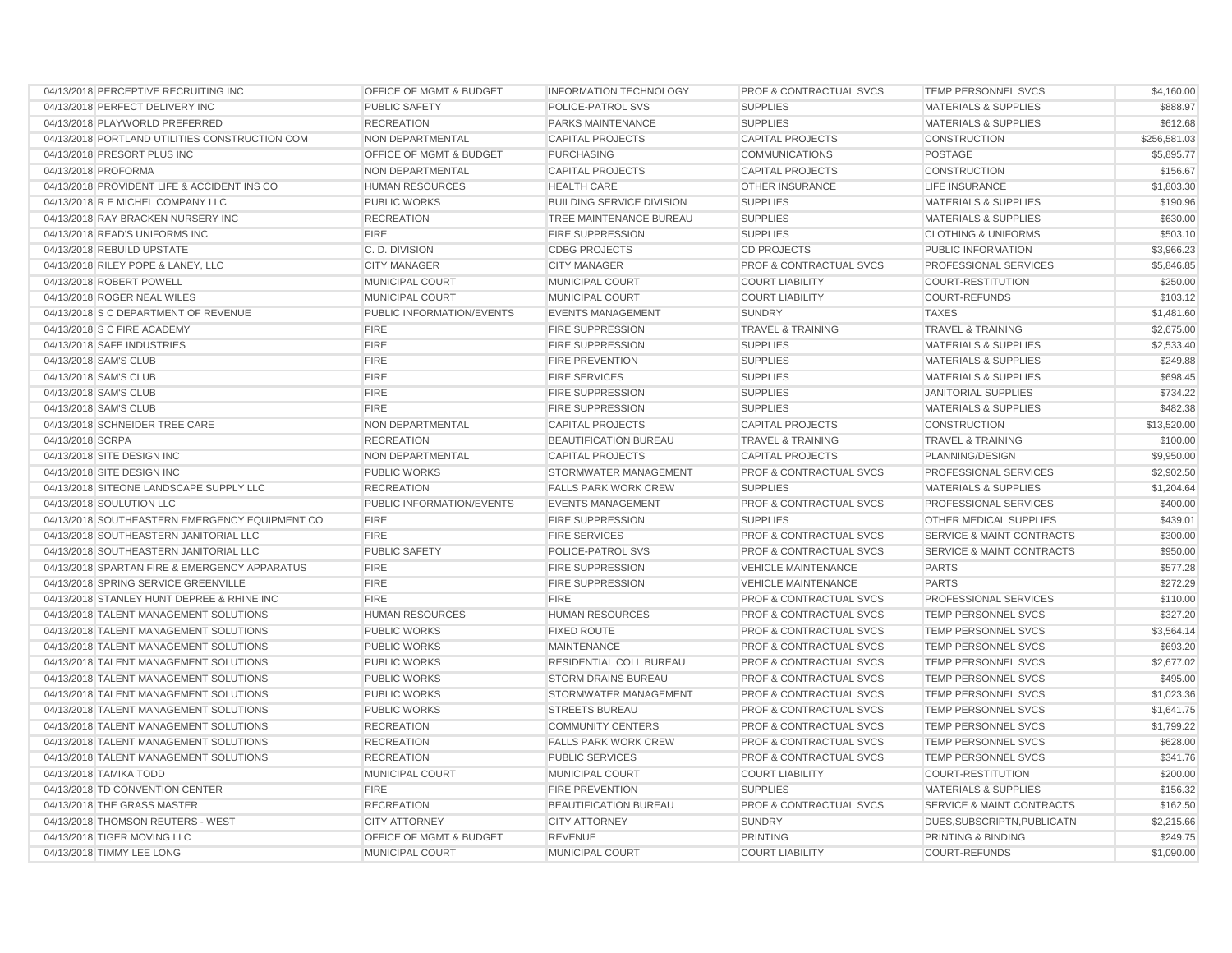| 04/13/2018 PERCEPTIVE RECRUITING INC           | <b>OFFICE OF MGMT &amp; BUDGET</b> | <b>INFORMATION TECHNOLOGY</b>    | PROF & CONTRACTUAL SVCS            | <b>TEMP PERSONNEL SVCS</b>           | \$4,160.00   |
|------------------------------------------------|------------------------------------|----------------------------------|------------------------------------|--------------------------------------|--------------|
| 04/13/2018 PERFECT DELIVERY INC                | <b>PUBLIC SAFETY</b>               | <b>POLICE-PATROL SVS</b>         | <b>SUPPLIES</b>                    | <b>MATERIALS &amp; SUPPLIES</b>      | \$888.97     |
| 04/13/2018 PLAYWORLD PREFERRED                 | <b>RECREATION</b>                  | PARKS MAINTENANCE                | <b>SUPPLIES</b>                    | <b>MATERIALS &amp; SUPPLIES</b>      | \$612.68     |
| 04/13/2018 PORTLAND UTILITIES CONSTRUCTION COM | NON DEPARTMENTAL                   | <b>CAPITAL PROJECTS</b>          | <b>CAPITAL PROJECTS</b>            | <b>CONSTRUCTION</b>                  | \$256,581.03 |
| 04/13/2018 PRESORT PLUS INC                    | OFFICE OF MGMT & BUDGET            | PURCHASING                       | <b>COMMUNICATIONS</b>              | <b>POSTAGE</b>                       | \$5,895.77   |
| 04/13/2018 PROFORMA                            | NON DEPARTMENTAL                   | <b>CAPITAL PROJECTS</b>          | <b>CAPITAL PROJECTS</b>            | <b>CONSTRUCTION</b>                  | \$156.67     |
| 04/13/2018 PROVIDENT LIFE & ACCIDENT INS CO    | <b>HUMAN RESOURCES</b>             | <b>HEALTH CARE</b>               | <b>OTHER INSURANCE</b>             | <b>LIFE INSURANCE</b>                | \$1,803.30   |
| 04/13/2018 R E MICHEL COMPANY LLC              | <b>PUBLIC WORKS</b>                | <b>BUILDING SERVICE DIVISION</b> | <b>SUPPLIES</b>                    | <b>MATERIALS &amp; SUPPLIES</b>      | \$190.96     |
| 04/13/2018 RAY BRACKEN NURSERY INC             | <b>RECREATION</b>                  | TREE MAINTENANCE BUREAU          | <b>SUPPLIES</b>                    | <b>MATERIALS &amp; SUPPLIES</b>      | \$630.00     |
| 04/13/2018 READ'S UNIFORMS INC                 | <b>FIRE</b>                        | <b>FIRE SUPPRESSION</b>          | <b>SUPPLIES</b>                    | <b>CLOTHING &amp; UNIFORMS</b>       | \$503.10     |
| 04/13/2018 REBUILD UPSTATE                     | C. D. DIVISION                     | <b>CDBG PROJECTS</b>             | <b>CD PROJECTS</b>                 | PUBLIC INFORMATION                   | \$3,966.23   |
| 04/13/2018 RILEY POPE & LANEY, LLC             | <b>CITY MANAGER</b>                | <b>CITY MANAGER</b>              | <b>PROF &amp; CONTRACTUAL SVCS</b> | PROFESSIONAL SERVICES                | \$5,846.85   |
| 04/13/2018 ROBERT POWELL                       | MUNICIPAL COURT                    | MUNICIPAL COURT                  | <b>COURT LIABILITY</b>             | COURT-RESTITUTION                    | \$250.00     |
| 04/13/2018 ROGER NEAL WILES                    | MUNICIPAL COURT                    | MUNICIPAL COURT                  | <b>COURT LIABILITY</b>             | <b>COURT-REFUNDS</b>                 | \$103.12     |
| 04/13/2018 S C DEPARTMENT OF REVENUE           | PUBLIC INFORMATION/EVENTS          | <b>EVENTS MANAGEMENT</b>         | <b>SUNDRY</b>                      | <b>TAXES</b>                         | \$1,481.60   |
| 04/13/2018 S C FIRE ACADEMY                    | <b>FIRE</b>                        | <b>FIRE SUPPRESSION</b>          | <b>TRAVEL &amp; TRAINING</b>       | <b>TRAVEL &amp; TRAINING</b>         | \$2,675.00   |
| 04/13/2018 SAFE INDUSTRIES                     | <b>FIRE</b>                        | <b>FIRE SUPPRESSION</b>          | <b>SUPPLIES</b>                    | <b>MATERIALS &amp; SUPPLIES</b>      | \$2,533.40   |
| 04/13/2018 SAM'S CLUB                          | <b>FIRE</b>                        | <b>FIRE PREVENTION</b>           | <b>SUPPLIES</b>                    | <b>MATERIALS &amp; SUPPLIES</b>      | \$249.88     |
| 04/13/2018 SAM'S CLUB                          | <b>FIRE</b>                        | <b>FIRE SERVICES</b>             | <b>SUPPLIES</b>                    | <b>MATERIALS &amp; SUPPLIES</b>      | \$698.45     |
| 04/13/2018 SAM'S CLUB                          | <b>FIRE</b>                        | <b>FIRE SUPPRESSION</b>          | <b>SUPPLIES</b>                    | <b>JANITORIAL SUPPLIES</b>           | \$734.22     |
| 04/13/2018 SAM'S CLUB                          | <b>FIRE</b>                        | <b>FIRE SUPPRESSION</b>          | <b>SUPPLIES</b>                    | <b>MATERIALS &amp; SUPPLIES</b>      | \$482.38     |
| 04/13/2018 SCHNEIDER TREE CARE                 | NON DEPARTMENTAL                   | <b>CAPITAL PROJECTS</b>          | <b>CAPITAL PROJECTS</b>            | <b>CONSTRUCTION</b>                  | \$13,520.00  |
| 04/13/2018 SCRPA                               | <b>RECREATION</b>                  | BEAUTIFICATION BUREAU            | <b>TRAVEL &amp; TRAINING</b>       | <b>TRAVEL &amp; TRAINING</b>         | \$100.00     |
| 04/13/2018 SITE DESIGN INC                     | NON DEPARTMENTAL                   | <b>CAPITAL PROJECTS</b>          | <b>CAPITAL PROJECTS</b>            | PLANNING/DESIGN                      | \$9,950.00   |
| 04/13/2018 SITE DESIGN INC                     | <b>PUBLIC WORKS</b>                | STORMWATER MANAGEMENT            | PROF & CONTRACTUAL SVCS            | PROFESSIONAL SERVICES                | \$2,902.50   |
| 04/13/2018 SITEONE LANDSCAPE SUPPLY LLC        | <b>RECREATION</b>                  | <b>FALLS PARK WORK CREW</b>      | <b>SUPPLIES</b>                    | <b>MATERIALS &amp; SUPPLIES</b>      | \$1,204.64   |
| 04/13/2018 SOULUTION LLC                       | PUBLIC INFORMATION/EVENTS          | <b>EVENTS MANAGEMENT</b>         | PROF & CONTRACTUAL SVCS            | <b>PROFESSIONAL SERVICES</b>         | \$400.00     |
| 04/13/2018 SOUTHEASTERN EMERGENCY EQUIPMENT CO | <b>FIRE</b>                        | <b>FIRE SUPPRESSION</b>          | <b>SUPPLIES</b>                    | OTHER MEDICAL SUPPLIES               | \$439.01     |
| 04/13/2018 SOUTHEASTERN JANITORIAL LLC         | <b>FIRE</b>                        | <b>FIRE SERVICES</b>             | PROF & CONTRACTUAL SVCS            | <b>SERVICE &amp; MAINT CONTRACTS</b> | \$300.00     |
| 04/13/2018 SOUTHEASTERN JANITORIAL LLC         | <b>PUBLIC SAFETY</b>               | POLICE-PATROL SVS                | PROF & CONTRACTUAL SVCS            | <b>SERVICE &amp; MAINT CONTRACTS</b> | \$950.00     |
| 04/13/2018 SPARTAN FIRE & EMERGENCY APPARATUS  | <b>FIRE</b>                        | <b>FIRE SUPPRESSION</b>          | <b>VEHICLE MAINTENANCE</b>         | <b>PARTS</b>                         | \$577.28     |
| 04/13/2018 SPRING SERVICE GREENVILLE           | <b>FIRE</b>                        | <b>FIRE SUPPRESSION</b>          | <b>VEHICLE MAINTENANCE</b>         | <b>PARTS</b>                         | \$272.29     |
| 04/13/2018 STANLEY HUNT DEPREE & RHINE INC     | <b>FIRE</b>                        | <b>FIRE</b>                      | <b>PROF &amp; CONTRACTUAL SVCS</b> | PROFESSIONAL SERVICES                | \$110.00     |
| 04/13/2018 TALENT MANAGEMENT SOLUTIONS         | <b>HUMAN RESOURCES</b>             | <b>HUMAN RESOURCES</b>           | <b>PROF &amp; CONTRACTUAL SVCS</b> | <b>TEMP PERSONNEL SVCS</b>           | \$327.20     |
| 04/13/2018 TALENT MANAGEMENT SOLUTIONS         | <b>PUBLIC WORKS</b>                | <b>FIXED ROUTE</b>               | <b>PROF &amp; CONTRACTUAL SVCS</b> | <b>TEMP PERSONNEL SVCS</b>           | \$3,564.14   |
| 04/13/2018 TALENT MANAGEMENT SOLUTIONS         | PUBLIC WORKS                       | <b>MAINTENANCE</b>               | PROF & CONTRACTUAL SVCS            | TEMP PERSONNEL SVCS                  | \$693.20     |
| 04/13/2018 TALENT MANAGEMENT SOLUTIONS         | PUBLIC WORKS                       | <b>RESIDENTIAL COLL BUREAU</b>   | PROF & CONTRACTUAL SVCS            | TEMP PERSONNEL SVCS                  | \$2,677.02   |
| 04/13/2018 TALENT MANAGEMENT SOLUTIONS         | PUBLIC WORKS                       | <b>STORM DRAINS BUREAU</b>       | <b>PROF &amp; CONTRACTUAL SVCS</b> | TEMP PERSONNEL SVCS                  | \$495.00     |
| 04/13/2018 TALENT MANAGEMENT SOLUTIONS         | PUBLIC WORKS                       | STORMWATER MANAGEMENT            | <b>PROF &amp; CONTRACTUAL SVCS</b> | TEMP PERSONNEL SVCS                  | \$1,023.36   |
| 04/13/2018 TALENT MANAGEMENT SOLUTIONS         | PUBLIC WORKS                       | <b>STREETS BUREAU</b>            | PROF & CONTRACTUAL SVCS            | TEMP PERSONNEL SVCS                  | \$1,641.75   |
| 04/13/2018 TALENT MANAGEMENT SOLUTIONS         | <b>RECREATION</b>                  | <b>COMMUNITY CENTERS</b>         | <b>PROF &amp; CONTRACTUAL SVCS</b> | <b>TEMP PERSONNEL SVCS</b>           | \$1,799.22   |
| 04/13/2018 TALENT MANAGEMENT SOLUTIONS         | <b>RECREATION</b>                  | <b>FALLS PARK WORK CREW</b>      | <b>PROF &amp; CONTRACTUAL SVCS</b> | <b>TEMP PERSONNEL SVCS</b>           | \$628.00     |
| 04/13/2018 TALENT MANAGEMENT SOLUTIONS         | <b>RECREATION</b>                  | <b>PUBLIC SERVICES</b>           | PROF & CONTRACTUAL SVCS            | <b>TEMP PERSONNEL SVCS</b>           | \$341.76     |
| 04/13/2018 TAMIKA TODD                         | <b>MUNICIPAL COURT</b>             | <b>MUNICIPAL COURT</b>           | <b>COURT LIABILITY</b>             | COURT-RESTITUTION                    | \$200.00     |
| 04/13/2018 TD CONVENTION CENTER                | <b>FIRE</b>                        | <b>FIRE PREVENTION</b>           | <b>SUPPLIES</b>                    | <b>MATERIALS &amp; SUPPLIES</b>      | \$156.32     |
| 04/13/2018 THE GRASS MASTER                    | <b>RECREATION</b>                  | <b>BEAUTIFICATION BUREAU</b>     | <b>PROF &amp; CONTRACTUAL SVCS</b> | SERVICE & MAINT CONTRACTS            | \$162.50     |
| 04/13/2018 THOMSON REUTERS - WEST              | <b>CITY ATTORNEY</b>               | <b>CITY ATTORNEY</b>             | <b>SUNDRY</b>                      | DUES, SUBSCRIPTN, PUBLICATN          | \$2,215.66   |
| 04/13/2018 TIGER MOVING LLC                    | OFFICE OF MGMT & BUDGET            | <b>REVENUE</b>                   | <b>PRINTING</b>                    | PRINTING & BINDING                   | \$249.75     |
| 04/13/2018 TIMMY LEE LONG                      | <b>MUNICIPAL COURT</b>             | MUNICIPAL COURT                  | <b>COURT LIABILITY</b>             | <b>COURT-REFUNDS</b>                 | \$1,090.00   |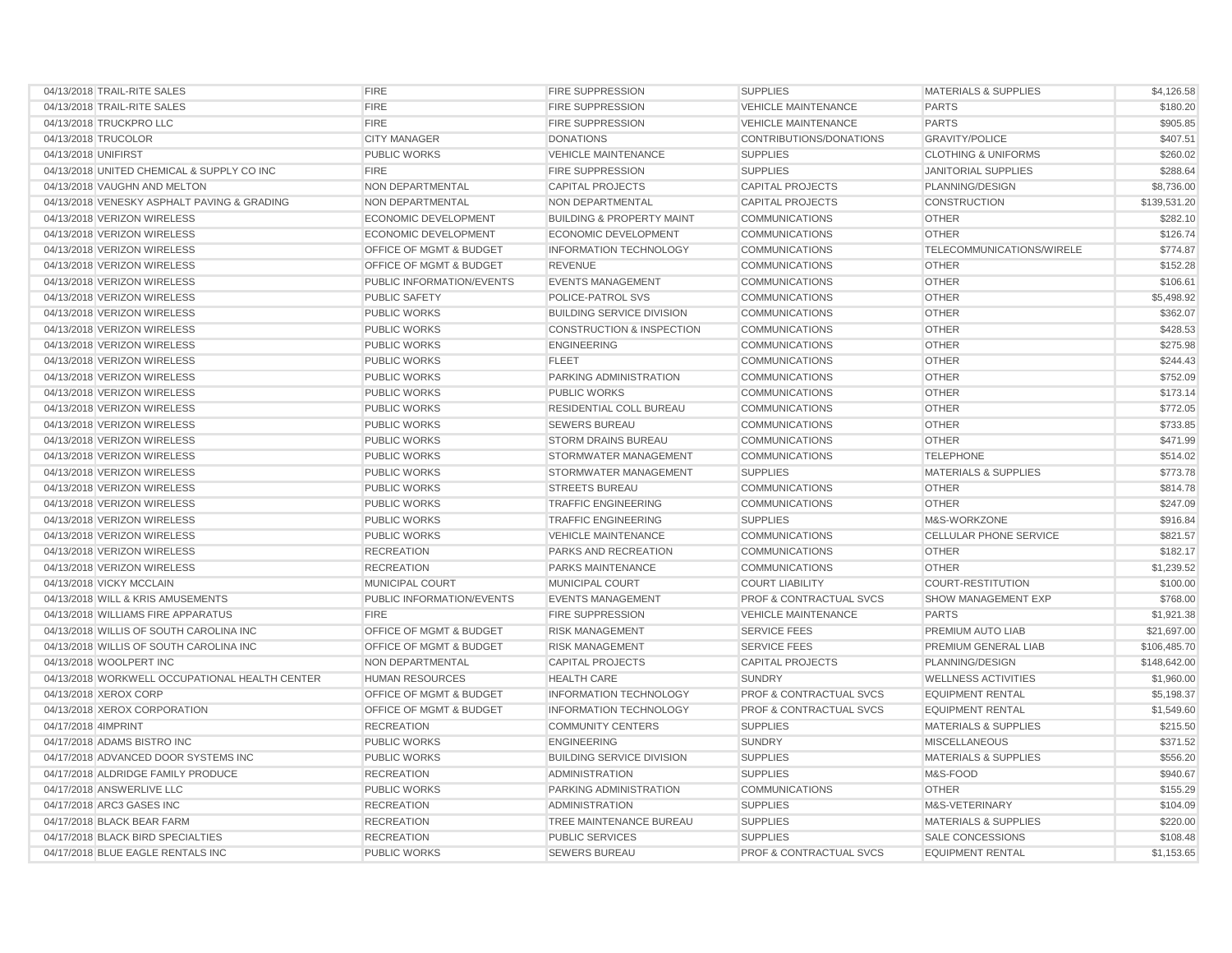| 04/13/2018 TRAIL-RITE SALES                    | <b>FIRE</b>                        | <b>FIRE SUPPRESSION</b>              | <b>SUPPLIES</b>                    | <b>MATERIALS &amp; SUPPLIES</b> | \$4,126.58   |
|------------------------------------------------|------------------------------------|--------------------------------------|------------------------------------|---------------------------------|--------------|
| 04/13/2018 TRAIL-RITE SALES                    | <b>FIRE</b>                        | <b>FIRE SUPPRESSION</b>              | <b>VEHICLE MAINTENANCE</b>         | <b>PARTS</b>                    | \$180.20     |
| 04/13/2018 TRUCKPRO LLC                        | <b>FIRE</b>                        | <b>FIRE SUPPRESSION</b>              | <b>VEHICLE MAINTENANCE</b>         | <b>PARTS</b>                    | \$905.85     |
| 04/13/2018 TRUCOLOR                            | <b>CITY MANAGER</b>                | <b>DONATIONS</b>                     | CONTRIBUTIONS/DONATIONS            | <b>GRAVITY/POLICE</b>           | \$407.51     |
| 04/13/2018 UNIFIRST                            | PUBLIC WORKS                       | <b>VEHICLE MAINTENANCE</b>           | <b>SUPPLIES</b>                    | <b>CLOTHING &amp; UNIFORMS</b>  | \$260.02     |
| 04/13/2018 UNITED CHEMICAL & SUPPLY CO INC     | <b>FIRE</b>                        | <b>FIRE SUPPRESSION</b>              | <b>SUPPLIES</b>                    | <b>JANITORIAL SUPPLIES</b>      | \$288.64     |
| 04/13/2018 VAUGHN AND MELTON                   | NON DEPARTMENTAL                   | <b>CAPITAL PROJECTS</b>              | <b>CAPITAL PROJECTS</b>            | PLANNING/DESIGN                 | \$8,736.00   |
| 04/13/2018 VENESKY ASPHALT PAVING & GRADING    | NON DEPARTMENTAL                   | NON DEPARTMENTAL                     | <b>CAPITAL PROJECTS</b>            | CONSTRUCTION                    | \$139,531.20 |
| 04/13/2018 VERIZON WIRELESS                    | <b>ECONOMIC DEVELOPMENT</b>        | <b>BUILDING &amp; PROPERTY MAINT</b> | <b>COMMUNICATIONS</b>              | <b>OTHER</b>                    | \$282.10     |
| 04/13/2018 VERIZON WIRELESS                    | ECONOMIC DEVELOPMENT               | ECONOMIC DEVELOPMENT                 | <b>COMMUNICATIONS</b>              | <b>OTHER</b>                    | \$126.74     |
| 04/13/2018 VERIZON WIRELESS                    | <b>OFFICE OF MGMT &amp; BUDGET</b> | <b>INFORMATION TECHNOLOGY</b>        | <b>COMMUNICATIONS</b>              | TELECOMMUNICATIONS/WIRELE       | \$774.87     |
| 04/13/2018 VERIZON WIRELESS                    | OFFICE OF MGMT & BUDGET            | <b>REVENUE</b>                       | <b>COMMUNICATIONS</b>              | <b>OTHER</b>                    | \$152.28     |
| 04/13/2018 VERIZON WIRELESS                    | PUBLIC INFORMATION/EVENTS          | <b>EVENTS MANAGEMENT</b>             | <b>COMMUNICATIONS</b>              | <b>OTHER</b>                    | \$106.61     |
| 04/13/2018 VERIZON WIRELESS                    | PUBLIC SAFETY                      | POLICE-PATROL SVS                    | <b>COMMUNICATIONS</b>              | <b>OTHER</b>                    | \$5,498.92   |
| 04/13/2018 VERIZON WIRELESS                    | <b>PUBLIC WORKS</b>                | <b>BUILDING SERVICE DIVISION</b>     | <b>COMMUNICATIONS</b>              | <b>OTHER</b>                    | \$362.07     |
| 04/13/2018 VERIZON WIRELESS                    | <b>PUBLIC WORKS</b>                | <b>CONSTRUCTION &amp; INSPECTION</b> | <b>COMMUNICATIONS</b>              | <b>OTHER</b>                    | \$428.53     |
| 04/13/2018 VERIZON WIRELESS                    | <b>PUBLIC WORKS</b>                | <b>ENGINEERING</b>                   | <b>COMMUNICATIONS</b>              | <b>OTHER</b>                    | \$275.98     |
| 04/13/2018 VERIZON WIRELESS                    | <b>PUBLIC WORKS</b>                | <b>FLEET</b>                         | <b>COMMUNICATIONS</b>              | <b>OTHER</b>                    | \$244.43     |
| 04/13/2018 VERIZON WIRELESS                    | <b>PUBLIC WORKS</b>                | <b>PARKING ADMINISTRATION</b>        | <b>COMMUNICATIONS</b>              | <b>OTHER</b>                    | \$752.09     |
| 04/13/2018 VERIZON WIRELESS                    | <b>PUBLIC WORKS</b>                | <b>PUBLIC WORKS</b>                  | <b>COMMUNICATIONS</b>              | <b>OTHER</b>                    | \$173.14     |
| 04/13/2018 VERIZON WIRELESS                    | <b>PUBLIC WORKS</b>                | RESIDENTIAL COLL BUREAU              | <b>COMMUNICATIONS</b>              | <b>OTHER</b>                    | \$772.05     |
| 04/13/2018 VERIZON WIRELESS                    | <b>PUBLIC WORKS</b>                | <b>SEWERS BUREAU</b>                 | <b>COMMUNICATIONS</b>              | <b>OTHER</b>                    | \$733.85     |
| 04/13/2018 VERIZON WIRELESS                    | <b>PUBLIC WORKS</b>                | <b>STORM DRAINS BUREAU</b>           | <b>COMMUNICATIONS</b>              | <b>OTHER</b>                    | \$471.99     |
| 04/13/2018 VERIZON WIRELESS                    | <b>PUBLIC WORKS</b>                | <b>STORMWATER MANAGEMENT</b>         | <b>COMMUNICATIONS</b>              | <b>TELEPHONE</b>                | \$514.02     |
| 04/13/2018 VERIZON WIRELESS                    | <b>PUBLIC WORKS</b>                | STORMWATER MANAGEMENT                | <b>SUPPLIES</b>                    | <b>MATERIALS &amp; SUPPLIES</b> | \$773.78     |
| 04/13/2018 VERIZON WIRELESS                    | <b>PUBLIC WORKS</b>                | <b>STREETS BUREAU</b>                | <b>COMMUNICATIONS</b>              | <b>OTHER</b>                    | \$814.78     |
| 04/13/2018 VERIZON WIRELESS                    | <b>PUBLIC WORKS</b>                | <b>TRAFFIC ENGINEERING</b>           | <b>COMMUNICATIONS</b>              | <b>OTHER</b>                    | \$247.09     |
| 04/13/2018 VERIZON WIRELESS                    | <b>PUBLIC WORKS</b>                | <b>TRAFFIC ENGINEERING</b>           | <b>SUPPLIES</b>                    | M&S-WORKZONE                    | \$916.84     |
| 04/13/2018 VERIZON WIRELESS                    | <b>PUBLIC WORKS</b>                | <b>VEHICLE MAINTENANCE</b>           | <b>COMMUNICATIONS</b>              | <b>CELLULAR PHONE SERVICE</b>   | \$821.57     |
| 04/13/2018 VERIZON WIRELESS                    | <b>RECREATION</b>                  | PARKS AND RECREATION                 | <b>COMMUNICATIONS</b>              | <b>OTHER</b>                    | \$182.17     |
| 04/13/2018 VERIZON WIRELESS                    | <b>RECREATION</b>                  | <b>PARKS MAINTENANCE</b>             | <b>COMMUNICATIONS</b>              | <b>OTHER</b>                    | \$1,239.52   |
| 04/13/2018 VICKY MCCLAIN                       | MUNICIPAL COURT                    | MUNICIPAL COURT                      | <b>COURT LIABILITY</b>             | COURT-RESTITUTION               | \$100.00     |
| 04/13/2018 WILL & KRIS AMUSEMENTS              | PUBLIC INFORMATION/EVENTS          | <b>EVENTS MANAGEMENT</b>             | PROF & CONTRACTUAL SVCS            | SHOW MANAGEMENT EXP             | \$768.00     |
| 04/13/2018 WILLIAMS FIRE APPARATUS             | <b>FIRE</b>                        | <b>FIRE SUPPRESSION</b>              | <b>VEHICLE MAINTENANCE</b>         | <b>PARTS</b>                    | \$1,921.38   |
| 04/13/2018 WILLIS OF SOUTH CAROLINA INC        | OFFICE OF MGMT & BUDGET            | <b>RISK MANAGEMENT</b>               | <b>SERVICE FEES</b>                | PREMIUM AUTO LIAB               | \$21,697.00  |
| 04/13/2018 WILLIS OF SOUTH CAROLINA INC        | <b>OFFICE OF MGMT &amp; BUDGET</b> | <b>RISK MANAGEMENT</b>               | <b>SERVICE FEES</b>                | PREMIUM GENERAL LIAB            | \$106,485.70 |
| 04/13/2018 WOOLPERT INC                        | NON DEPARTMENTAL                   | <b>CAPITAL PROJECTS</b>              | <b>CAPITAL PROJECTS</b>            | PLANNING/DESIGN                 | \$148,642.00 |
| 04/13/2018 WORKWELL OCCUPATIONAL HEALTH CENTER | <b>HUMAN RESOURCES</b>             | <b>HEALTH CARE</b>                   | <b>SUNDRY</b>                      | <b>WELLNESS ACTIVITIES</b>      | \$1,960.00   |
| 04/13/2018 XEROX CORP                          | OFFICE OF MGMT & BUDGET            | <b>INFORMATION TECHNOLOGY</b>        | <b>PROF &amp; CONTRACTUAL SVCS</b> | <b>EQUIPMENT RENTAL</b>         | \$5,198.37   |
| 04/13/2018 XEROX CORPORATION                   | OFFICE OF MGMT & BUDGET            | <b>INFORMATION TECHNOLOGY</b>        | PROF & CONTRACTUAL SVCS            | <b>EQUIPMENT RENTAL</b>         | \$1,549.60   |
| 04/17/2018 4IMPRINT                            | <b>RECREATION</b>                  | <b>COMMUNITY CENTERS</b>             | <b>SUPPLIES</b>                    | <b>MATERIALS &amp; SUPPLIES</b> | \$215.50     |
| 04/17/2018 ADAMS BISTRO INC                    | <b>PUBLIC WORKS</b>                | <b>ENGINEERING</b>                   | <b>SUNDRY</b>                      | <b>MISCELLANEOUS</b>            | \$371.52     |
| 04/17/2018 ADVANCED DOOR SYSTEMS INC           | <b>PUBLIC WORKS</b>                | <b>BUILDING SERVICE DIVISION</b>     | <b>SUPPLIES</b>                    | <b>MATERIALS &amp; SUPPLIES</b> | \$556.20     |
| 04/17/2018 ALDRIDGE FAMILY PRODUCE             | <b>RECREATION</b>                  | <b>ADMINISTRATION</b>                | <b>SUPPLIES</b>                    | M&S-FOOD                        | \$940.67     |
| 04/17/2018 ANSWERLIVE LLC                      | <b>PUBLIC WORKS</b>                | PARKING ADMINISTRATION               | <b>COMMUNICATIONS</b>              | <b>OTHER</b>                    | \$155.29     |
|                                                |                                    |                                      |                                    |                                 |              |
| 04/17/2018 ARC3 GASES INC                      | <b>RECREATION</b>                  | <b>ADMINISTRATION</b>                | <b>SUPPLIES</b>                    | M&S-VETERINARY                  | \$104.09     |
| 04/17/2018 BLACK BEAR FARM                     | <b>RECREATION</b>                  | TREE MAINTENANCE BUREAU              | <b>SUPPLIES</b>                    | <b>MATERIALS &amp; SUPPLIES</b> | \$220.00     |
| 04/17/2018 BLACK BIRD SPECIALTIES              | <b>RECREATION</b>                  | <b>PUBLIC SERVICES</b>               | <b>SUPPLIES</b>                    | SALE CONCESSIONS                | \$108.48     |
| 04/17/2018 BLUE EAGLE RENTALS INC              | <b>PUBLIC WORKS</b>                | <b>SEWERS BUREAU</b>                 | PROF & CONTRACTUAL SVCS            | <b>EQUIPMENT RENTAL</b>         | \$1,153.65   |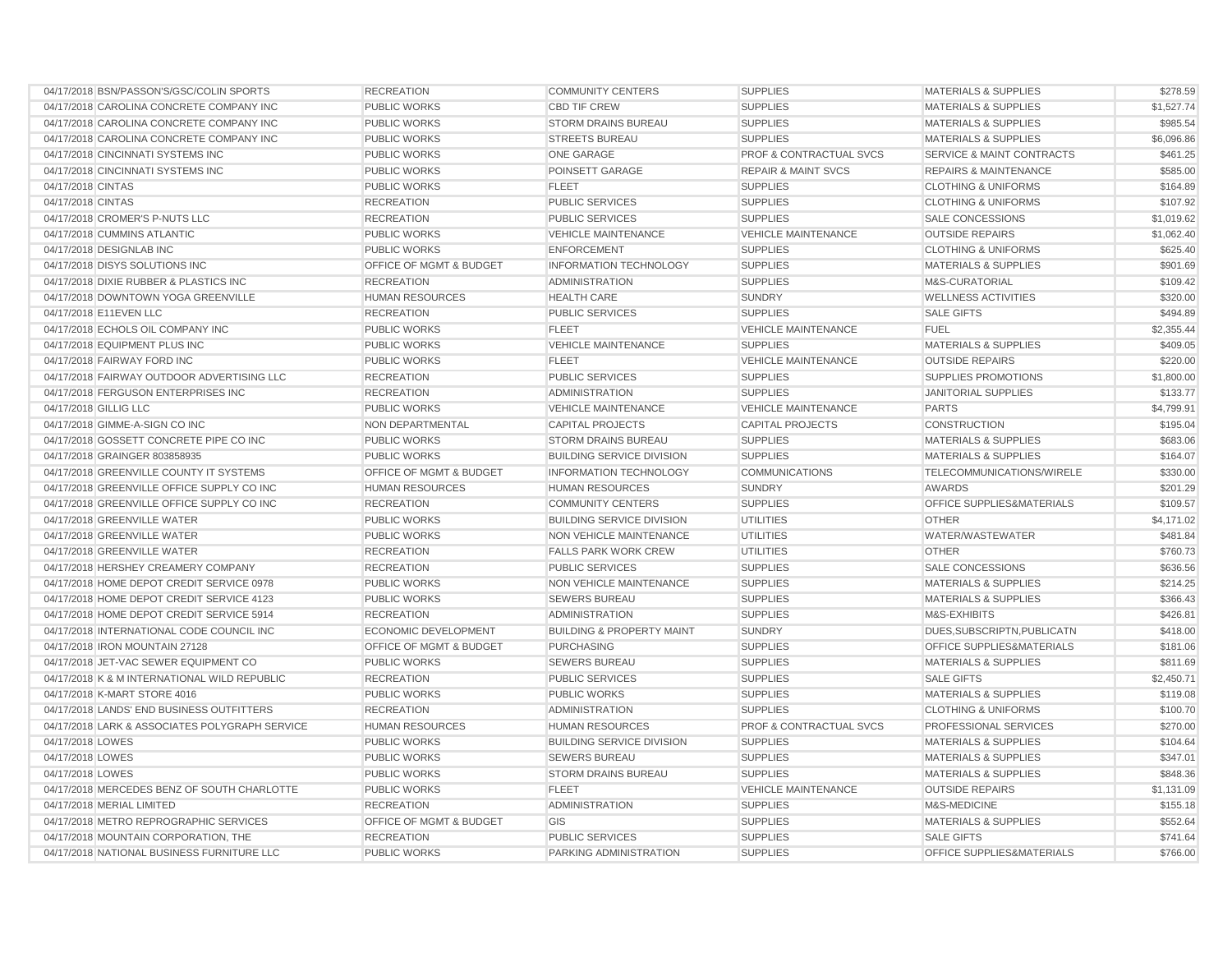| 04/17/2018 BSN/PASSON'S/GSC/COLIN SPORTS       | <b>RECREATION</b>           | <b>COMMUNITY CENTERS</b>             | <b>SUPPLIES</b>                    | <b>MATERIALS &amp; SUPPLIES</b>      | \$278.59   |
|------------------------------------------------|-----------------------------|--------------------------------------|------------------------------------|--------------------------------------|------------|
| 04/17/2018 CAROLINA CONCRETE COMPANY INC       | PUBLIC WORKS                | <b>CBD TIF CREW</b>                  | <b>SUPPLIES</b>                    | <b>MATERIALS &amp; SUPPLIES</b>      | \$1,527.74 |
| 04/17/2018 CAROLINA CONCRETE COMPANY INC       | <b>PUBLIC WORKS</b>         | STORM DRAINS BUREAU                  | <b>SUPPLIES</b>                    | <b>MATERIALS &amp; SUPPLIES</b>      | \$985.54   |
| 04/17/2018 CAROLINA CONCRETE COMPANY INC       | PUBLIC WORKS                | <b>STREETS BUREAU</b>                | <b>SUPPLIES</b>                    | <b>MATERIALS &amp; SUPPLIES</b>      | \$6,096.86 |
| 04/17/2018 CINCINNATI SYSTEMS INC              | <b>PUBLIC WORKS</b>         | <b>ONE GARAGE</b>                    | PROF & CONTRACTUAL SVCS            | <b>SERVICE &amp; MAINT CONTRACTS</b> | \$461.25   |
| 04/17/2018 CINCINNATI SYSTEMS INC              | <b>PUBLIC WORKS</b>         | <b>POINSETT GARAGE</b>               | <b>REPAIR &amp; MAINT SVCS</b>     | <b>REPAIRS &amp; MAINTENANCE</b>     | \$585.00   |
| 04/17/2018 CINTAS                              | PUBLIC WORKS                | <b>FLEET</b>                         | <b>SUPPLIES</b>                    | <b>CLOTHING &amp; UNIFORMS</b>       | \$164.89   |
| 04/17/2018 CINTAS                              | <b>RECREATION</b>           | PUBLIC SERVICES                      | <b>SUPPLIES</b>                    | <b>CLOTHING &amp; UNIFORMS</b>       | \$107.92   |
| 04/17/2018 CROMER'S P-NUTS LLC                 | <b>RECREATION</b>           | <b>PUBLIC SERVICES</b>               | <b>SUPPLIES</b>                    | <b>SALE CONCESSIONS</b>              | \$1,019.62 |
| 04/17/2018 CUMMINS ATLANTIC                    | <b>PUBLIC WORKS</b>         | VEHICLE MAINTENANCE                  | <b>VEHICLE MAINTENANCE</b>         | <b>OUTSIDE REPAIRS</b>               | \$1,062.40 |
| 04/17/2018 DESIGNLAB INC                       | PUBLIC WORKS                | <b>ENFORCEMENT</b>                   | <b>SUPPLIES</b>                    | <b>CLOTHING &amp; UNIFORMS</b>       | \$625.40   |
| 04/17/2018 DISYS SOLUTIONS INC                 | OFFICE OF MGMT & BUDGET     | <b>INFORMATION TECHNOLOGY</b>        | <b>SUPPLIES</b>                    | <b>MATERIALS &amp; SUPPLIES</b>      | \$901.69   |
| 04/17/2018 DIXIE RUBBER & PLASTICS INC         | <b>RECREATION</b>           | <b>ADMINISTRATION</b>                | <b>SUPPLIES</b>                    | M&S-CURATORIAL                       | \$109.42   |
| 04/17/2018 DOWNTOWN YOGA GREENVILLE            | <b>HUMAN RESOURCES</b>      | <b>HEALTH CARE</b>                   | <b>SUNDRY</b>                      | <b>WELLNESS ACTIVITIES</b>           | \$320.00   |
| 04/17/2018 E11EVEN LLC                         | <b>RECREATION</b>           | <b>PUBLIC SERVICES</b>               | <b>SUPPLIES</b>                    | <b>SALE GIFTS</b>                    | \$494.89   |
| 04/17/2018 ECHOLS OIL COMPANY INC              | <b>PUBLIC WORKS</b>         | <b>FLEET</b>                         | <b>VEHICLE MAINTENANCE</b>         | <b>FUEL</b>                          | \$2,355.44 |
| 04/17/2018 EQUIPMENT PLUS INC                  | <b>PUBLIC WORKS</b>         | <b>VEHICLE MAINTENANCE</b>           | <b>SUPPLIES</b>                    | <b>MATERIALS &amp; SUPPLIES</b>      | \$409.05   |
| 04/17/2018 FAIRWAY FORD INC                    | <b>PUBLIC WORKS</b>         | <b>FLEET</b>                         | <b>VEHICLE MAINTENANCE</b>         | <b>OUTSIDE REPAIRS</b>               | \$220.00   |
| 04/17/2018 FAIRWAY OUTDOOR ADVERTISING LLC     | <b>RECREATION</b>           | <b>PUBLIC SERVICES</b>               | <b>SUPPLIES</b>                    | SUPPLIES PROMOTIONS                  | \$1,800.00 |
| 04/17/2018 FERGUSON ENTERPRISES INC            | <b>RECREATION</b>           | <b>ADMINISTRATION</b>                | <b>SUPPLIES</b>                    | <b>JANITORIAL SUPPLIES</b>           | \$133.77   |
| 04/17/2018 GILLIG LLC                          | <b>PUBLIC WORKS</b>         | VEHICLE MAINTENANCE                  | <b>VEHICLE MAINTENANCE</b>         | <b>PARTS</b>                         | \$4,799.91 |
| 04/17/2018 GIMME-A-SIGN CO INC                 | NON DEPARTMENTAL            | <b>CAPITAL PROJECTS</b>              | <b>CAPITAL PROJECTS</b>            | <b>CONSTRUCTION</b>                  | \$195.04   |
| 04/17/2018 GOSSETT CONCRETE PIPE CO INC        | <b>PUBLIC WORKS</b>         | STORM DRAINS BUREAU                  | <b>SUPPLIES</b>                    | <b>MATERIALS &amp; SUPPLIES</b>      | \$683.06   |
| 04/17/2018 GRAINGER 803858935                  | PUBLIC WORKS                | <b>BUILDING SERVICE DIVISION</b>     | <b>SUPPLIES</b>                    | <b>MATERIALS &amp; SUPPLIES</b>      | \$164.07   |
| 04/17/2018 GREENVILLE COUNTY IT SYSTEMS        | OFFICE OF MGMT & BUDGET     | <b>INFORMATION TECHNOLOGY</b>        | <b>COMMUNICATIONS</b>              | TELECOMMUNICATIONS/WIRELE            | \$330.00   |
| 04/17/2018 GREENVILLE OFFICE SUPPLY CO INC     | <b>HUMAN RESOURCES</b>      | <b>HUMAN RESOURCES</b>               | <b>SUNDRY</b>                      | <b>AWARDS</b>                        | \$201.29   |
| 04/17/2018 GREENVILLE OFFICE SUPPLY CO INC     | <b>RECREATION</b>           | <b>COMMUNITY CENTERS</b>             | <b>SUPPLIES</b>                    | OFFICE SUPPLIES&MATERIALS            | \$109.57   |
| 04/17/2018 GREENVILLE WATER                    | PUBLIC WORKS                | <b>BUILDING SERVICE DIVISION</b>     | <b>UTILITIES</b>                   | <b>OTHER</b>                         | \$4,171.02 |
| 04/17/2018 GREENVILLE WATER                    | PUBLIC WORKS                | NON VEHICLE MAINTENANCE              | <b>UTILITIES</b>                   | WATER/WASTEWATER                     | \$481.84   |
| 04/17/2018 GREENVILLE WATER                    | <b>RECREATION</b>           | <b>FALLS PARK WORK CREW</b>          | <b>UTILITIES</b>                   | <b>OTHER</b>                         | \$760.73   |
| 04/17/2018 HERSHEY CREAMERY COMPANY            | <b>RECREATION</b>           | <b>PUBLIC SERVICES</b>               | <b>SUPPLIES</b>                    | SALE CONCESSIONS                     | \$636.56   |
| 04/17/2018 HOME DEPOT CREDIT SERVICE 0978      | <b>PUBLIC WORKS</b>         | NON VEHICLE MAINTENANCE              | <b>SUPPLIES</b>                    | <b>MATERIALS &amp; SUPPLIES</b>      | \$214.25   |
| 04/17/2018 HOME DEPOT CREDIT SERVICE 4123      | <b>PUBLIC WORKS</b>         | <b>SEWERS BUREAU</b>                 | <b>SUPPLIES</b>                    | <b>MATERIALS &amp; SUPPLIES</b>      | \$366.43   |
| 04/17/2018 HOME DEPOT CREDIT SERVICE 5914      | <b>RECREATION</b>           | <b>ADMINISTRATION</b>                | <b>SUPPLIES</b>                    | M&S-EXHIBITS                         | \$426.81   |
| 04/17/2018 INTERNATIONAL CODE COUNCIL INC      | <b>ECONOMIC DEVELOPMENT</b> | <b>BUILDING &amp; PROPERTY MAINT</b> | <b>SUNDRY</b>                      | DUES.SUBSCRIPTN.PUBLICATN            | \$418.00   |
| 04/17/2018 IRON MOUNTAIN 27128                 | OFFICE OF MGMT & BUDGET     | <b>PURCHASING</b>                    | <b>SUPPLIES</b>                    | <b>OFFICE SUPPLIES&amp;MATERIALS</b> | \$181.06   |
| 04/17/2018 JET-VAC SEWER EQUIPMENT CO          | <b>PUBLIC WORKS</b>         | <b>SEWERS BUREAU</b>                 | <b>SUPPLIES</b>                    | <b>MATERIALS &amp; SUPPLIES</b>      | \$811.69   |
| 04/17/2018 K & M INTERNATIONAL WILD REPUBLIC   | <b>RECREATION</b>           | <b>PUBLIC SERVICES</b>               | <b>SUPPLIES</b>                    | <b>SALE GIFTS</b>                    | \$2,450.71 |
| 04/17/2018 K-MART STORE 4016                   | PUBLIC WORKS                | <b>PUBLIC WORKS</b>                  | <b>SUPPLIES</b>                    | <b>MATERIALS &amp; SUPPLIES</b>      | \$119.08   |
| 04/17/2018 LANDS' END BUSINESS OUTFITTERS      | <b>RECREATION</b>           | <b>ADMINISTRATION</b>                | <b>SUPPLIES</b>                    | <b>CLOTHING &amp; UNIFORMS</b>       | \$100.70   |
| 04/17/2018 LARK & ASSOCIATES POLYGRAPH SERVICE | <b>HUMAN RESOURCES</b>      | <b>HUMAN RESOURCES</b>               | <b>PROF &amp; CONTRACTUAL SVCS</b> | PROFESSIONAL SERVICES                | \$270.00   |
| 04/17/2018 LOWES                               | <b>PUBLIC WORKS</b>         | <b>BUILDING SERVICE DIVISION</b>     | <b>SUPPLIES</b>                    | <b>MATERIALS &amp; SUPPLIES</b>      | \$104.64   |
| 04/17/2018 LOWES                               | PUBLIC WORKS                | <b>SEWERS BUREAU</b>                 | <b>SUPPLIES</b>                    | <b>MATERIALS &amp; SUPPLIES</b>      | \$347.01   |
| 04/17/2018 LOWES                               | <b>PUBLIC WORKS</b>         | <b>STORM DRAINS BUREAU</b>           | <b>SUPPLIES</b>                    | <b>MATERIALS &amp; SUPPLIES</b>      | \$848.36   |
| 04/17/2018 MERCEDES BENZ OF SOUTH CHARLOTTE    | <b>PUBLIC WORKS</b>         | <b>FLEET</b>                         | <b>VEHICLE MAINTENANCE</b>         | <b>OUTSIDE REPAIRS</b>               | \$1,131.09 |
| 04/17/2018 MERIAL LIMITED                      | <b>RECREATION</b>           | <b>ADMINISTRATION</b>                | <b>SUPPLIES</b>                    | M&S-MEDICINE                         | \$155.18   |
| 04/17/2018 METRO REPROGRAPHIC SERVICES         | OFFICE OF MGMT & BUDGET     | GIS                                  | <b>SUPPLIES</b>                    | <b>MATERIALS &amp; SUPPLIES</b>      | \$552.64   |
| 04/17/2018 MOUNTAIN CORPORATION, THE           | <b>RECREATION</b>           | <b>PUBLIC SERVICES</b>               | <b>SUPPLIES</b>                    | <b>SALE GIFTS</b>                    | \$741.64   |
| 04/17/2018 NATIONAL BUSINESS FURNITURE LLC     | <b>PUBLIC WORKS</b>         | PARKING ADMINISTRATION               | <b>SUPPLIES</b>                    | OFFICE SUPPLIES&MATERIALS            | \$766.00   |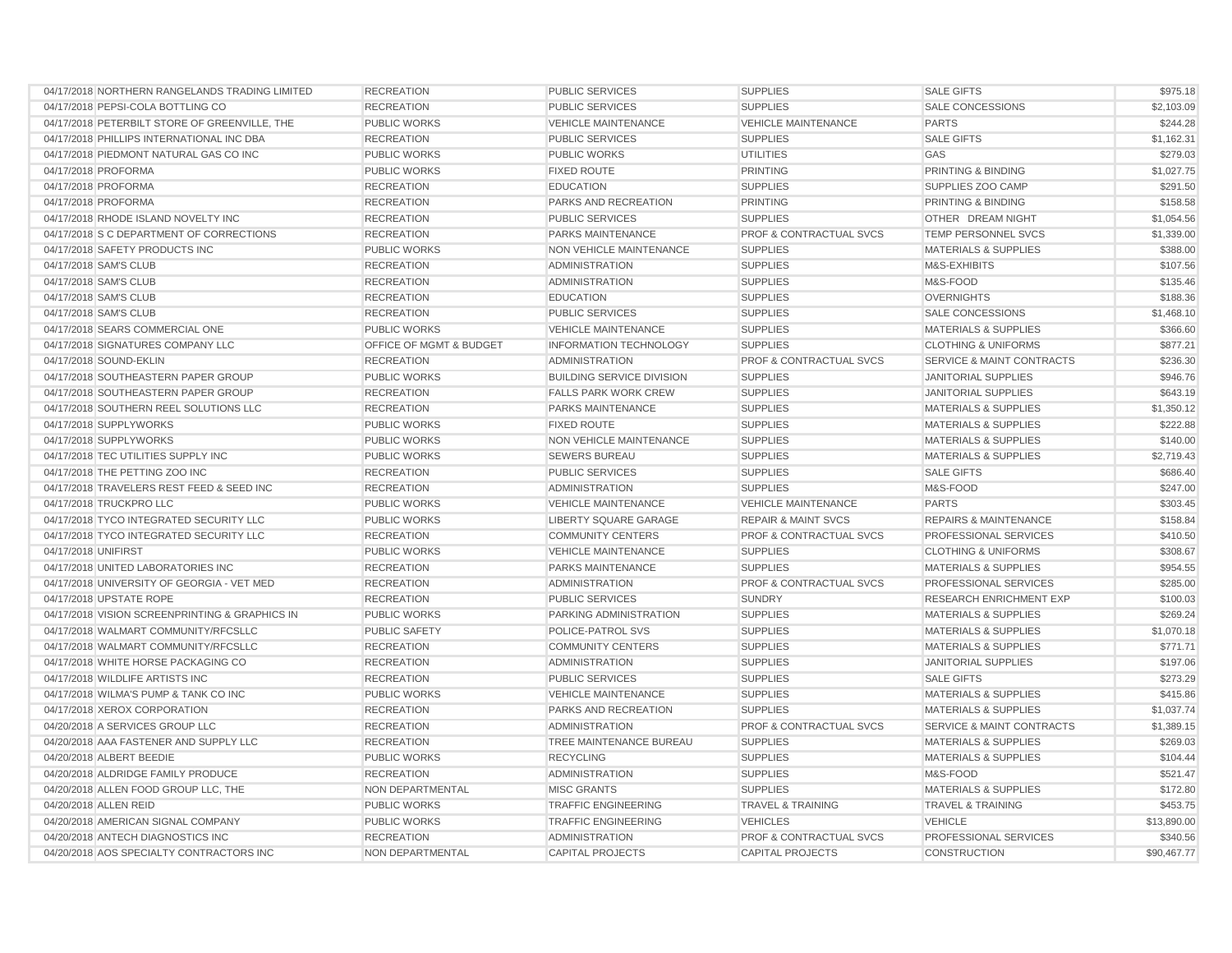| 04/17/2018 NORTHERN RANGELANDS TRADING LIMITED | <b>RECREATION</b>       | <b>PUBLIC SERVICES</b>           | <b>SUPPLIES</b>                    | <b>SALE GIFTS</b>                | \$975.18    |
|------------------------------------------------|-------------------------|----------------------------------|------------------------------------|----------------------------------|-------------|
| 04/17/2018 PEPSI-COLA BOTTLING CO              | <b>RECREATION</b>       | <b>PUBLIC SERVICES</b>           | <b>SUPPLIES</b>                    | <b>SALE CONCESSIONS</b>          | \$2,103.09  |
| 04/17/2018 PETERBILT STORE OF GREENVILLE. THE  | <b>PUBLIC WORKS</b>     | <b>VEHICLE MAINTENANCE</b>       | <b>VEHICLE MAINTENANCE</b>         | <b>PARTS</b>                     | \$244.28    |
| 04/17/2018 PHILLIPS INTERNATIONAL INC DBA      | <b>RECREATION</b>       | <b>PUBLIC SERVICES</b>           | <b>SUPPLIES</b>                    | <b>SALE GIFTS</b>                | \$1,162.31  |
| 04/17/2018 PIEDMONT NATURAL GAS CO INC         | <b>PUBLIC WORKS</b>     | <b>PUBLIC WORKS</b>              | <b>UTILITIES</b>                   | GAS                              | \$279.03    |
| 04/17/2018 PROFORMA                            | <b>PUBLIC WORKS</b>     | <b>FIXED ROUTE</b>               | <b>PRINTING</b>                    | PRINTING & BINDING               | \$1,027.75  |
| 04/17/2018 PROFORMA                            | <b>RECREATION</b>       | <b>EDUCATION</b>                 | <b>SUPPLIES</b>                    | SUPPLIES ZOO CAMP                | \$291.50    |
| 04/17/2018 PROFORMA                            | <b>RECREATION</b>       | PARKS AND RECREATION             | <b>PRINTING</b>                    | PRINTING & BINDING               | \$158.58    |
| 04/17/2018 RHODE ISLAND NOVELTY INC            | <b>RECREATION</b>       | <b>PUBLIC SERVICES</b>           | <b>SUPPLIES</b>                    | OTHER DREAM NIGHT                | \$1,054.56  |
| 04/17/2018 S C DEPARTMENT OF CORRECTIONS       | <b>RECREATION</b>       | PARKS MAINTENANCE                | PROF & CONTRACTUAL SVCS            | <b>TEMP PERSONNEL SVCS</b>       | \$1,339.00  |
| 04/17/2018 SAFETY PRODUCTS INC                 | <b>PUBLIC WORKS</b>     | NON VEHICLE MAINTENANCE          | <b>SUPPLIES</b>                    | <b>MATERIALS &amp; SUPPLIES</b>  | \$388.00    |
| 04/17/2018 SAM'S CLUB                          | <b>RECREATION</b>       | <b>ADMINISTRATION</b>            | <b>SUPPLIES</b>                    | M&S-EXHIBITS                     | \$107.56    |
| 04/17/2018 SAM'S CLUB                          | <b>RECREATION</b>       | <b>ADMINISTRATION</b>            | <b>SUPPLIES</b>                    | M&S-FOOD                         | \$135.46    |
| 04/17/2018 SAM'S CLUB                          | <b>RECREATION</b>       | <b>EDUCATION</b>                 | <b>SUPPLIES</b>                    | <b>OVERNIGHTS</b>                | \$188.36    |
| 04/17/2018 SAM'S CLUB                          | <b>RECREATION</b>       | <b>PUBLIC SERVICES</b>           | <b>SUPPLIES</b>                    | SALE CONCESSIONS                 | \$1,468.10  |
| 04/17/2018 SEARS COMMERCIAL ONE                | <b>PUBLIC WORKS</b>     | VEHICLE MAINTENANCE              | <b>SUPPLIES</b>                    | <b>MATERIALS &amp; SUPPLIES</b>  | \$366.60    |
| 04/17/2018 SIGNATURES COMPANY LLC              | OFFICE OF MGMT & BUDGET | <b>INFORMATION TECHNOLOGY</b>    | <b>SUPPLIES</b>                    | <b>CLOTHING &amp; UNIFORMS</b>   | \$877.21    |
| 04/17/2018 SOUND-EKLIN                         | <b>RECREATION</b>       | <b>ADMINISTRATION</b>            | PROF & CONTRACTUAL SVCS            | SERVICE & MAINT CONTRACTS        | \$236.30    |
| 04/17/2018 SOUTHEASTERN PAPER GROUP            | <b>PUBLIC WORKS</b>     | <b>BUILDING SERVICE DIVISION</b> | <b>SUPPLIES</b>                    | <b>JANITORIAL SUPPLIES</b>       | \$946.76    |
| 04/17/2018 SOUTHEASTERN PAPER GROUP            | <b>RECREATION</b>       | <b>FALLS PARK WORK CREW</b>      | <b>SUPPLIES</b>                    | <b>JANITORIAL SUPPLIES</b>       | \$643.19    |
| 04/17/2018 SOUTHERN REEL SOLUTIONS LLC         | <b>RECREATION</b>       | <b>PARKS MAINTENANCE</b>         | <b>SUPPLIES</b>                    | <b>MATERIALS &amp; SUPPLIES</b>  | \$1,350.12  |
| 04/17/2018 SUPPLYWORKS                         | <b>PUBLIC WORKS</b>     | <b>FIXED ROUTE</b>               | <b>SUPPLIES</b>                    | <b>MATERIALS &amp; SUPPLIES</b>  | \$222.88    |
| 04/17/2018 SUPPLYWORKS                         | <b>PUBLIC WORKS</b>     | NON VEHICLE MAINTENANCE          | <b>SUPPLIES</b>                    | <b>MATERIALS &amp; SUPPLIES</b>  | \$140.00    |
| 04/17/2018 TEC UTILITIES SUPPLY INC            | <b>PUBLIC WORKS</b>     | <b>SEWERS BUREAU</b>             | <b>SUPPLIES</b>                    | <b>MATERIALS &amp; SUPPLIES</b>  | \$2,719.43  |
| 04/17/2018 THE PETTING ZOO INC                 | <b>RECREATION</b>       | <b>PUBLIC SERVICES</b>           | <b>SUPPLIES</b>                    | <b>SALE GIFTS</b>                | \$686.40    |
| 04/17/2018 TRAVELERS REST FEED & SEED INC      | <b>RECREATION</b>       | <b>ADMINISTRATION</b>            | <b>SUPPLIES</b>                    | M&S-FOOD                         | \$247.00    |
| 04/17/2018 TRUCKPRO LLC                        | <b>PUBLIC WORKS</b>     | <b>VEHICLE MAINTENANCE</b>       | <b>VEHICLE MAINTENANCE</b>         | <b>PARTS</b>                     | \$303.45    |
| 04/17/2018 TYCO INTEGRATED SECURITY LLC        | <b>PUBLIC WORKS</b>     | LIBERTY SQUARE GARAGE            | <b>REPAIR &amp; MAINT SVCS</b>     | <b>REPAIRS &amp; MAINTENANCE</b> | \$158.84    |
| 04/17/2018 TYCO INTEGRATED SECURITY LLC        | <b>RECREATION</b>       | <b>COMMUNITY CENTERS</b>         | <b>PROF &amp; CONTRACTUAL SVCS</b> | PROFESSIONAL SERVICES            | \$410.50    |
| 04/17/2018 UNIFIRST                            | <b>PUBLIC WORKS</b>     | <b>VEHICLE MAINTENANCE</b>       | <b>SUPPLIES</b>                    | <b>CLOTHING &amp; UNIFORMS</b>   | \$308.67    |
| 04/17/2018 UNITED LABORATORIES INC             | <b>RECREATION</b>       | PARKS MAINTENANCE                | <b>SUPPLIES</b>                    | <b>MATERIALS &amp; SUPPLIES</b>  | \$954.55    |
| 04/17/2018 UNIVERSITY OF GEORGIA - VET MED     | <b>RECREATION</b>       | <b>ADMINISTRATION</b>            | <b>PROF &amp; CONTRACTUAL SVCS</b> | PROFESSIONAL SERVICES            | \$285.00    |
| 04/17/2018 UPSTATE ROPE                        | <b>RECREATION</b>       | <b>PUBLIC SERVICES</b>           | <b>SUNDRY</b>                      | RESEARCH ENRICHMENT EXP          | \$100.03    |
| 04/17/2018 VISION SCREENPRINTING & GRAPHICS IN | <b>PUBLIC WORKS</b>     | PARKING ADMINISTRATION           | <b>SUPPLIES</b>                    | <b>MATERIALS &amp; SUPPLIES</b>  | \$269.24    |
| 04/17/2018 WALMART COMMUNITY/RFCSLLC           | <b>PUBLIC SAFETY</b>    | POLICE-PATROL SVS                | <b>SUPPLIES</b>                    | <b>MATERIALS &amp; SUPPLIES</b>  | \$1,070.18  |
| 04/17/2018 WALMART COMMUNITY/RFCSLLC           | <b>RECREATION</b>       | <b>COMMUNITY CENTERS</b>         | <b>SUPPLIES</b>                    | <b>MATERIALS &amp; SUPPLIES</b>  | \$771.71    |
| 04/17/2018 WHITE HORSE PACKAGING CO            | <b>RECREATION</b>       | <b>ADMINISTRATION</b>            | <b>SUPPLIES</b>                    | <b>JANITORIAL SUPPLIES</b>       | \$197.06    |
| 04/17/2018 WILDLIFE ARTISTS INC                | <b>RECREATION</b>       | <b>PUBLIC SERVICES</b>           | <b>SUPPLIES</b>                    | <b>SALE GIFTS</b>                | \$273.29    |
| 04/17/2018 WILMA'S PUMP & TANK CO INC          | <b>PUBLIC WORKS</b>     | <b>VEHICLE MAINTENANCE</b>       | <b>SUPPLIES</b>                    | MATERIALS & SUPPLIES             | \$415.86    |
| 04/17/2018 XEROX CORPORATION                   | <b>RECREATION</b>       | PARKS AND RECREATION             | <b>SUPPLIES</b>                    | <b>MATERIALS &amp; SUPPLIES</b>  | \$1,037.74  |
| 04/20/2018 A SERVICES GROUP LLC                | <b>RECREATION</b>       | <b>ADMINISTRATION</b>            | PROF & CONTRACTUAL SVCS            | SERVICE & MAINT CONTRACTS        | \$1,389.15  |
| 04/20/2018 AAA FASTENER AND SUPPLY LLC         | <b>RECREATION</b>       | TREE MAINTENANCE BUREAU          | <b>SUPPLIES</b>                    | <b>MATERIALS &amp; SUPPLIES</b>  | \$269.03    |
| 04/20/2018 ALBERT BEEDIE                       | <b>PUBLIC WORKS</b>     | <b>RECYCLING</b>                 | <b>SUPPLIES</b>                    | <b>MATERIALS &amp; SUPPLIES</b>  | \$104.44    |
| 04/20/2018 ALDRIDGE FAMILY PRODUCE             | <b>RECREATION</b>       | <b>ADMINISTRATION</b>            | <b>SUPPLIES</b>                    | M&S-FOOD                         | \$521.47    |
| 04/20/2018 ALLEN FOOD GROUP LLC, THE           | NON DEPARTMENTAL        | <b>MISC GRANTS</b>               | <b>SUPPLIES</b>                    | <b>MATERIALS &amp; SUPPLIES</b>  | \$172.80    |
| 04/20/2018 ALLEN REID                          | <b>PUBLIC WORKS</b>     | <b>TRAFFIC ENGINEERING</b>       | <b>TRAVEL &amp; TRAINING</b>       | <b>TRAVEL &amp; TRAINING</b>     | \$453.75    |
| 04/20/2018 AMERICAN SIGNAL COMPANY             | <b>PUBLIC WORKS</b>     | <b>TRAFFIC ENGINEERING</b>       | <b>VEHICLES</b>                    | <b>VEHICLE</b>                   | \$13,890.00 |
| 04/20/2018 ANTECH DIAGNOSTICS INC              | <b>RECREATION</b>       | <b>ADMINISTRATION</b>            | PROF & CONTRACTUAL SVCS            | PROFESSIONAL SERVICES            | \$340.56    |
| 04/20/2018 AOS SPECIALTY CONTRACTORS INC       | NON DEPARTMENTAL        | <b>CAPITAL PROJECTS</b>          | <b>CAPITAL PROJECTS</b>            | <b>CONSTRUCTION</b>              | \$90,467.77 |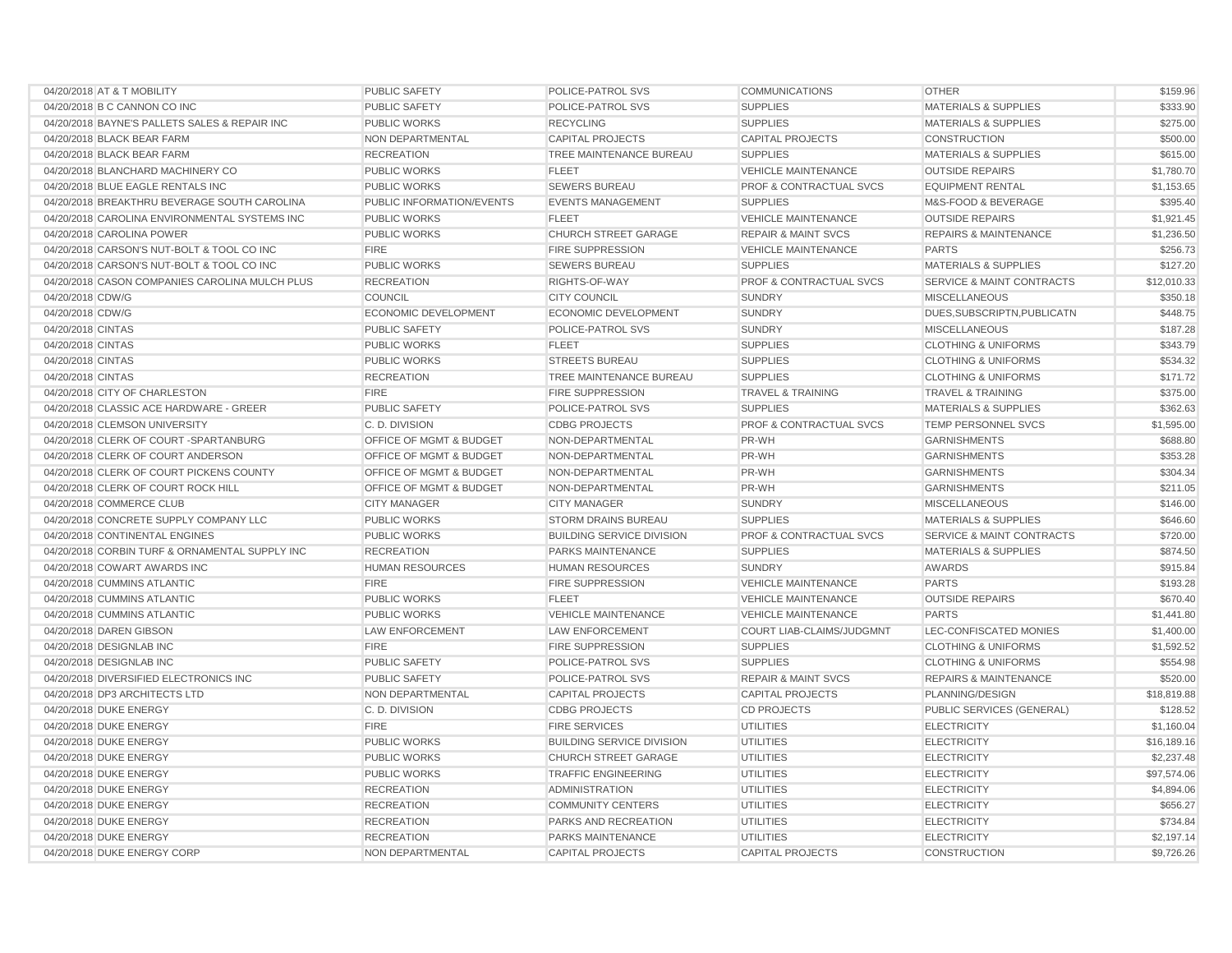| 04/20/2018 AT & T MOBILITY                     | <b>PUBLIC SAFETY</b>               | POLICE-PATROL SVS                | <b>COMMUNICATIONS</b>              | <b>OTHER</b>                         | \$159.96    |
|------------------------------------------------|------------------------------------|----------------------------------|------------------------------------|--------------------------------------|-------------|
| 04/20/2018 B C CANNON CO INC                   | <b>PUBLIC SAFETY</b>               | POLICE-PATROL SVS                | <b>SUPPLIES</b>                    | <b>MATERIALS &amp; SUPPLIES</b>      | \$333.90    |
| 04/20/2018 BAYNE'S PALLETS SALES & REPAIR INC  | PUBLIC WORKS                       | <b>RECYCLING</b>                 | <b>SUPPLIES</b>                    | <b>MATERIALS &amp; SUPPLIES</b>      | \$275.00    |
| 04/20/2018 BLACK BEAR FARM                     | NON DEPARTMENTAL                   | <b>CAPITAL PROJECTS</b>          | <b>CAPITAL PROJECTS</b>            | <b>CONSTRUCTION</b>                  | \$500.00    |
| 04/20/2018 BLACK BEAR FARM                     | <b>RECREATION</b>                  | TREE MAINTENANCE BUREAU          | <b>SUPPLIES</b>                    | <b>MATERIALS &amp; SUPPLIES</b>      | \$615.00    |
| 04/20/2018 BLANCHARD MACHINERY CO              | <b>PUBLIC WORKS</b>                | <b>FLEET</b>                     | <b>VEHICLE MAINTENANCE</b>         | <b>OUTSIDE REPAIRS</b>               | \$1,780.70  |
| 04/20/2018 BLUE EAGLE RENTALS INC              | <b>PUBLIC WORKS</b>                | <b>SEWERS BUREAU</b>             | <b>PROF &amp; CONTRACTUAL SVCS</b> | <b>EQUIPMENT RENTAL</b>              | \$1,153.65  |
| 04/20/2018 BREAKTHRU BEVERAGE SOUTH CAROLINA   | PUBLIC INFORMATION/EVENTS          | <b>EVENTS MANAGEMENT</b>         | <b>SUPPLIES</b>                    | M&S-FOOD & BEVERAGE                  | \$395.40    |
| 04/20/2018 CAROLINA ENVIRONMENTAL SYSTEMS INC  | <b>PUBLIC WORKS</b>                | <b>FLEET</b>                     | <b>VEHICLE MAINTENANCE</b>         | <b>OUTSIDE REPAIRS</b>               | \$1,921.45  |
| 04/20/2018 CAROLINA POWER                      | PUBLIC WORKS                       | <b>CHURCH STREET GARAGE</b>      | <b>REPAIR &amp; MAINT SVCS</b>     | <b>REPAIRS &amp; MAINTENANCE</b>     | \$1,236.50  |
| 04/20/2018 CARSON'S NUT-BOLT & TOOL CO INC     | <b>FIRE</b>                        | <b>FIRE SUPPRESSION</b>          | <b>VEHICLE MAINTENANCE</b>         | <b>PARTS</b>                         | \$256.73    |
| 04/20/2018 CARSON'S NUT-BOLT & TOOL CO INC     | PUBLIC WORKS                       | <b>SEWERS BUREAU</b>             | <b>SUPPLIES</b>                    | <b>MATERIALS &amp; SUPPLIES</b>      | \$127.20    |
| 04/20/2018 CASON COMPANIES CAROLINA MULCH PLUS | <b>RECREATION</b>                  | RIGHTS-OF-WAY                    | <b>PROF &amp; CONTRACTUAL SVCS</b> | <b>SERVICE &amp; MAINT CONTRACTS</b> | \$12,010.33 |
| 04/20/2018 CDW/G                               | COUNCIL                            | <b>CITY COUNCIL</b>              | <b>SUNDRY</b>                      | <b>MISCELLANEOUS</b>                 | \$350.18    |
| 04/20/2018 CDW/G                               | <b>ECONOMIC DEVELOPMENT</b>        | <b>ECONOMIC DEVELOPMENT</b>      | <b>SUNDRY</b>                      | DUES, SUBSCRIPTN, PUBLICATN          | \$448.75    |
| 04/20/2018 CINTAS                              | <b>PUBLIC SAFETY</b>               | POLICE-PATROL SVS                | <b>SUNDRY</b>                      | <b>MISCELLANEOUS</b>                 | \$187.28    |
| 04/20/2018 CINTAS                              | <b>PUBLIC WORKS</b>                | <b>FLEET</b>                     | <b>SUPPLIES</b>                    | <b>CLOTHING &amp; UNIFORMS</b>       | \$343.79    |
| 04/20/2018 CINTAS                              | <b>PUBLIC WORKS</b>                | <b>STREETS BUREAU</b>            | <b>SUPPLIES</b>                    | <b>CLOTHING &amp; UNIFORMS</b>       | \$534.32    |
| 04/20/2018 CINTAS                              | <b>RECREATION</b>                  | TREE MAINTENANCE BUREAU          | <b>SUPPLIES</b>                    | <b>CLOTHING &amp; UNIFORMS</b>       | \$171.72    |
| 04/20/2018 CITY OF CHARLESTON                  | <b>FIRE</b>                        | <b>FIRE SUPPRESSION</b>          | <b>TRAVEL &amp; TRAINING</b>       | <b>TRAVEL &amp; TRAINING</b>         | \$375.00    |
| 04/20/2018 CLASSIC ACE HARDWARE - GREER        | <b>PUBLIC SAFETY</b>               | POLICE-PATROL SVS                | <b>SUPPLIES</b>                    | <b>MATERIALS &amp; SUPPLIES</b>      | \$362.63    |
| 04/20/2018 CLEMSON UNIVERSITY                  | C. D. DIVISION                     | <b>CDBG PROJECTS</b>             | PROF & CONTRACTUAL SVCS            | TEMP PERSONNEL SVCS                  | \$1,595.00  |
| 04/20/2018 CLERK OF COURT -SPARTANBURG         | OFFICE OF MGMT & BUDGET            | NON-DEPARTMENTAL                 | PR-WH                              | <b>GARNISHMENTS</b>                  | \$688.80    |
| 04/20/2018 CLERK OF COURT ANDERSON             | OFFICE OF MGMT & BUDGET            | NON-DEPARTMENTAL                 | PR-WH                              | <b>GARNISHMENTS</b>                  | \$353.28    |
| 04/20/2018 CLERK OF COURT PICKENS COUNTY       | <b>OFFICE OF MGMT &amp; BUDGET</b> | NON-DEPARTMENTAL                 | PR-WH                              | <b>GARNISHMENTS</b>                  | \$304.34    |
| 04/20/2018 CLERK OF COURT ROCK HILL            | OFFICE OF MGMT & BUDGET            | NON-DEPARTMENTAL                 | PR-WH                              | <b>GARNISHMENTS</b>                  | \$211.05    |
| 04/20/2018 COMMERCE CLUB                       | <b>CITY MANAGER</b>                | <b>CITY MANAGER</b>              | <b>SUNDRY</b>                      | <b>MISCELLANEOUS</b>                 | \$146.00    |
| 04/20/2018 CONCRETE SUPPLY COMPANY LLC         | <b>PUBLIC WORKS</b>                | STORM DRAINS BUREAU              | <b>SUPPLIES</b>                    | <b>MATERIALS &amp; SUPPLIES</b>      | \$646.60    |
| 04/20/2018 CONTINENTAL ENGINES                 | <b>PUBLIC WORKS</b>                | <b>BUILDING SERVICE DIVISION</b> | <b>PROF &amp; CONTRACTUAL SVCS</b> | <b>SERVICE &amp; MAINT CONTRACTS</b> | \$720.00    |
| 04/20/2018 CORBIN TURF & ORNAMENTAL SUPPLY INC | <b>RECREATION</b>                  | PARKS MAINTENANCE                | <b>SUPPLIES</b>                    | <b>MATERIALS &amp; SUPPLIES</b>      | \$874.50    |
| 04/20/2018 COWART AWARDS INC                   | <b>HUMAN RESOURCES</b>             | <b>HUMAN RESOURCES</b>           | <b>SUNDRY</b>                      | <b>AWARDS</b>                        | \$915.84    |
| 04/20/2018 CUMMINS ATLANTIC                    | <b>FIRE</b>                        | <b>FIRE SUPPRESSION</b>          | <b>VEHICLE MAINTENANCE</b>         | <b>PARTS</b>                         | \$193.28    |
| 04/20/2018 CUMMINS ATLANTIC                    | <b>PUBLIC WORKS</b>                | <b>FLEET</b>                     | <b>VEHICLE MAINTENANCE</b>         | <b>OUTSIDE REPAIRS</b>               | \$670.40    |
| 04/20/2018 CUMMINS ATLANTIC                    | <b>PUBLIC WORKS</b>                | <b>VEHICLE MAINTENANCE</b>       | <b>VEHICLE MAINTENANCE</b>         | <b>PARTS</b>                         | \$1,441.80  |
| 04/20/2018 DAREN GIBSON                        | <b>LAW ENFORCEMENT</b>             | <b>LAW ENFORCEMENT</b>           | COURT LIAB-CLAIMS/JUDGMNT          | LEC-CONFISCATED MONIES               | \$1,400.00  |
| 04/20/2018 DESIGNLAB INC                       | <b>FIRE</b>                        | <b>FIRE SUPPRESSION</b>          | <b>SUPPLIES</b>                    | <b>CLOTHING &amp; UNIFORMS</b>       | \$1,592.52  |
| 04/20/2018 DESIGNLAB INC                       | PUBLIC SAFETY                      | POLICE-PATROL SVS                | <b>SUPPLIES</b>                    | <b>CLOTHING &amp; UNIFORMS</b>       | \$554.98    |
| 04/20/2018 DIVERSIFIED ELECTRONICS INC         | PUBLIC SAFETY                      | POLICE-PATROL SVS                | <b>REPAIR &amp; MAINT SVCS</b>     | <b>REPAIRS &amp; MAINTENANCE</b>     | \$520.00    |
| 04/20/2018 DP3 ARCHITECTS LTD                  | NON DEPARTMENTAL                   | <b>CAPITAL PROJECTS</b>          | <b>CAPITAL PROJECTS</b>            | PLANNING/DESIGN                      | \$18,819.88 |
| 04/20/2018 DUKE ENERGY                         | C. D. DIVISION                     | <b>CDBG PROJECTS</b>             | <b>CD PROJECTS</b>                 | PUBLIC SERVICES (GENERAL)            | \$128.52    |
| 04/20/2018 DUKE ENERGY                         | <b>FIRE</b>                        | <b>FIRE SERVICES</b>             | <b>UTILITIES</b>                   | <b>ELECTRICITY</b>                   | \$1,160.04  |
| 04/20/2018 DUKE ENERGY                         | <b>PUBLIC WORKS</b>                | <b>BUILDING SERVICE DIVISION</b> | <b>UTILITIES</b>                   | <b>ELECTRICITY</b>                   | \$16,189.16 |
| 04/20/2018 DUKE ENERGY                         | PUBLIC WORKS                       | <b>CHURCH STREET GARAGE</b>      | <b>UTILITIES</b>                   | <b>ELECTRICITY</b>                   | \$2,237.48  |
| 04/20/2018 DUKE ENERGY                         | <b>PUBLIC WORKS</b>                | <b>TRAFFIC ENGINEERING</b>       | <b>UTILITIES</b>                   | <b>ELECTRICITY</b>                   | \$97,574.06 |
| 04/20/2018 DUKE ENERGY                         | <b>RECREATION</b>                  | <b>ADMINISTRATION</b>            | <b>UTILITIES</b>                   | <b>ELECTRICITY</b>                   | \$4,894.06  |
| 04/20/2018 DUKE ENERGY                         | <b>RECREATION</b>                  | <b>COMMUNITY CENTERS</b>         | <b>UTILITIES</b>                   | <b>ELECTRICITY</b>                   | \$656.27    |
| 04/20/2018 DUKE ENERGY                         | <b>RECREATION</b>                  | PARKS AND RECREATION             | <b>UTILITIES</b>                   | <b>ELECTRICITY</b>                   | \$734.84    |
| 04/20/2018 DUKE ENERGY                         | <b>RECREATION</b>                  | PARKS MAINTENANCE                | <b>UTILITIES</b>                   | <b>ELECTRICITY</b>                   | \$2,197.14  |
| 04/20/2018 DUKE ENERGY CORP                    | <b>NON DEPARTMENTAL</b>            | <b>CAPITAL PROJECTS</b>          | <b>CAPITAL PROJECTS</b>            | <b>CONSTRUCTION</b>                  | \$9,726.26  |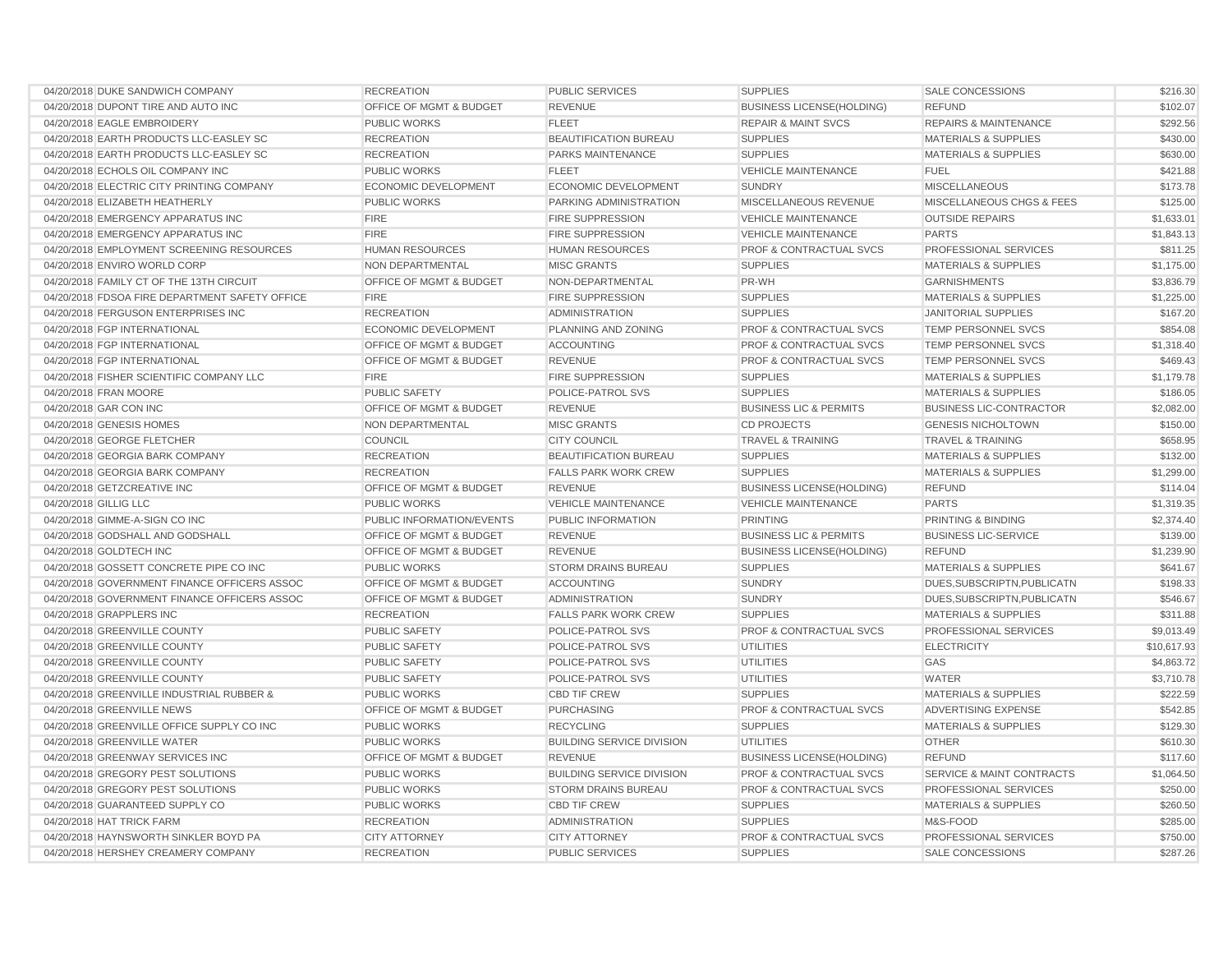| 04/20/2018 DUKE SANDWICH COMPANY               | <b>RECREATION</b>                  | <b>PUBLIC SERVICES</b>           | <b>SUPPLIES</b>                    | <b>SALE CONCESSIONS</b>              | \$216.30    |
|------------------------------------------------|------------------------------------|----------------------------------|------------------------------------|--------------------------------------|-------------|
| 04/20/2018 DUPONT TIRE AND AUTO INC            | OFFICE OF MGMT & BUDGET            | <b>REVENUE</b>                   | <b>BUSINESS LICENSE(HOLDING)</b>   | <b>REFUND</b>                        | \$102.07    |
| 04/20/2018 EAGLE EMBROIDERY                    | <b>PUBLIC WORKS</b>                | <b>FLEET</b>                     | <b>REPAIR &amp; MAINT SVCS</b>     | <b>REPAIRS &amp; MAINTENANCE</b>     | \$292.56    |
| 04/20/2018 EARTH PRODUCTS LLC-EASLEY SC        | <b>RECREATION</b>                  | BEAUTIFICATION BUREAU            | <b>SUPPLIES</b>                    | <b>MATERIALS &amp; SUPPLIES</b>      | \$430.00    |
| 04/20/2018 EARTH PRODUCTS LLC-EASLEY SC        | <b>RECREATION</b>                  | <b>PARKS MAINTENANCE</b>         | <b>SUPPLIES</b>                    | <b>MATERIALS &amp; SUPPLIES</b>      | \$630.00    |
| 04/20/2018 ECHOLS OIL COMPANY INC              | PUBLIC WORKS                       | <b>FLEET</b>                     | VEHICLE MAINTENANCE                | <b>FUEL</b>                          | \$421.88    |
| 04/20/2018 ELECTRIC CITY PRINTING COMPANY      | <b>ECONOMIC DEVELOPMENT</b>        | ECONOMIC DEVELOPMENT             | <b>SUNDRY</b>                      | <b>MISCELLANEOUS</b>                 | \$173.78    |
| 04/20/2018 ELIZABETH HEATHERLY                 | <b>PUBLIC WORKS</b>                | PARKING ADMINISTRATION           | MISCELLANEOUS REVENUE              | MISCELLANEOUS CHGS & FEES            | \$125.00    |
| 04/20/2018 EMERGENCY APPARATUS INC             | <b>FIRE</b>                        | <b>FIRE SUPPRESSION</b>          | <b>VEHICLE MAINTENANCE</b>         | <b>OUTSIDE REPAIRS</b>               | \$1,633.01  |
| 04/20/2018 EMERGENCY APPARATUS INC             | <b>FIRE</b>                        | <b>FIRE SUPPRESSION</b>          | <b>VEHICLE MAINTENANCE</b>         | <b>PARTS</b>                         | \$1,843.13  |
| 04/20/2018 EMPLOYMENT SCREENING RESOURCES      | <b>HUMAN RESOURCES</b>             | <b>HUMAN RESOURCES</b>           | <b>PROF &amp; CONTRACTUAL SVCS</b> | <b>PROFESSIONAL SERVICES</b>         | \$811.25    |
| 04/20/2018 ENVIRO WORLD CORP                   | <b>NON DEPARTMENTAL</b>            | <b>MISC GRANTS</b>               | <b>SUPPLIES</b>                    | <b>MATERIALS &amp; SUPPLIES</b>      | \$1,175.00  |
| 04/20/2018 FAMILY CT OF THE 13TH CIRCUIT       | <b>OFFICE OF MGMT &amp; BUDGET</b> | NON-DEPARTMENTAL                 | PR-WH                              | <b>GARNISHMENTS</b>                  | \$3,836.79  |
| 04/20/2018 FDSOA FIRE DEPARTMENT SAFETY OFFICE | <b>FIRE</b>                        | <b>FIRE SUPPRESSION</b>          | <b>SUPPLIES</b>                    | <b>MATERIALS &amp; SUPPLIES</b>      | \$1,225.00  |
| 04/20/2018 FERGUSON ENTERPRISES INC            | <b>RECREATION</b>                  | <b>ADMINISTRATION</b>            | <b>SUPPLIES</b>                    | <b>JANITORIAL SUPPLIES</b>           | \$167.20    |
| 04/20/2018 FGP INTERNATIONAL                   | ECONOMIC DEVELOPMENT               | PLANNING AND ZONING              | <b>PROF &amp; CONTRACTUAL SVCS</b> | TEMP PERSONNEL SVCS                  | \$854.08    |
| 04/20/2018 FGP INTERNATIONAL                   | OFFICE OF MGMT & BUDGET            | ACCOUNTING                       | <b>PROF &amp; CONTRACTUAL SVCS</b> | TEMP PERSONNEL SVCS                  | \$1,318.40  |
| 04/20/2018 FGP INTERNATIONAL                   | OFFICE OF MGMT & BUDGET            | <b>REVENUE</b>                   | <b>PROF &amp; CONTRACTUAL SVCS</b> | TEMP PERSONNEL SVCS                  | \$469.43    |
| 04/20/2018 FISHER SCIENTIFIC COMPANY LLC       | <b>FIRE</b>                        | FIRE SUPPRESSION                 | <b>SUPPLIES</b>                    | <b>MATERIALS &amp; SUPPLIES</b>      | \$1,179.78  |
| 04/20/2018 FRAN MOORE                          | PUBLIC SAFETY                      | POLICE-PATROL SVS                | <b>SUPPLIES</b>                    | <b>MATERIALS &amp; SUPPLIES</b>      | \$186.05    |
| 04/20/2018 GAR CON INC                         | OFFICE OF MGMT & BUDGET            | <b>REVENUE</b>                   | <b>BUSINESS LIC &amp; PERMITS</b>  | <b>BUSINESS LIC-CONTRACTOR</b>       | \$2,082.00  |
| 04/20/2018 GENESIS HOMES                       | NON DEPARTMENTAL                   | <b>MISC GRANTS</b>               | <b>CD PROJECTS</b>                 | <b>GENESIS NICHOLTOWN</b>            | \$150.00    |
| 04/20/2018 GEORGE FLETCHER                     | COUNCIL                            | <b>CITY COUNCIL</b>              | <b>TRAVEL &amp; TRAINING</b>       | <b>TRAVEL &amp; TRAINING</b>         | \$658.95    |
| 04/20/2018 GEORGIA BARK COMPANY                | <b>RECREATION</b>                  | <b>BEAUTIFICATION BUREAU</b>     | <b>SUPPLIES</b>                    | <b>MATERIALS &amp; SUPPLIES</b>      | \$132.00    |
| 04/20/2018 GEORGIA BARK COMPANY                | <b>RECREATION</b>                  | <b>FALLS PARK WORK CREW</b>      | <b>SUPPLIES</b>                    | <b>MATERIALS &amp; SUPPLIES</b>      | \$1,299.00  |
| 04/20/2018 GETZCREATIVE INC                    | <b>OFFICE OF MGMT &amp; BUDGET</b> | <b>REVENUE</b>                   | <b>BUSINESS LICENSE(HOLDING)</b>   | <b>REFUND</b>                        | \$114.04    |
| 04/20/2018 GILLIG LLC                          | <b>PUBLIC WORKS</b>                | <b>VEHICLE MAINTENANCE</b>       | <b>VEHICLE MAINTENANCE</b>         | <b>PARTS</b>                         | \$1,319.35  |
| 04/20/2018 GIMME-A-SIGN CO INC                 | PUBLIC INFORMATION/EVENTS          | PUBLIC INFORMATION               | <b>PRINTING</b>                    | PRINTING & BINDING                   | \$2,374.40  |
| 04/20/2018 GODSHALL AND GODSHALL               | <b>OFFICE OF MGMT &amp; BUDGET</b> | <b>REVENUE</b>                   | <b>BUSINESS LIC &amp; PERMITS</b>  | <b>BUSINESS LIC-SERVICE</b>          | \$139.00    |
| 04/20/2018 GOLDTECH INC                        | OFFICE OF MGMT & BUDGET            | <b>REVENUE</b>                   | <b>BUSINESS LICENSE(HOLDING)</b>   | <b>REFUND</b>                        | \$1,239.90  |
| 04/20/2018 GOSSETT CONCRETE PIPE CO INC        | <b>PUBLIC WORKS</b>                | <b>STORM DRAINS BUREAU</b>       | <b>SUPPLIES</b>                    | <b>MATERIALS &amp; SUPPLIES</b>      | \$641.67    |
| 04/20/2018 GOVERNMENT FINANCE OFFICERS ASSOC   | OFFICE OF MGMT & BUDGET            | ACCOUNTING                       | <b>SUNDRY</b>                      | DUES, SUBSCRIPTN, PUBLICATN          | \$198.33    |
| 04/20/2018 GOVERNMENT FINANCE OFFICERS ASSOC   | OFFICE OF MGMT & BUDGET            | <b>ADMINISTRATION</b>            | <b>SUNDRY</b>                      | DUES, SUBSCRIPTN, PUBLICATN          | \$546.67    |
| 04/20/2018 GRAPPLERS INC                       | <b>RECREATION</b>                  | <b>FALLS PARK WORK CREW</b>      | <b>SUPPLIES</b>                    | <b>MATERIALS &amp; SUPPLIES</b>      | \$311.88    |
| 04/20/2018 GREENVILLE COUNTY                   | PUBLIC SAFETY                      | POLICE-PATROL SVS                | PROF & CONTRACTUAL SVCS            | PROFESSIONAL SERVICES                | \$9,013.49  |
| 04/20/2018 GREENVILLE COUNTY                   | PUBLIC SAFETY                      | POLICE-PATROL SVS                | <b>UTILITIES</b>                   | <b>ELECTRICITY</b>                   | \$10,617.93 |
| 04/20/2018 GREENVILLE COUNTY                   | <b>PUBLIC SAFETY</b>               | POLICE-PATROL SVS                | <b>UTILITIES</b>                   | GAS                                  | \$4,863.72  |
| 04/20/2018 GREENVILLE COUNTY                   | <b>PUBLIC SAFETY</b>               | POLICE-PATROL SVS                | <b>UTILITIES</b>                   | <b>WATER</b>                         | \$3,710.78  |
| 04/20/2018 GREENVILLE INDUSTRIAL RUBBER &      | <b>PUBLIC WORKS</b>                | <b>CBD TIF CREW</b>              | <b>SUPPLIES</b>                    | <b>MATERIALS &amp; SUPPLIES</b>      | \$222.59    |
| 04/20/2018 GREENVILLE NEWS                     | <b>OFFICE OF MGMT &amp; BUDGET</b> | <b>PURCHASING</b>                | <b>PROF &amp; CONTRACTUAL SVCS</b> | ADVERTISING EXPENSE                  | \$542.85    |
| 04/20/2018 GREENVILLE OFFICE SUPPLY CO INC     | <b>PUBLIC WORKS</b>                | <b>RECYCLING</b>                 | <b>SUPPLIES</b>                    | <b>MATERIALS &amp; SUPPLIES</b>      | \$129.30    |
| 04/20/2018 GREENVILLE WATER                    | <b>PUBLIC WORKS</b>                | <b>BUILDING SERVICE DIVISION</b> | <b>UTILITIES</b>                   | <b>OTHER</b>                         | \$610.30    |
| 04/20/2018 GREENWAY SERVICES INC               | <b>OFFICE OF MGMT &amp; BUDGET</b> | <b>REVENUE</b>                   | <b>BUSINESS LICENSE(HOLDING)</b>   | <b>REFUND</b>                        | \$117.60    |
| 04/20/2018 GREGORY PEST SOLUTIONS              | <b>PUBLIC WORKS</b>                | <b>BUILDING SERVICE DIVISION</b> | PROF & CONTRACTUAL SVCS            | <b>SERVICE &amp; MAINT CONTRACTS</b> | \$1,064.50  |
| 04/20/2018 GREGORY PEST SOLUTIONS              | PUBLIC WORKS                       | <b>STORM DRAINS BUREAU</b>       | PROF & CONTRACTUAL SVCS            | PROFESSIONAL SERVICES                | \$250.00    |
| 04/20/2018 GUARANTEED SUPPLY CO                | PUBLIC WORKS                       | <b>CBD TIF CREW</b>              | <b>SUPPLIES</b>                    | <b>MATERIALS &amp; SUPPLIES</b>      | \$260.50    |
| 04/20/2018 HAT TRICK FARM                      | <b>RECREATION</b>                  | <b>ADMINISTRATION</b>            | <b>SUPPLIES</b>                    | M&S-FOOD                             | \$285.00    |
| 04/20/2018 HAYNSWORTH SINKLER BOYD PA          | <b>CITY ATTORNEY</b>               | <b>CITY ATTORNEY</b>             | PROF & CONTRACTUAL SVCS            | PROFESSIONAL SERVICES                | \$750.00    |
| 04/20/2018 HERSHEY CREAMERY COMPANY            | <b>RECREATION</b>                  | <b>PUBLIC SERVICES</b>           | <b>SUPPLIES</b>                    | SALE CONCESSIONS                     | \$287.26    |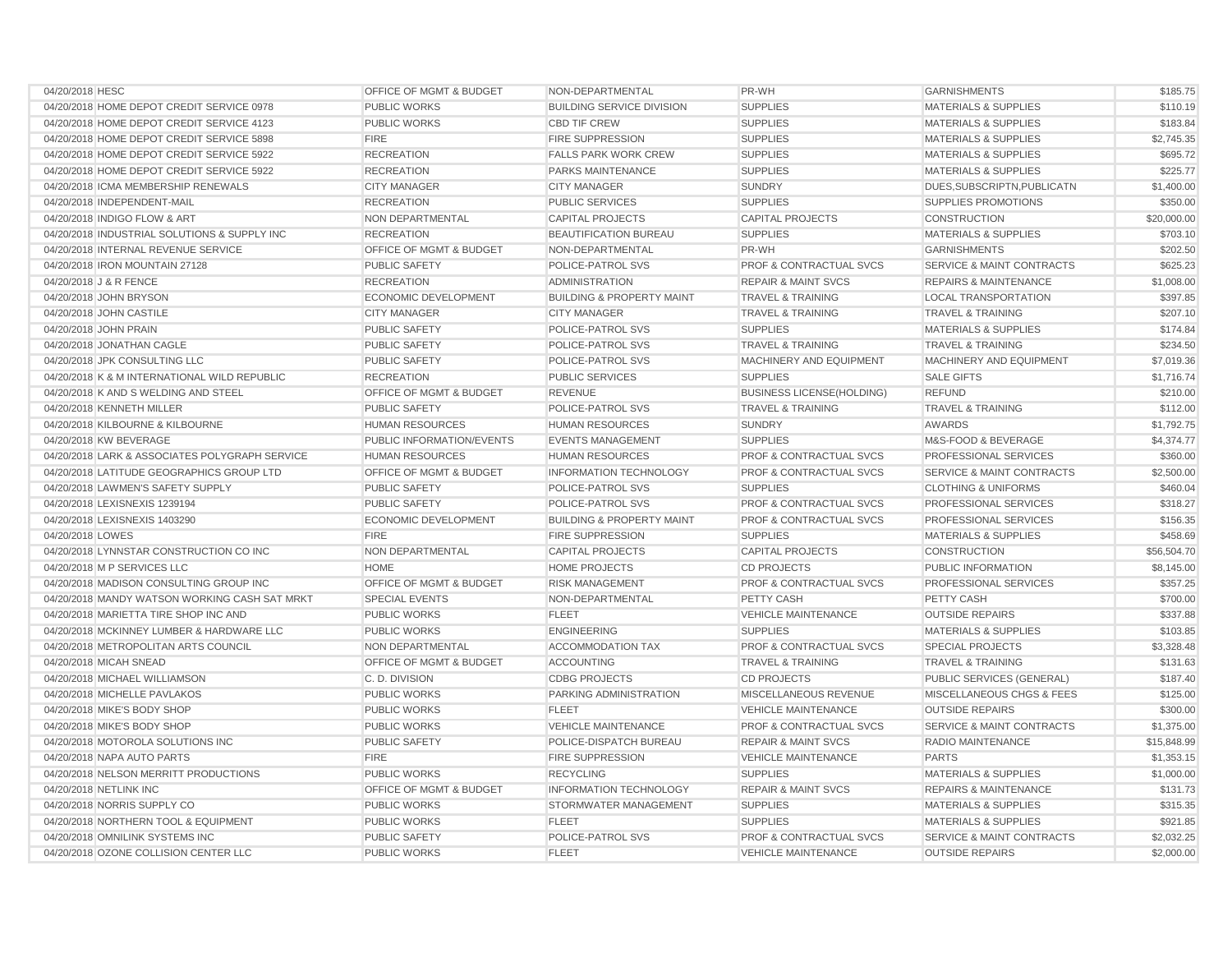| 04/20/2018 HESC                                | <b>OFFICE OF MGMT &amp; BUDGET</b> | NON-DEPARTMENTAL                     | PR-WH                              | <b>GARNISHMENTS</b>                  | \$185.75    |
|------------------------------------------------|------------------------------------|--------------------------------------|------------------------------------|--------------------------------------|-------------|
| 04/20/2018 HOME DEPOT CREDIT SERVICE 0978      | <b>PUBLIC WORKS</b>                | <b>BUILDING SERVICE DIVISION</b>     | <b>SUPPLIES</b>                    | MATERIALS & SUPPLIES                 | \$110.19    |
| 04/20/2018 HOME DEPOT CREDIT SERVICE 4123      | <b>PUBLIC WORKS</b>                | <b>CBD TIF CREW</b>                  | <b>SUPPLIES</b>                    | <b>MATERIALS &amp; SUPPLIES</b>      | \$183.84    |
| 04/20/2018 HOME DEPOT CREDIT SERVICE 5898      | <b>FIRE</b>                        | <b>FIRE SUPPRESSION</b>              | <b>SUPPLIES</b>                    | <b>MATERIALS &amp; SUPPLIES</b>      | \$2,745.35  |
| 04/20/2018 HOME DEPOT CREDIT SERVICE 5922      | <b>RECREATION</b>                  | <b>FALLS PARK WORK CREW</b>          | <b>SUPPLIES</b>                    | <b>MATERIALS &amp; SUPPLIES</b>      | \$695.72    |
| 04/20/2018 HOME DEPOT CREDIT SERVICE 5922      | <b>RECREATION</b>                  | <b>PARKS MAINTENANCE</b>             | <b>SUPPLIES</b>                    | <b>MATERIALS &amp; SUPPLIES</b>      | \$225.77    |
| 04/20/2018 ICMA MEMBERSHIP RENEWALS            | <b>CITY MANAGER</b>                | <b>CITY MANAGER</b>                  | <b>SUNDRY</b>                      | DUES, SUBSCRIPTN, PUBLICATN          | \$1,400.00  |
| 04/20/2018 INDEPENDENT-MAIL                    | <b>RECREATION</b>                  | <b>PUBLIC SERVICES</b>               | <b>SUPPLIES</b>                    | <b>SUPPLIES PROMOTIONS</b>           | \$350.00    |
| 04/20/2018 INDIGO FLOW & ART                   | NON DEPARTMENTAL                   | <b>CAPITAL PROJECTS</b>              | <b>CAPITAL PROJECTS</b>            | <b>CONSTRUCTION</b>                  | \$20,000.00 |
| 04/20/2018 INDUSTRIAL SOLUTIONS & SUPPLY INC   | <b>RECREATION</b>                  | <b>BEAUTIFICATION BUREAU</b>         | <b>SUPPLIES</b>                    | <b>MATERIALS &amp; SUPPLIES</b>      | \$703.10    |
| 04/20/2018 INTERNAL REVENUE SERVICE            | OFFICE OF MGMT & BUDGET            | NON-DEPARTMENTAL                     | PR-WH                              | <b>GARNISHMENTS</b>                  | \$202.50    |
| 04/20/2018 IRON MOUNTAIN 27128                 | <b>PUBLIC SAFETY</b>               | POLICE-PATROL SVS                    | <b>PROF &amp; CONTRACTUAL SVCS</b> | <b>SERVICE &amp; MAINT CONTRACTS</b> | \$625.23    |
| 04/20/2018 J & R FENCE                         | <b>RECREATION</b>                  | <b>ADMINISTRATION</b>                | <b>REPAIR &amp; MAINT SVCS</b>     | <b>REPAIRS &amp; MAINTENANCE</b>     | \$1,008.00  |
| 04/20/2018 JOHN BRYSON                         | ECONOMIC DEVELOPMENT               | <b>BUILDING &amp; PROPERTY MAINT</b> | <b>TRAVEL &amp; TRAINING</b>       | <b>LOCAL TRANSPORTATION</b>          | \$397.85    |
| 04/20/2018 JOHN CASTILE                        | <b>CITY MANAGER</b>                | <b>CITY MANAGER</b>                  | <b>TRAVEL &amp; TRAINING</b>       | <b>TRAVEL &amp; TRAINING</b>         | \$207.10    |
| 04/20/2018 JOHN PRAIN                          | PUBLIC SAFETY                      | POLICE-PATROL SVS                    | <b>SUPPLIES</b>                    | <b>MATERIALS &amp; SUPPLIES</b>      | \$174.84    |
| 04/20/2018 JONATHAN CAGLE                      | PUBLIC SAFETY                      | POLICE-PATROL SVS                    | <b>TRAVEL &amp; TRAINING</b>       | <b>TRAVEL &amp; TRAINING</b>         | \$234.50    |
| 04/20/2018 JPK CONSULTING LLC                  | PUBLIC SAFETY                      | POLICE-PATROL SVS                    | MACHINERY AND EQUIPMENT            | MACHINERY AND EQUIPMENT              | \$7,019.36  |
| 04/20/2018 K & M INTERNATIONAL WILD REPUBLIC   | <b>RECREATION</b>                  | <b>PUBLIC SERVICES</b>               | <b>SUPPLIES</b>                    | <b>SALE GIFTS</b>                    | \$1,716.74  |
| 04/20/2018 K AND S WELDING AND STEEL           | OFFICE OF MGMT & BUDGET            | <b>REVENUE</b>                       | <b>BUSINESS LICENSE(HOLDING)</b>   | <b>REFUND</b>                        | \$210.00    |
| 04/20/2018 KENNETH MILLER                      | <b>PUBLIC SAFETY</b>               | POLICE-PATROL SVS                    | <b>TRAVEL &amp; TRAINING</b>       | <b>TRAVEL &amp; TRAINING</b>         | \$112.00    |
| 04/20/2018 KILBOURNE & KILBOURNE               | <b>HUMAN RESOURCES</b>             | <b>HUMAN RESOURCES</b>               | <b>SUNDRY</b>                      | <b>AWARDS</b>                        | \$1,792.75  |
| 04/20/2018 KW BEVERAGE                         | PUBLIC INFORMATION/EVENTS          | <b>EVENTS MANAGEMENT</b>             | <b>SUPPLIES</b>                    | M&S-FOOD & BEVERAGE                  | \$4,374.77  |
| 04/20/2018 LARK & ASSOCIATES POLYGRAPH SERVICE | <b>HUMAN RESOURCES</b>             | <b>HUMAN RESOURCES</b>               | <b>PROF &amp; CONTRACTUAL SVCS</b> | PROFESSIONAL SERVICES                | \$360.00    |
| 04/20/2018 LATITUDE GEOGRAPHICS GROUP LTD      | <b>OFFICE OF MGMT &amp; BUDGET</b> | <b>INFORMATION TECHNOLOGY</b>        | PROF & CONTRACTUAL SVCS            | <b>SERVICE &amp; MAINT CONTRACTS</b> | \$2,500.00  |
| 04/20/2018 LAWMEN'S SAFETY SUPPLY              | <b>PUBLIC SAFETY</b>               | POLICE-PATROL SVS                    | <b>SUPPLIES</b>                    | <b>CLOTHING &amp; UNIFORMS</b>       | \$460.04    |
| 04/20/2018 LEXISNEXIS 1239194                  | <b>PUBLIC SAFETY</b>               | POLICE-PATROL SVS                    | PROF & CONTRACTUAL SVCS            | PROFESSIONAL SERVICES                | \$318.27    |
| 04/20/2018 LEXISNEXIS 1403290                  | <b>ECONOMIC DEVELOPMENT</b>        | <b>BUILDING &amp; PROPERTY MAINT</b> | PROF & CONTRACTUAL SVCS            | PROFESSIONAL SERVICES                | \$156.35    |
| 04/20/2018 LOWES                               | <b>FIRE</b>                        | FIRE SUPPRESSION                     | <b>SUPPLIES</b>                    | <b>MATERIALS &amp; SUPPLIES</b>      | \$458.69    |
| 04/20/2018 LYNNSTAR CONSTRUCTION CO INC        | NON DEPARTMENTAL                   | <b>CAPITAL PROJECTS</b>              | <b>CAPITAL PROJECTS</b>            | <b>CONSTRUCTION</b>                  | \$56,504.70 |
| 04/20/2018 M P SERVICES LLC                    | <b>HOME</b>                        | <b>HOME PROJECTS</b>                 | <b>CD PROJECTS</b>                 | PUBLIC INFORMATION                   | \$8,145.00  |
| 04/20/2018 MADISON CONSULTING GROUP INC        | OFFICE OF MGMT & BUDGET            | <b>RISK MANAGEMENT</b>               | PROF & CONTRACTUAL SVCS            | PROFESSIONAL SERVICES                | \$357.25    |
| 04/20/2018 MANDY WATSON WORKING CASH SAT MRKT  | <b>SPECIAL EVENTS</b>              | NON-DEPARTMENTAL                     | PETTY CASH                         | PETTY CASH                           | \$700.00    |
| 04/20/2018 MARIETTA TIRE SHOP INC AND          | <b>PUBLIC WORKS</b>                | <b>FLEET</b>                         | <b>VEHICLE MAINTENANCE</b>         | <b>OUTSIDE REPAIRS</b>               | \$337.88    |
| 04/20/2018 MCKINNEY LUMBER & HARDWARE LLC      | <b>PUBLIC WORKS</b>                | <b>ENGINEERING</b>                   | <b>SUPPLIES</b>                    | <b>MATERIALS &amp; SUPPLIES</b>      | \$103.85    |
| 04/20/2018 METROPOLITAN ARTS COUNCIL           | NON DEPARTMENTAL                   | <b>ACCOMMODATION TAX</b>             | PROF & CONTRACTUAL SVCS            | <b>SPECIAL PROJECTS</b>              | \$3,328.48  |
| 04/20/2018 MICAH SNEAD                         | OFFICE OF MGMT & BUDGET            | <b>ACCOUNTING</b>                    | <b>TRAVEL &amp; TRAINING</b>       | <b>TRAVEL &amp; TRAINING</b>         | \$131.63    |
| 04/20/2018 MICHAEL WILLIAMSON                  | C. D. DIVISION                     | <b>CDBG PROJECTS</b>                 | <b>CD PROJECTS</b>                 | PUBLIC SERVICES (GENERAL)            | \$187.40    |
| 04/20/2018 MICHELLE PAVLAKOS                   | <b>PUBLIC WORKS</b>                | PARKING ADMINISTRATION               | MISCELLANEOUS REVENUE              | <b>MISCELLANEOUS CHGS &amp; FEES</b> | \$125.00    |
| 04/20/2018 MIKE'S BODY SHOP                    | <b>PUBLIC WORKS</b>                | <b>FLEET</b>                         | <b>VEHICLE MAINTENANCE</b>         | <b>OUTSIDE REPAIRS</b>               | \$300.00    |
| 04/20/2018 MIKE'S BODY SHOP                    | <b>PUBLIC WORKS</b>                | <b>VEHICLE MAINTENANCE</b>           | <b>PROF &amp; CONTRACTUAL SVCS</b> | <b>SERVICE &amp; MAINT CONTRACTS</b> | \$1,375.00  |
| 04/20/2018 MOTOROLA SOLUTIONS INC              | <b>PUBLIC SAFETY</b>               | POLICE-DISPATCH BUREAU               | <b>REPAIR &amp; MAINT SVCS</b>     | RADIO MAINTENANCE                    | \$15,848.99 |
| 04/20/2018 NAPA AUTO PARTS                     | <b>FIRE</b>                        | <b>FIRE SUPPRESSION</b>              | <b>VEHICLE MAINTENANCE</b>         | <b>PARTS</b>                         | \$1,353.15  |
| 04/20/2018 NELSON MERRITT PRODUCTIONS          | <b>PUBLIC WORKS</b>                | <b>RECYCLING</b>                     | <b>SUPPLIES</b>                    | <b>MATERIALS &amp; SUPPLIES</b>      | \$1,000.00  |
| 04/20/2018 NETLINK INC                         | OFFICE OF MGMT & BUDGET            | <b>INFORMATION TECHNOLOGY</b>        | <b>REPAIR &amp; MAINT SVCS</b>     | <b>REPAIRS &amp; MAINTENANCE</b>     | \$131.73    |
| 04/20/2018 NORRIS SUPPLY CO                    | <b>PUBLIC WORKS</b>                | STORMWATER MANAGEMENT                | <b>SUPPLIES</b>                    | <b>MATERIALS &amp; SUPPLIES</b>      | \$315.35    |
| 04/20/2018 NORTHERN TOOL & EQUIPMENT           | <b>PUBLIC WORKS</b>                | <b>FLEET</b>                         | <b>SUPPLIES</b>                    | <b>MATERIALS &amp; SUPPLIES</b>      | \$921.85    |
| 04/20/2018 OMNILINK SYSTEMS INC                | <b>PUBLIC SAFETY</b>               | POLICE-PATROL SVS                    | PROF & CONTRACTUAL SVCS            | SERVICE & MAINT CONTRACTS            | \$2,032.25  |
| 04/20/2018 OZONE COLLISION CENTER LLC          | <b>PUBLIC WORKS</b>                | <b>FLEET</b>                         | <b>VEHICLE MAINTENANCE</b>         | <b>OUTSIDE REPAIRS</b>               | \$2,000.00  |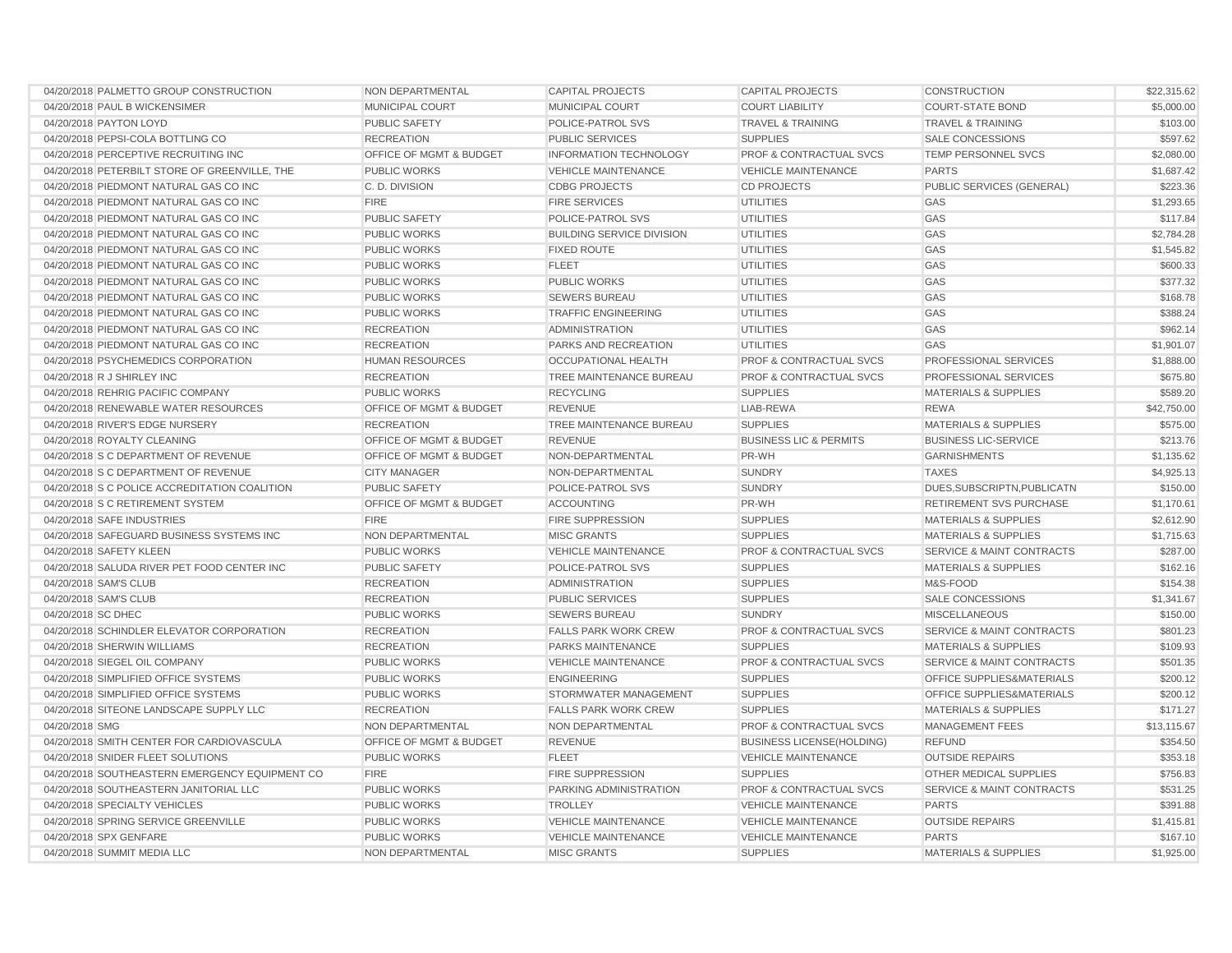| 04/20/2018 PALMETTO GROUP CONSTRUCTION         | NON DEPARTMENTAL        | <b>CAPITAL PROJECTS</b>          | <b>CAPITAL PROJECTS</b>            | <b>CONSTRUCTION</b>                  | \$22,315.62 |
|------------------------------------------------|-------------------------|----------------------------------|------------------------------------|--------------------------------------|-------------|
| 04/20/2018 PAUL B WICKENSIMER                  | MUNICIPAL COURT         | MUNICIPAL COURT                  | <b>COURT LIABILITY</b>             | <b>COURT-STATE BOND</b>              | \$5,000.00  |
| 04/20/2018 PAYTON LOYD                         | <b>PUBLIC SAFETY</b>    | POLICE-PATROL SVS                | <b>TRAVEL &amp; TRAINING</b>       | <b>TRAVEL &amp; TRAINING</b>         | \$103.00    |
| 04/20/2018 PEPSI-COLA BOTTLING CO              | <b>RECREATION</b>       | <b>PUBLIC SERVICES</b>           | <b>SUPPLIES</b>                    | SALE CONCESSIONS                     | \$597.62    |
| 04/20/2018 PERCEPTIVE RECRUITING INC           | OFFICE OF MGMT & BUDGET | <b>INFORMATION TECHNOLOGY</b>    | PROF & CONTRACTUAL SVCS            | TEMP PERSONNEL SVCS                  | \$2,080.00  |
| 04/20/2018 PETERBILT STORE OF GREENVILLE, THE  | <b>PUBLIC WORKS</b>     | <b>VEHICLE MAINTENANCE</b>       | <b>VEHICLE MAINTENANCE</b>         | <b>PARTS</b>                         | \$1,687.42  |
| 04/20/2018 PIEDMONT NATURAL GAS CO INC         | C. D. DIVISION          | <b>CDBG PROJECTS</b>             | <b>CD PROJECTS</b>                 | PUBLIC SERVICES (GENERAL)            | \$223.36    |
| 04/20/2018 PIEDMONT NATURAL GAS CO INC         | <b>FIRE</b>             | <b>FIRE SERVICES</b>             | <b>UTILITIES</b>                   | GAS                                  | \$1,293.65  |
| 04/20/2018 PIEDMONT NATURAL GAS CO INC         | <b>PUBLIC SAFETY</b>    | POLICE-PATROL SVS                | <b>UTILITIES</b>                   | GAS                                  | \$117.84    |
| 04/20/2018 PIEDMONT NATURAL GAS CO INC         | <b>PUBLIC WORKS</b>     | <b>BUILDING SERVICE DIVISION</b> | <b>UTILITIES</b>                   | GAS                                  | \$2,784.28  |
| 04/20/2018 PIEDMONT NATURAL GAS CO INC         | <b>PUBLIC WORKS</b>     | <b>FIXED ROUTE</b>               | <b>UTILITIES</b>                   | GAS                                  | \$1,545.82  |
| 04/20/2018 PIEDMONT NATURAL GAS CO INC         | <b>PUBLIC WORKS</b>     | <b>FLEET</b>                     | <b>UTILITIES</b>                   | GAS                                  | \$600.33    |
| 04/20/2018 PIEDMONT NATURAL GAS CO INC         | <b>PUBLIC WORKS</b>     | <b>PUBLIC WORKS</b>              | <b>UTILITIES</b>                   | GAS                                  | \$377.32    |
| 04/20/2018 PIEDMONT NATURAL GAS CO INC         | <b>PUBLIC WORKS</b>     | <b>SEWERS BUREAU</b>             | <b>UTILITIES</b>                   | GAS                                  | \$168.78    |
| 04/20/2018 PIEDMONT NATURAL GAS CO INC         | <b>PUBLIC WORKS</b>     | <b>TRAFFIC ENGINEERING</b>       | <b>UTILITIES</b>                   | GAS                                  | \$388.24    |
| 04/20/2018 PIEDMONT NATURAL GAS CO INC         | <b>RECREATION</b>       | <b>ADMINISTRATION</b>            | <b>UTILITIES</b>                   | GAS                                  | \$962.14    |
| 04/20/2018 PIEDMONT NATURAL GAS CO INC         | <b>RECREATION</b>       | PARKS AND RECREATION             | <b>UTILITIES</b>                   | GAS                                  | \$1,901.07  |
| 04/20/2018 PSYCHEMEDICS CORPORATION            | <b>HUMAN RESOURCES</b>  | OCCUPATIONAL HEALTH              | <b>PROF &amp; CONTRACTUAL SVCS</b> | <b>PROFESSIONAL SERVICES</b>         | \$1,888.00  |
| 04/20/2018 R J SHIRLEY INC                     | <b>RECREATION</b>       | TREE MAINTENANCE BUREAU          | <b>PROF &amp; CONTRACTUAL SVCS</b> | PROFESSIONAL SERVICES                | \$675.80    |
| 04/20/2018 REHRIG PACIFIC COMPANY              | <b>PUBLIC WORKS</b>     | <b>RECYCLING</b>                 | <b>SUPPLIES</b>                    | <b>MATERIALS &amp; SUPPLIES</b>      | \$589.20    |
| 04/20/2018 RENEWABLE WATER RESOURCES           | OFFICE OF MGMT & BUDGET | <b>REVENUE</b>                   | LIAB-REWA                          | <b>REWA</b>                          | \$42,750.00 |
| 04/20/2018 RIVER'S EDGE NURSERY                | <b>RECREATION</b>       | TREE MAINTENANCE BUREAU          | <b>SUPPLIES</b>                    | <b>MATERIALS &amp; SUPPLIES</b>      | \$575.00    |
| 04/20/2018 ROYALTY CLEANING                    | OFFICE OF MGMT & BUDGET | <b>REVENUE</b>                   | <b>BUSINESS LIC &amp; PERMITS</b>  | <b>BUSINESS LIC-SERVICE</b>          | \$213.76    |
| 04/20/2018 S C DEPARTMENT OF REVENUE           | OFFICE OF MGMT & BUDGET | NON-DEPARTMENTAL                 | PR-WH                              | <b>GARNISHMENTS</b>                  | \$1,135.62  |
| 04/20/2018 S C DEPARTMENT OF REVENUE           | <b>CITY MANAGER</b>     | NON-DEPARTMENTAL                 | <b>SUNDRY</b>                      | <b>TAXES</b>                         | \$4,925.13  |
| 04/20/2018 S C POLICE ACCREDITATION COALITION  | <b>PUBLIC SAFETY</b>    | POLICE-PATROL SVS                | <b>SUNDRY</b>                      | DUES, SUBSCRIPTN, PUBLICATN          | \$150.00    |
| 04/20/2018 S C RETIREMENT SYSTEM               | OFFICE OF MGMT & BUDGET | ACCOUNTING                       | PR-WH                              | RETIREMENT SVS PURCHASE              | \$1,170.61  |
| 04/20/2018 SAFE INDUSTRIES                     | <b>FIRE</b>             | <b>FIRE SUPPRESSION</b>          | <b>SUPPLIES</b>                    | <b>MATERIALS &amp; SUPPLIES</b>      | \$2,612.90  |
| 04/20/2018 SAFEGUARD BUSINESS SYSTEMS INC      | NON DEPARTMENTAL        | <b>MISC GRANTS</b>               | <b>SUPPLIES</b>                    | <b>MATERIALS &amp; SUPPLIES</b>      | \$1,715.63  |
| 04/20/2018 SAFETY KLEEN                        | <b>PUBLIC WORKS</b>     | <b>VEHICLE MAINTENANCE</b>       | PROF & CONTRACTUAL SVCS            | SERVICE & MAINT CONTRACTS            | \$287.00    |
| 04/20/2018 SALUDA RIVER PET FOOD CENTER INC    | PUBLIC SAFETY           | POLICE-PATROL SVS                | <b>SUPPLIES</b>                    | <b>MATERIALS &amp; SUPPLIES</b>      | \$162.16    |
| 04/20/2018 SAM'S CLUB                          | <b>RECREATION</b>       | <b>ADMINISTRATION</b>            | <b>SUPPLIES</b>                    | M&S-FOOD                             | \$154.38    |
| 04/20/2018 SAM'S CLUB                          | <b>RECREATION</b>       | <b>PUBLIC SERVICES</b>           | <b>SUPPLIES</b>                    | SALE CONCESSIONS                     | \$1,341.67  |
| 04/20/2018 SC DHEC                             | <b>PUBLIC WORKS</b>     | <b>SEWERS BUREAU</b>             | <b>SUNDRY</b>                      | <b>MISCELLANEOUS</b>                 | \$150.00    |
| 04/20/2018 SCHINDLER ELEVATOR CORPORATION      | <b>RECREATION</b>       | <b>FALLS PARK WORK CREW</b>      | <b>PROF &amp; CONTRACTUAL SVCS</b> | <b>SERVICE &amp; MAINT CONTRACTS</b> | \$801.23    |
| 04/20/2018 SHERWIN WILLIAMS                    | <b>RECREATION</b>       | PARKS MAINTENANCE                | <b>SUPPLIES</b>                    | <b>MATERIALS &amp; SUPPLIES</b>      | \$109.93    |
| 04/20/2018 SIEGEL OIL COMPANY                  | <b>PUBLIC WORKS</b>     | <b>VEHICLE MAINTENANCE</b>       | PROF & CONTRACTUAL SVCS            | SERVICE & MAINT CONTRACTS            | \$501.35    |
| 04/20/2018 SIMPLIFIED OFFICE SYSTEMS           | <b>PUBLIC WORKS</b>     | <b>ENGINEERING</b>               | <b>SUPPLIES</b>                    | OFFICE SUPPLIES&MATERIALS            | \$200.12    |
| 04/20/2018 SIMPLIFIED OFFICE SYSTEMS           | <b>PUBLIC WORKS</b>     | STORMWATER MANAGEMENT            | <b>SUPPLIES</b>                    | OFFICE SUPPLIES&MATERIALS            | \$200.12    |
| 04/20/2018 SITEONE LANDSCAPE SUPPLY LLC        | <b>RECREATION</b>       | <b>FALLS PARK WORK CREW</b>      | <b>SUPPLIES</b>                    | <b>MATERIALS &amp; SUPPLIES</b>      | \$171.27    |
| 04/20/2018 SMG                                 | NON DEPARTMENTAL        | NON DEPARTMENTAL                 | PROF & CONTRACTUAL SVCS            | <b>MANAGEMENT FEES</b>               | \$13,115.67 |
| 04/20/2018 SMITH CENTER FOR CARDIOVASCULA      | OFFICE OF MGMT & BUDGET | <b>REVENUE</b>                   | <b>BUSINESS LICENSE(HOLDING)</b>   | <b>REFUND</b>                        | \$354.50    |
| 04/20/2018 SNIDER FLEET SOLUTIONS              | <b>PUBLIC WORKS</b>     | <b>FLEET</b>                     | <b>VEHICLE MAINTENANCE</b>         | <b>OUTSIDE REPAIRS</b>               | \$353.18    |
| 04/20/2018 SOUTHEASTERN EMERGENCY EQUIPMENT CO | <b>FIRE</b>             | FIRE SUPPRESSION                 | <b>SUPPLIES</b>                    | OTHER MEDICAL SUPPLIES               | \$756.83    |
| 04/20/2018 SOUTHEASTERN JANITORIAL LLC         | <b>PUBLIC WORKS</b>     | PARKING ADMINISTRATION           | <b>PROF &amp; CONTRACTUAL SVCS</b> | <b>SERVICE &amp; MAINT CONTRACTS</b> | \$531.25    |
| 04/20/2018 SPECIALTY VEHICLES                  | <b>PUBLIC WORKS</b>     | <b>TROLLEY</b>                   | <b>VEHICLE MAINTENANCE</b>         | <b>PARTS</b>                         | \$391.88    |
| 04/20/2018 SPRING SERVICE GREENVILLE           | <b>PUBLIC WORKS</b>     | <b>VEHICLE MAINTENANCE</b>       | <b>VEHICLE MAINTENANCE</b>         | <b>OUTSIDE REPAIRS</b>               | \$1,415.81  |
| 04/20/2018 SPX GENFARE                         | <b>PUBLIC WORKS</b>     | VEHICLE MAINTENANCE              | <b>VEHICLE MAINTENANCE</b>         | <b>PARTS</b>                         | \$167.10    |
| 04/20/2018 SUMMIT MEDIA LLC                    | NON DEPARTMENTAL        | <b>MISC GRANTS</b>               | <b>SUPPLIES</b>                    | <b>MATERIALS &amp; SUPPLIES</b>      | \$1,925.00  |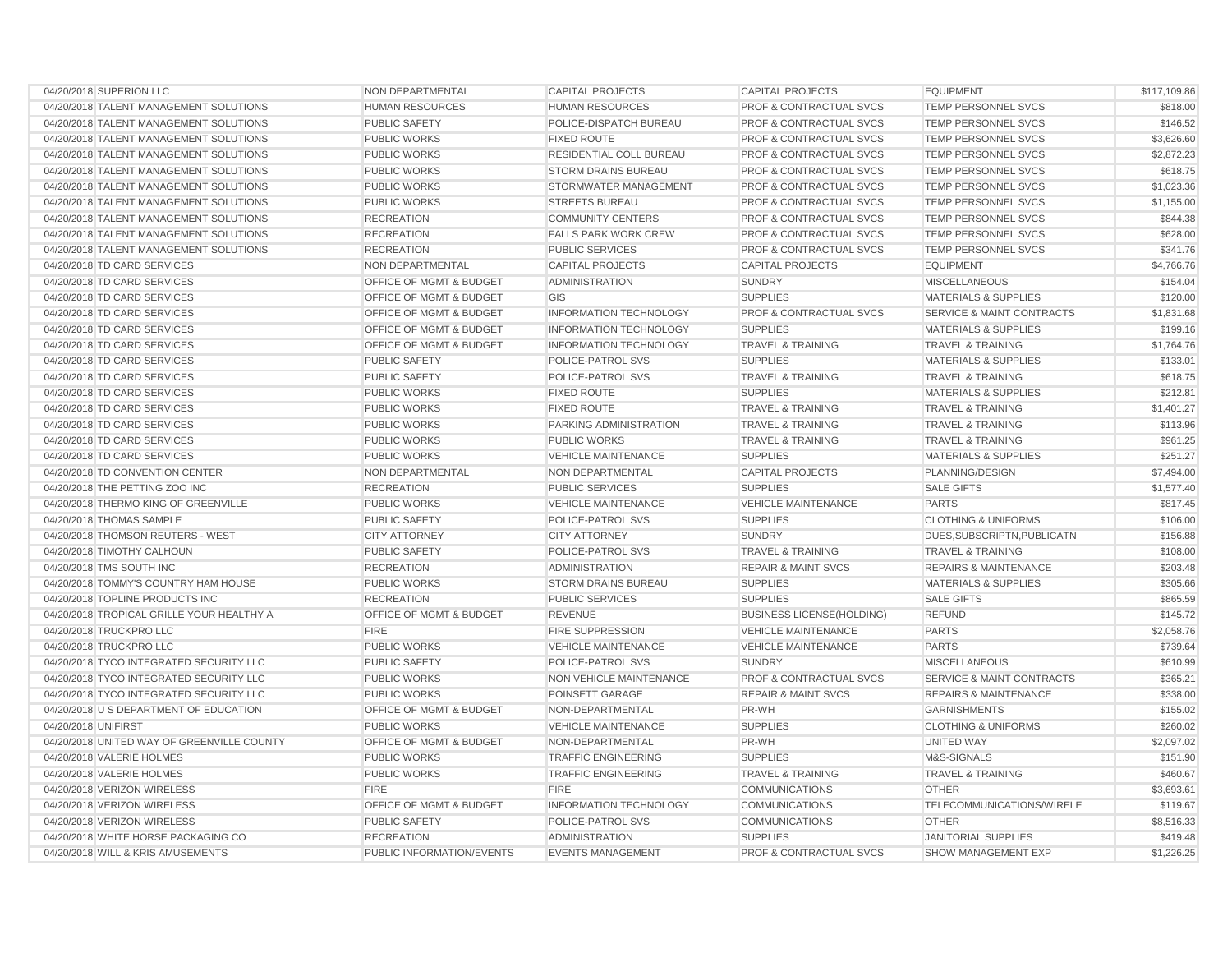| 04/20/2018 SUPERION LLC                    | NON DEPARTMENTAL                   | <b>CAPITAL PROJECTS</b>       | <b>CAPITAL PROJECTS</b>            | <b>EQUIPMENT</b>                     | \$117,109.86 |
|--------------------------------------------|------------------------------------|-------------------------------|------------------------------------|--------------------------------------|--------------|
| 04/20/2018 TALENT MANAGEMENT SOLUTIONS     | <b>HUMAN RESOURCES</b>             | <b>HUMAN RESOURCES</b>        | <b>PROF &amp; CONTRACTUAL SVCS</b> | TEMP PERSONNEL SVCS                  | \$818.00     |
| 04/20/2018 TALENT MANAGEMENT SOLUTIONS     | <b>PUBLIC SAFETY</b>               | POLICE-DISPATCH BUREAU        | <b>PROF &amp; CONTRACTUAL SVCS</b> | TEMP PERSONNEL SVCS                  | \$146.52     |
| 04/20/2018 TALENT MANAGEMENT SOLUTIONS     | <b>PUBLIC WORKS</b>                | <b>FIXED ROUTE</b>            | <b>PROF &amp; CONTRACTUAL SVCS</b> | TEMP PERSONNEL SVCS                  | \$3,626.60   |
| 04/20/2018 TALENT MANAGEMENT SOLUTIONS     | <b>PUBLIC WORKS</b>                | RESIDENTIAL COLL BUREAU       | <b>PROF &amp; CONTRACTUAL SVCS</b> | <b>TEMP PERSONNEL SVCS</b>           | \$2,872.23   |
| 04/20/2018 TALENT MANAGEMENT SOLUTIONS     | <b>PUBLIC WORKS</b>                | <b>STORM DRAINS BUREAU</b>    | <b>PROF &amp; CONTRACTUAL SVCS</b> | <b>TEMP PERSONNEL SVCS</b>           | \$618.75     |
| 04/20/2018 TALENT MANAGEMENT SOLUTIONS     | <b>PUBLIC WORKS</b>                | STORMWATER MANAGEMENT         | <b>PROF &amp; CONTRACTUAL SVCS</b> | <b>TEMP PERSONNEL SVCS</b>           | \$1,023.36   |
| 04/20/2018 TALENT MANAGEMENT SOLUTIONS     | <b>PUBLIC WORKS</b>                | <b>STREETS BUREAU</b>         | PROF & CONTRACTUAL SVCS            | TEMP PERSONNEL SVCS                  | \$1,155.00   |
| 04/20/2018 TALENT MANAGEMENT SOLUTIONS     | <b>RECREATION</b>                  | <b>COMMUNITY CENTERS</b>      | PROF & CONTRACTUAL SVCS            | TEMP PERSONNEL SVCS                  | \$844.38     |
| 04/20/2018 TALENT MANAGEMENT SOLUTIONS     | <b>RECREATION</b>                  | <b>FALLS PARK WORK CREW</b>   | <b>PROF &amp; CONTRACTUAL SVCS</b> | TEMP PERSONNEL SVCS                  | \$628.00     |
| 04/20/2018 TALENT MANAGEMENT SOLUTIONS     | <b>RECREATION</b>                  | <b>PUBLIC SERVICES</b>        | <b>PROF &amp; CONTRACTUAL SVCS</b> | TEMP PERSONNEL SVCS                  | \$341.76     |
| 04/20/2018 TD CARD SERVICES                | NON DEPARTMENTAL                   | <b>CAPITAL PROJECTS</b>       | <b>CAPITAL PROJECTS</b>            | <b>EQUIPMENT</b>                     | \$4,766.76   |
| 04/20/2018 TD CARD SERVICES                | OFFICE OF MGMT & BUDGET            | <b>ADMINISTRATION</b>         | <b>SUNDRY</b>                      | <b>MISCELLANEOUS</b>                 | \$154.04     |
| 04/20/2018 TD CARD SERVICES                | <b>OFFICE OF MGMT &amp; BUDGET</b> | GIS                           | <b>SUPPLIES</b>                    | <b>MATERIALS &amp; SUPPLIES</b>      | \$120.00     |
| 04/20/2018 TD CARD SERVICES                | <b>OFFICE OF MGMT &amp; BUDGET</b> | <b>INFORMATION TECHNOLOGY</b> | <b>PROF &amp; CONTRACTUAL SVCS</b> | <b>SERVICE &amp; MAINT CONTRACTS</b> | \$1,831.68   |
| 04/20/2018 TD CARD SERVICES                | OFFICE OF MGMT & BUDGET            | <b>INFORMATION TECHNOLOGY</b> | <b>SUPPLIES</b>                    | <b>MATERIALS &amp; SUPPLIES</b>      | \$199.16     |
| 04/20/2018 TD CARD SERVICES                | OFFICE OF MGMT & BUDGET            | <b>INFORMATION TECHNOLOGY</b> | TRAVEL & TRAINING                  | <b>TRAVEL &amp; TRAINING</b>         | \$1,764.76   |
| 04/20/2018 TD CARD SERVICES                | <b>PUBLIC SAFETY</b>               | POLICE-PATROL SVS             | <b>SUPPLIES</b>                    | <b>MATERIALS &amp; SUPPLIES</b>      | \$133.01     |
| 04/20/2018 TD CARD SERVICES                | <b>PUBLIC SAFETY</b>               | POLICE-PATROL SVS             | <b>TRAVEL &amp; TRAINING</b>       | <b>TRAVEL &amp; TRAINING</b>         | \$618.75     |
| 04/20/2018 TD CARD SERVICES                | PUBLIC WORKS                       | <b>FIXED ROUTE</b>            | <b>SUPPLIES</b>                    | MATERIALS & SUPPLIES                 | \$212.81     |
| 04/20/2018 TD CARD SERVICES                | <b>PUBLIC WORKS</b>                | <b>FIXED ROUTE</b>            | TRAVEL & TRAINING                  | <b>TRAVEL &amp; TRAINING</b>         | \$1,401.27   |
| 04/20/2018 TD CARD SERVICES                | PUBLIC WORKS                       | PARKING ADMINISTRATION        | TRAVEL & TRAINING                  | TRAVEL & TRAINING                    | \$113.96     |
| 04/20/2018 TD CARD SERVICES                | <b>PUBLIC WORKS</b>                | <b>PUBLIC WORKS</b>           | <b>TRAVEL &amp; TRAINING</b>       | <b>TRAVEL &amp; TRAINING</b>         | \$961.25     |
| 04/20/2018 TD CARD SERVICES                | <b>PUBLIC WORKS</b>                | <b>VEHICLE MAINTENANCE</b>    | <b>SUPPLIES</b>                    | <b>MATERIALS &amp; SUPPLIES</b>      | \$251.27     |
| 04/20/2018 TD CONVENTION CENTER            | NON DEPARTMENTAL                   | NON DEPARTMENTAL              | <b>CAPITAL PROJECTS</b>            | PLANNING/DESIGN                      | \$7,494.00   |
| 04/20/2018 THE PETTING ZOO INC             | <b>RECREATION</b>                  | <b>PUBLIC SERVICES</b>        | <b>SUPPLIES</b>                    | <b>SALE GIFTS</b>                    | \$1,577.40   |
| 04/20/2018 THERMO KING OF GREENVILLE       | <b>PUBLIC WORKS</b>                | <b>VEHICLE MAINTENANCE</b>    | <b>VEHICLE MAINTENANCE</b>         | <b>PARTS</b>                         | \$817.45     |
| 04/20/2018 THOMAS SAMPLE                   | <b>PUBLIC SAFETY</b>               | POLICE-PATROL SVS             | <b>SUPPLIES</b>                    | <b>CLOTHING &amp; UNIFORMS</b>       | \$106.00     |
| 04/20/2018 THOMSON REUTERS - WEST          | <b>CITY ATTORNEY</b>               | <b>CITY ATTORNEY</b>          | <b>SUNDRY</b>                      | DUES, SUBSCRIPTN, PUBLICATN          | \$156.88     |
| 04/20/2018 TIMOTHY CALHOUN                 | PUBLIC SAFETY                      | POLICE-PATROL SVS             | <b>TRAVEL &amp; TRAINING</b>       | <b>TRAVEL &amp; TRAINING</b>         | \$108.00     |
| 04/20/2018 TMS SOUTH INC                   | <b>RECREATION</b>                  | <b>ADMINISTRATION</b>         | <b>REPAIR &amp; MAINT SVCS</b>     | <b>REPAIRS &amp; MAINTENANCE</b>     | \$203.48     |
| 04/20/2018 TOMMY'S COUNTRY HAM HOUSE       | <b>PUBLIC WORKS</b>                | <b>STORM DRAINS BUREAU</b>    | <b>SUPPLIES</b>                    | <b>MATERIALS &amp; SUPPLIES</b>      | \$305.66     |
| 04/20/2018 TOPLINE PRODUCTS INC            | <b>RECREATION</b>                  | <b>PUBLIC SERVICES</b>        | <b>SUPPLIES</b>                    | <b>SALE GIFTS</b>                    | \$865.59     |
| 04/20/2018 TROPICAL GRILLE YOUR HEALTHY A  | OFFICE OF MGMT & BUDGET            | <b>REVENUE</b>                | <b>BUSINESS LICENSE(HOLDING)</b>   | <b>REFUND</b>                        | \$145.72     |
| 04/20/2018 TRUCKPRO LLC                    | <b>FIRE</b>                        | <b>FIRE SUPPRESSION</b>       | <b>VEHICLE MAINTENANCE</b>         | <b>PARTS</b>                         | \$2,058.76   |
| 04/20/2018 TRUCKPRO LLC                    | <b>PUBLIC WORKS</b>                | <b>VEHICLE MAINTENANCE</b>    | <b>VEHICLE MAINTENANCE</b>         | <b>PARTS</b>                         | \$739.64     |
| 04/20/2018 TYCO INTEGRATED SECURITY LLC    | <b>PUBLIC SAFETY</b>               | POLICE-PATROL SVS             | <b>SUNDRY</b>                      | <b>MISCELLANEOUS</b>                 | \$610.99     |
| 04/20/2018 TYCO INTEGRATED SECURITY LLC    | <b>PUBLIC WORKS</b>                | NON VEHICLE MAINTENANCE       | PROF & CONTRACTUAL SVCS            | <b>SERVICE &amp; MAINT CONTRACTS</b> | \$365.21     |
| 04/20/2018 TYCO INTEGRATED SECURITY LLC    | <b>PUBLIC WORKS</b>                | POINSETT GARAGE               | <b>REPAIR &amp; MAINT SVCS</b>     | <b>REPAIRS &amp; MAINTENANCE</b>     | \$338.00     |
| 04/20/2018 U S DEPARTMENT OF EDUCATION     | OFFICE OF MGMT & BUDGET            | NON-DEPARTMENTAL              | PR-WH                              | <b>GARNISHMENTS</b>                  | \$155.02     |
| 04/20/2018 UNIFIRST                        | <b>PUBLIC WORKS</b>                | <b>VEHICLE MAINTENANCE</b>    | <b>SUPPLIES</b>                    | <b>CLOTHING &amp; UNIFORMS</b>       | \$260.02     |
| 04/20/2018 UNITED WAY OF GREENVILLE COUNTY | OFFICE OF MGMT & BUDGET            | NON-DEPARTMENTAL              | PR-WH                              | <b>UNITED WAY</b>                    | \$2,097.02   |
| 04/20/2018 VALERIE HOLMES                  | <b>PUBLIC WORKS</b>                | <b>TRAFFIC ENGINEERING</b>    | <b>SUPPLIES</b>                    | M&S-SIGNALS                          | \$151.90     |
| 04/20/2018 VALERIE HOLMES                  | <b>PUBLIC WORKS</b>                | <b>TRAFFIC ENGINEERING</b>    | <b>TRAVEL &amp; TRAINING</b>       | <b>TRAVEL &amp; TRAINING</b>         | \$460.67     |
| 04/20/2018 VERIZON WIRELESS                | <b>FIRE</b>                        | <b>FIRE</b>                   | <b>COMMUNICATIONS</b>              | <b>OTHER</b>                         | \$3,693.61   |
| 04/20/2018 VERIZON WIRELESS                | OFFICE OF MGMT & BUDGET            | <b>INFORMATION TECHNOLOGY</b> | <b>COMMUNICATIONS</b>              | TELECOMMUNICATIONS/WIRELE            | \$119.67     |
| 04/20/2018 VERIZON WIRELESS                | <b>PUBLIC SAFETY</b>               | POLICE-PATROL SVS             | <b>COMMUNICATIONS</b>              | <b>OTHER</b>                         | \$8,516.33   |
| 04/20/2018 WHITE HORSE PACKAGING CO        | <b>RECREATION</b>                  | <b>ADMINISTRATION</b>         | <b>SUPPLIES</b>                    | <b>JANITORIAL SUPPLIES</b>           | \$419.48     |
| 04/20/2018 WILL & KRIS AMUSEMENTS          | PUBLIC INFORMATION/EVENTS          | <b>EVENTS MANAGEMENT</b>      | PROF & CONTRACTUAL SVCS            | SHOW MANAGEMENT EXP                  | \$1,226.25   |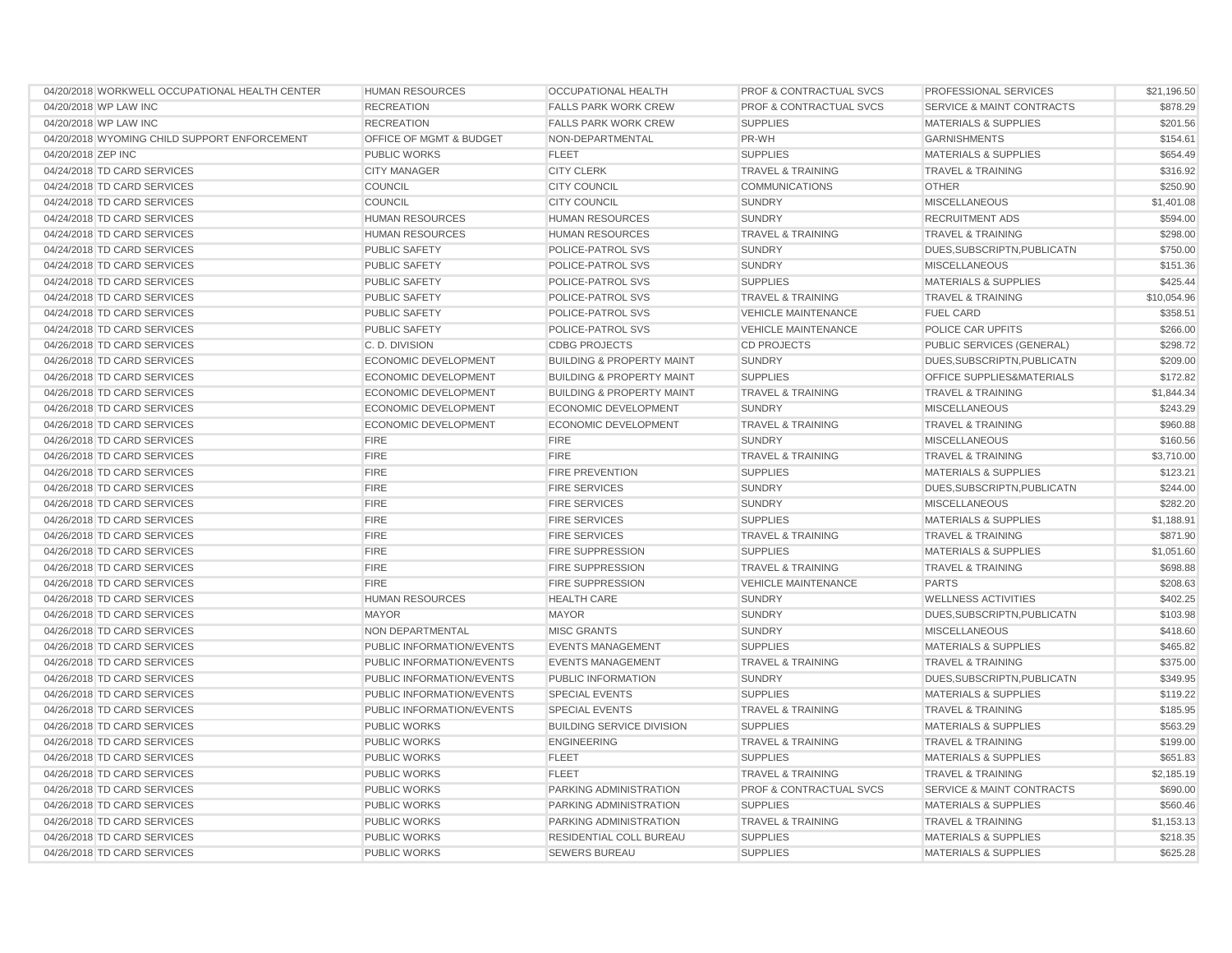| 04/20/2018 WORKWELL OCCUPATIONAL HEALTH CENTER | <b>HUMAN RESOURCES</b>      | <b>OCCUPATIONAL HEALTH</b>           | <b>PROF &amp; CONTRACTUAL SVCS</b> | PROFESSIONAL SERVICES                | \$21,196.50 |
|------------------------------------------------|-----------------------------|--------------------------------------|------------------------------------|--------------------------------------|-------------|
| 04/20/2018 WP LAW INC                          | <b>RECREATION</b>           | <b>FALLS PARK WORK CREW</b>          | <b>PROF &amp; CONTRACTUAL SVCS</b> | <b>SERVICE &amp; MAINT CONTRACTS</b> | \$878.29    |
| 04/20/2018 WP LAW INC                          | <b>RECREATION</b>           | <b>FALLS PARK WORK CREW</b>          | <b>SUPPLIES</b>                    | <b>MATERIALS &amp; SUPPLIES</b>      | \$201.56    |
| 04/20/2018 WYOMING CHILD SUPPORT ENFORCEMENT   | OFFICE OF MGMT & BUDGET     | NON-DEPARTMENTAL                     | PR-WH                              | <b>GARNISHMENTS</b>                  | \$154.61    |
| 04/20/2018 ZEP INC                             | PUBLIC WORKS                | <b>FLEET</b>                         | <b>SUPPLIES</b>                    | <b>MATERIALS &amp; SUPPLIES</b>      | \$654.49    |
| 04/24/2018 TD CARD SERVICES                    | <b>CITY MANAGER</b>         | <b>CITY CLERK</b>                    | <b>TRAVEL &amp; TRAINING</b>       | <b>TRAVEL &amp; TRAINING</b>         | \$316.92    |
| 04/24/2018 TD CARD SERVICES                    | <b>COUNCIL</b>              | <b>CITY COUNCIL</b>                  | <b>COMMUNICATIONS</b>              | <b>OTHER</b>                         | \$250.90    |
| 04/24/2018 TD CARD SERVICES                    | <b>COUNCIL</b>              | <b>CITY COUNCIL</b>                  | <b>SUNDRY</b>                      | <b>MISCELLANEOUS</b>                 | \$1,401.08  |
| 04/24/2018 TD CARD SERVICES                    | <b>HUMAN RESOURCES</b>      | <b>HUMAN RESOURCES</b>               | <b>SUNDRY</b>                      | <b>RECRUITMENT ADS</b>               | \$594.00    |
| 04/24/2018 TD CARD SERVICES                    | <b>HUMAN RESOURCES</b>      | <b>HUMAN RESOURCES</b>               | <b>TRAVEL &amp; TRAINING</b>       | <b>TRAVEL &amp; TRAINING</b>         | \$298.00    |
| 04/24/2018 TD CARD SERVICES                    | PUBLIC SAFETY               | POLICE-PATROL SVS                    | <b>SUNDRY</b>                      | DUES, SUBSCRIPTN, PUBLICATN          | \$750.00    |
| 04/24/2018 TD CARD SERVICES                    | PUBLIC SAFETY               | POLICE-PATROL SVS                    | <b>SUNDRY</b>                      | <b>MISCELLANEOUS</b>                 | \$151.36    |
| 04/24/2018 TD CARD SERVICES                    | PUBLIC SAFETY               | POLICE-PATROL SVS                    | <b>SUPPLIES</b>                    | <b>MATERIALS &amp; SUPPLIES</b>      | \$425.44    |
| 04/24/2018 TD CARD SERVICES                    | PUBLIC SAFETY               | POLICE-PATROL SVS                    | <b>TRAVEL &amp; TRAINING</b>       | <b>TRAVEL &amp; TRAINING</b>         | \$10,054.96 |
| 04/24/2018 TD CARD SERVICES                    | <b>PUBLIC SAFETY</b>        | POLICE-PATROL SVS                    | <b>VEHICLE MAINTENANCE</b>         | <b>FUEL CARD</b>                     | \$358.51    |
| 04/24/2018 TD CARD SERVICES                    | <b>PUBLIC SAFETY</b>        | POLICE-PATROL SVS                    | <b>VEHICLE MAINTENANCE</b>         | POLICE CAR UPFITS                    | \$266.00    |
| 04/26/2018 TD CARD SERVICES                    | C. D. DIVISION              | <b>CDBG PROJECTS</b>                 | <b>CD PROJECTS</b>                 | PUBLIC SERVICES (GENERAL)            | \$298.72    |
| 04/26/2018 TD CARD SERVICES                    | ECONOMIC DEVELOPMENT        | <b>BUILDING &amp; PROPERTY MAINT</b> | <b>SUNDRY</b>                      | DUES, SUBSCRIPTN, PUBLICATN          | \$209.00    |
| 04/26/2018 TD CARD SERVICES                    | <b>ECONOMIC DEVELOPMENT</b> | <b>BUILDING &amp; PROPERTY MAINT</b> | <b>SUPPLIES</b>                    | <b>OFFICE SUPPLIES&amp;MATERIALS</b> | \$172.82    |
| 04/26/2018 TD CARD SERVICES                    | <b>ECONOMIC DEVELOPMENT</b> | <b>BUILDING &amp; PROPERTY MAINT</b> | <b>TRAVEL &amp; TRAINING</b>       | <b>TRAVEL &amp; TRAINING</b>         | \$1,844.34  |
| 04/26/2018 TD CARD SERVICES                    | <b>ECONOMIC DEVELOPMENT</b> | <b>ECONOMIC DEVELOPMENT</b>          | <b>SUNDRY</b>                      | <b>MISCELLANEOUS</b>                 | \$243.29    |
| 04/26/2018 TD CARD SERVICES                    | ECONOMIC DEVELOPMENT        | ECONOMIC DEVELOPMENT                 | <b>TRAVEL &amp; TRAINING</b>       | <b>TRAVEL &amp; TRAINING</b>         | \$960.88    |
| 04/26/2018 TD CARD SERVICES                    | <b>FIRE</b>                 | <b>FIRE</b>                          | <b>SUNDRY</b>                      | <b>MISCELLANEOUS</b>                 | \$160.56    |
| 04/26/2018 TD CARD SERVICES                    | <b>FIRE</b>                 | <b>FIRE</b>                          | <b>TRAVEL &amp; TRAINING</b>       | <b>TRAVEL &amp; TRAINING</b>         | \$3,710.00  |
| 04/26/2018 TD CARD SERVICES                    | <b>FIRE</b>                 | <b>FIRE PREVENTION</b>               | <b>SUPPLIES</b>                    | <b>MATERIALS &amp; SUPPLIES</b>      | \$123.21    |
| 04/26/2018 TD CARD SERVICES                    | <b>FIRE</b>                 | <b>FIRE SERVICES</b>                 | <b>SUNDRY</b>                      | DUES.SUBSCRIPTN.PUBLICATN            | \$244.00    |
| 04/26/2018 TD CARD SERVICES                    | <b>FIRE</b>                 | <b>FIRE SERVICES</b>                 | <b>SUNDRY</b>                      | <b>MISCELLANEOUS</b>                 | \$282.20    |
| 04/26/2018 TD CARD SERVICES                    | <b>FIRE</b>                 | <b>FIRE SERVICES</b>                 | <b>SUPPLIES</b>                    | <b>MATERIALS &amp; SUPPLIES</b>      | \$1,188.91  |
| 04/26/2018 TD CARD SERVICES                    | <b>FIRE</b>                 | <b>FIRE SERVICES</b>                 | <b>TRAVEL &amp; TRAINING</b>       | <b>TRAVEL &amp; TRAINING</b>         | \$871.90    |
| 04/26/2018 TD CARD SERVICES                    | <b>FIRE</b>                 | <b>FIRE SUPPRESSION</b>              | <b>SUPPLIES</b>                    | <b>MATERIALS &amp; SUPPLIES</b>      | \$1,051.60  |
| 04/26/2018 TD CARD SERVICES                    | <b>FIRE</b>                 | <b>FIRE SUPPRESSION</b>              | <b>TRAVEL &amp; TRAINING</b>       | <b>TRAVEL &amp; TRAINING</b>         | \$698.88    |
| 04/26/2018 TD CARD SERVICES                    | <b>FIRE</b>                 | FIRE SUPPRESSION                     | <b>VEHICLE MAINTENANCE</b>         | <b>PARTS</b>                         | \$208.63    |
| 04/26/2018 TD CARD SERVICES                    | <b>HUMAN RESOURCES</b>      | <b>HEALTH CARE</b>                   | <b>SUNDRY</b>                      | <b>WELLNESS ACTIVITIES</b>           | \$402.25    |
| 04/26/2018 TD CARD SERVICES                    | <b>MAYOR</b>                | <b>MAYOR</b>                         | <b>SUNDRY</b>                      | DUES, SUBSCRIPTN, PUBLICATN          | \$103.98    |
| 04/26/2018 TD CARD SERVICES                    | NON DEPARTMENTAL            | <b>MISC GRANTS</b>                   | <b>SUNDRY</b>                      | <b>MISCELLANEOUS</b>                 | \$418.60    |
| 04/26/2018 TD CARD SERVICES                    | PUBLIC INFORMATION/EVENTS   | <b>EVENTS MANAGEMENT</b>             | <b>SUPPLIES</b>                    | <b>MATERIALS &amp; SUPPLIES</b>      | \$465.82    |
| 04/26/2018 TD CARD SERVICES                    | PUBLIC INFORMATION/EVENTS   | <b>EVENTS MANAGEMENT</b>             | <b>TRAVEL &amp; TRAINING</b>       | <b>TRAVEL &amp; TRAINING</b>         | \$375.00    |
| 04/26/2018 TD CARD SERVICES                    | PUBLIC INFORMATION/EVENTS   | PUBLIC INFORMATION                   | <b>SUNDRY</b>                      | DUES, SUBSCRIPTN, PUBLICATN          | \$349.95    |
| 04/26/2018 TD CARD SERVICES                    | PUBLIC INFORMATION/EVENTS   | <b>SPECIAL EVENTS</b>                | <b>SUPPLIES</b>                    | <b>MATERIALS &amp; SUPPLIES</b>      | \$119.22    |
| 04/26/2018 TD CARD SERVICES                    | PUBLIC INFORMATION/EVENTS   | <b>SPECIAL EVENTS</b>                | <b>TRAVEL &amp; TRAINING</b>       | <b>TRAVEL &amp; TRAINING</b>         | \$185.95    |
| 04/26/2018 TD CARD SERVICES                    | <b>PUBLIC WORKS</b>         | <b>BUILDING SERVICE DIVISION</b>     | <b>SUPPLIES</b>                    | <b>MATERIALS &amp; SUPPLIES</b>      | \$563.29    |
| 04/26/2018 TD CARD SERVICES                    | <b>PUBLIC WORKS</b>         | <b>ENGINEERING</b>                   | <b>TRAVEL &amp; TRAINING</b>       | <b>TRAVEL &amp; TRAINING</b>         | \$199.00    |
| 04/26/2018 TD CARD SERVICES                    | <b>PUBLIC WORKS</b>         | <b>FLEET</b>                         | <b>SUPPLIES</b>                    | <b>MATERIALS &amp; SUPPLIES</b>      | \$651.83    |
| 04/26/2018 TD CARD SERVICES                    | PUBLIC WORKS                | <b>FLEET</b>                         | <b>TRAVEL &amp; TRAINING</b>       | <b>TRAVEL &amp; TRAINING</b>         | \$2,185.19  |
| 04/26/2018 TD CARD SERVICES                    | <b>PUBLIC WORKS</b>         | PARKING ADMINISTRATION               | <b>PROF &amp; CONTRACTUAL SVCS</b> | <b>SERVICE &amp; MAINT CONTRACTS</b> | \$690.00    |
| 04/26/2018 TD CARD SERVICES                    | <b>PUBLIC WORKS</b>         | PARKING ADMINISTRATION               | <b>SUPPLIES</b>                    | <b>MATERIALS &amp; SUPPLIES</b>      | \$560.46    |
| 04/26/2018 TD CARD SERVICES                    | PUBLIC WORKS                | PARKING ADMINISTRATION               | <b>TRAVEL &amp; TRAINING</b>       | <b>TRAVEL &amp; TRAINING</b>         | \$1,153.13  |
| 04/26/2018 TD CARD SERVICES                    | PUBLIC WORKS                | RESIDENTIAL COLL BUREAU              | <b>SUPPLIES</b>                    | <b>MATERIALS &amp; SUPPLIES</b>      | \$218.35    |
| 04/26/2018 TD CARD SERVICES                    | <b>PUBLIC WORKS</b>         | <b>SEWERS BUREAU</b>                 | <b>SUPPLIES</b>                    | <b>MATERIALS &amp; SUPPLIES</b>      | \$625.28    |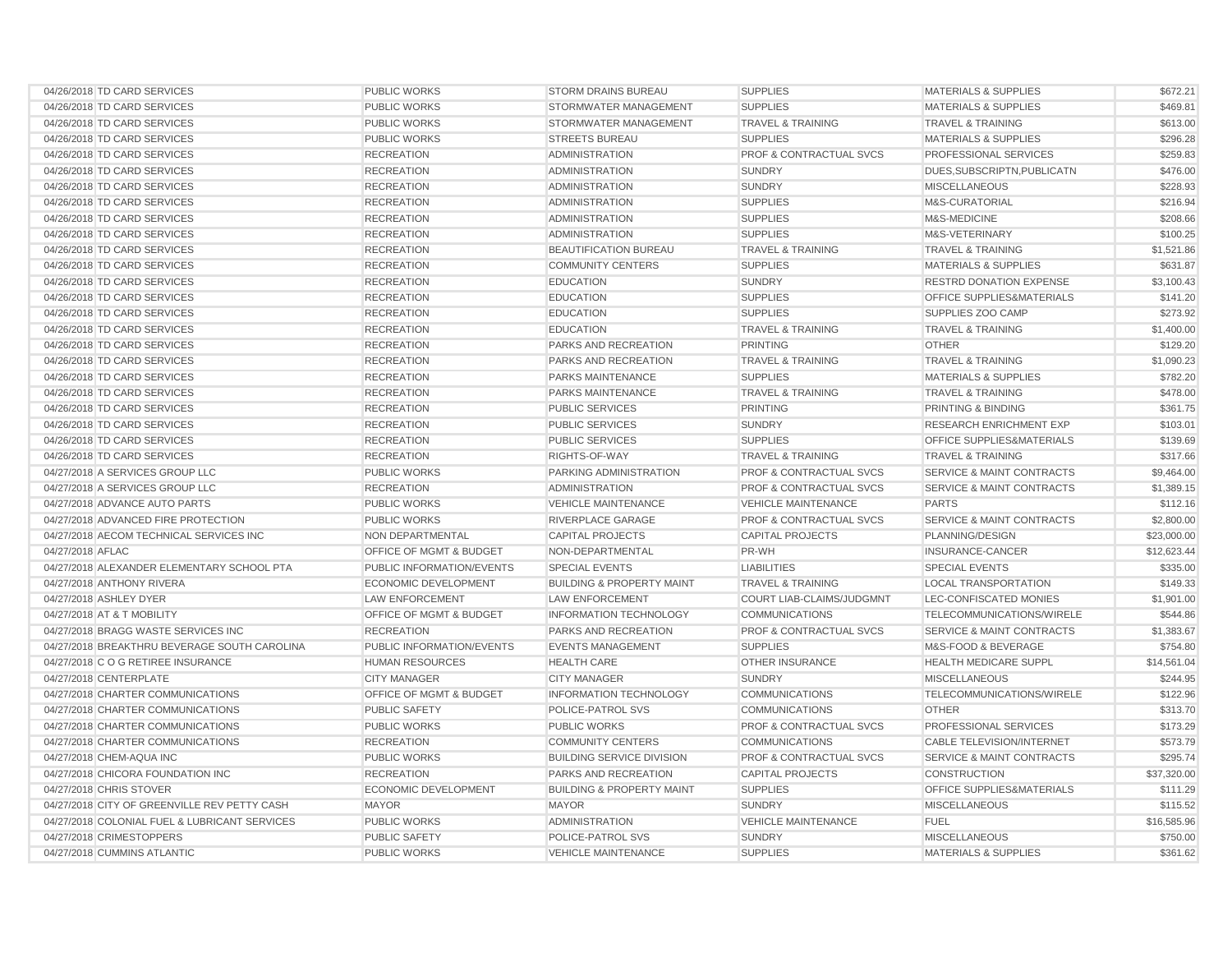| 04/26/2018 TD CARD SERVICES                   | <b>PUBLIC WORKS</b>         | STORM DRAINS BUREAU                  | <b>SUPPLIES</b>                    | <b>MATERIALS &amp; SUPPLIES</b>      | \$672.21    |
|-----------------------------------------------|-----------------------------|--------------------------------------|------------------------------------|--------------------------------------|-------------|
| 04/26/2018 TD CARD SERVICES                   | <b>PUBLIC WORKS</b>         | STORMWATER MANAGEMENT                | <b>SUPPLIES</b>                    | <b>MATERIALS &amp; SUPPLIES</b>      | \$469.81    |
| 04/26/2018 TD CARD SERVICES                   | <b>PUBLIC WORKS</b>         | STORMWATER MANAGEMENT                | <b>TRAVEL &amp; TRAINING</b>       | <b>TRAVEL &amp; TRAINING</b>         | \$613.00    |
| 04/26/2018 TD CARD SERVICES                   | <b>PUBLIC WORKS</b>         | <b>STREETS BUREAU</b>                | <b>SUPPLIES</b>                    | <b>MATERIALS &amp; SUPPLIES</b>      | \$296.28    |
| 04/26/2018 TD CARD SERVICES                   | <b>RECREATION</b>           | <b>ADMINISTRATION</b>                | PROF & CONTRACTUAL SVCS            | PROFESSIONAL SERVICES                | \$259.83    |
| 04/26/2018 TD CARD SERVICES                   | <b>RECREATION</b>           | <b>ADMINISTRATION</b>                | <b>SUNDRY</b>                      | DUES.SUBSCRIPTN.PUBLICATN            | \$476.00    |
| 04/26/2018 TD CARD SERVICES                   | <b>RECREATION</b>           | <b>ADMINISTRATION</b>                | <b>SUNDRY</b>                      | <b>MISCELLANEOUS</b>                 | \$228.93    |
| 04/26/2018 TD CARD SERVICES                   | <b>RECREATION</b>           | ADMINISTRATION                       | <b>SUPPLIES</b>                    | M&S-CURATORIAL                       | \$216.94    |
| 04/26/2018 TD CARD SERVICES                   | <b>RECREATION</b>           | <b>ADMINISTRATION</b>                | <b>SUPPLIES</b>                    | M&S-MEDICINE                         | \$208.66    |
| 04/26/2018 TD CARD SERVICES                   | <b>RECREATION</b>           | <b>ADMINISTRATION</b>                | <b>SUPPLIES</b>                    | M&S-VETERINARY                       | \$100.25    |
| 04/26/2018 TD CARD SERVICES                   | <b>RECREATION</b>           | BEAUTIFICATION BUREAU                | <b>TRAVEL &amp; TRAINING</b>       | TRAVEL & TRAINING                    | \$1,521.86  |
| 04/26/2018 TD CARD SERVICES                   | <b>RECREATION</b>           | <b>COMMUNITY CENTERS</b>             | <b>SUPPLIES</b>                    | <b>MATERIALS &amp; SUPPLIES</b>      | \$631.87    |
| 04/26/2018 TD CARD SERVICES                   | <b>RECREATION</b>           | <b>EDUCATION</b>                     | <b>SUNDRY</b>                      | <b>RESTRD DONATION EXPENSE</b>       | \$3,100.43  |
| 04/26/2018 TD CARD SERVICES                   | <b>RECREATION</b>           | <b>EDUCATION</b>                     | <b>SUPPLIES</b>                    | OFFICE SUPPLIES&MATERIALS            | \$141.20    |
| 04/26/2018 TD CARD SERVICES                   | <b>RECREATION</b>           | <b>EDUCATION</b>                     | <b>SUPPLIES</b>                    | SUPPLIES ZOO CAMP                    | \$273.92    |
| 04/26/2018 TD CARD SERVICES                   | <b>RECREATION</b>           | <b>EDUCATION</b>                     | <b>TRAVEL &amp; TRAINING</b>       | <b>TRAVEL &amp; TRAINING</b>         | \$1,400.00  |
| 04/26/2018 TD CARD SERVICES                   | <b>RECREATION</b>           | PARKS AND RECREATION                 | <b>PRINTING</b>                    | <b>OTHER</b>                         | \$129.20    |
| 04/26/2018 TD CARD SERVICES                   | <b>RECREATION</b>           | PARKS AND RECREATION                 | <b>TRAVEL &amp; TRAINING</b>       | <b>TRAVEL &amp; TRAINING</b>         | \$1,090.23  |
| 04/26/2018 TD CARD SERVICES                   | <b>RECREATION</b>           | PARKS MAINTENANCE                    | <b>SUPPLIES</b>                    | <b>MATERIALS &amp; SUPPLIES</b>      | \$782.20    |
| 04/26/2018 TD CARD SERVICES                   | <b>RECREATION</b>           | PARKS MAINTENANCE                    | <b>TRAVEL &amp; TRAINING</b>       | <b>TRAVEL &amp; TRAINING</b>         | \$478.00    |
| 04/26/2018 TD CARD SERVICES                   | <b>RECREATION</b>           | <b>PUBLIC SERVICES</b>               | <b>PRINTING</b>                    | PRINTING & BINDING                   | \$361.75    |
| 04/26/2018 TD CARD SERVICES                   | <b>RECREATION</b>           | <b>PUBLIC SERVICES</b>               | <b>SUNDRY</b>                      | <b>RESEARCH ENRICHMENT EXP</b>       | \$103.01    |
| 04/26/2018 TD CARD SERVICES                   | <b>RECREATION</b>           | <b>PUBLIC SERVICES</b>               | <b>SUPPLIES</b>                    | <b>OFFICE SUPPLIES&amp;MATERIALS</b> | \$139.69    |
| 04/26/2018 TD CARD SERVICES                   | <b>RECREATION</b>           | RIGHTS-OF-WAY                        | <b>TRAVEL &amp; TRAINING</b>       | <b>TRAVEL &amp; TRAINING</b>         | \$317.66    |
| 04/27/2018 A SERVICES GROUP LLC               | <b>PUBLIC WORKS</b>         | PARKING ADMINISTRATION               | <b>PROF &amp; CONTRACTUAL SVCS</b> | <b>SERVICE &amp; MAINT CONTRACTS</b> | \$9,464.00  |
| 04/27/2018 A SERVICES GROUP LLC               | <b>RECREATION</b>           | <b>ADMINISTRATION</b>                | <b>PROF &amp; CONTRACTUAL SVCS</b> | <b>SERVICE &amp; MAINT CONTRACTS</b> | \$1,389.15  |
| 04/27/2018 ADVANCE AUTO PARTS                 | <b>PUBLIC WORKS</b>         | <b>VEHICLE MAINTENANCE</b>           | <b>VEHICLE MAINTENANCE</b>         | <b>PARTS</b>                         | \$112.16    |
| 04/27/2018 ADVANCED FIRE PROTECTION           | <b>PUBLIC WORKS</b>         | RIVERPLACE GARAGE                    | <b>PROF &amp; CONTRACTUAL SVCS</b> | <b>SERVICE &amp; MAINT CONTRACTS</b> | \$2,800.00  |
| 04/27/2018 AECOM TECHNICAL SERVICES INC       | NON DEPARTMENTAL            | <b>CAPITAL PROJECTS</b>              | <b>CAPITAL PROJECTS</b>            | PLANNING/DESIGN                      | \$23,000.00 |
| 04/27/2018 AFLAC                              | OFFICE OF MGMT & BUDGET     | NON-DEPARTMENTAL                     | PR-WH                              | INSURANCE-CANCER                     | \$12,623.44 |
| 04/27/2018 ALEXANDER ELEMENTARY SCHOOL PTA    | PUBLIC INFORMATION/EVENTS   | <b>SPECIAL EVENTS</b>                | <b>LIABILITIES</b>                 | <b>SPECIAL EVENTS</b>                | \$335.00    |
| 04/27/2018 ANTHONY RIVERA                     | ECONOMIC DEVELOPMENT        | <b>BUILDING &amp; PROPERTY MAINT</b> | <b>TRAVEL &amp; TRAINING</b>       | <b>LOCAL TRANSPORTATION</b>          | \$149.33    |
| 04/27/2018 ASHLEY DYER                        | <b>LAW ENFORCEMENT</b>      | <b>LAW ENFORCEMENT</b>               | <b>COURT LIAB-CLAIMS/JUDGMNT</b>   | LEC-CONFISCATED MONIES               | \$1,901.00  |
| 04/27/2018 AT & T MOBILITY                    | OFFICE OF MGMT & BUDGET     | <b>INFORMATION TECHNOLOGY</b>        | <b>COMMUNICATIONS</b>              | TELECOMMUNICATIONS/WIRELE            | \$544.86    |
| 04/27/2018 BRAGG WASTE SERVICES INC           | <b>RECREATION</b>           | PARKS AND RECREATION                 | PROF & CONTRACTUAL SVCS            | <b>SERVICE &amp; MAINT CONTRACTS</b> | \$1,383.67  |
| 04/27/2018 BREAKTHRU BEVERAGE SOUTH CAROLINA  | PUBLIC INFORMATION/EVENTS   | <b>EVENTS MANAGEMENT</b>             | <b>SUPPLIES</b>                    | M&S-FOOD & BEVERAGE                  | \$754.80    |
| 04/27/2018 C O G RETIREE INSURANCE            | <b>HUMAN RESOURCES</b>      | <b>HEALTH CARE</b>                   | <b>OTHER INSURANCE</b>             | <b>HEALTH MEDICARE SUPPL</b>         | \$14,561.04 |
| 04/27/2018 CENTERPLATE                        | <b>CITY MANAGER</b>         | <b>CITY MANAGER</b>                  | <b>SUNDRY</b>                      | <b>MISCELLANEOUS</b>                 | \$244.95    |
| 04/27/2018 CHARTER COMMUNICATIONS             | OFFICE OF MGMT & BUDGET     | <b>INFORMATION TECHNOLOGY</b>        | <b>COMMUNICATIONS</b>              | TELECOMMUNICATIONS/WIRELE            | \$122.96    |
| 04/27/2018 CHARTER COMMUNICATIONS             | <b>PUBLIC SAFETY</b>        | POLICE-PATROL SVS                    | <b>COMMUNICATIONS</b>              | <b>OTHER</b>                         | \$313.70    |
| 04/27/2018 CHARTER COMMUNICATIONS             | <b>PUBLIC WORKS</b>         | <b>PUBLIC WORKS</b>                  | PROF & CONTRACTUAL SVCS            | PROFESSIONAL SERVICES                | \$173.29    |
| 04/27/2018 CHARTER COMMUNICATIONS             | <b>RECREATION</b>           | <b>COMMUNITY CENTERS</b>             | <b>COMMUNICATIONS</b>              | <b>CABLE TELEVISION/INTERNET</b>     | \$573.79    |
| 04/27/2018 CHEM-AQUA INC                      | <b>PUBLIC WORKS</b>         | <b>BUILDING SERVICE DIVISION</b>     | <b>PROF &amp; CONTRACTUAL SVCS</b> | <b>SERVICE &amp; MAINT CONTRACTS</b> | \$295.74    |
| 04/27/2018 CHICORA FOUNDATION INC             | <b>RECREATION</b>           | <b>PARKS AND RECREATION</b>          | <b>CAPITAL PROJECTS</b>            | <b>CONSTRUCTION</b>                  | \$37,320.00 |
| 04/27/2018 CHRIS STOVER                       | <b>ECONOMIC DEVELOPMENT</b> | <b>BUILDING &amp; PROPERTY MAINT</b> | <b>SUPPLIES</b>                    | <b>OFFICE SUPPLIES&amp;MATERIALS</b> | \$111.29    |
| 04/27/2018 CITY OF GREENVILLE REV PETTY CASH  | <b>MAYOR</b>                | <b>MAYOR</b>                         | <b>SUNDRY</b>                      | <b>MISCELLANEOUS</b>                 | \$115.52    |
| 04/27/2018 COLONIAL FUEL & LUBRICANT SERVICES | <b>PUBLIC WORKS</b>         | <b>ADMINISTRATION</b>                | <b>VEHICLE MAINTENANCE</b>         | <b>FUEL</b>                          | \$16,585.96 |
| 04/27/2018 CRIMESTOPPERS                      | <b>PUBLIC SAFETY</b>        | POLICE-PATROL SVS                    | <b>SUNDRY</b>                      | <b>MISCELLANEOUS</b>                 | \$750.00    |
| 04/27/2018 CUMMINS ATLANTIC                   | PUBLIC WORKS                | <b>VEHICLE MAINTENANCE</b>           | <b>SUPPLIES</b>                    | <b>MATERIALS &amp; SUPPLIES</b>      | \$361.62    |
|                                               |                             |                                      |                                    |                                      |             |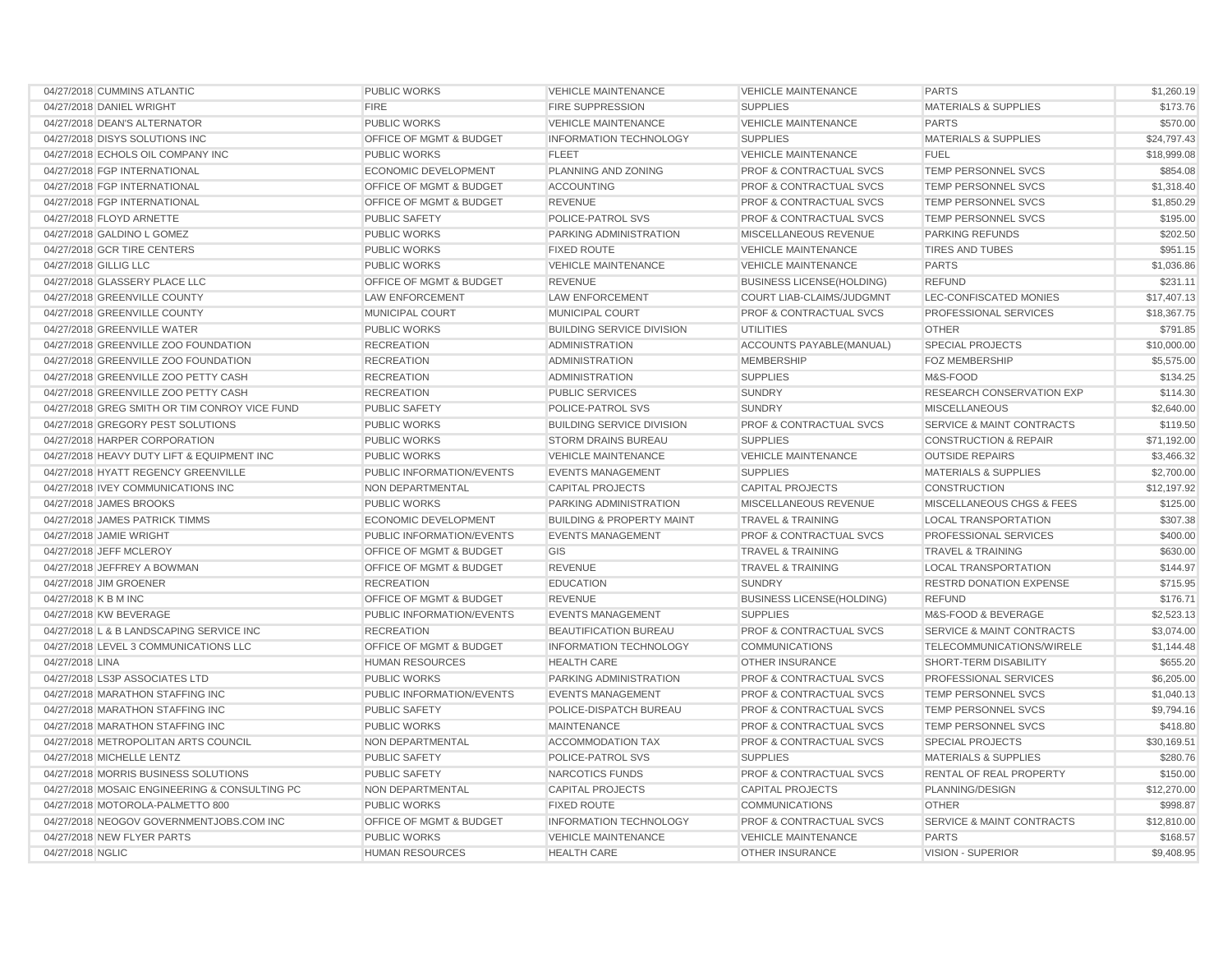| 04/27/2018 CUMMINS ATLANTIC                   | <b>PUBLIC WORKS</b>                | <b>VEHICLE MAINTENANCE</b>           | <b>VEHICLE MAINTENANCE</b>         | <b>PARTS</b>                     | \$1,260.19  |
|-----------------------------------------------|------------------------------------|--------------------------------------|------------------------------------|----------------------------------|-------------|
| 04/27/2018 DANIEL WRIGHT                      | <b>FIRE</b>                        | FIRE SUPPRESSION                     | <b>SUPPLIES</b>                    | <b>MATERIALS &amp; SUPPLIES</b>  | \$173.76    |
| 04/27/2018 DEAN'S ALTERNATOR                  | PUBLIC WORKS                       | <b>VEHICLE MAINTENANCE</b>           | <b>VEHICLE MAINTENANCE</b>         | <b>PARTS</b>                     | \$570.00    |
| 04/27/2018 DISYS SOLUTIONS INC                | OFFICE OF MGMT & BUDGET            | <b>INFORMATION TECHNOLOGY</b>        | <b>SUPPLIES</b>                    | <b>MATERIALS &amp; SUPPLIES</b>  | \$24,797.43 |
| 04/27/2018 ECHOLS OIL COMPANY INC             | PUBLIC WORKS                       | <b>FLEET</b>                         | <b>VEHICLE MAINTENANCE</b>         | <b>FUEL</b>                      | \$18,999.08 |
| 04/27/2018 FGP INTERNATIONAL                  | <b>ECONOMIC DEVELOPMENT</b>        | PLANNING AND ZONING                  | PROF & CONTRACTUAL SVCS            | TEMP PERSONNEL SVCS              | \$854.08    |
| 04/27/2018 FGP INTERNATIONAL                  | <b>OFFICE OF MGMT &amp; BUDGET</b> | <b>ACCOUNTING</b>                    | <b>PROF &amp; CONTRACTUAL SVCS</b> | <b>TEMP PERSONNEL SVCS</b>       | \$1,318.40  |
| 04/27/2018 FGP INTERNATIONAL                  | <b>OFFICE OF MGMT &amp; BUDGET</b> | <b>REVENUE</b>                       | <b>PROF &amp; CONTRACTUAL SVCS</b> | <b>TEMP PERSONNEL SVCS</b>       | \$1,850.29  |
| 04/27/2018 FLOYD ARNETTE                      | <b>PUBLIC SAFETY</b>               | POLICE-PATROL SVS                    | <b>PROF &amp; CONTRACTUAL SVCS</b> | <b>TEMP PERSONNEL SVCS</b>       | \$195.00    |
| 04/27/2018 GALDINO L GOMEZ                    | PUBLIC WORKS                       | PARKING ADMINISTRATION               | MISCELLANEOUS REVENUE              | <b>PARKING REFUNDS</b>           | \$202.50    |
| 04/27/2018 GCR TIRE CENTERS                   | <b>PUBLIC WORKS</b>                | <b>FIXED ROUTE</b>                   | <b>VEHICLE MAINTENANCE</b>         | TIRES AND TUBES                  | \$951.15    |
| 04/27/2018 GILLIG LLC                         | <b>PUBLIC WORKS</b>                | <b>VEHICLE MAINTENANCE</b>           | <b>VEHICLE MAINTENANCE</b>         | <b>PARTS</b>                     | \$1,036.86  |
| 04/27/2018 GLASSERY PLACE LLC                 | OFFICE OF MGMT & BUDGET            | <b>REVENUE</b>                       | <b>BUSINESS LICENSE(HOLDING)</b>   | <b>REFUND</b>                    | \$231.11    |
| 04/27/2018 GREENVILLE COUNTY                  | <b>LAW ENFORCEMENT</b>             | <b>LAW ENFORCEMENT</b>               | COURT LIAB-CLAIMS/JUDGMNT          | LEC-CONFISCATED MONIES           | \$17,407.13 |
| 04/27/2018 GREENVILLE COUNTY                  | MUNICIPAL COURT                    | MUNICIPAL COURT                      | PROF & CONTRACTUAL SVCS            | PROFESSIONAL SERVICES            | \$18,367.75 |
| 04/27/2018 GREENVILLE WATER                   | <b>PUBLIC WORKS</b>                | <b>BUILDING SERVICE DIVISION</b>     | <b>UTILITIES</b>                   | <b>OTHER</b>                     | \$791.85    |
| 04/27/2018 GREENVILLE ZOO FOUNDATION          | <b>RECREATION</b>                  | <b>ADMINISTRATION</b>                | ACCOUNTS PAYABLE(MANUAL)           | <b>SPECIAL PROJECTS</b>          | \$10,000.00 |
| 04/27/2018 GREENVILLE ZOO FOUNDATION          | <b>RECREATION</b>                  | <b>ADMINISTRATION</b>                | <b>MEMBERSHIP</b>                  | <b>FOZ MEMBERSHIP</b>            | \$5,575.00  |
| 04/27/2018 GREENVILLE ZOO PETTY CASH          | <b>RECREATION</b>                  | <b>ADMINISTRATION</b>                | <b>SUPPLIES</b>                    | M&S-FOOD                         | \$134.25    |
| 04/27/2018 GREENVILLE ZOO PETTY CASH          | <b>RECREATION</b>                  | PUBLIC SERVICES                      | <b>SUNDRY</b>                      | RESEARCH CONSERVATION EXP        | \$114.30    |
| 04/27/2018 GREG SMITH OR TIM CONROY VICE FUND | <b>PUBLIC SAFETY</b>               | POLICE-PATROL SVS                    | <b>SUNDRY</b>                      | <b>MISCELLANEOUS</b>             | \$2,640.00  |
| 04/27/2018 GREGORY PEST SOLUTIONS             | <b>PUBLIC WORKS</b>                | <b>BUILDING SERVICE DIVISION</b>     | PROF & CONTRACTUAL SVCS            | SERVICE & MAINT CONTRACTS        | \$119.50    |
| 04/27/2018 HARPER CORPORATION                 | <b>PUBLIC WORKS</b>                | <b>STORM DRAINS BUREAU</b>           | <b>SUPPLIES</b>                    | <b>CONSTRUCTION &amp; REPAIR</b> | \$71,192.00 |
| 04/27/2018 HEAVY DUTY LIFT & EQUIPMENT INC    | <b>PUBLIC WORKS</b>                | <b>VEHICLE MAINTENANCE</b>           | <b>VEHICLE MAINTENANCE</b>         | <b>OUTSIDE REPAIRS</b>           | \$3,466.32  |
| 04/27/2018 HYATT REGENCY GREENVILLE           | PUBLIC INFORMATION/EVENTS          | <b>EVENTS MANAGEMENT</b>             | <b>SUPPLIES</b>                    | <b>MATERIALS &amp; SUPPLIES</b>  | \$2,700.00  |
| 04/27/2018 IVEY COMMUNICATIONS INC            | NON DEPARTMENTAL                   | <b>CAPITAL PROJECTS</b>              | <b>CAPITAL PROJECTS</b>            | <b>CONSTRUCTION</b>              | \$12,197.92 |
| 04/27/2018 JAMES BROOKS                       | <b>PUBLIC WORKS</b>                | PARKING ADMINISTRATION               | MISCELLANEOUS REVENUE              | MISCELLANEOUS CHGS & FEES        | \$125.00    |
| 04/27/2018 JAMES PATRICK TIMMS                | ECONOMIC DEVELOPMENT               | <b>BUILDING &amp; PROPERTY MAINT</b> | <b>TRAVEL &amp; TRAINING</b>       | <b>LOCAL TRANSPORTATION</b>      | \$307.38    |
| 04/27/2018 JAMIE WRIGHT                       | PUBLIC INFORMATION/EVENTS          | <b>EVENTS MANAGEMENT</b>             | PROF & CONTRACTUAL SVCS            | PROFESSIONAL SERVICES            | \$400.00    |
| 04/27/2018 JEFF MCLEROY                       | OFFICE OF MGMT & BUDGET            | GIS                                  | <b>TRAVEL &amp; TRAINING</b>       | <b>TRAVEL &amp; TRAINING</b>     | \$630.00    |
| 04/27/2018 JEFFREY A BOWMAN                   | <b>OFFICE OF MGMT &amp; BUDGET</b> | <b>REVENUE</b>                       | <b>TRAVEL &amp; TRAINING</b>       | <b>LOCAL TRANSPORTATION</b>      | \$144.97    |
| 04/27/2018 JIM GROENER                        | <b>RECREATION</b>                  | <b>EDUCATION</b>                     | <b>SUNDRY</b>                      | <b>RESTRD DONATION EXPENSE</b>   | \$715.95    |
| 04/27/2018 K B M INC                          | OFFICE OF MGMT & BUDGET            | <b>REVENUE</b>                       | <b>BUSINESS LICENSE(HOLDING)</b>   | <b>REFUND</b>                    | \$176.71    |
| 04/27/2018 KW BEVERAGE                        | PUBLIC INFORMATION/EVENTS          | <b>EVENTS MANAGEMENT</b>             | <b>SUPPLIES</b>                    | M&S-FOOD & BEVERAGE              | \$2,523.13  |
| 04/27/2018 L & B LANDSCAPING SERVICE INC      | <b>RECREATION</b>                  | BEAUTIFICATION BUREAU                | <b>PROF &amp; CONTRACTUAL SVCS</b> | SERVICE & MAINT CONTRACTS        | \$3,074.00  |
| 04/27/2018 LEVEL 3 COMMUNICATIONS LLC         | OFFICE OF MGMT & BUDGET            | <b>INFORMATION TECHNOLOGY</b>        | <b>COMMUNICATIONS</b>              | TELECOMMUNICATIONS/WIRELE        | \$1,144.48  |
| 04/27/2018 LINA                               | HUMAN RESOURCES                    | <b>HEALTH CARE</b>                   | OTHER INSURANCE                    | SHORT-TERM DISABILITY            | \$655.20    |
| 04/27/2018 LS3P ASSOCIATES LTD                | <b>PUBLIC WORKS</b>                | PARKING ADMINISTRATION               | PROF & CONTRACTUAL SVCS            | PROFESSIONAL SERVICES            | \$6,205.00  |
| 04/27/2018 MARATHON STAFFING INC              | PUBLIC INFORMATION/EVENTS          | <b>EVENTS MANAGEMENT</b>             | PROF & CONTRACTUAL SVCS            | TEMP PERSONNEL SVCS              | \$1,040.13  |
| 04/27/2018 MARATHON STAFFING INC              | <b>PUBLIC SAFETY</b>               | POLICE-DISPATCH BUREAU               | PROF & CONTRACTUAL SVCS            | TEMP PERSONNEL SVCS              | \$9,794.16  |
| 04/27/2018 MARATHON STAFFING INC              | <b>PUBLIC WORKS</b>                | <b>MAINTENANCE</b>                   | <b>PROF &amp; CONTRACTUAL SVCS</b> | <b>TEMP PERSONNEL SVCS</b>       | \$418.80    |
| 04/27/2018 METROPOLITAN ARTS COUNCIL          | NON DEPARTMENTAL                   | ACCOMMODATION TAX                    | PROF & CONTRACTUAL SVCS            | <b>SPECIAL PROJECTS</b>          | \$30,169.51 |
| 04/27/2018 MICHELLE LENTZ                     | <b>PUBLIC SAFETY</b>               | POLICE-PATROL SVS                    | <b>SUPPLIES</b>                    | <b>MATERIALS &amp; SUPPLIES</b>  | \$280.76    |
| 04/27/2018 MORRIS BUSINESS SOLUTIONS          | <b>PUBLIC SAFETY</b>               | NARCOTICS FUNDS                      | <b>PROF &amp; CONTRACTUAL SVCS</b> | RENTAL OF REAL PROPERTY          | \$150.00    |
| 04/27/2018 MOSAIC ENGINEERING & CONSULTING PC | NON DEPARTMENTAL                   | <b>CAPITAL PROJECTS</b>              | <b>CAPITAL PROJECTS</b>            | PLANNING/DESIGN                  | \$12,270.00 |
| 04/27/2018 MOTOROLA-PALMETTO 800              | <b>PUBLIC WORKS</b>                | <b>FIXED ROUTE</b>                   | <b>COMMUNICATIONS</b>              | <b>OTHER</b>                     | \$998.87    |
| 04/27/2018 NEOGOV GOVERNMENTJOBS.COM INC      | OFFICE OF MGMT & BUDGET            | <b>INFORMATION TECHNOLOGY</b>        | PROF & CONTRACTUAL SVCS            | SERVICE & MAINT CONTRACTS        | \$12,810.00 |
| 04/27/2018 NEW FLYER PARTS                    | <b>PUBLIC WORKS</b>                | <b>VEHICLE MAINTENANCE</b>           | <b>VEHICLE MAINTENANCE</b>         | <b>PARTS</b>                     | \$168.57    |
| 04/27/2018 NGLIC                              | <b>HUMAN RESOURCES</b>             | <b>HEALTH CARE</b>                   | <b>OTHER INSURANCE</b>             | <b>VISION - SUPERIOR</b>         | \$9,408.95  |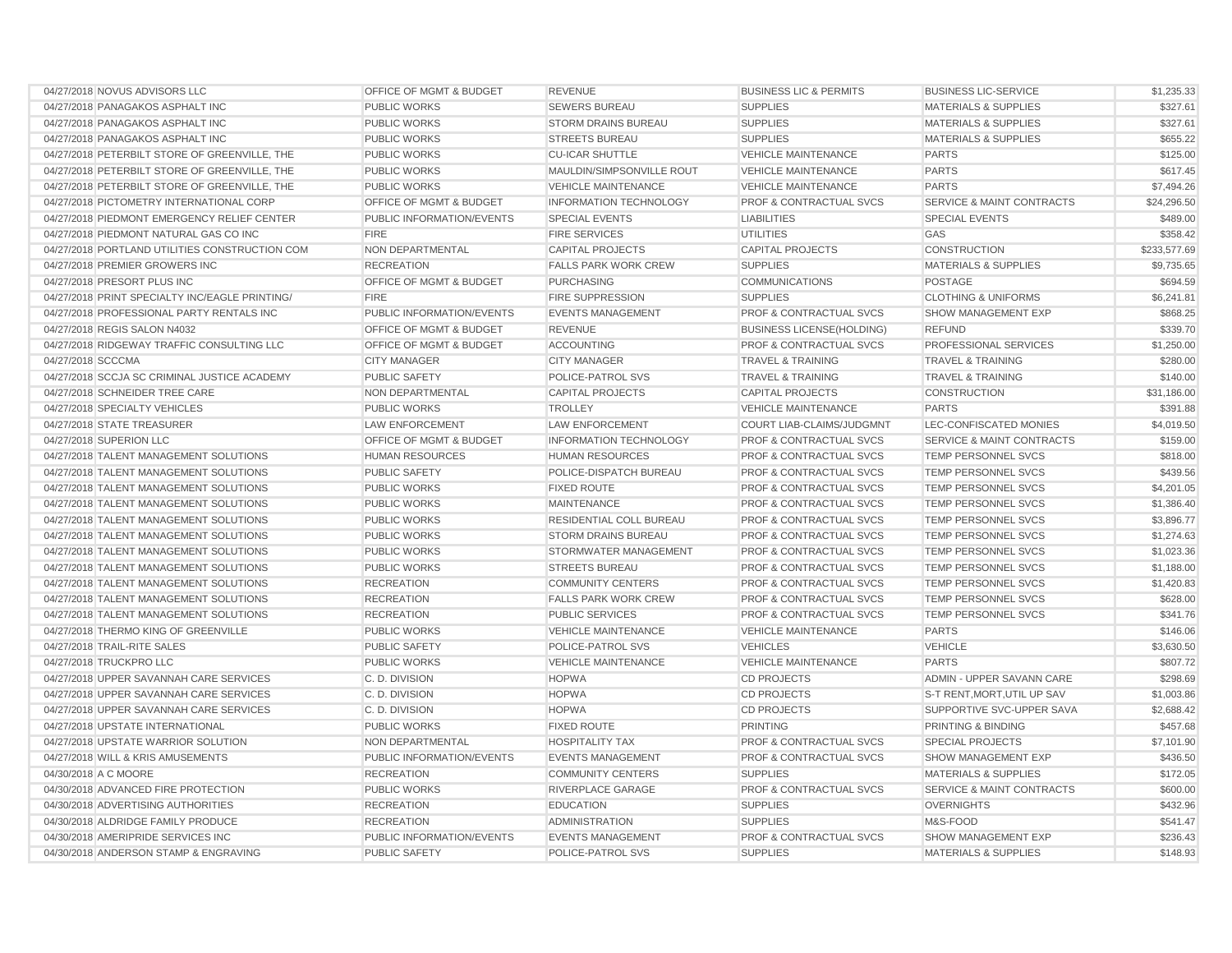| 04/27/2018 NOVUS ADVISORS LLC                  | OFFICE OF MGMT & BUDGET            | <b>REVENUE</b>                | <b>BUSINESS LIC &amp; PERMITS</b>  | <b>BUSINESS LIC-SERVICE</b>          | \$1,235.33   |
|------------------------------------------------|------------------------------------|-------------------------------|------------------------------------|--------------------------------------|--------------|
| 04/27/2018 PANAGAKOS ASPHALT INC               | <b>PUBLIC WORKS</b>                | <b>SEWERS BUREAU</b>          | <b>SUPPLIES</b>                    | <b>MATERIALS &amp; SUPPLIES</b>      | \$327.61     |
| 04/27/2018 PANAGAKOS ASPHALT INC               | <b>PUBLIC WORKS</b>                | <b>STORM DRAINS BUREAU</b>    | <b>SUPPLIES</b>                    | <b>MATERIALS &amp; SUPPLIES</b>      | \$327.61     |
| 04/27/2018 PANAGAKOS ASPHALT INC               | <b>PUBLIC WORKS</b>                | <b>STREETS BUREAU</b>         | <b>SUPPLIES</b>                    | <b>MATERIALS &amp; SUPPLIES</b>      | \$655.22     |
| 04/27/2018 PETERBILT STORE OF GREENVILLE, THE  | <b>PUBLIC WORKS</b>                | <b>CU-ICAR SHUTTLE</b>        | VEHICLE MAINTENANCE                | <b>PARTS</b>                         | \$125.00     |
| 04/27/2018 PETERBILT STORE OF GREENVILLE, THE  | <b>PUBLIC WORKS</b>                | MAULDIN/SIMPSONVILLE ROUT     | <b>VEHICLE MAINTENANCE</b>         | <b>PARTS</b>                         | \$617.45     |
| 04/27/2018 PETERBILT STORE OF GREENVILLE, THE  | <b>PUBLIC WORKS</b>                | <b>VEHICLE MAINTENANCE</b>    | <b>VEHICLE MAINTENANCE</b>         | <b>PARTS</b>                         | \$7,494.26   |
| 04/27/2018 PICTOMETRY INTERNATIONAL CORP       | OFFICE OF MGMT & BUDGET            | <b>INFORMATION TECHNOLOGY</b> | <b>PROF &amp; CONTRACTUAL SVCS</b> | <b>SERVICE &amp; MAINT CONTRACTS</b> | \$24,296.50  |
| 04/27/2018 PIEDMONT EMERGENCY RELIEF CENTER    | PUBLIC INFORMATION/EVENTS          | <b>SPECIAL EVENTS</b>         | <b>LIABILITIES</b>                 | SPECIAL EVENTS                       | \$489.00     |
| 04/27/2018 PIEDMONT NATURAL GAS CO INC         | <b>FIRE</b>                        | <b>FIRE SERVICES</b>          | <b>UTILITIES</b>                   | GAS                                  | \$358.42     |
| 04/27/2018 PORTLAND UTILITIES CONSTRUCTION COM | NON DEPARTMENTAL                   | <b>CAPITAL PROJECTS</b>       | <b>CAPITAL PROJECTS</b>            | <b>CONSTRUCTION</b>                  | \$233,577.69 |
| 04/27/2018 PREMIER GROWERS INC                 | <b>RECREATION</b>                  | <b>FALLS PARK WORK CREW</b>   | <b>SUPPLIES</b>                    | <b>MATERIALS &amp; SUPPLIES</b>      | \$9,735.65   |
| 04/27/2018 PRESORT PLUS INC                    | OFFICE OF MGMT & BUDGET            | PURCHASING                    | <b>COMMUNICATIONS</b>              | <b>POSTAGE</b>                       | \$694.59     |
| 04/27/2018 PRINT SPECIALTY INC/EAGLE PRINTING/ | <b>FIRE</b>                        | <b>FIRE SUPPRESSION</b>       | <b>SUPPLIES</b>                    | <b>CLOTHING &amp; UNIFORMS</b>       | \$6,241.81   |
| 04/27/2018 PROFESSIONAL PARTY RENTALS INC      | PUBLIC INFORMATION/EVENTS          | <b>EVENTS MANAGEMENT</b>      | <b>PROF &amp; CONTRACTUAL SVCS</b> | SHOW MANAGEMENT EXP                  | \$868.25     |
| 04/27/2018 REGIS SALON N4032                   | <b>OFFICE OF MGMT &amp; BUDGET</b> | <b>REVENUE</b>                | <b>BUSINESS LICENSE(HOLDING)</b>   | <b>REFUND</b>                        | \$339.70     |
| 04/27/2018 RIDGEWAY TRAFFIC CONSULTING LLC     | <b>OFFICE OF MGMT &amp; BUDGET</b> | <b>ACCOUNTING</b>             | <b>PROF &amp; CONTRACTUAL SVCS</b> | PROFESSIONAL SERVICES                | \$1,250.00   |
| 04/27/2018 SCCCMA                              | <b>CITY MANAGER</b>                | <b>CITY MANAGER</b>           | <b>TRAVEL &amp; TRAINING</b>       | <b>TRAVEL &amp; TRAINING</b>         | \$280.00     |
| 04/27/2018 SCCJA SC CRIMINAL JUSTICE ACADEMY   | <b>PUBLIC SAFETY</b>               | <b>POLICE-PATROL SVS</b>      | <b>TRAVEL &amp; TRAINING</b>       | <b>TRAVEL &amp; TRAINING</b>         | \$140.00     |
| 04/27/2018 SCHNEIDER TREE CARE                 | <b>NON DEPARTMENTAL</b>            | <b>CAPITAL PROJECTS</b>       | <b>CAPITAL PROJECTS</b>            | <b>CONSTRUCTION</b>                  | \$31,186.00  |
| 04/27/2018 SPECIALTY VEHICLES                  | <b>PUBLIC WORKS</b>                | <b>TROLLEY</b>                | <b>VEHICLE MAINTENANCE</b>         | <b>PARTS</b>                         | \$391.88     |
| 04/27/2018 STATE TREASURER                     | <b>LAW ENFORCEMENT</b>             | <b>LAW ENFORCEMENT</b>        | COURT LIAB-CLAIMS/JUDGMNT          | LEC-CONFISCATED MONIES               | \$4,019.50   |
| 04/27/2018 SUPERION LLC                        | OFFICE OF MGMT & BUDGET            | <b>INFORMATION TECHNOLOGY</b> | <b>PROF &amp; CONTRACTUAL SVCS</b> | <b>SERVICE &amp; MAINT CONTRACTS</b> | \$159.00     |
| 04/27/2018 TALENT MANAGEMENT SOLUTIONS         | <b>HUMAN RESOURCES</b>             | <b>HUMAN RESOURCES</b>        | PROF & CONTRACTUAL SVCS            | <b>TEMP PERSONNEL SVCS</b>           | \$818.00     |
| 04/27/2018 TALENT MANAGEMENT SOLUTIONS         | <b>PUBLIC SAFETY</b>               | POLICE-DISPATCH BUREAU        | <b>PROF &amp; CONTRACTUAL SVCS</b> | <b>TEMP PERSONNEL SVCS</b>           | \$439.56     |
| 04/27/2018 TALENT MANAGEMENT SOLUTIONS         | PUBLIC WORKS                       | <b>FIXED ROUTE</b>            | <b>PROF &amp; CONTRACTUAL SVCS</b> | <b>TEMP PERSONNEL SVCS</b>           | \$4,201.05   |
| 04/27/2018 TALENT MANAGEMENT SOLUTIONS         | PUBLIC WORKS                       | <b>MAINTENANCE</b>            | <b>PROF &amp; CONTRACTUAL SVCS</b> | <b>TEMP PERSONNEL SVCS</b>           | \$1,386.40   |
| 04/27/2018 TALENT MANAGEMENT SOLUTIONS         | PUBLIC WORKS                       | RESIDENTIAL COLL BUREAU       | <b>PROF &amp; CONTRACTUAL SVCS</b> | TEMP PERSONNEL SVCS                  | \$3,896.77   |
| 04/27/2018 TALENT MANAGEMENT SOLUTIONS         | <b>PUBLIC WORKS</b>                | <b>STORM DRAINS BUREAU</b>    | <b>PROF &amp; CONTRACTUAL SVCS</b> | <b>TEMP PERSONNEL SVCS</b>           | \$1,274.63   |
| 04/27/2018 TALENT MANAGEMENT SOLUTIONS         | <b>PUBLIC WORKS</b>                | <b>STORMWATER MANAGEMENT</b>  | <b>PROF &amp; CONTRACTUAL SVCS</b> | TEMP PERSONNEL SVCS                  | \$1,023.36   |
| 04/27/2018 TALENT MANAGEMENT SOLUTIONS         | <b>PUBLIC WORKS</b>                | <b>STREETS BUREAU</b>         | <b>PROF &amp; CONTRACTUAL SVCS</b> | TEMP PERSONNEL SVCS                  | \$1,188.00   |
| 04/27/2018 TALENT MANAGEMENT SOLUTIONS         | <b>RECREATION</b>                  | <b>COMMUNITY CENTERS</b>      | <b>PROF &amp; CONTRACTUAL SVCS</b> | TEMP PERSONNEL SVCS                  | \$1,420.83   |
| 04/27/2018 TALENT MANAGEMENT SOLUTIONS         | <b>RECREATION</b>                  | <b>FALLS PARK WORK CREW</b>   | <b>PROF &amp; CONTRACTUAL SVCS</b> | TEMP PERSONNEL SVCS                  | \$628.00     |
| 04/27/2018 TALENT MANAGEMENT SOLUTIONS         | <b>RECREATION</b>                  | <b>PUBLIC SERVICES</b>        | <b>PROF &amp; CONTRACTUAL SVCS</b> | TEMP PERSONNEL SVCS                  | \$341.76     |
| 04/27/2018 THERMO KING OF GREENVILLE           | <b>PUBLIC WORKS</b>                | <b>VEHICLE MAINTENANCE</b>    | <b>VEHICLE MAINTENANCE</b>         | <b>PARTS</b>                         | \$146.06     |
| 04/27/2018 TRAIL-RITE SALES                    | <b>PUBLIC SAFETY</b>               | <b>POLICE-PATROL SVS</b>      | <b>VEHICLES</b>                    | <b>VEHICLE</b>                       | \$3,630.50   |
| 04/27/2018 TRUCKPRO LLC                        | <b>PUBLIC WORKS</b>                | <b>VEHICLE MAINTENANCE</b>    | <b>VEHICLE MAINTENANCE</b>         | <b>PARTS</b>                         | \$807.72     |
| 04/27/2018 UPPER SAVANNAH CARE SERVICES        | C. D. DIVISION                     | <b>HOPWA</b>                  | <b>CD PROJECTS</b>                 | ADMIN - UPPER SAVANN CARE            | \$298.69     |
| 04/27/2018 UPPER SAVANNAH CARE SERVICES        | C. D. DIVISION                     | <b>HOPWA</b>                  | <b>CD PROJECTS</b>                 | S-T RENT.MORT.UTIL UP SAV            | \$1,003.86   |
| 04/27/2018 UPPER SAVANNAH CARE SERVICES        | C. D. DIVISION                     | <b>HOPWA</b>                  | <b>CD PROJECTS</b>                 | SUPPORTIVE SVC-UPPER SAVA            | \$2,688.42   |
| 04/27/2018 UPSTATE INTERNATIONAL               | <b>PUBLIC WORKS</b>                | <b>FIXED ROUTE</b>            | <b>PRINTING</b>                    | PRINTING & BINDING                   | \$457.68     |
| 04/27/2018 UPSTATE WARRIOR SOLUTION            | NON DEPARTMENTAL                   | <b>HOSPITALITY TAX</b>        | <b>PROF &amp; CONTRACTUAL SVCS</b> | <b>SPECIAL PROJECTS</b>              | \$7,101.90   |
| 04/27/2018 WILL & KRIS AMUSEMENTS              | PUBLIC INFORMATION/EVENTS          | <b>EVENTS MANAGEMENT</b>      | <b>PROF &amp; CONTRACTUAL SVCS</b> | SHOW MANAGEMENT EXP                  | \$436.50     |
| 04/30/2018 A C MOORE                           | <b>RECREATION</b>                  | <b>COMMUNITY CENTERS</b>      | <b>SUPPLIES</b>                    | <b>MATERIALS &amp; SUPPLIES</b>      | \$172.05     |
| 04/30/2018 ADVANCED FIRE PROTECTION            | <b>PUBLIC WORKS</b>                | <b>RIVERPLACE GARAGE</b>      | PROF & CONTRACTUAL SVCS            | <b>SERVICE &amp; MAINT CONTRACTS</b> | \$600.00     |
| 04/30/2018 ADVERTISING AUTHORITIES             | <b>RECREATION</b>                  | <b>EDUCATION</b>              | <b>SUPPLIES</b>                    | <b>OVERNIGHTS</b>                    | \$432.96     |
| 04/30/2018 ALDRIDGE FAMILY PRODUCE             | <b>RECREATION</b>                  | ADMINISTRATION                | <b>SUPPLIES</b>                    | M&S-FOOD                             | \$541.47     |
| 04/30/2018 AMERIPRIDE SERVICES INC             | PUBLIC INFORMATION/EVENTS          | <b>EVENTS MANAGEMENT</b>      | <b>PROF &amp; CONTRACTUAL SVCS</b> | SHOW MANAGEMENT EXP                  | \$236.43     |
| 04/30/2018 ANDERSON STAMP & ENGRAVING          | <b>PUBLIC SAFETY</b>               | POLICE-PATROL SVS             | <b>SUPPLIES</b>                    | <b>MATERIALS &amp; SUPPLIES</b>      | \$148.93     |
|                                                |                                    |                               |                                    |                                      |              |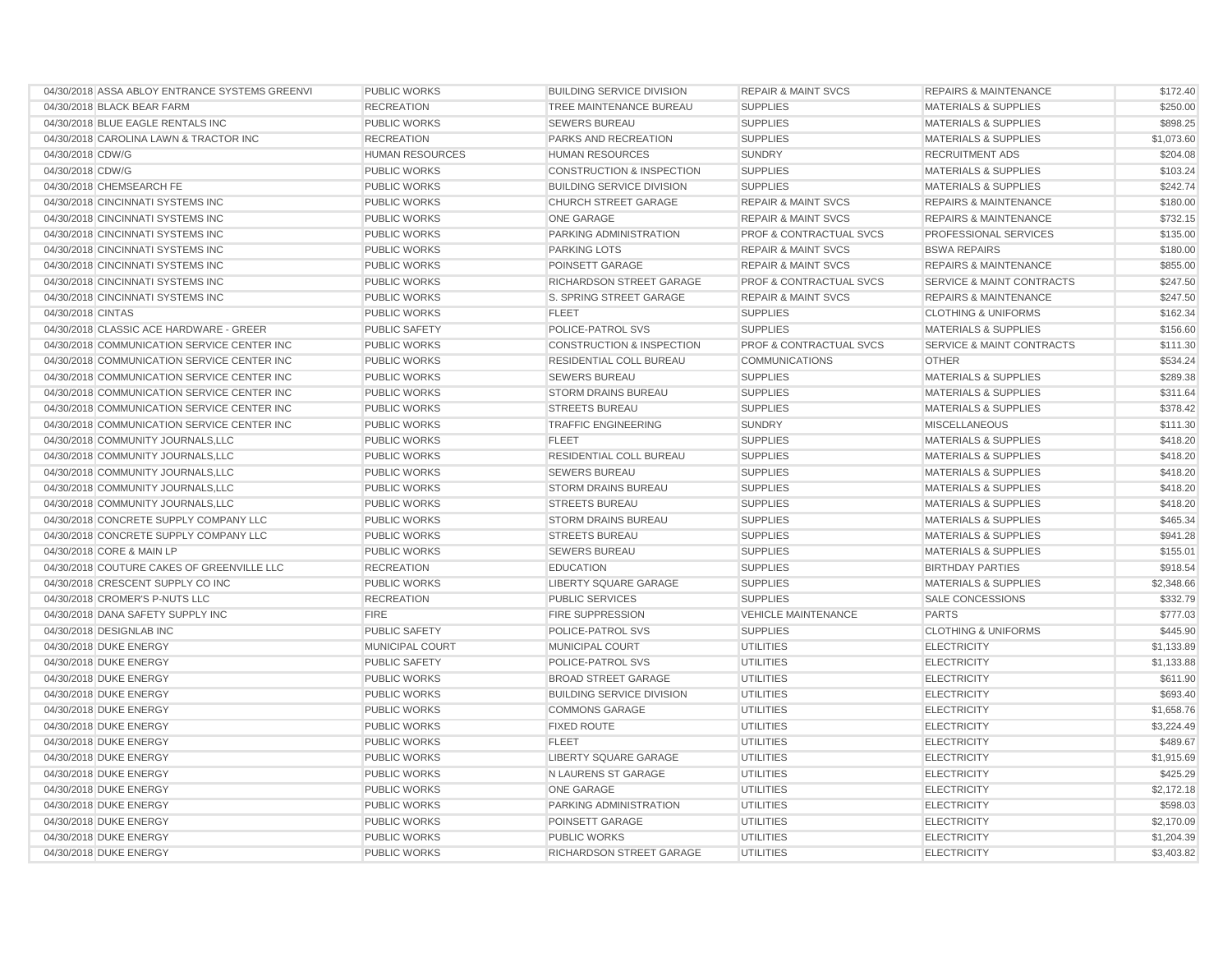| 04/30/2018 ASSA ABLOY ENTRANCE SYSTEMS GREENVI | PUBLIC WORKS           | <b>BUILDING SERVICE DIVISION</b>     | <b>REPAIR &amp; MAINT SVCS</b>     | <b>REPAIRS &amp; MAINTENANCE</b>     | \$172.40   |
|------------------------------------------------|------------------------|--------------------------------------|------------------------------------|--------------------------------------|------------|
| 04/30/2018 BLACK BEAR FARM                     | <b>RECREATION</b>      | TREE MAINTENANCE BUREAU              | <b>SUPPLIES</b>                    | <b>MATERIALS &amp; SUPPLIES</b>      | \$250.00   |
| 04/30/2018 BLUE EAGLE RENTALS INC              | PUBLIC WORKS           | <b>SEWERS BUREAU</b>                 | <b>SUPPLIES</b>                    | <b>MATERIALS &amp; SUPPLIES</b>      | \$898.25   |
| 04/30/2018 CAROLINA LAWN & TRACTOR INC         | <b>RECREATION</b>      | PARKS AND RECREATION                 | <b>SUPPLIES</b>                    | <b>MATERIALS &amp; SUPPLIES</b>      | \$1,073.60 |
| 04/30/2018 CDW/G                               | <b>HUMAN RESOURCES</b> | <b>HUMAN RESOURCES</b>               | <b>SUNDRY</b>                      | <b>RECRUITMENT ADS</b>               | \$204.08   |
| 04/30/2018 CDW/G                               | <b>PUBLIC WORKS</b>    | <b>CONSTRUCTION &amp; INSPECTION</b> | <b>SUPPLIES</b>                    | <b>MATERIALS &amp; SUPPLIES</b>      | \$103.24   |
| 04/30/2018 CHEMSEARCH FE                       | <b>PUBLIC WORKS</b>    | <b>BUILDING SERVICE DIVISION</b>     | <b>SUPPLIES</b>                    | <b>MATERIALS &amp; SUPPLIES</b>      | \$242.74   |
| 04/30/2018 CINCINNATI SYSTEMS INC              | PUBLIC WORKS           | <b>CHURCH STREET GARAGE</b>          | <b>REPAIR &amp; MAINT SVCS</b>     | <b>REPAIRS &amp; MAINTENANCE</b>     | \$180.00   |
| 04/30/2018 CINCINNATI SYSTEMS INC              | PUBLIC WORKS           | <b>ONE GARAGE</b>                    | <b>REPAIR &amp; MAINT SVCS</b>     | <b>REPAIRS &amp; MAINTENANCE</b>     | \$732.15   |
| 04/30/2018 CINCINNATI SYSTEMS INC              | <b>PUBLIC WORKS</b>    | PARKING ADMINISTRATION               | <b>PROF &amp; CONTRACTUAL SVCS</b> | PROFESSIONAL SERVICES                | \$135.00   |
| 04/30/2018 CINCINNATI SYSTEMS INC              | <b>PUBLIC WORKS</b>    | <b>PARKING LOTS</b>                  | <b>REPAIR &amp; MAINT SVCS</b>     | <b>BSWA REPAIRS</b>                  | \$180.00   |
| 04/30/2018 CINCINNATI SYSTEMS INC              | <b>PUBLIC WORKS</b>    | POINSETT GARAGE                      | <b>REPAIR &amp; MAINT SVCS</b>     | <b>REPAIRS &amp; MAINTENANCE</b>     | \$855.00   |
| 04/30/2018 CINCINNATI SYSTEMS INC              | PUBLIC WORKS           | RICHARDSON STREET GARAGE             | <b>PROF &amp; CONTRACTUAL SVCS</b> | <b>SERVICE &amp; MAINT CONTRACTS</b> | \$247.50   |
| 04/30/2018 CINCINNATI SYSTEMS INC              | <b>PUBLIC WORKS</b>    | S. SPRING STREET GARAGE              | <b>REPAIR &amp; MAINT SVCS</b>     | <b>REPAIRS &amp; MAINTENANCE</b>     | \$247.50   |
| 04/30/2018 CINTAS                              | <b>PUBLIC WORKS</b>    | <b>FLEET</b>                         | <b>SUPPLIES</b>                    | <b>CLOTHING &amp; UNIFORMS</b>       | \$162.34   |
| 04/30/2018 CLASSIC ACE HARDWARE - GREER        | PUBLIC SAFETY          | POLICE-PATROL SVS                    | <b>SUPPLIES</b>                    | <b>MATERIALS &amp; SUPPLIES</b>      | \$156.60   |
| 04/30/2018 COMMUNICATION SERVICE CENTER INC    | <b>PUBLIC WORKS</b>    | <b>CONSTRUCTION &amp; INSPECTION</b> | PROF & CONTRACTUAL SVCS            | SERVICE & MAINT CONTRACTS            | \$111.30   |
| 04/30/2018 COMMUNICATION SERVICE CENTER INC    | <b>PUBLIC WORKS</b>    | RESIDENTIAL COLL BUREAU              | <b>COMMUNICATIONS</b>              | <b>OTHER</b>                         | \$534.24   |
| 04/30/2018 COMMUNICATION SERVICE CENTER INC    | PUBLIC WORKS           | <b>SEWERS BUREAU</b>                 | <b>SUPPLIES</b>                    | <b>MATERIALS &amp; SUPPLIES</b>      | \$289.38   |
| 04/30/2018 COMMUNICATION SERVICE CENTER INC    | <b>PUBLIC WORKS</b>    | STORM DRAINS BUREAU                  | <b>SUPPLIES</b>                    | <b>MATERIALS &amp; SUPPLIES</b>      | \$311.64   |
| 04/30/2018 COMMUNICATION SERVICE CENTER INC    | <b>PUBLIC WORKS</b>    | <b>STREETS BUREAU</b>                | <b>SUPPLIES</b>                    | <b>MATERIALS &amp; SUPPLIES</b>      | \$378.42   |
| 04/30/2018 COMMUNICATION SERVICE CENTER INC    | <b>PUBLIC WORKS</b>    | <b>TRAFFIC ENGINEERING</b>           | <b>SUNDRY</b>                      | <b>MISCELLANEOUS</b>                 | \$111.30   |
| 04/30/2018 COMMUNITY JOURNALS, LLC             | <b>PUBLIC WORKS</b>    | <b>FLEET</b>                         | <b>SUPPLIES</b>                    | <b>MATERIALS &amp; SUPPLIES</b>      | \$418.20   |
| 04/30/2018 COMMUNITY JOURNALS, LLC             | <b>PUBLIC WORKS</b>    | RESIDENTIAL COLL BUREAU              | <b>SUPPLIES</b>                    | <b>MATERIALS &amp; SUPPLIES</b>      | \$418.20   |
| 04/30/2018 COMMUNITY JOURNALS, LLC             | <b>PUBLIC WORKS</b>    | <b>SEWERS BUREAU</b>                 | <b>SUPPLIES</b>                    | <b>MATERIALS &amp; SUPPLIES</b>      | \$418.20   |
| 04/30/2018 COMMUNITY JOURNALS, LLC             | PUBLIC WORKS           | <b>STORM DRAINS BUREAU</b>           | <b>SUPPLIES</b>                    | <b>MATERIALS &amp; SUPPLIES</b>      | \$418.20   |
| 04/30/2018 COMMUNITY JOURNALS, LLC             | PUBLIC WORKS           | <b>STREETS BUREAU</b>                | <b>SUPPLIES</b>                    | <b>MATERIALS &amp; SUPPLIES</b>      | \$418.20   |
| 04/30/2018 CONCRETE SUPPLY COMPANY LLC         | <b>PUBLIC WORKS</b>    | <b>STORM DRAINS BUREAU</b>           | <b>SUPPLIES</b>                    | <b>MATERIALS &amp; SUPPLIES</b>      | \$465.34   |
| 04/30/2018 CONCRETE SUPPLY COMPANY LLC         | <b>PUBLIC WORKS</b>    | <b>STREETS BUREAU</b>                | <b>SUPPLIES</b>                    | <b>MATERIALS &amp; SUPPLIES</b>      | \$941.28   |
| 04/30/2018 CORE & MAIN LP                      | PUBLIC WORKS           | <b>SEWERS BUREAU</b>                 | <b>SUPPLIES</b>                    | <b>MATERIALS &amp; SUPPLIES</b>      | \$155.01   |
| 04/30/2018 COUTURE CAKES OF GREENVILLE LLC     | <b>RECREATION</b>      | <b>EDUCATION</b>                     | <b>SUPPLIES</b>                    | <b>BIRTHDAY PARTIES</b>              | \$918.54   |
| 04/30/2018 CRESCENT SUPPLY CO INC              | <b>PUBLIC WORKS</b>    | LIBERTY SQUARE GARAGE                | <b>SUPPLIES</b>                    | <b>MATERIALS &amp; SUPPLIES</b>      | \$2,348.66 |
| 04/30/2018 CROMER'S P-NUTS LLC                 | <b>RECREATION</b>      | <b>PUBLIC SERVICES</b>               | <b>SUPPLIES</b>                    | SALE CONCESSIONS                     | \$332.79   |
| 04/30/2018 DANA SAFETY SUPPLY INC              | <b>FIRE</b>            | <b>FIRE SUPPRESSION</b>              | <b>VEHICLE MAINTENANCE</b>         | <b>PARTS</b>                         | \$777.03   |
| 04/30/2018 DESIGNLAB INC                       | PUBLIC SAFETY          | POLICE-PATROL SVS                    | <b>SUPPLIES</b>                    | <b>CLOTHING &amp; UNIFORMS</b>       | \$445.90   |
| 04/30/2018 DUKE ENERGY                         | MUNICIPAL COURT        | MUNICIPAL COURT                      | <b>UTILITIES</b>                   | <b>ELECTRICITY</b>                   | \$1,133.89 |
| 04/30/2018 DUKE ENERGY                         | <b>PUBLIC SAFETY</b>   | POLICE-PATROL SVS                    | <b>UTILITIES</b>                   | <b>ELECTRICITY</b>                   | \$1,133.88 |
| 04/30/2018 DUKE ENERGY                         | <b>PUBLIC WORKS</b>    | <b>BROAD STREET GARAGE</b>           | <b>UTILITIES</b>                   | <b>ELECTRICITY</b>                   | \$611.90   |
| 04/30/2018 DUKE ENERGY                         | <b>PUBLIC WORKS</b>    | <b>BUILDING SERVICE DIVISION</b>     | <b>UTILITIES</b>                   | <b>ELECTRICITY</b>                   | \$693.40   |
| 04/30/2018 DUKE ENERGY                         | <b>PUBLIC WORKS</b>    | <b>COMMONS GARAGE</b>                | <b>UTILITIES</b>                   | <b>ELECTRICITY</b>                   | \$1,658.76 |
| 04/30/2018 DUKE ENERGY                         | <b>PUBLIC WORKS</b>    | <b>FIXED ROUTE</b>                   | <b>UTILITIES</b>                   | <b>ELECTRICITY</b>                   | \$3,224.49 |
| 04/30/2018 DUKE ENERGY                         | <b>PUBLIC WORKS</b>    | <b>FLEET</b>                         | <b>UTILITIES</b>                   | <b>ELECTRICITY</b>                   | \$489.67   |
| 04/30/2018 DUKE ENERGY                         | <b>PUBLIC WORKS</b>    | LIBERTY SQUARE GARAGE                | <b>UTILITIES</b>                   | <b>ELECTRICITY</b>                   | \$1,915.69 |
| 04/30/2018 DUKE ENERGY                         | <b>PUBLIC WORKS</b>    | N LAURENS ST GARAGE                  | <b>UTILITIES</b>                   | <b>ELECTRICITY</b>                   | \$425.29   |
| 04/30/2018 DUKE ENERGY                         | PUBLIC WORKS           | <b>ONE GARAGE</b>                    | <b>UTILITIES</b>                   | <b>ELECTRICITY</b>                   | \$2,172.18 |
| 04/30/2018 DUKE ENERGY                         | <b>PUBLIC WORKS</b>    | PARKING ADMINISTRATION               | <b>UTILITIES</b>                   | <b>ELECTRICITY</b>                   | \$598.03   |
| 04/30/2018 DUKE ENERGY                         | <b>PUBLIC WORKS</b>    | <b>POINSETT GARAGE</b>               | <b>UTILITIES</b>                   | <b>ELECTRICITY</b>                   | \$2,170.09 |
| 04/30/2018 DUKE ENERGY                         | <b>PUBLIC WORKS</b>    | <b>PUBLIC WORKS</b>                  | <b>UTILITIES</b>                   | <b>ELECTRICITY</b>                   | \$1,204.39 |
| 04/30/2018 DUKE ENERGY                         | <b>PUBLIC WORKS</b>    | <b>RICHARDSON STREET GARAGE</b>      | <b>UTILITIES</b>                   | <b>ELECTRICITY</b>                   | \$3,403.82 |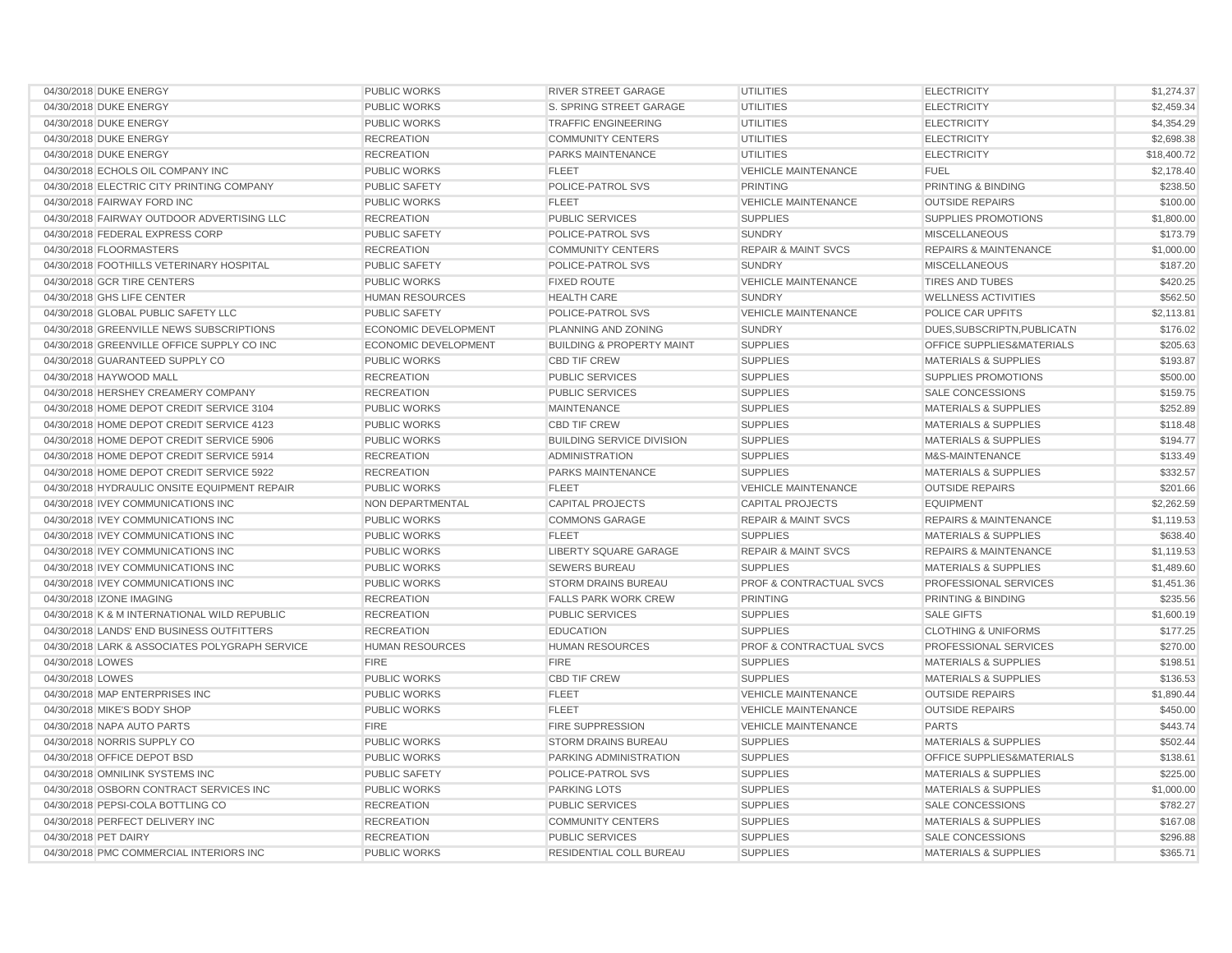| 04/30/2018 DUKE ENERGY                                  | <b>PUBLIC WORKS</b>                    | <b>RIVER STREET GARAGE</b>                         | <b>UTILITIES</b>                   | <b>ELECTRICITY</b>                                  | \$1,274.37           |
|---------------------------------------------------------|----------------------------------------|----------------------------------------------------|------------------------------------|-----------------------------------------------------|----------------------|
| 04/30/2018 DUKE ENERGY                                  | <b>PUBLIC WORKS</b>                    | S. SPRING STREET GARAGE                            | <b>UTILITIES</b>                   | <b>ELECTRICITY</b>                                  | \$2,459.34           |
| 04/30/2018 DUKE ENERGY                                  | <b>PUBLIC WORKS</b>                    | <b>TRAFFIC ENGINEERING</b>                         | <b>UTILITIES</b>                   | <b>ELECTRICITY</b>                                  | \$4,354.29           |
| 04/30/2018 DUKE ENERGY                                  | <b>RECREATION</b>                      | <b>COMMUNITY CENTERS</b>                           | <b>UTILITIES</b>                   | <b>ELECTRICITY</b>                                  | \$2,698.38           |
| 04/30/2018 DUKE ENERGY                                  | <b>RECREATION</b>                      | PARKS MAINTENANCE                                  | <b>UTILITIES</b>                   | <b>ELECTRICITY</b>                                  | \$18,400.72          |
| 04/30/2018 ECHOLS OIL COMPANY INC                       | <b>PUBLIC WORKS</b>                    | <b>FLEET</b>                                       | <b>VEHICLE MAINTENANCE</b>         | <b>FUEL</b>                                         | \$2,178.40           |
| 04/30/2018 ELECTRIC CITY PRINTING COMPANY               | <b>PUBLIC SAFETY</b>                   | POLICE-PATROL SVS                                  | <b>PRINTING</b>                    | PRINTING & BINDING                                  | \$238.50             |
| 04/30/2018 FAIRWAY FORD INC                             | <b>PUBLIC WORKS</b>                    | <b>FLEET</b>                                       | <b>VEHICLE MAINTENANCE</b>         | <b>OUTSIDE REPAIRS</b>                              | \$100.00             |
| 04/30/2018 FAIRWAY OUTDOOR ADVERTISING LLC              | <b>RECREATION</b>                      | <b>PUBLIC SERVICES</b>                             | <b>SUPPLIES</b>                    | SUPPLIES PROMOTIONS                                 | \$1,800.00           |
| 04/30/2018 FEDERAL EXPRESS CORP                         | <b>PUBLIC SAFETY</b>                   | POLICE-PATROL SVS                                  | <b>SUNDRY</b>                      | <b>MISCELLANEOUS</b>                                | \$173.79             |
| 04/30/2018 FLOORMASTERS                                 | <b>RECREATION</b>                      | <b>COMMUNITY CENTERS</b>                           | <b>REPAIR &amp; MAINT SVCS</b>     | <b>REPAIRS &amp; MAINTENANCE</b>                    | \$1,000.00           |
| 04/30/2018 FOOTHILLS VETERINARY HOSPITAL                | <b>PUBLIC SAFETY</b>                   | POLICE-PATROL SVS                                  | <b>SUNDRY</b>                      | <b>MISCELLANEOUS</b>                                | \$187.20             |
| 04/30/2018 GCR TIRE CENTERS                             | <b>PUBLIC WORKS</b>                    | <b>FIXED ROUTE</b>                                 | <b>VEHICLE MAINTENANCE</b>         | <b>TIRES AND TUBES</b>                              | \$420.25             |
| 04/30/2018 GHS LIFE CENTER                              | <b>HUMAN RESOURCES</b>                 | <b>HEALTH CARE</b>                                 | <b>SUNDRY</b>                      | <b>WELLNESS ACTIVITIES</b>                          | \$562.50             |
| 04/30/2018 GLOBAL PUBLIC SAFETY LLC                     | <b>PUBLIC SAFETY</b>                   | POLICE-PATROL SVS                                  | <b>VEHICLE MAINTENANCE</b>         | POLICE CAR UPFITS                                   | \$2,113.81           |
| 04/30/2018 GREENVILLE NEWS SUBSCRIPTIONS                | ECONOMIC DEVELOPMENT                   | PLANNING AND ZONING                                | <b>SUNDRY</b>                      | DUES, SUBSCRIPTN, PUBLICATN                         | \$176.02             |
| 04/30/2018 GREENVILLE OFFICE SUPPLY CO INC              | ECONOMIC DEVELOPMENT                   | <b>BUILDING &amp; PROPERTY MAINT</b>               | <b>SUPPLIES</b>                    | <b>OFFICE SUPPLIES&amp;MATERIALS</b>                | \$205.63             |
| 04/30/2018 GUARANTEED SUPPLY CO                         | <b>PUBLIC WORKS</b>                    | <b>CBD TIF CREW</b>                                | <b>SUPPLIES</b>                    | <b>MATERIALS &amp; SUPPLIES</b>                     | \$193.87             |
| 04/30/2018 HAYWOOD MALL                                 | <b>RECREATION</b>                      | <b>PUBLIC SERVICES</b>                             | <b>SUPPLIES</b>                    | <b>SUPPLIES PROMOTIONS</b>                          | \$500.00             |
| 04/30/2018 HERSHEY CREAMERY COMPANY                     | <b>RECREATION</b>                      | <b>PUBLIC SERVICES</b>                             | <b>SUPPLIES</b>                    | SALE CONCESSIONS                                    | \$159.75             |
| 04/30/2018 HOME DEPOT CREDIT SERVICE 3104               | <b>PUBLIC WORKS</b>                    | <b>MAINTENANCE</b>                                 | <b>SUPPLIES</b>                    | <b>MATERIALS &amp; SUPPLIES</b>                     | \$252.89             |
| 04/30/2018 HOME DEPOT CREDIT SERVICE 4123               | <b>PUBLIC WORKS</b>                    | <b>CBD TIF CREW</b>                                | <b>SUPPLIES</b>                    | <b>MATERIALS &amp; SUPPLIES</b>                     | \$118.48             |
| 04/30/2018 HOME DEPOT CREDIT SERVICE 5906               | <b>PUBLIC WORKS</b>                    | <b>BUILDING SERVICE DIVISION</b>                   | <b>SUPPLIES</b>                    | <b>MATERIALS &amp; SUPPLIES</b>                     | \$194.77             |
| 04/30/2018 HOME DEPOT CREDIT SERVICE 5914               | <b>RECREATION</b>                      | <b>ADMINISTRATION</b>                              | <b>SUPPLIES</b>                    | M&S-MAINTENANCE                                     | \$133.49             |
| 04/30/2018 HOME DEPOT CREDIT SERVICE 5922               | <b>RECREATION</b>                      | PARKS MAINTENANCE                                  | <b>SUPPLIES</b>                    | <b>MATERIALS &amp; SUPPLIES</b>                     | \$332.57             |
| 04/30/2018 HYDRAULIC ONSITE EQUIPMENT REPAIR            | <b>PUBLIC WORKS</b>                    | <b>FLEET</b>                                       | <b>VEHICLE MAINTENANCE</b>         | <b>OUTSIDE REPAIRS</b>                              | \$201.66             |
| 04/30/2018 IVEY COMMUNICATIONS INC                      | NON DEPARTMENTAL                       | <b>CAPITAL PROJECTS</b>                            | <b>CAPITAL PROJECTS</b>            | <b>EQUIPMENT</b>                                    | \$2,262.59           |
| 04/30/2018 IVEY COMMUNICATIONS INC                      | <b>PUBLIC WORKS</b>                    | <b>COMMONS GARAGE</b>                              | <b>REPAIR &amp; MAINT SVCS</b>     | <b>REPAIRS &amp; MAINTENANCE</b>                    | \$1,119.53           |
| 04/30/2018 IVEY COMMUNICATIONS INC                      | <b>PUBLIC WORKS</b>                    | <b>FLEET</b>                                       | <b>SUPPLIES</b>                    | <b>MATERIALS &amp; SUPPLIES</b>                     | \$638.40             |
| 04/30/2018 IVEY COMMUNICATIONS INC                      | <b>PUBLIC WORKS</b>                    | <b>LIBERTY SQUARE GARAGE</b>                       | <b>REPAIR &amp; MAINT SVCS</b>     | <b>REPAIRS &amp; MAINTENANCE</b>                    | \$1,119.53           |
| 04/30/2018 IVEY COMMUNICATIONS INC                      | <b>PUBLIC WORKS</b>                    | <b>SEWERS BUREAU</b>                               | <b>SUPPLIES</b>                    | <b>MATERIALS &amp; SUPPLIES</b>                     | \$1,489.60           |
| 04/30/2018 IVEY COMMUNICATIONS INC                      | <b>PUBLIC WORKS</b>                    | <b>STORM DRAINS BUREAU</b>                         | PROF & CONTRACTUAL SVCS            | PROFESSIONAL SERVICES                               | \$1,451.36           |
| 04/30/2018 IZONE IMAGING                                | <b>RECREATION</b>                      | <b>FALLS PARK WORK CREW</b>                        | <b>PRINTING</b>                    | PRINTING & BINDING                                  | \$235.56             |
| 04/30/2018 K & M INTERNATIONAL WILD REPUBLIC            | <b>RECREATION</b>                      | PUBLIC SERVICES                                    | <b>SUPPLIES</b>                    | <b>SALE GIFTS</b>                                   | \$1,600.19           |
| 04/30/2018 LANDS' END BUSINESS OUTFITTERS               | <b>RECREATION</b>                      | <b>EDUCATION</b>                                   | <b>SUPPLIES</b>                    | <b>CLOTHING &amp; UNIFORMS</b>                      | \$177.25             |
| 04/30/2018 LARK & ASSOCIATES POLYGRAPH SERVICE          | HUMAN RESOURCES                        | <b>HUMAN RESOURCES</b>                             | PROF & CONTRACTUAL SVCS            | PROFESSIONAL SERVICES                               | \$270.00             |
| 04/30/2018 LOWES                                        | <b>FIRE</b>                            | <b>FIRE</b>                                        | <b>SUPPLIES</b>                    | <b>MATERIALS &amp; SUPPLIES</b>                     | \$198.51             |
| 04/30/2018 LOWES                                        | <b>PUBLIC WORKS</b>                    | <b>CBD TIF CREW</b>                                | <b>SUPPLIES</b>                    | <b>MATERIALS &amp; SUPPLIES</b>                     | \$136.53             |
| 04/30/2018 MAP ENTERPRISES INC                          | <b>PUBLIC WORKS</b>                    | <b>FLEET</b>                                       | <b>VEHICLE MAINTENANCE</b>         | <b>OUTSIDE REPAIRS</b>                              | \$1,890.44           |
| 04/30/2018 MIKE'S BODY SHOP                             | <b>PUBLIC WORKS</b>                    | <b>FLEET</b>                                       | <b>VEHICLE MAINTENANCE</b>         | <b>OUTSIDE REPAIRS</b>                              | \$450.00             |
| 04/30/2018 NAPA AUTO PARTS                              | <b>FIRE</b>                            | <b>FIRE SUPPRESSION</b>                            | <b>VEHICLE MAINTENANCE</b>         | <b>PARTS</b>                                        | \$443.74             |
| 04/30/2018 NORRIS SUPPLY CO                             | <b>PUBLIC WORKS</b>                    | <b>STORM DRAINS BUREAU</b>                         | <b>SUPPLIES</b>                    | <b>MATERIALS &amp; SUPPLIES</b>                     | \$502.44             |
| 04/30/2018 OFFICE DEPOT BSD                             | <b>PUBLIC WORKS</b>                    | PARKING ADMINISTRATION                             | <b>SUPPLIES</b>                    | OFFICE SUPPLIES&MATERIALS                           | \$138.61             |
| 04/30/2018 OMNILINK SYSTEMS INC                         | <b>PUBLIC SAFETY</b>                   | POLICE-PATROL SVS                                  | <b>SUPPLIES</b>                    | <b>MATERIALS &amp; SUPPLIES</b>                     | \$225.00             |
| 04/30/2018 OSBORN CONTRACT SERVICES INC                 | <b>PUBLIC WORKS</b>                    | <b>PARKING LOTS</b>                                | <b>SUPPLIES</b>                    | <b>MATERIALS &amp; SUPPLIES</b>                     | \$1,000.00           |
| 04/30/2018 PEPSI-COLA BOTTLING CO                       | <b>RECREATION</b>                      | PUBLIC SERVICES                                    | <b>SUPPLIES</b>                    | SALE CONCESSIONS                                    | \$782.27             |
| 04/30/2018 PERFECT DELIVERY INC<br>04/30/2018 PET DAIRY | <b>RECREATION</b><br><b>RECREATION</b> | <b>COMMUNITY CENTERS</b><br><b>PUBLIC SERVICES</b> | <b>SUPPLIES</b><br><b>SUPPLIES</b> | <b>MATERIALS &amp; SUPPLIES</b><br>SALE CONCESSIONS | \$167.08<br>\$296.88 |
| 04/30/2018 PMC COMMERCIAL INTERIORS INC                 | <b>PUBLIC WORKS</b>                    | RESIDENTIAL COLL BUREAU                            | <b>SUPPLIES</b>                    | <b>MATERIALS &amp; SUPPLIES</b>                     | \$365.71             |
|                                                         |                                        |                                                    |                                    |                                                     |                      |